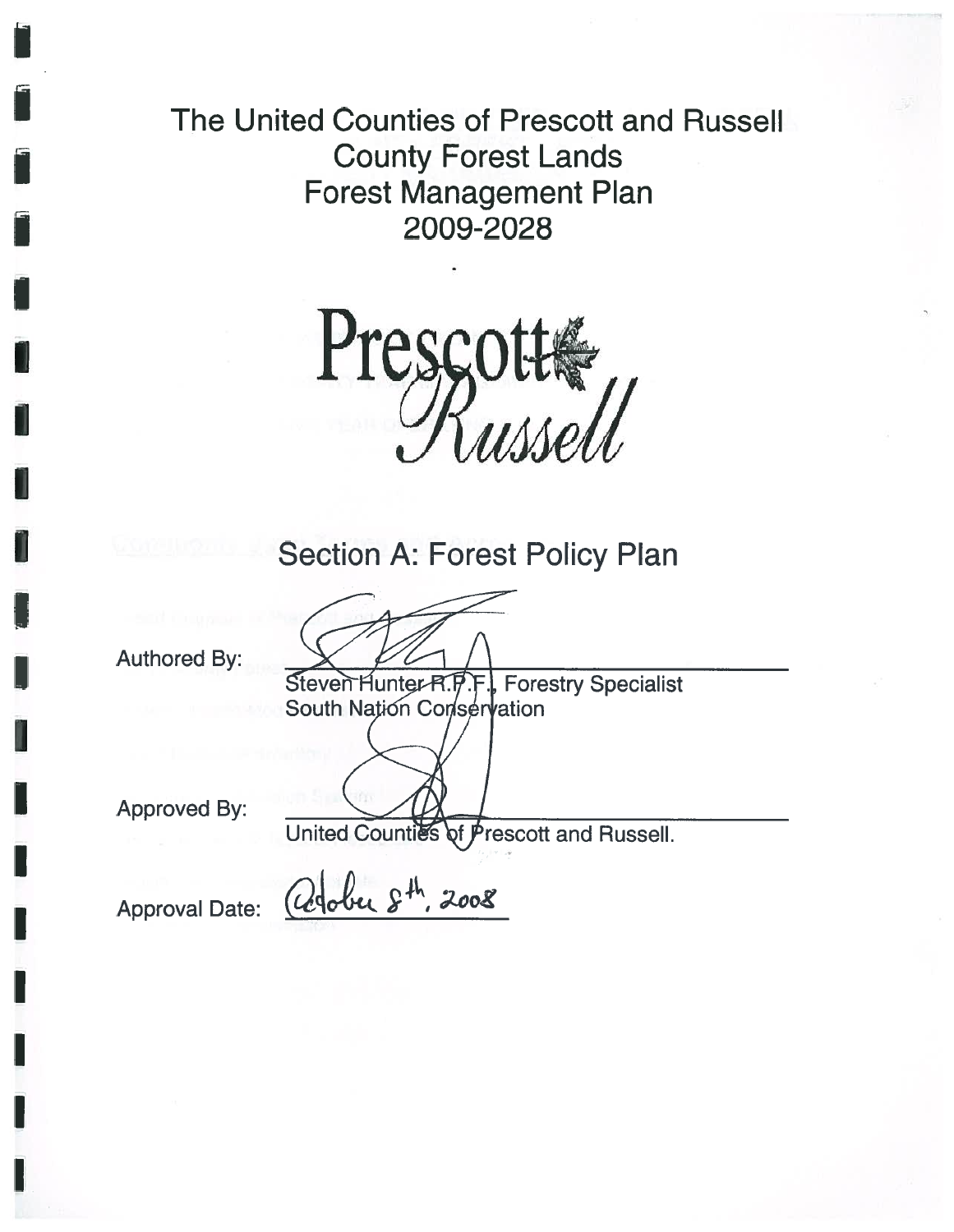The United Counties of Prescott and RussellCounty Forest Lands Forest Management Plan 2009-2028

Presco

# Section A: Forest Policy Plan

Authored By:

Steven Hunter R.F.F., Forestry Specialist South Nation Conservation

Approved By:

and Russell.

Approval Date:  $Q_3$ ber  $S^{th}$ , 2008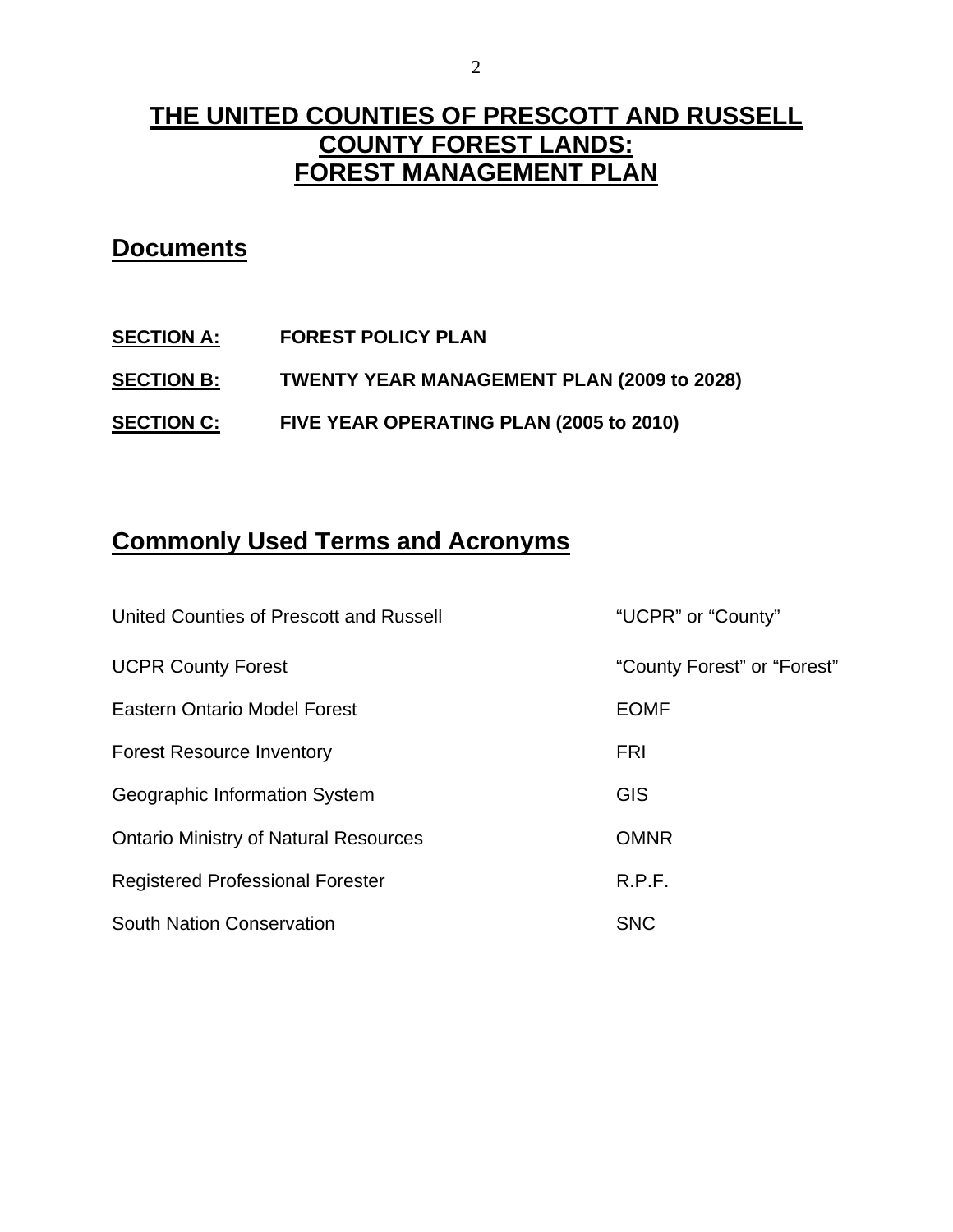# **THE UNITED COUNTIES OF PRESCOTT AND RUSSELL COUNTY FOREST LANDS: FOREST MANAGEMENT PLAN**

### **Documents**

**SECTION A: FOREST POLICY PLAN SECTION B: TWENTY YEAR MANAGEMENT PLAN (2009 to 2028) SECTION C: FIVE YEAR OPERATING PLAN (2005 to 2010)** 

# **Commonly Used Terms and Acronyms**

| United Counties of Prescott and Russell      | "UCPR" or "County"          |
|----------------------------------------------|-----------------------------|
| <b>UCPR County Forest</b>                    | "County Forest" or "Forest" |
| <b>Eastern Ontario Model Forest</b>          | <b>EOMF</b>                 |
| <b>Forest Resource Inventory</b>             | <b>FRI</b>                  |
| Geographic Information System                | <b>GIS</b>                  |
| <b>Ontario Ministry of Natural Resources</b> | <b>OMNR</b>                 |
| <b>Registered Professional Forester</b>      | R.P.F.                      |
| <b>South Nation Conservation</b>             | <b>SNC</b>                  |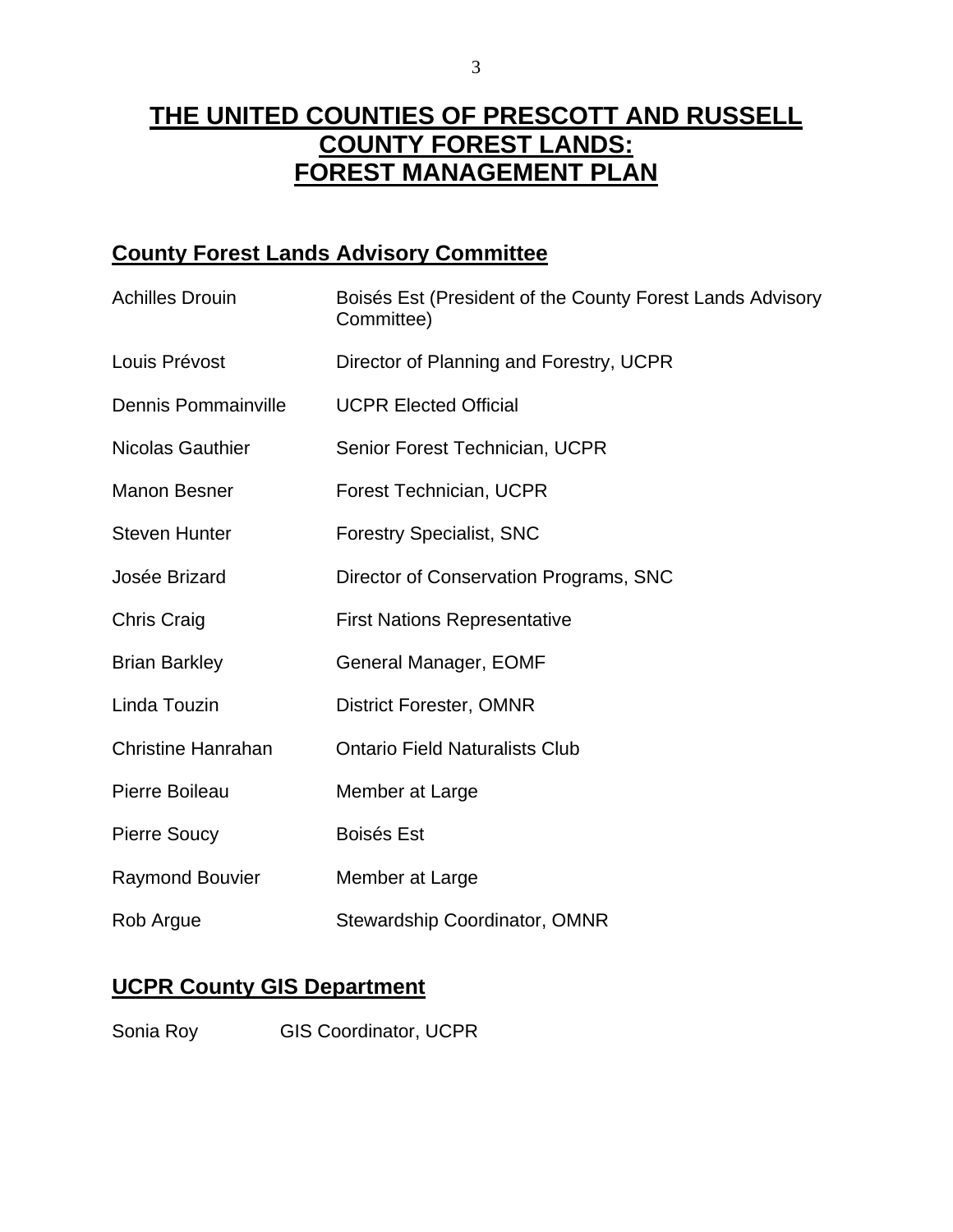# **THE UNITED COUNTIES OF PRESCOTT AND RUSSELL COUNTY FOREST LANDS: FOREST MANAGEMENT PLAN**

### **County Forest Lands Advisory Committee**

| <b>Achilles Drouin</b>     | Boisés Est (President of the County Forest Lands Advisory<br>Committee) |  |
|----------------------------|-------------------------------------------------------------------------|--|
| Louis Prévost              | Director of Planning and Forestry, UCPR                                 |  |
| <b>Dennis Pommainville</b> | <b>UCPR Elected Official</b>                                            |  |
| <b>Nicolas Gauthier</b>    | Senior Forest Technician, UCPR                                          |  |
| <b>Manon Besner</b>        | <b>Forest Technician, UCPR</b>                                          |  |
| <b>Steven Hunter</b>       | <b>Forestry Specialist, SNC</b>                                         |  |
| Josée Brizard              | Director of Conservation Programs, SNC                                  |  |
| <b>Chris Craig</b>         | <b>First Nations Representative</b>                                     |  |
| <b>Brian Barkley</b>       | General Manager, EOMF                                                   |  |
| Linda Touzin               | <b>District Forester, OMNR</b>                                          |  |
| <b>Christine Hanrahan</b>  | <b>Ontario Field Naturalists Club</b>                                   |  |
| Pierre Boileau             | Member at Large                                                         |  |
| <b>Pierre Soucy</b>        | <b>Boisés Est</b>                                                       |  |
| <b>Raymond Bouvier</b>     | Member at Large                                                         |  |
| Rob Argue                  | <b>Stewardship Coordinator, OMNR</b>                                    |  |

### **UCPR County GIS Department**

Sonia Roy **GIS Coordinator, UCPR**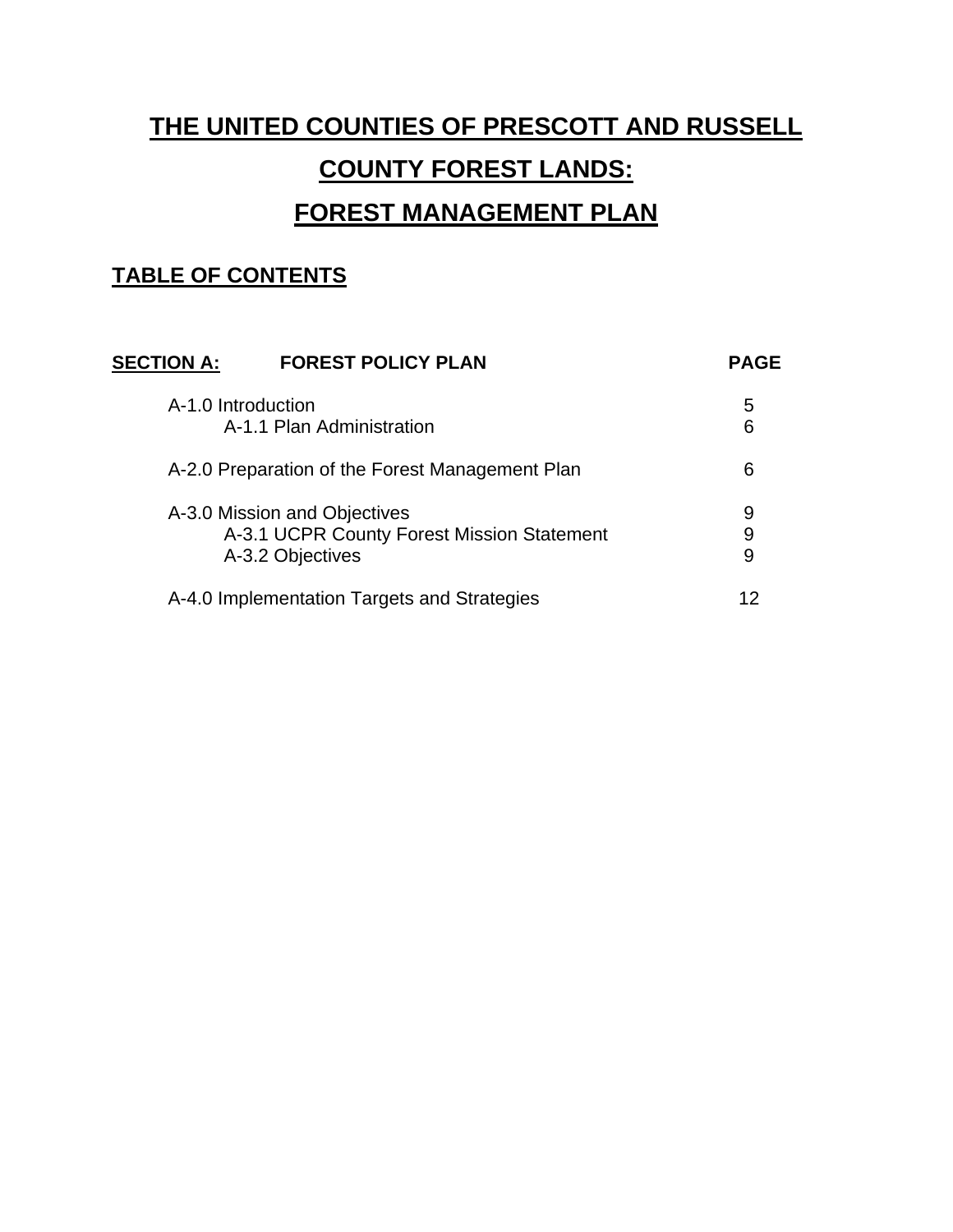# **THE UNITED COUNTIES OF PRESCOTT AND RUSSELL COUNTY FOREST LANDS: FOREST MANAGEMENT PLAN**

### **TABLE OF CONTENTS**

|                                                                                                | 5           |
|------------------------------------------------------------------------------------------------|-------------|
| A-1.0 Introduction<br>A-1.1 Plan Administration                                                | 6           |
| A-2.0 Preparation of the Forest Management Plan                                                | 6           |
| A-3.0 Mission and Objectives<br>A-3.1 UCPR County Forest Mission Statement<br>A-3.2 Objectives | 9<br>9<br>9 |
| A-4.0 Implementation Targets and Strategies                                                    | 12          |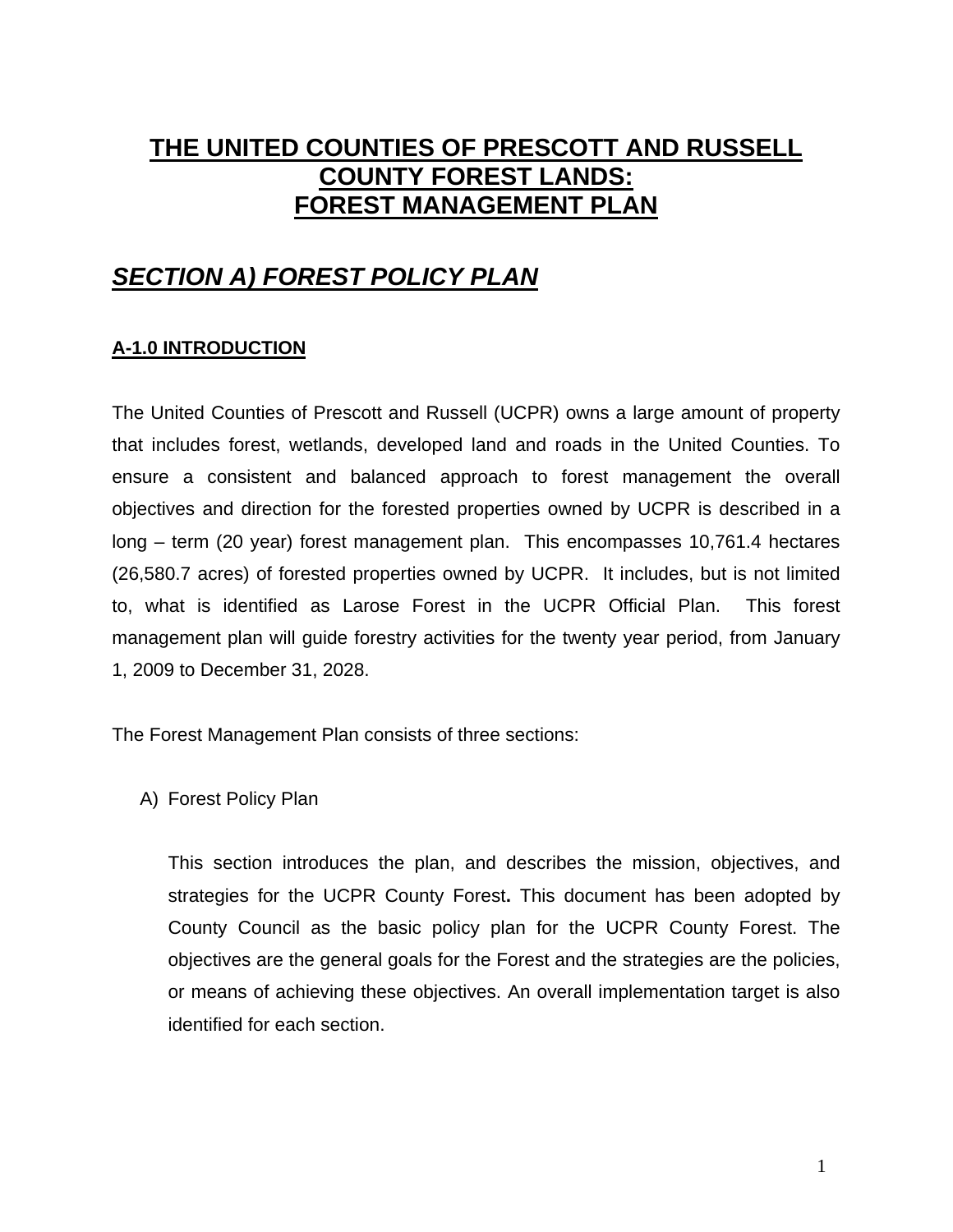# **THE UNITED COUNTIES OF PRESCOTT AND RUSSELL COUNTY FOREST LANDS: FOREST MANAGEMENT PLAN**

### *SECTION A) FOREST POLICY PLAN*

#### **A-1.0 INTRODUCTION**

The United Counties of Prescott and Russell (UCPR) owns a large amount of property that includes forest, wetlands, developed land and roads in the United Counties. To ensure a consistent and balanced approach to forest management the overall objectives and direction for the forested properties owned by UCPR is described in a long – term (20 year) forest management plan. This encompasses 10,761.4 hectares (26,580.7 acres) of forested properties owned by UCPR. It includes, but is not limited to, what is identified as Larose Forest in the UCPR Official Plan. This forest management plan will guide forestry activities for the twenty year period, from January 1, 2009 to December 31, 2028.

The Forest Management Plan consists of three sections:

A) Forest Policy Plan

This section introduces the plan, and describes the mission, objectives, and strategies for the UCPR County Forest**.** This document has been adopted by County Council as the basic policy plan for the UCPR County Forest. The objectives are the general goals for the Forest and the strategies are the policies, or means of achieving these objectives. An overall implementation target is also identified for each section.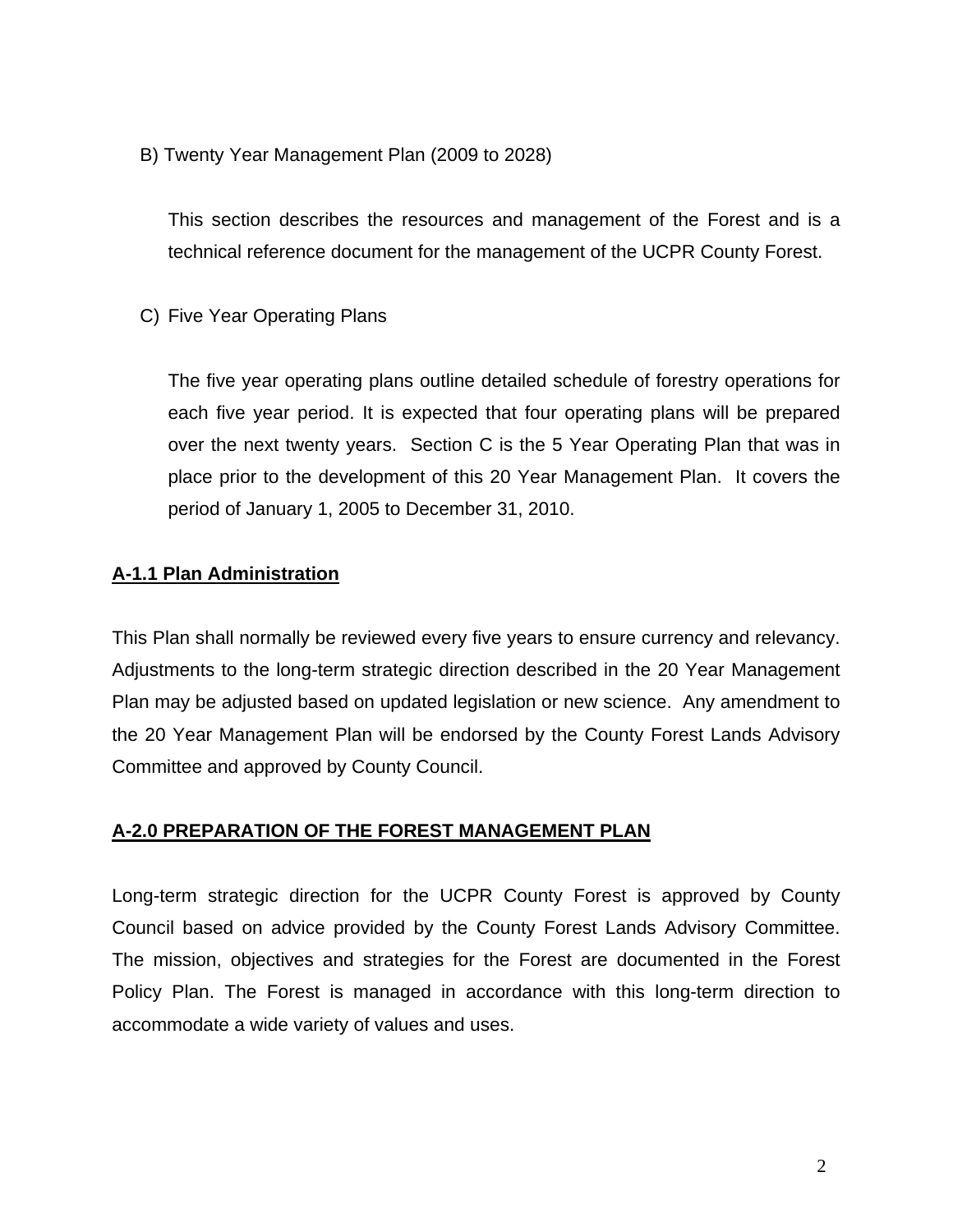B) Twenty Year Management Plan (2009 to 2028)

This section describes the resources and management of the Forest and is a technical reference document for the management of the UCPR County Forest.

C) Five Year Operating Plans

The five year operating plans outline detailed schedule of forestry operations for each five year period. It is expected that four operating plans will be prepared over the next twenty years. Section C is the 5 Year Operating Plan that was in place prior to the development of this 20 Year Management Plan. It covers the period of January 1, 2005 to December 31, 2010.

#### **A-1.1 Plan Administration**

This Plan shall normally be reviewed every five years to ensure currency and relevancy. Adjustments to the long-term strategic direction described in the 20 Year Management Plan may be adjusted based on updated legislation or new science. Any amendment to the 20 Year Management Plan will be endorsed by the County Forest Lands Advisory Committee and approved by County Council.

#### **A-2.0 PREPARATION OF THE FOREST MANAGEMENT PLAN**

Long-term strategic direction for the UCPR County Forest is approved by County Council based on advice provided by the County Forest Lands Advisory Committee. The mission, objectives and strategies for the Forest are documented in the Forest Policy Plan. The Forest is managed in accordance with this long-term direction to accommodate a wide variety of values and uses.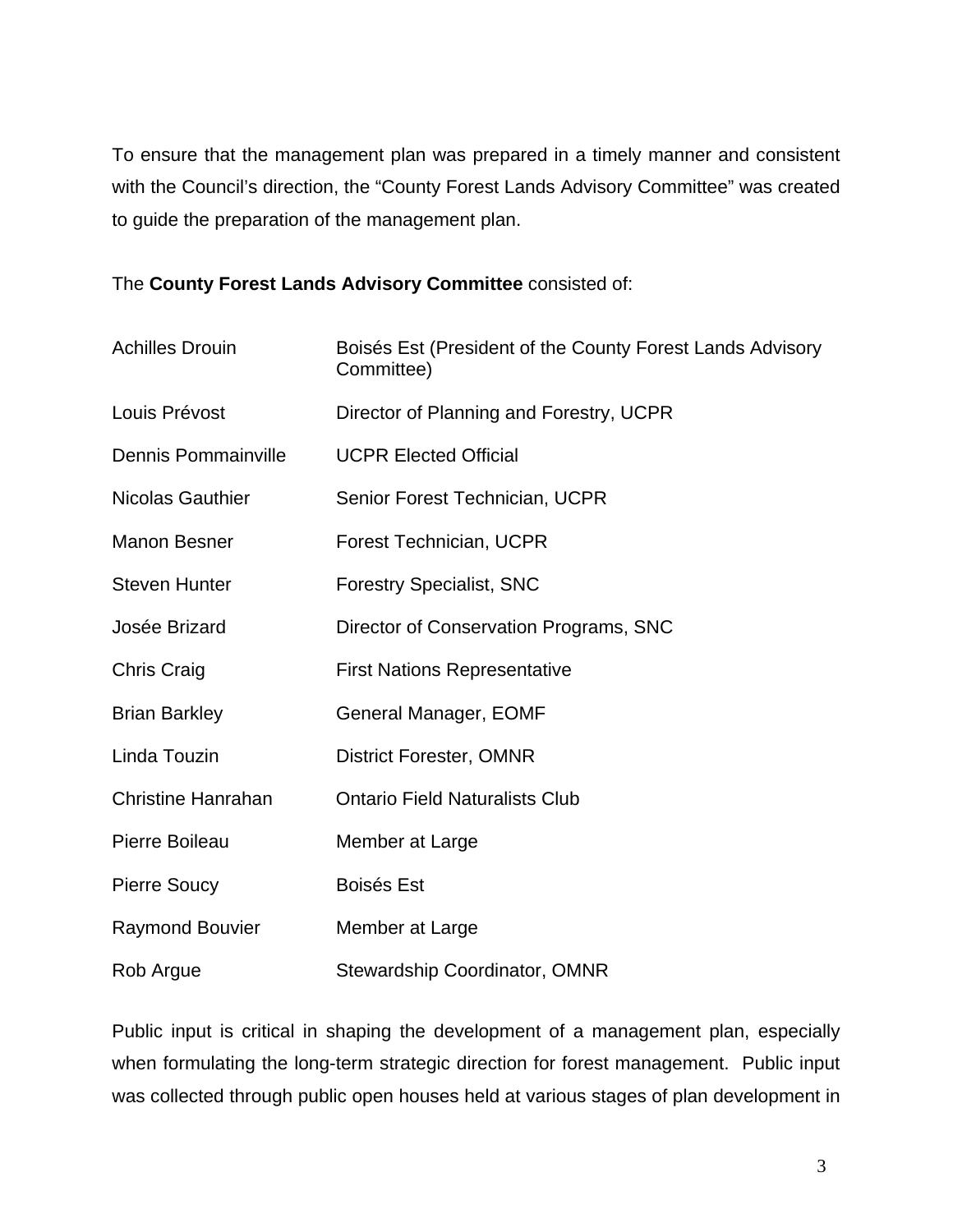To ensure that the management plan was prepared in a timely manner and consistent with the Council's direction, the "County Forest Lands Advisory Committee" was created to guide the preparation of the management plan.

The **County Forest Lands Advisory Committee** consisted of:

| <b>Achilles Drouin</b>     | Boisés Est (President of the County Forest Lands Advisory<br>Committee) |  |
|----------------------------|-------------------------------------------------------------------------|--|
| Louis Prévost              | Director of Planning and Forestry, UCPR                                 |  |
| <b>Dennis Pommainville</b> | <b>UCPR Elected Official</b>                                            |  |
| <b>Nicolas Gauthier</b>    | Senior Forest Technician, UCPR                                          |  |
| <b>Manon Besner</b>        | Forest Technician, UCPR                                                 |  |
| <b>Steven Hunter</b>       | <b>Forestry Specialist, SNC</b>                                         |  |
| Josée Brizard              | Director of Conservation Programs, SNC                                  |  |
| <b>Chris Craig</b>         | <b>First Nations Representative</b>                                     |  |
| <b>Brian Barkley</b>       | General Manager, EOMF                                                   |  |
| Linda Touzin               | <b>District Forester, OMNR</b>                                          |  |
| <b>Christine Hanrahan</b>  | <b>Ontario Field Naturalists Club</b>                                   |  |
| Pierre Boileau             | Member at Large                                                         |  |
| <b>Pierre Soucy</b>        | <b>Boisés Est</b>                                                       |  |
| <b>Raymond Bouvier</b>     | Member at Large                                                         |  |
| Rob Argue                  | Stewardship Coordinator, OMNR                                           |  |

Public input is critical in shaping the development of a management plan, especially when formulating the long-term strategic direction for forest management. Public input was collected through public open houses held at various stages of plan development in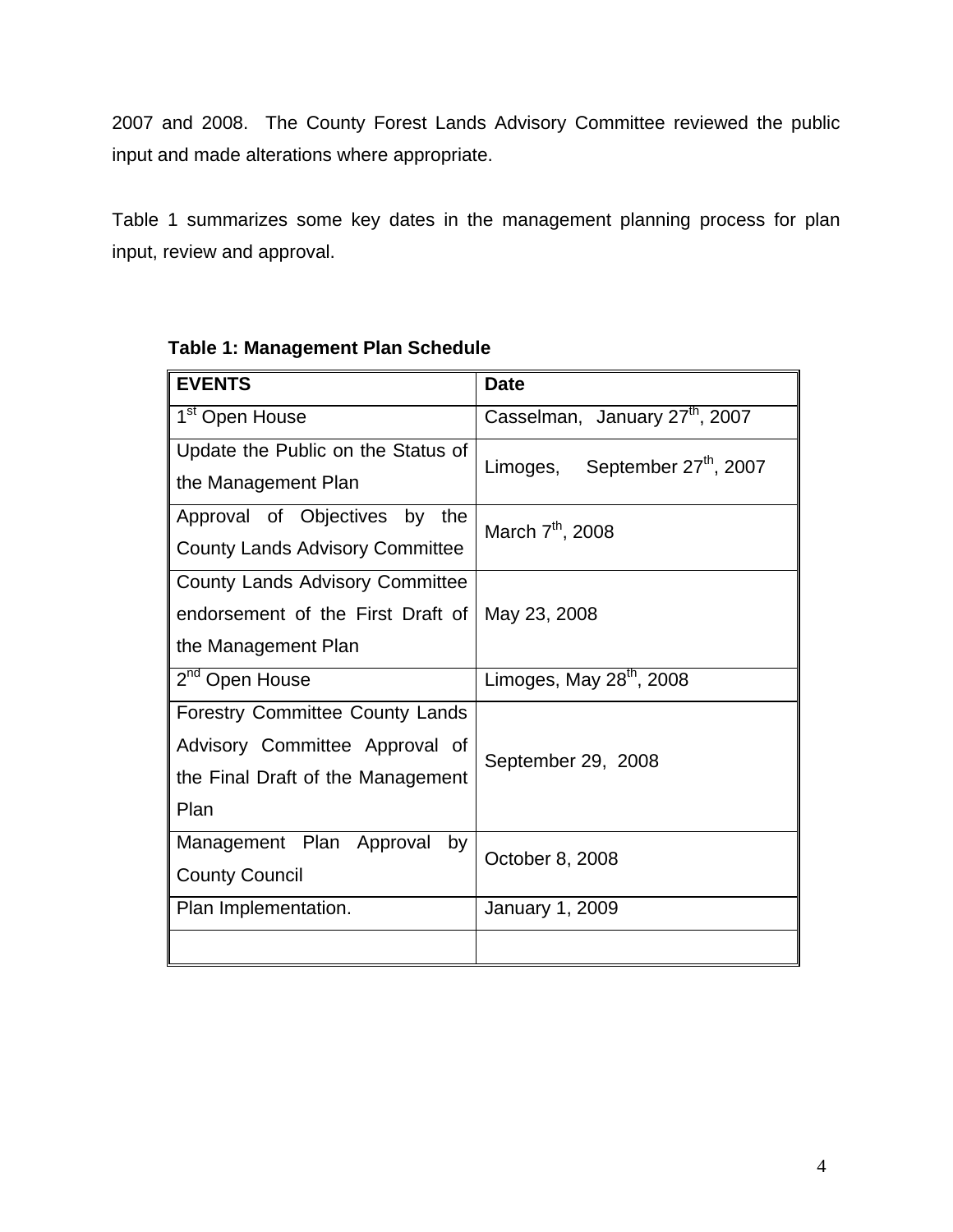2007 and 2008. The County Forest Lands Advisory Committee reviewed the public input and made alterations where appropriate.

Table 1 summarizes some key dates in the management planning process for plan input, review and approval.

| <b>EVENTS</b>                          | <b>Date</b>                                |  |  |
|----------------------------------------|--------------------------------------------|--|--|
| 1 <sup>st</sup> Open House             | Casselman, January 27 <sup>th</sup> , 2007 |  |  |
| Update the Public on the Status of     | Limoges, September 27 <sup>th</sup> , 2007 |  |  |
| the Management Plan                    |                                            |  |  |
| Approval of Objectives by<br>the       | March 7 <sup>th</sup> , 2008               |  |  |
| <b>County Lands Advisory Committee</b> |                                            |  |  |
| <b>County Lands Advisory Committee</b> |                                            |  |  |
| endorsement of the First Draft of      | May 23, 2008                               |  |  |
| the Management Plan                    |                                            |  |  |
| 2 <sup>nd</sup> Open House             | Limoges, May $28th$ , 2008                 |  |  |
| <b>Forestry Committee County Lands</b> |                                            |  |  |
| Advisory Committee Approval of         | September 29, 2008                         |  |  |
| the Final Draft of the Management      |                                            |  |  |
| Plan                                   |                                            |  |  |
| Management Plan Approval<br>by         | October 8, 2008                            |  |  |
| <b>County Council</b>                  |                                            |  |  |
| Plan Implementation.                   | January 1, 2009                            |  |  |
|                                        |                                            |  |  |

#### **Table 1: Management Plan Schedule**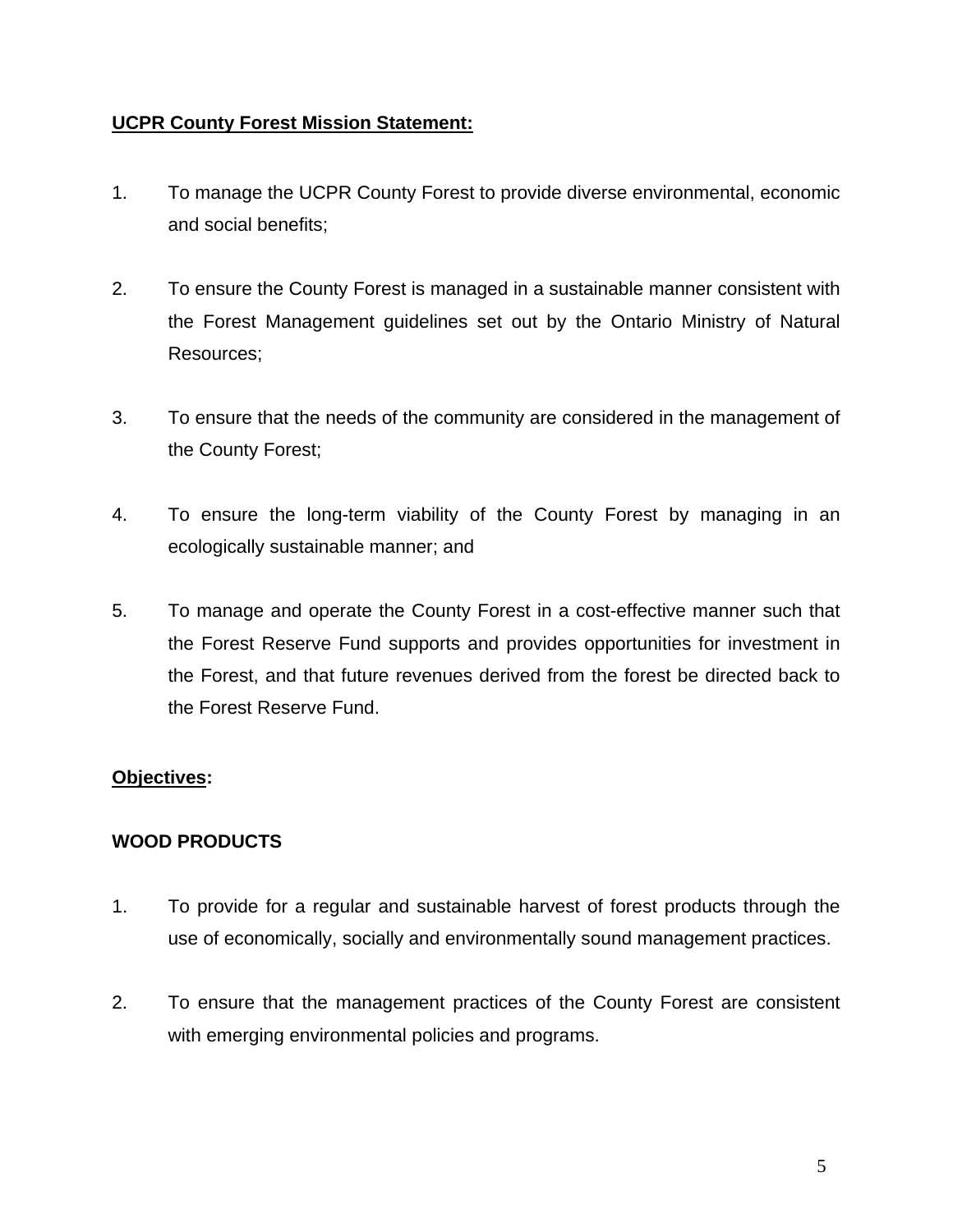#### **UCPR County Forest Mission Statement:**

- 1. To manage the UCPR County Forest to provide diverse environmental, economic and social benefits;
- 2. To ensure the County Forest is managed in a sustainable manner consistent with the Forest Management guidelines set out by the Ontario Ministry of Natural Resources;
- 3. To ensure that the needs of the community are considered in the management of the County Forest;
- 4. To ensure the long-term viability of the County Forest by managing in an ecologically sustainable manner; and
- 5. To manage and operate the County Forest in a cost-effective manner such that the Forest Reserve Fund supports and provides opportunities for investment in the Forest, and that future revenues derived from the forest be directed back to the Forest Reserve Fund.

#### **Objectives:**

#### **WOOD PRODUCTS**

- 1. To provide for a regular and sustainable harvest of forest products through the use of economically, socially and environmentally sound management practices.
- 2. To ensure that the management practices of the County Forest are consistent with emerging environmental policies and programs.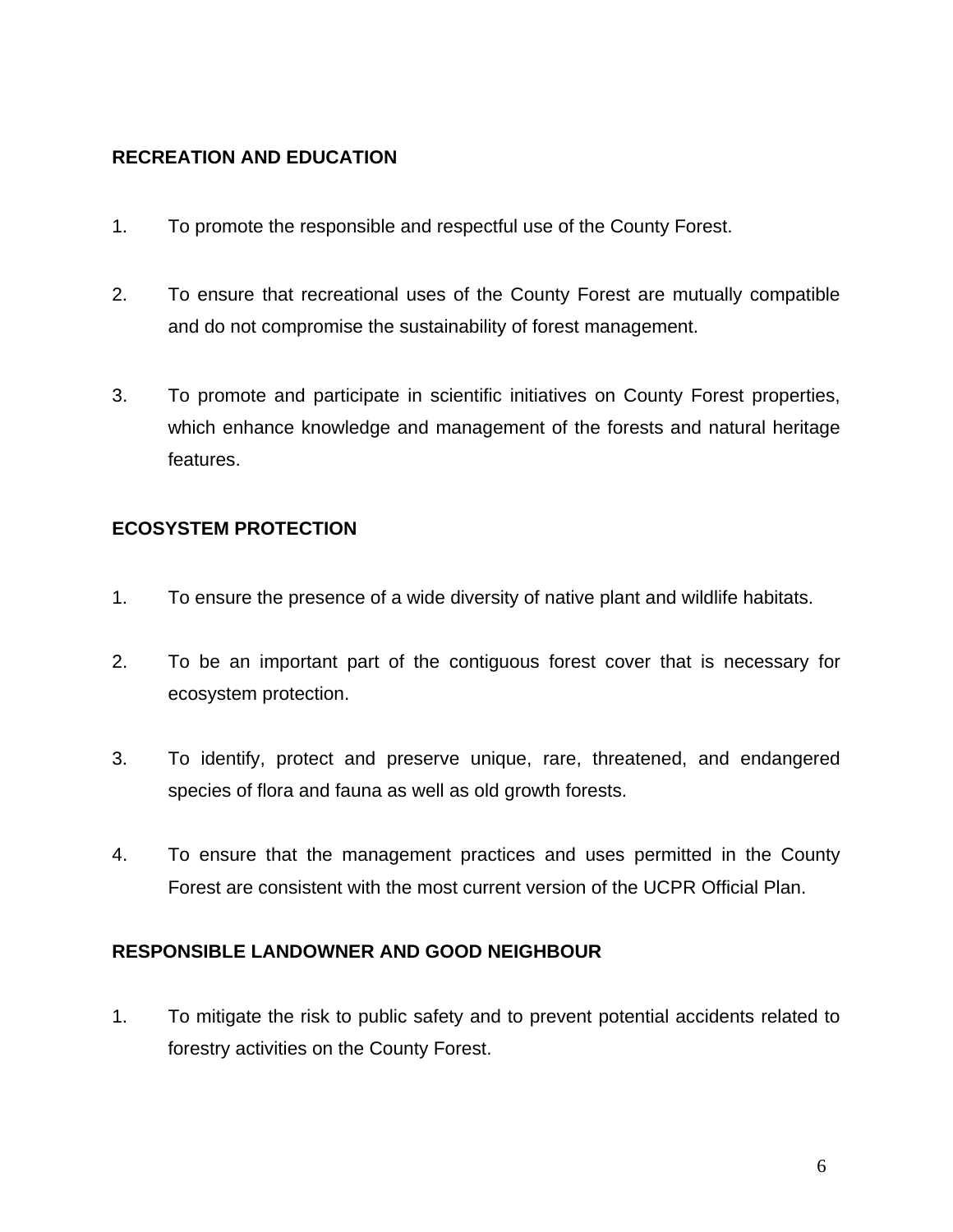#### **RECREATION AND EDUCATION**

- 1. To promote the responsible and respectful use of the County Forest.
- 2. To ensure that recreational uses of the County Forest are mutually compatible and do not compromise the sustainability of forest management.
- 3. To promote and participate in scientific initiatives on County Forest properties, which enhance knowledge and management of the forests and natural heritage features.

#### **ECOSYSTEM PROTECTION**

- 1. To ensure the presence of a wide diversity of native plant and wildlife habitats.
- 2. To be an important part of the contiguous forest cover that is necessary for ecosystem protection.
- 3. To identify, protect and preserve unique, rare, threatened, and endangered species of flora and fauna as well as old growth forests.
- 4. To ensure that the management practices and uses permitted in the County Forest are consistent with the most current version of the UCPR Official Plan.

#### **RESPONSIBLE LANDOWNER AND GOOD NEIGHBOUR**

1. To mitigate the risk to public safety and to prevent potential accidents related to forestry activities on the County Forest.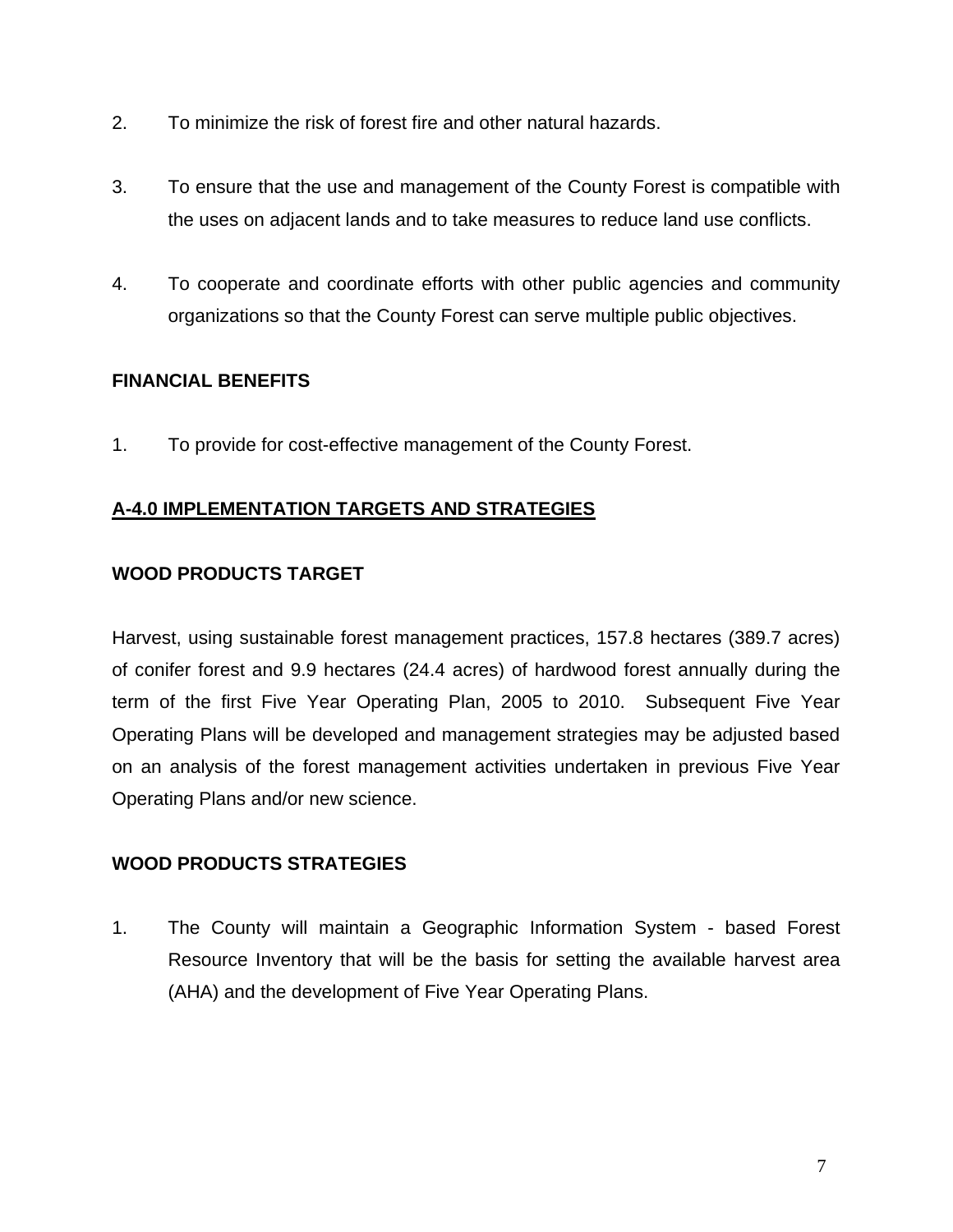- 2. To minimize the risk of forest fire and other natural hazards.
- 3. To ensure that the use and management of the County Forest is compatible with the uses on adjacent lands and to take measures to reduce land use conflicts.
- 4. To cooperate and coordinate efforts with other public agencies and community organizations so that the County Forest can serve multiple public objectives.

#### **FINANCIAL BENEFITS**

1. To provide for cost-effective management of the County Forest.

#### **A-4.0 IMPLEMENTATION TARGETS AND STRATEGIES**

#### **WOOD PRODUCTS TARGET**

Harvest, using sustainable forest management practices, 157.8 hectares (389.7 acres) of conifer forest and 9.9 hectares (24.4 acres) of hardwood forest annually during the term of the first Five Year Operating Plan, 2005 to 2010. Subsequent Five Year Operating Plans will be developed and management strategies may be adjusted based on an analysis of the forest management activities undertaken in previous Five Year Operating Plans and/or new science.

#### **WOOD PRODUCTS STRATEGIES**

1. The County will maintain a Geographic Information System - based Forest Resource Inventory that will be the basis for setting the available harvest area (AHA) and the development of Five Year Operating Plans.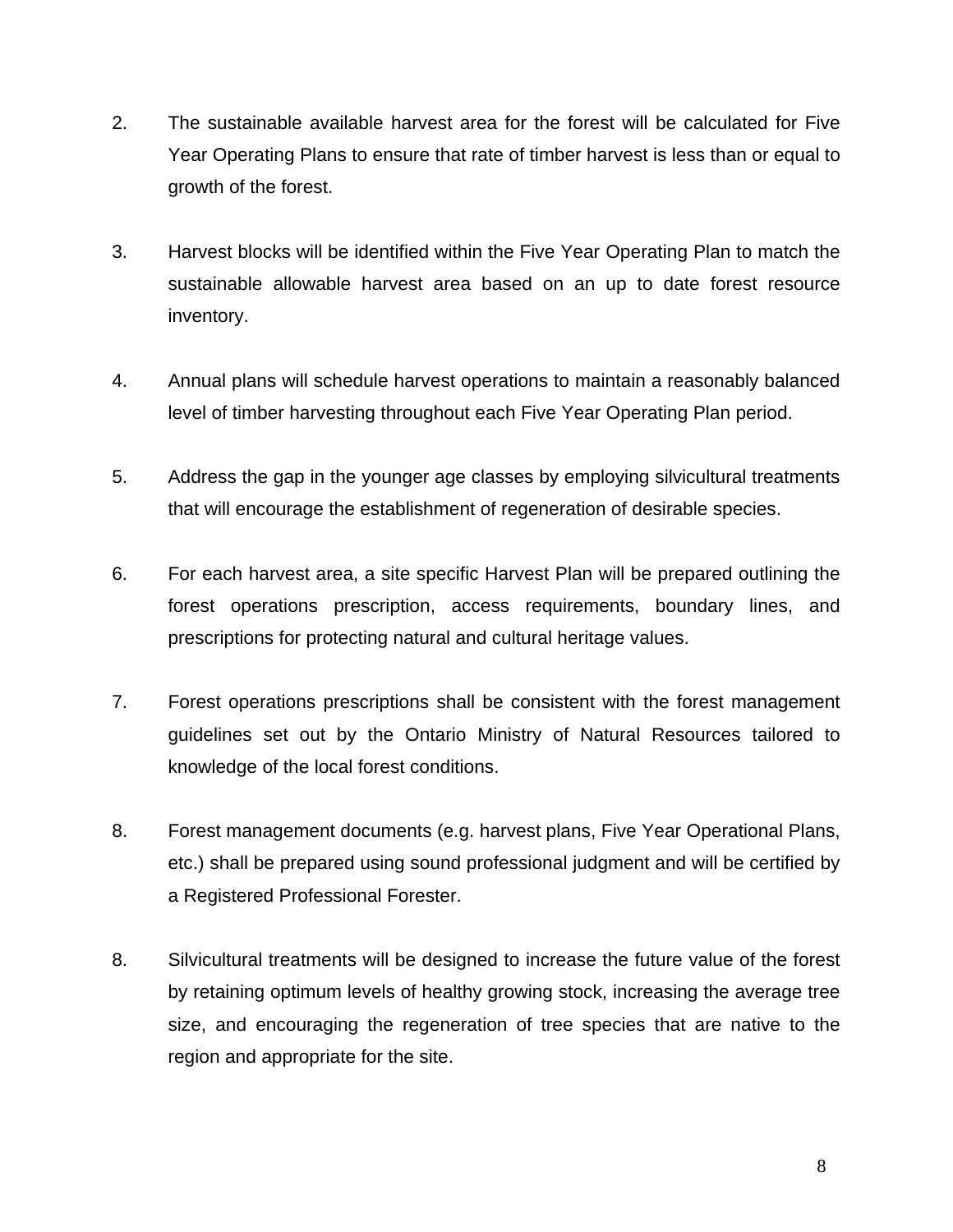- 2. The sustainable available harvest area for the forest will be calculated for Five Year Operating Plans to ensure that rate of timber harvest is less than or equal to growth of the forest.
- 3. Harvest blocks will be identified within the Five Year Operating Plan to match the sustainable allowable harvest area based on an up to date forest resource inventory.
- 4. Annual plans will schedule harvest operations to maintain a reasonably balanced level of timber harvesting throughout each Five Year Operating Plan period.
- 5. Address the gap in the younger age classes by employing silvicultural treatments that will encourage the establishment of regeneration of desirable species.
- 6. For each harvest area, a site specific Harvest Plan will be prepared outlining the forest operations prescription, access requirements, boundary lines, and prescriptions for protecting natural and cultural heritage values.
- 7. Forest operations prescriptions shall be consistent with the forest management guidelines set out by the Ontario Ministry of Natural Resources tailored to knowledge of the local forest conditions.
- 8. Forest management documents (e.g. harvest plans, Five Year Operational Plans, etc.) shall be prepared using sound professional judgment and will be certified by a Registered Professional Forester.
- 8. Silvicultural treatments will be designed to increase the future value of the forest by retaining optimum levels of healthy growing stock, increasing the average tree size, and encouraging the regeneration of tree species that are native to the region and appropriate for the site.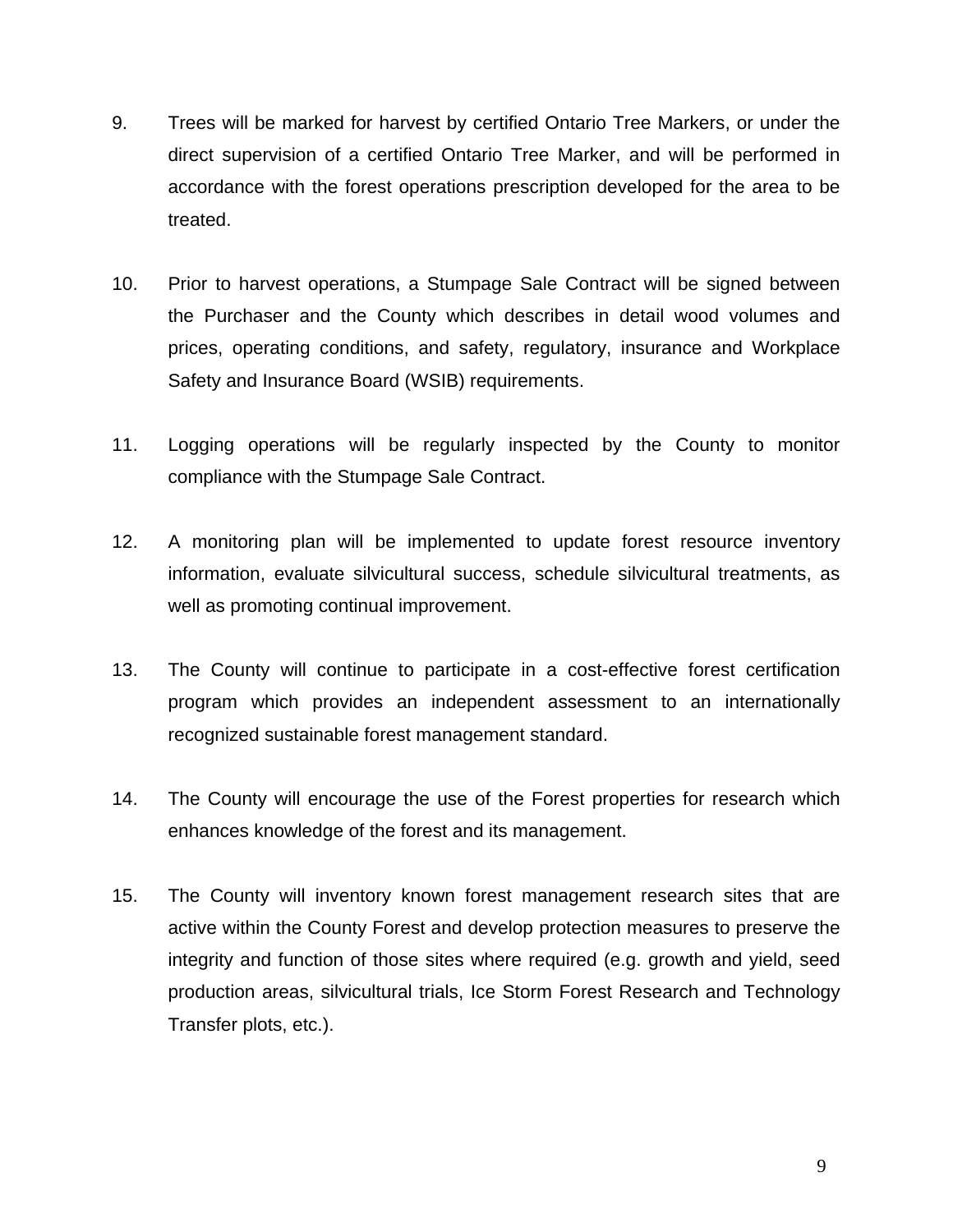- 9. Trees will be marked for harvest by certified Ontario Tree Markers, or under the direct supervision of a certified Ontario Tree Marker, and will be performed in accordance with the forest operations prescription developed for the area to be treated.
- 10. Prior to harvest operations, a Stumpage Sale Contract will be signed between the Purchaser and the County which describes in detail wood volumes and prices, operating conditions, and safety, regulatory, insurance and Workplace Safety and Insurance Board (WSIB) requirements.
- 11. Logging operations will be regularly inspected by the County to monitor compliance with the Stumpage Sale Contract.
- 12. A monitoring plan will be implemented to update forest resource inventory information, evaluate silvicultural success, schedule silvicultural treatments, as well as promoting continual improvement.
- 13. The County will continue to participate in a cost-effective forest certification program which provides an independent assessment to an internationally recognized sustainable forest management standard.
- 14. The County will encourage the use of the Forest properties for research which enhances knowledge of the forest and its management.
- 15. The County will inventory known forest management research sites that are active within the County Forest and develop protection measures to preserve the integrity and function of those sites where required (e.g. growth and yield, seed production areas, silvicultural trials, Ice Storm Forest Research and Technology Transfer plots, etc.).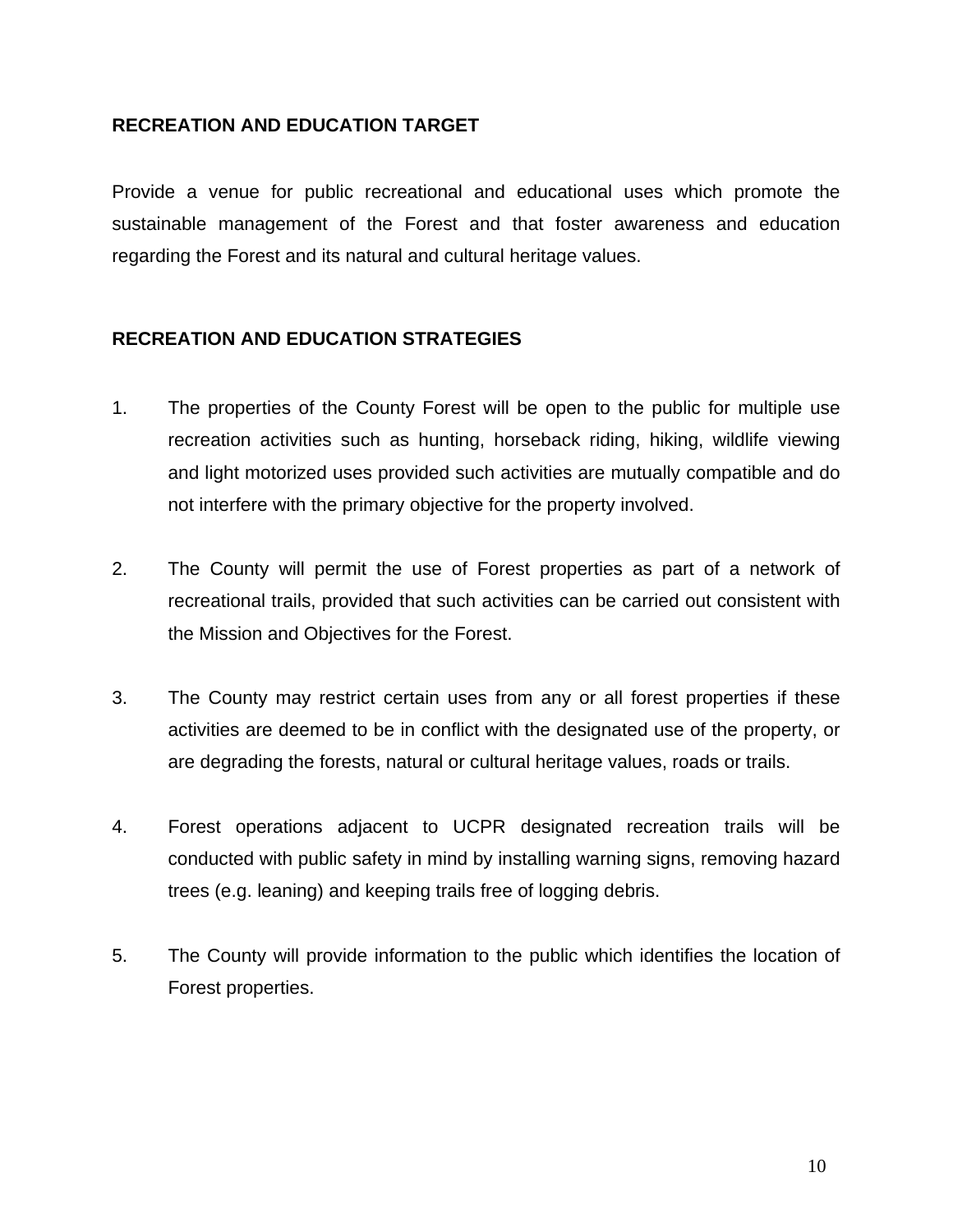#### **RECREATION AND EDUCATION TARGET**

Provide a venue for public recreational and educational uses which promote the sustainable management of the Forest and that foster awareness and education regarding the Forest and its natural and cultural heritage values.

#### **RECREATION AND EDUCATION STRATEGIES**

- 1. The properties of the County Forest will be open to the public for multiple use recreation activities such as hunting, horseback riding, hiking, wildlife viewing and light motorized uses provided such activities are mutually compatible and do not interfere with the primary objective for the property involved.
- 2. The County will permit the use of Forest properties as part of a network of recreational trails, provided that such activities can be carried out consistent with the Mission and Objectives for the Forest.
- 3. The County may restrict certain uses from any or all forest properties if these activities are deemed to be in conflict with the designated use of the property, or are degrading the forests, natural or cultural heritage values, roads or trails.
- 4. Forest operations adjacent to UCPR designated recreation trails will be conducted with public safety in mind by installing warning signs, removing hazard trees (e.g. leaning) and keeping trails free of logging debris.
- 5. The County will provide information to the public which identifies the location of Forest properties.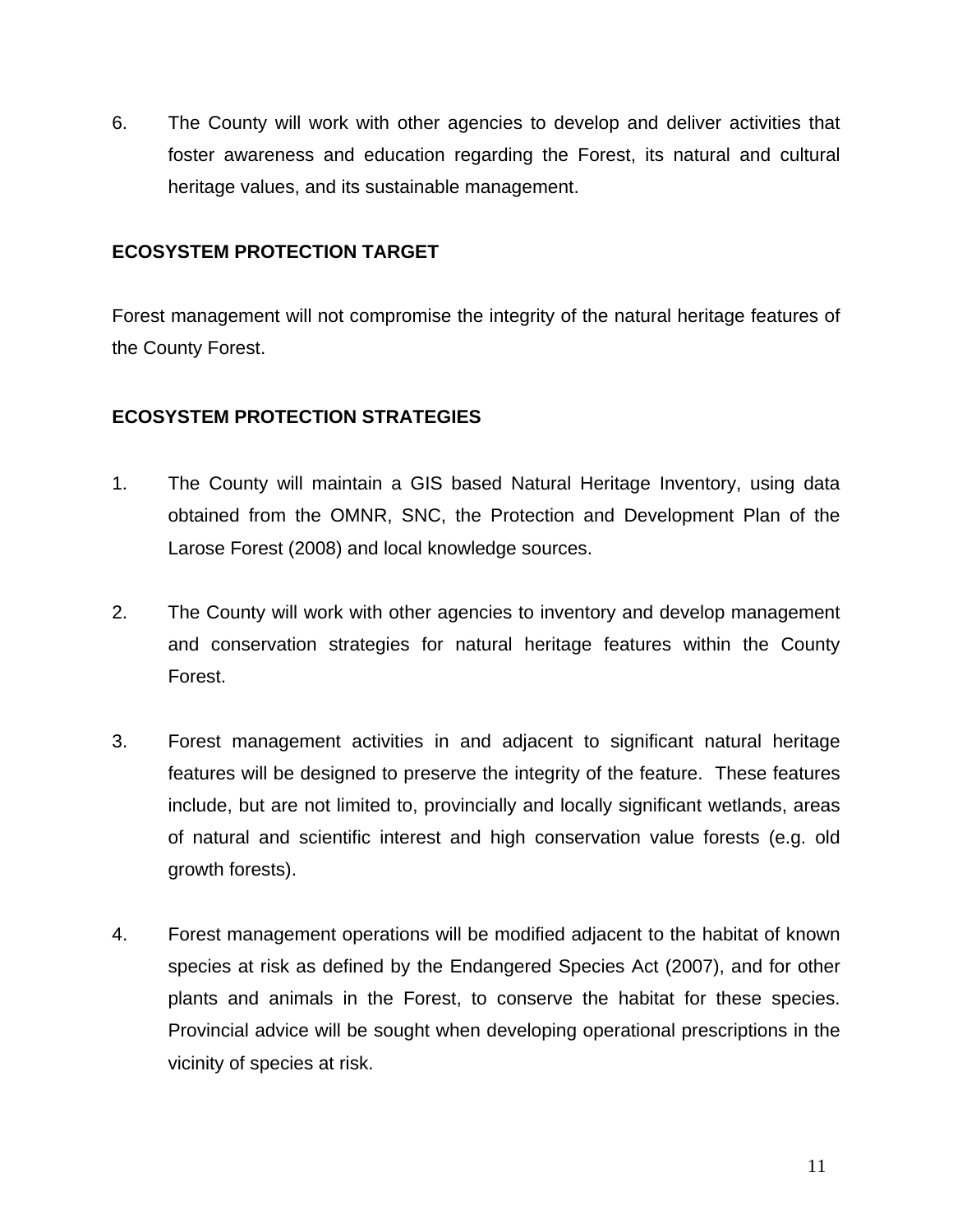6. The County will work with other agencies to develop and deliver activities that foster awareness and education regarding the Forest, its natural and cultural heritage values, and its sustainable management.

#### **ECOSYSTEM PROTECTION TARGET**

Forest management will not compromise the integrity of the natural heritage features of the County Forest.

#### **ECOSYSTEM PROTECTION STRATEGIES**

- 1. The County will maintain a GIS based Natural Heritage Inventory, using data obtained from the OMNR, SNC, the Protection and Development Plan of the Larose Forest (2008) and local knowledge sources.
- 2. The County will work with other agencies to inventory and develop management and conservation strategies for natural heritage features within the County Forest.
- 3. Forest management activities in and adjacent to significant natural heritage features will be designed to preserve the integrity of the feature. These features include, but are not limited to, provincially and locally significant wetlands, areas of natural and scientific interest and high conservation value forests (e.g. old growth forests).
- 4. Forest management operations will be modified adjacent to the habitat of known species at risk as defined by the Endangered Species Act (2007), and for other plants and animals in the Forest, to conserve the habitat for these species. Provincial advice will be sought when developing operational prescriptions in the vicinity of species at risk.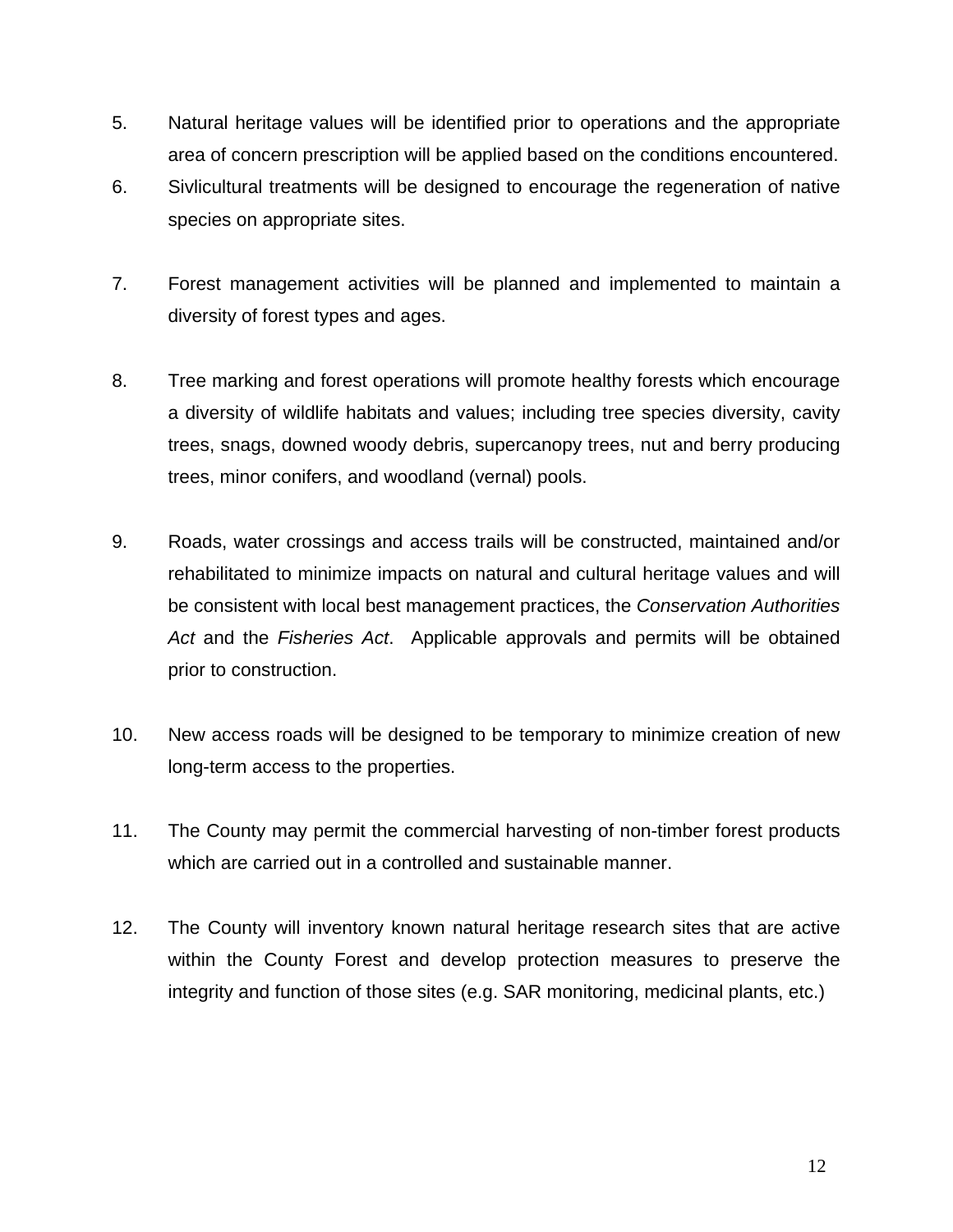- 5. Natural heritage values will be identified prior to operations and the appropriate area of concern prescription will be applied based on the conditions encountered.
- 6. Sivlicultural treatments will be designed to encourage the regeneration of native species on appropriate sites.
- 7. Forest management activities will be planned and implemented to maintain a diversity of forest types and ages.
- 8. Tree marking and forest operations will promote healthy forests which encourage a diversity of wildlife habitats and values; including tree species diversity, cavity trees, snags, downed woody debris, supercanopy trees, nut and berry producing trees, minor conifers, and woodland (vernal) pools.
- 9. Roads, water crossings and access trails will be constructed, maintained and/or rehabilitated to minimize impacts on natural and cultural heritage values and will be consistent with local best management practices, the *Conservation Authorities Act* and the *Fisheries Act*. Applicable approvals and permits will be obtained prior to construction.
- 10. New access roads will be designed to be temporary to minimize creation of new long-term access to the properties.
- 11. The County may permit the commercial harvesting of non-timber forest products which are carried out in a controlled and sustainable manner.
- 12. The County will inventory known natural heritage research sites that are active within the County Forest and develop protection measures to preserve the integrity and function of those sites (e.g. SAR monitoring, medicinal plants, etc.)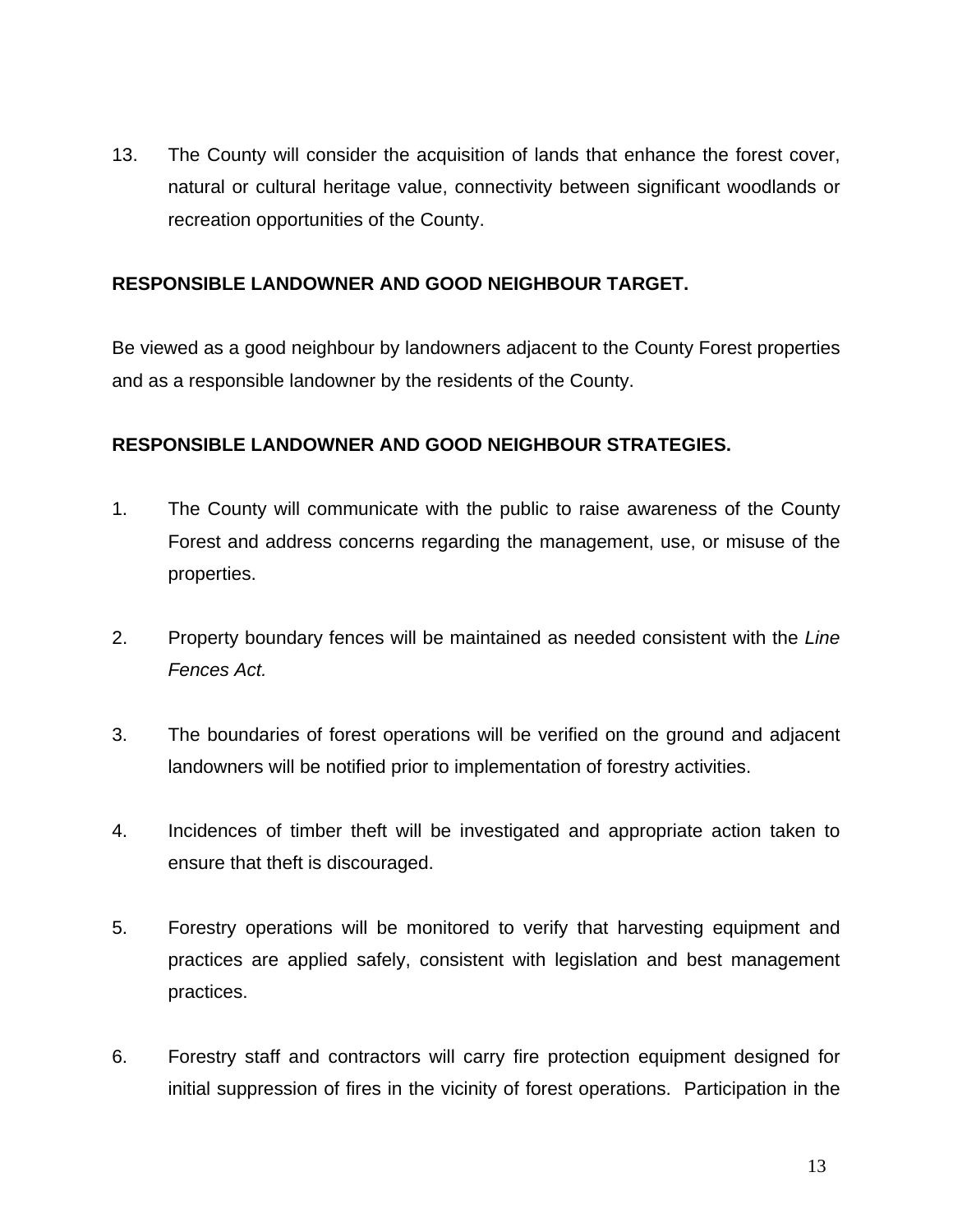13. The County will consider the acquisition of lands that enhance the forest cover, natural or cultural heritage value, connectivity between significant woodlands or recreation opportunities of the County.

#### **RESPONSIBLE LANDOWNER AND GOOD NEIGHBOUR TARGET.**

Be viewed as a good neighbour by landowners adjacent to the County Forest properties and as a responsible landowner by the residents of the County.

#### **RESPONSIBLE LANDOWNER AND GOOD NEIGHBOUR STRATEGIES.**

- 1. The County will communicate with the public to raise awareness of the County Forest and address concerns regarding the management, use, or misuse of the properties.
- 2. Property boundary fences will be maintained as needed consistent with the *Line Fences Act.*
- 3. The boundaries of forest operations will be verified on the ground and adjacent landowners will be notified prior to implementation of forestry activities.
- 4. Incidences of timber theft will be investigated and appropriate action taken to ensure that theft is discouraged.
- 5. Forestry operations will be monitored to verify that harvesting equipment and practices are applied safely, consistent with legislation and best management practices.
- 6. Forestry staff and contractors will carry fire protection equipment designed for initial suppression of fires in the vicinity of forest operations. Participation in the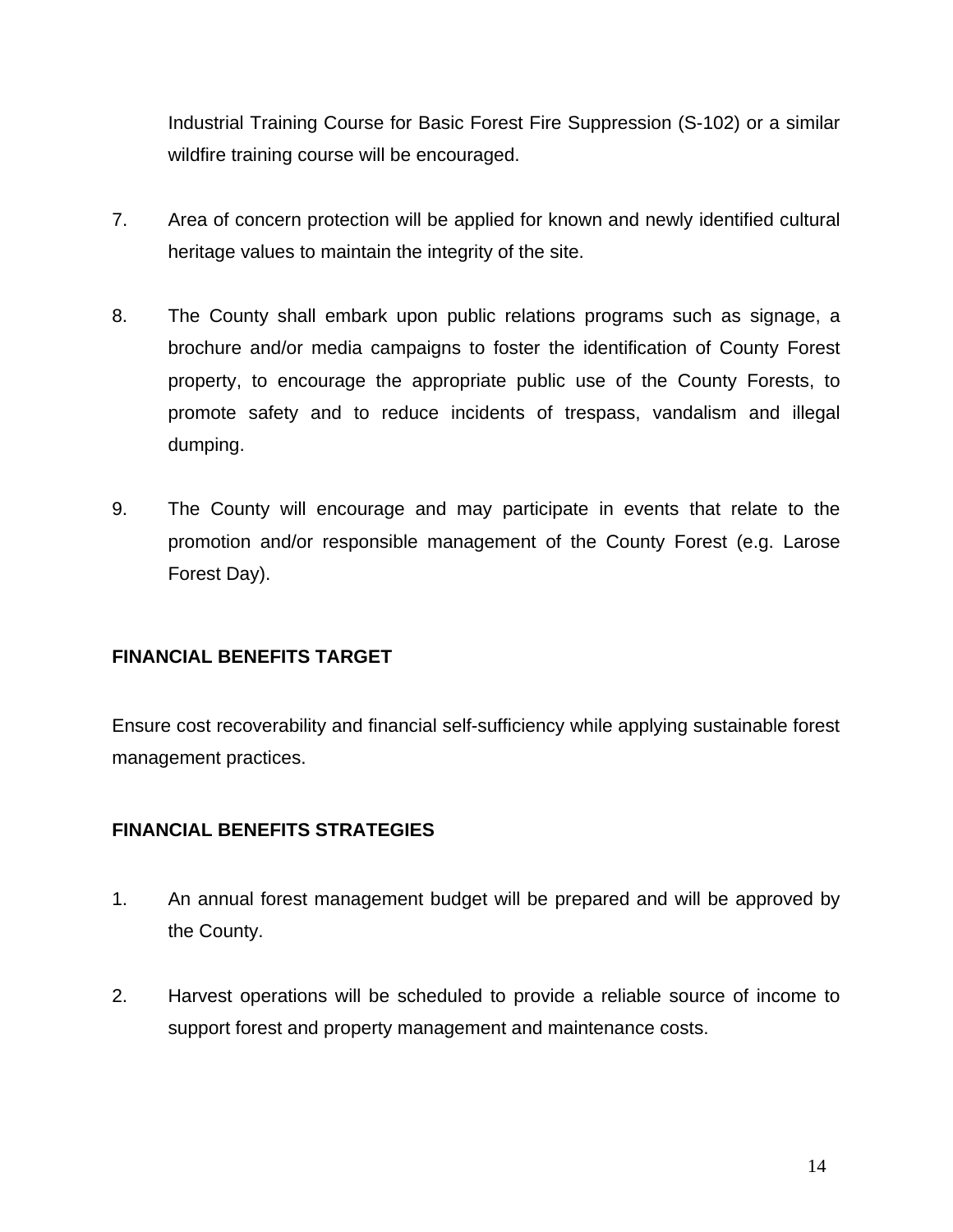Industrial Training Course for Basic Forest Fire Suppression (S-102) or a similar wildfire training course will be encouraged.

- 7. Area of concern protection will be applied for known and newly identified cultural heritage values to maintain the integrity of the site.
- 8. The County shall embark upon public relations programs such as signage, a brochure and/or media campaigns to foster the identification of County Forest property, to encourage the appropriate public use of the County Forests, to promote safety and to reduce incidents of trespass, vandalism and illegal dumping.
- 9. The County will encourage and may participate in events that relate to the promotion and/or responsible management of the County Forest (e.g. Larose Forest Day).

#### **FINANCIAL BENEFITS TARGET**

Ensure cost recoverability and financial self-sufficiency while applying sustainable forest management practices.

#### **FINANCIAL BENEFITS STRATEGIES**

- 1. An annual forest management budget will be prepared and will be approved by the County.
- 2. Harvest operations will be scheduled to provide a reliable source of income to support forest and property management and maintenance costs.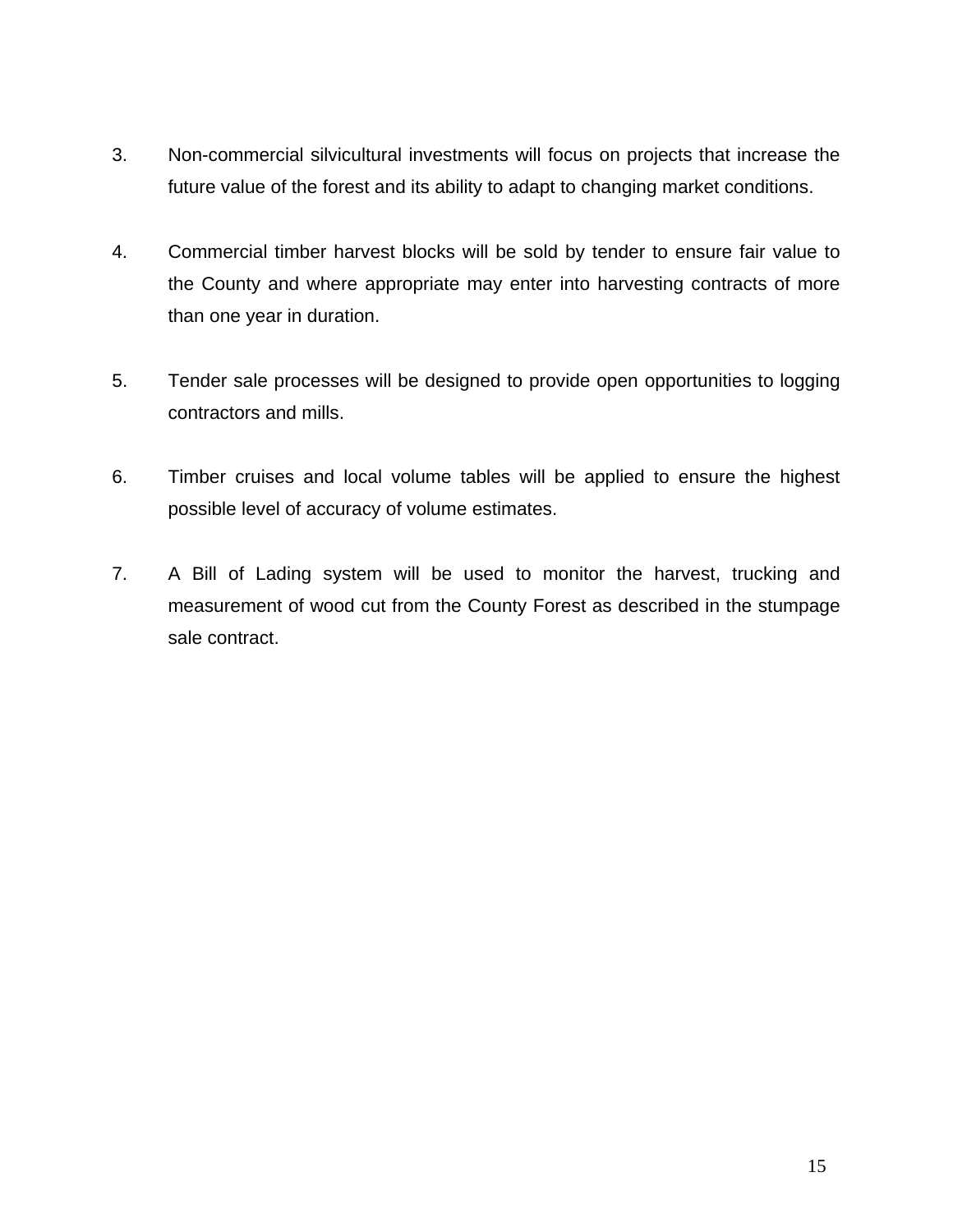- 3. Non-commercial silvicultural investments will focus on projects that increase the future value of the forest and its ability to adapt to changing market conditions.
- 4. Commercial timber harvest blocks will be sold by tender to ensure fair value to the County and where appropriate may enter into harvesting contracts of more than one year in duration.
- 5. Tender sale processes will be designed to provide open opportunities to logging contractors and mills.
- 6. Timber cruises and local volume tables will be applied to ensure the highest possible level of accuracy of volume estimates.
- 7. A Bill of Lading system will be used to monitor the harvest, trucking and measurement of wood cut from the County Forest as described in the stumpage sale contract.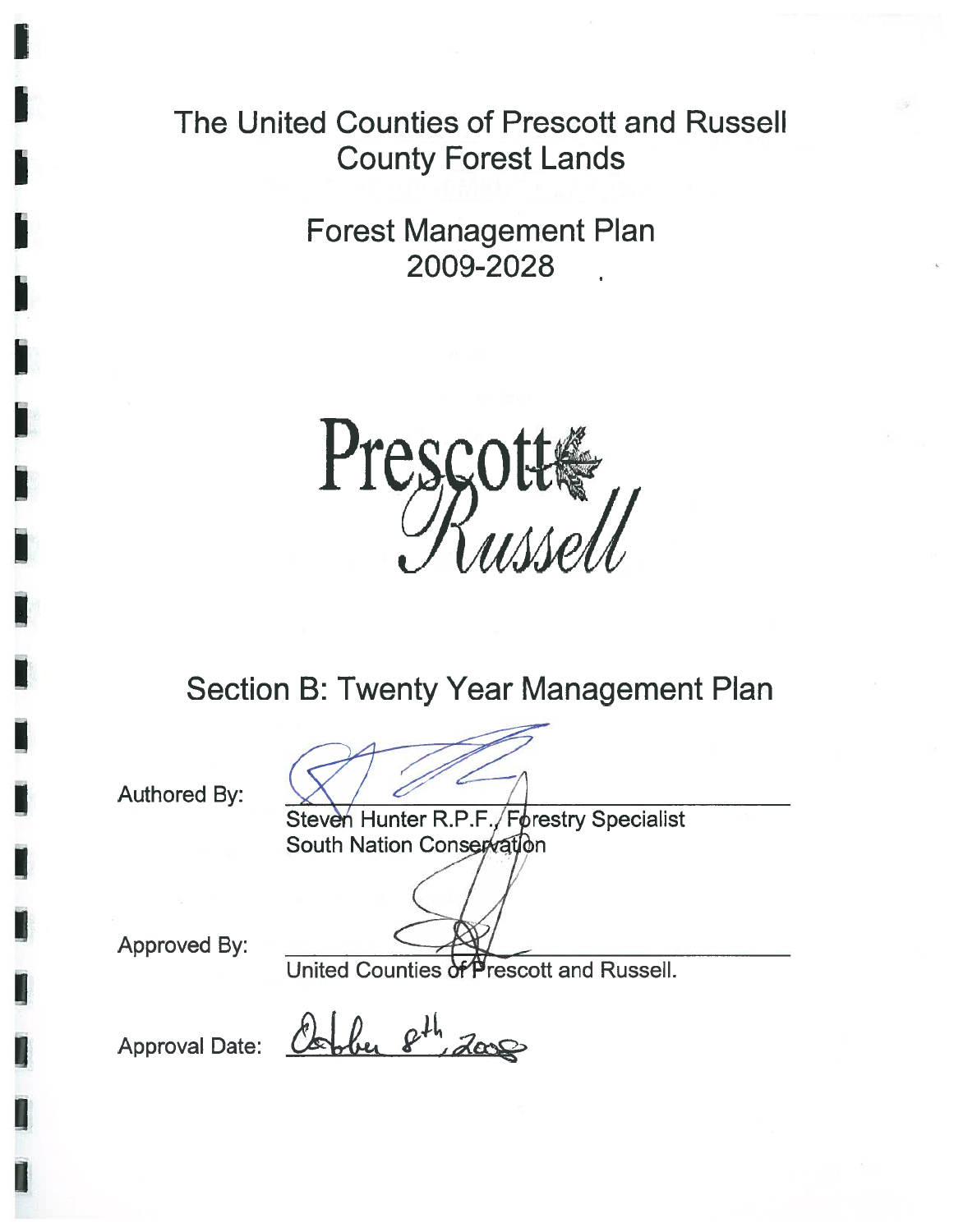The United Counties of Prescott and Russell County Forest Lands

> Forest Management Plan 2009-2028



Section B: Twenty Year Management Plan

Authored By:

Steven Hunter R.P.F./Forestry Specialist South Nation Conservation

Approved By:

United Counties of Prescott and Russell.

Approval Date: *Cool*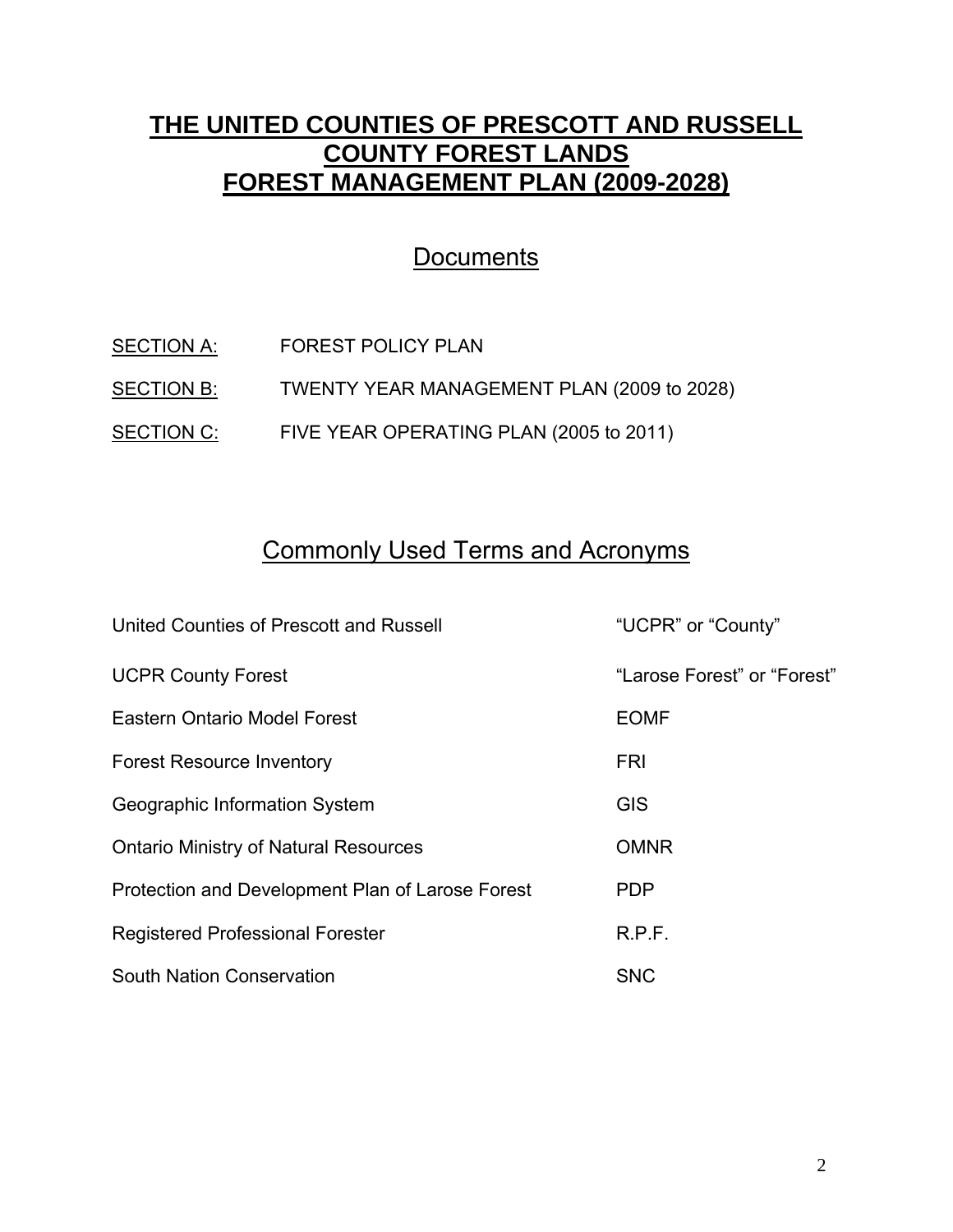## **THE UNITED COUNTIES OF PRESCOTT AND RUSSELL COUNTY FOREST LANDS FOREST MANAGEMENT PLAN (2009-2028)**

## **Documents**

| SECTION A: | <b>FOREST POLICY PLAN</b>                  |
|------------|--------------------------------------------|
| SECTION B: | TWENTY YEAR MANAGEMENT PLAN (2009 to 2028) |
| SECTION C: | FIVE YEAR OPERATING PLAN (2005 to 2011)    |

# Commonly Used Terms and Acronyms

| United Counties of Prescott and Russell          | "UCPR" or "County"          |
|--------------------------------------------------|-----------------------------|
| <b>UCPR County Forest</b>                        | "Larose Forest" or "Forest" |
| Eastern Ontario Model Forest                     | <b>EOMF</b>                 |
| <b>Forest Resource Inventory</b>                 | <b>FRI</b>                  |
| Geographic Information System                    | <b>GIS</b>                  |
| <b>Ontario Ministry of Natural Resources</b>     | <b>OMNR</b>                 |
| Protection and Development Plan of Larose Forest | PDP                         |
| <b>Registered Professional Forester</b>          | R.P.F.                      |
| <b>South Nation Conservation</b>                 | <b>SNC</b>                  |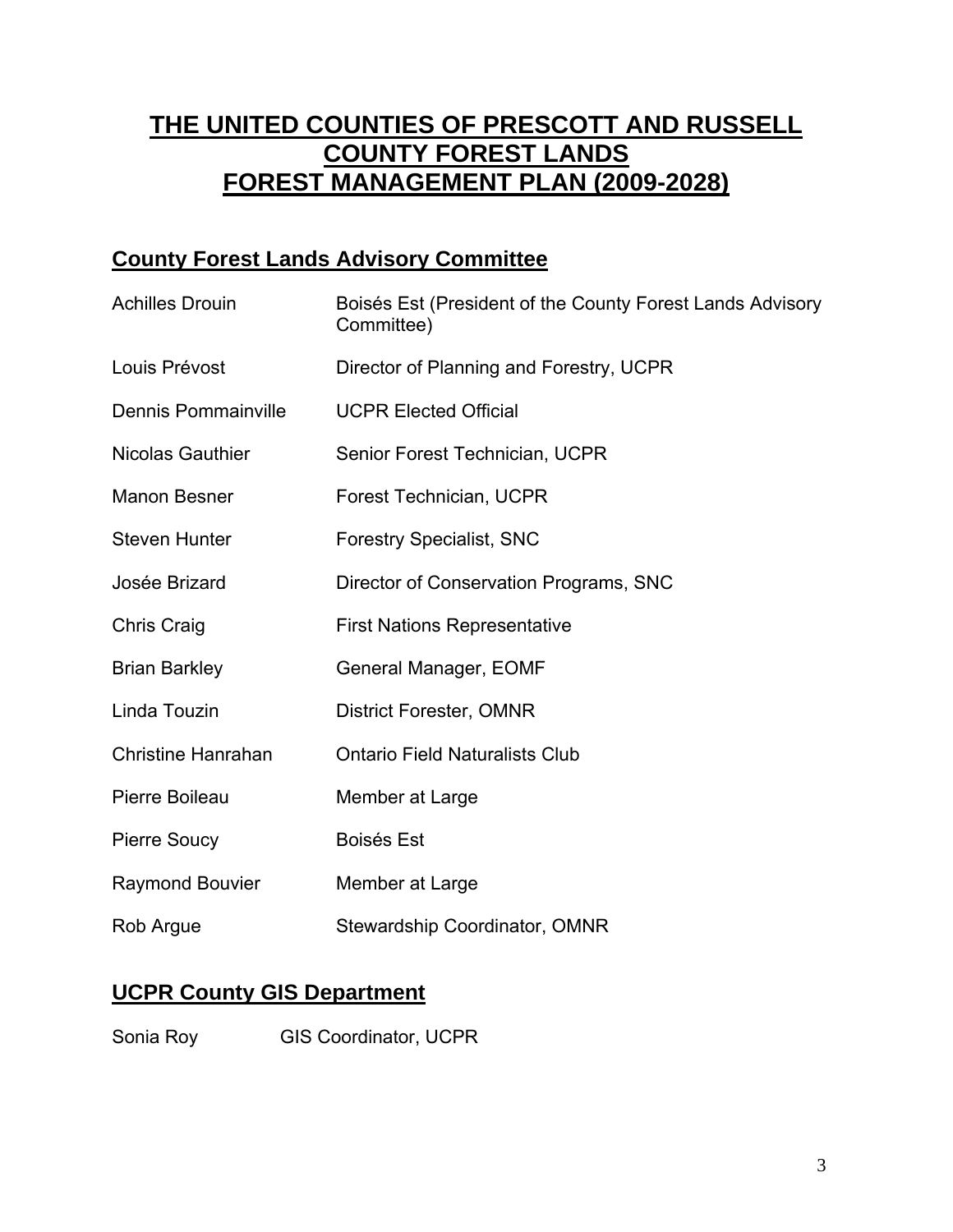# **THE UNITED COUNTIES OF PRESCOTT AND RUSSELL COUNTY FOREST LANDS FOREST MANAGEMENT PLAN (2009-2028)**

### **County Forest Lands Advisory Committee**

| <b>Achilles Drouin</b>     | Boisés Est (President of the County Forest Lands Advisory<br>Committee) |  |
|----------------------------|-------------------------------------------------------------------------|--|
| Louis Prévost              | Director of Planning and Forestry, UCPR                                 |  |
| <b>Dennis Pommainville</b> | <b>UCPR Elected Official</b>                                            |  |
| <b>Nicolas Gauthier</b>    | Senior Forest Technician, UCPR                                          |  |
| <b>Manon Besner</b>        | Forest Technician, UCPR                                                 |  |
| <b>Steven Hunter</b>       | <b>Forestry Specialist, SNC</b>                                         |  |
| Josée Brizard              | Director of Conservation Programs, SNC                                  |  |
| <b>Chris Craig</b>         | <b>First Nations Representative</b>                                     |  |
| <b>Brian Barkley</b>       | General Manager, EOMF                                                   |  |
| Linda Touzin               | <b>District Forester, OMNR</b>                                          |  |
| <b>Christine Hanrahan</b>  | <b>Ontario Field Naturalists Club</b>                                   |  |
| Pierre Boileau             | Member at Large                                                         |  |
| <b>Pierre Soucy</b>        | <b>Boisés Est</b>                                                       |  |
| <b>Raymond Bouvier</b>     | Member at Large                                                         |  |
| Rob Argue                  | <b>Stewardship Coordinator, OMNR</b>                                    |  |

### **UCPR County GIS Department**

Sonia Roy **GIS Coordinator, UCPR**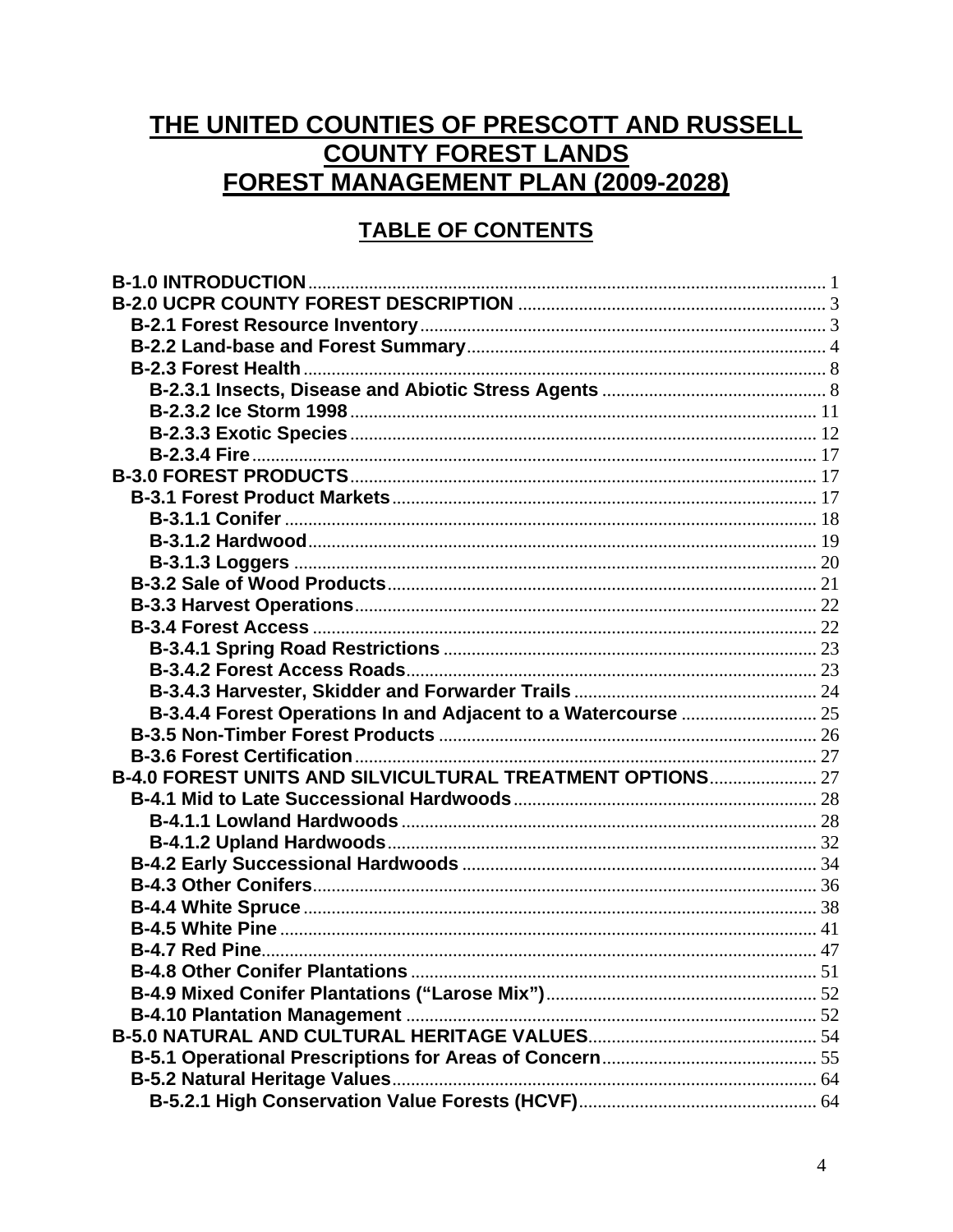# THE UNITED COUNTIES OF PRESCOTT AND RUSSELL **COUNTY FOREST LANDS FOREST MANAGEMENT PLAN (2009-2028)**

### **TABLE OF CONTENTS**

| B-4.0 FOREST UNITS AND SILVICULTURAL TREATMENT OPTIONS 27 |  |
|-----------------------------------------------------------|--|
|                                                           |  |
|                                                           |  |
|                                                           |  |
|                                                           |  |
|                                                           |  |
|                                                           |  |
|                                                           |  |
|                                                           |  |
|                                                           |  |
|                                                           |  |
|                                                           |  |
|                                                           |  |
|                                                           |  |
|                                                           |  |
|                                                           |  |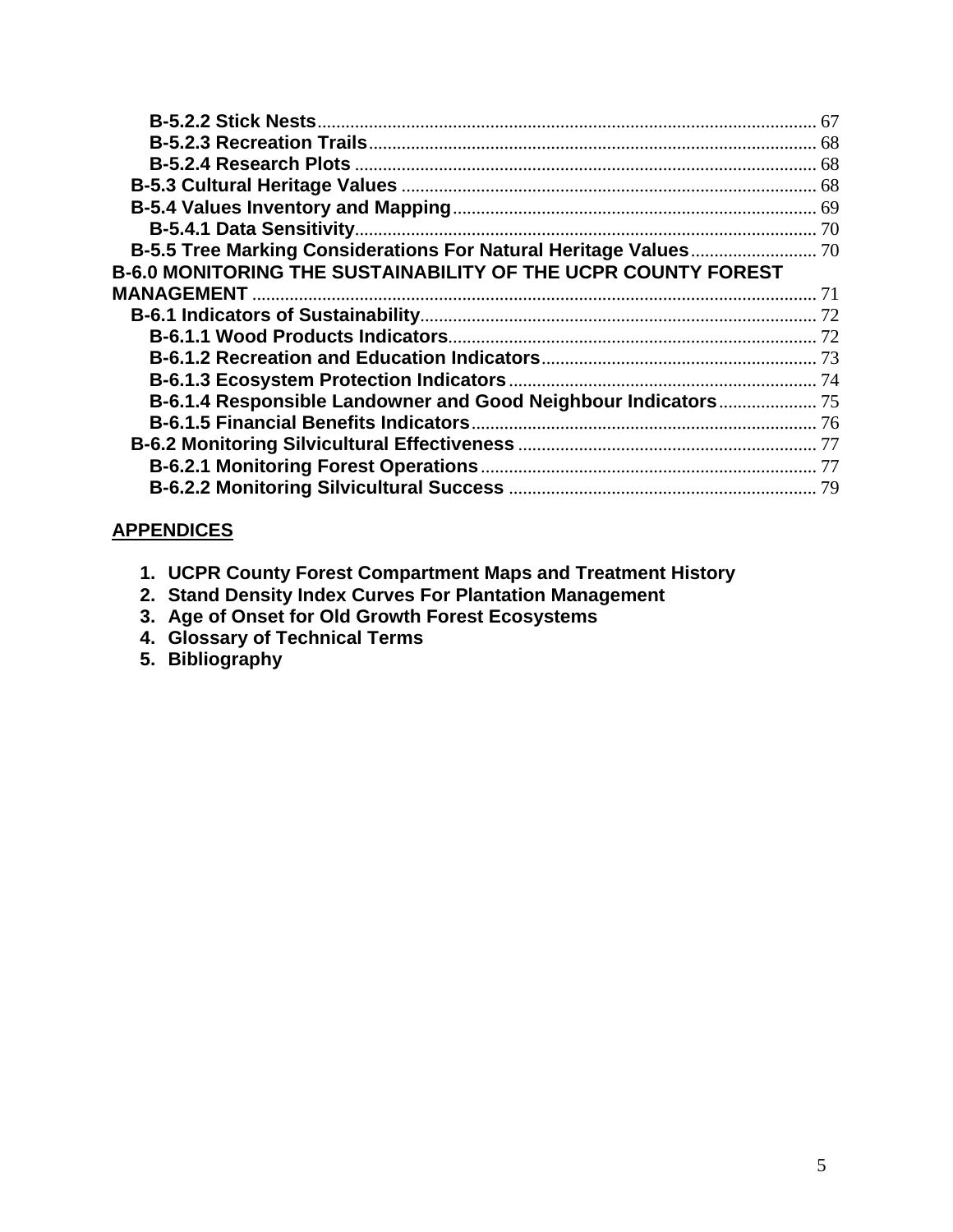| <b>B-6.0 MONITORING THE SUSTAINABILITY OF THE UCPR COUNTY FOREST</b> |  |
|----------------------------------------------------------------------|--|
|                                                                      |  |
|                                                                      |  |
|                                                                      |  |
|                                                                      |  |
|                                                                      |  |
| B-6.1.4 Responsible Landowner and Good Neighbour Indicators 75       |  |
|                                                                      |  |
|                                                                      |  |
|                                                                      |  |
|                                                                      |  |
|                                                                      |  |

#### **APPENDICES**

- **1. UCPR County Forest Compartment Maps and Treatment History**
- **2. Stand Density Index Curves For Plantation Management**
- **3. Age of Onset for Old Growth Forest Ecosystems**
- **4. Glossary of Technical Terms**
- **5. Bibliography**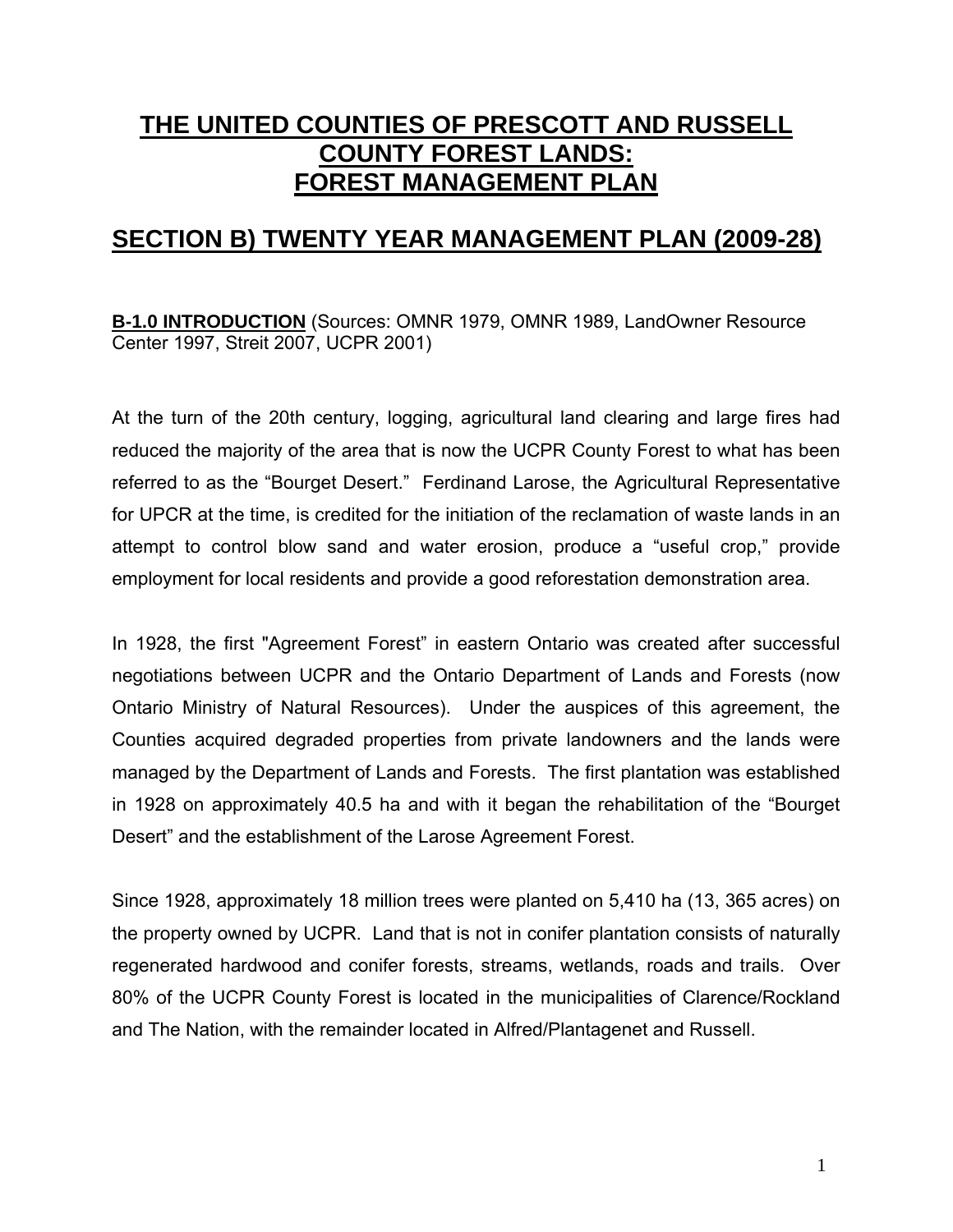# **THE UNITED COUNTIES OF PRESCOTT AND RUSSELL COUNTY FOREST LANDS: FOREST MANAGEMENT PLAN**

### **SECTION B) TWENTY YEAR MANAGEMENT PLAN (2009-28)**

**B-1.0 INTRODUCTION** (Sources: OMNR 1979, OMNR 1989, LandOwner Resource Center 1997, Streit 2007, UCPR 2001)

At the turn of the 20th century, logging, agricultural land clearing and large fires had reduced the majority of the area that is now the UCPR County Forest to what has been referred to as the "Bourget Desert." Ferdinand Larose, the Agricultural Representative for UPCR at the time, is credited for the initiation of the reclamation of waste lands in an attempt to control blow sand and water erosion, produce a "useful crop," provide employment for local residents and provide a good reforestation demonstration area.

In 1928, the first "Agreement Forest" in eastern Ontario was created after successful negotiations between UCPR and the Ontario Department of Lands and Forests (now Ontario Ministry of Natural Resources). Under the auspices of this agreement, the Counties acquired degraded properties from private landowners and the lands were managed by the Department of Lands and Forests. The first plantation was established in 1928 on approximately 40.5 ha and with it began the rehabilitation of the "Bourget Desert" and the establishment of the Larose Agreement Forest.

Since 1928, approximately 18 million trees were planted on 5,410 ha (13, 365 acres) on the property owned by UCPR. Land that is not in conifer plantation consists of naturally regenerated hardwood and conifer forests, streams, wetlands, roads and trails. Over 80% of the UCPR County Forest is located in the municipalities of Clarence/Rockland and The Nation, with the remainder located in Alfred/Plantagenet and Russell.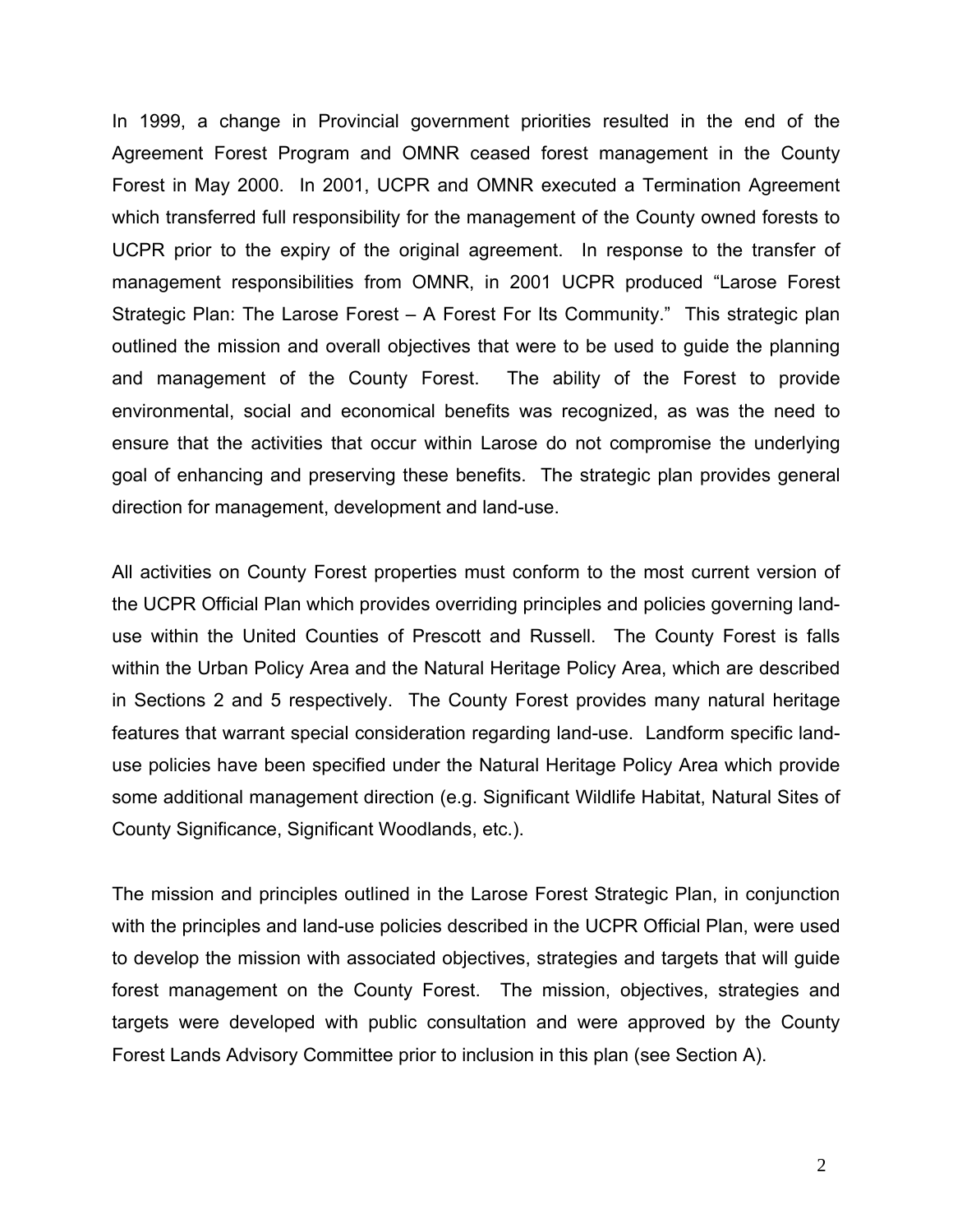In 1999, a change in Provincial government priorities resulted in the end of the Agreement Forest Program and OMNR ceased forest management in the County Forest in May 2000. In 2001, UCPR and OMNR executed a Termination Agreement which transferred full responsibility for the management of the County owned forests to UCPR prior to the expiry of the original agreement. In response to the transfer of management responsibilities from OMNR, in 2001 UCPR produced "Larose Forest Strategic Plan: The Larose Forest – A Forest For Its Community." This strategic plan outlined the mission and overall objectives that were to be used to guide the planning and management of the County Forest. The ability of the Forest to provide environmental, social and economical benefits was recognized, as was the need to ensure that the activities that occur within Larose do not compromise the underlying goal of enhancing and preserving these benefits. The strategic plan provides general direction for management, development and land-use.

All activities on County Forest properties must conform to the most current version of the UCPR Official Plan which provides overriding principles and policies governing landuse within the United Counties of Prescott and Russell. The County Forest is falls within the Urban Policy Area and the Natural Heritage Policy Area, which are described in Sections 2 and 5 respectively. The County Forest provides many natural heritage features that warrant special consideration regarding land-use. Landform specific landuse policies have been specified under the Natural Heritage Policy Area which provide some additional management direction (e.g. Significant Wildlife Habitat, Natural Sites of County Significance, Significant Woodlands, etc.).

The mission and principles outlined in the Larose Forest Strategic Plan, in conjunction with the principles and land-use policies described in the UCPR Official Plan, were used to develop the mission with associated objectives, strategies and targets that will guide forest management on the County Forest. The mission, objectives, strategies and targets were developed with public consultation and were approved by the County Forest Lands Advisory Committee prior to inclusion in this plan (see Section A).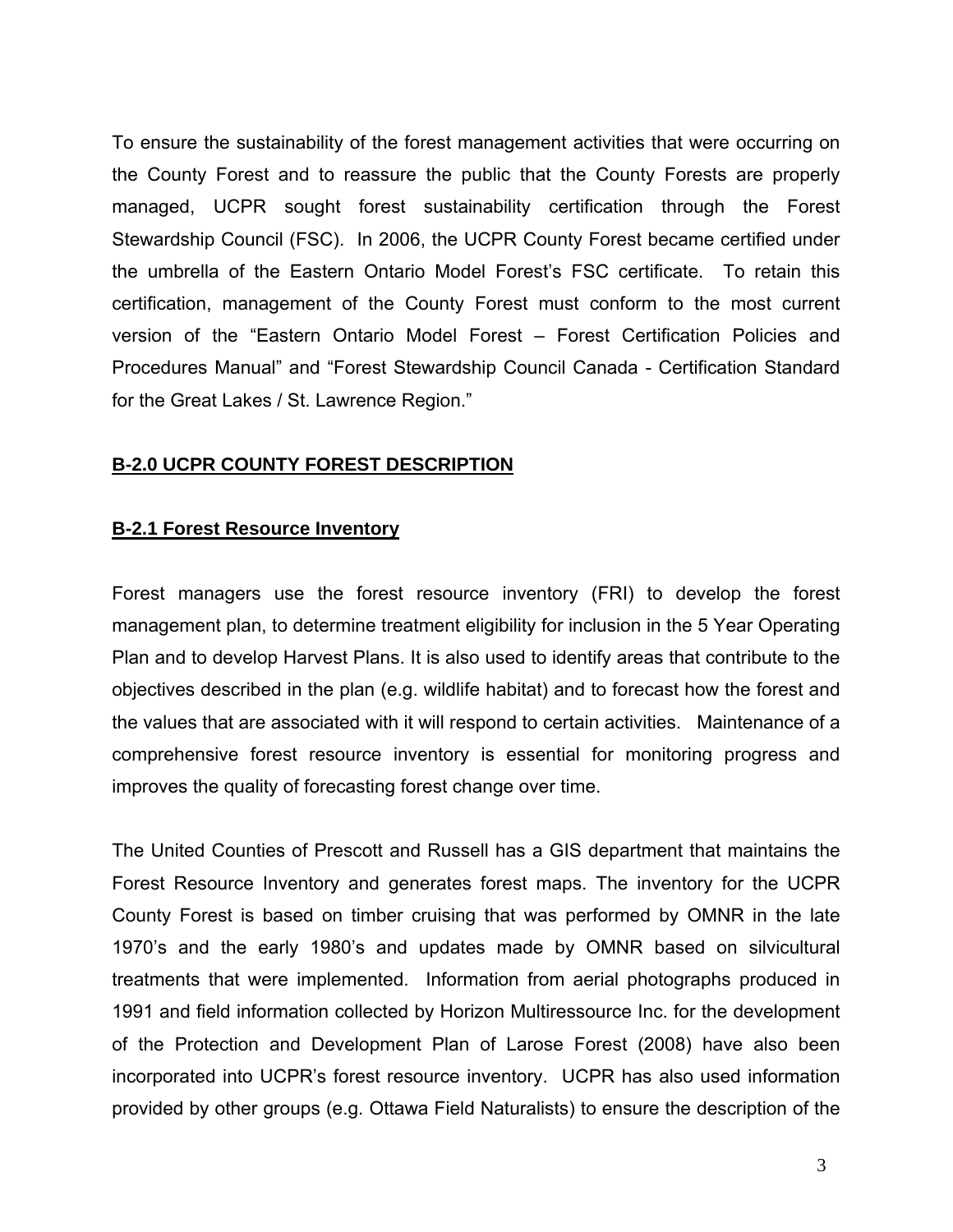To ensure the sustainability of the forest management activities that were occurring on the County Forest and to reassure the public that the County Forests are properly managed, UCPR sought forest sustainability certification through the Forest Stewardship Council (FSC). In 2006, the UCPR County Forest became certified under the umbrella of the Eastern Ontario Model Forest's FSC certificate. To retain this certification, management of the County Forest must conform to the most current version of the "Eastern Ontario Model Forest – Forest Certification Policies and Procedures Manual" and "Forest Stewardship Council Canada - Certification Standard for the Great Lakes / St. Lawrence Region."

#### **B-2.0 UCPR COUNTY FOREST DESCRIPTION**

#### **B-2.1 Forest Resource Inventory**

Forest managers use the forest resource inventory (FRI) to develop the forest management plan, to determine treatment eligibility for inclusion in the 5 Year Operating Plan and to develop Harvest Plans. It is also used to identify areas that contribute to the objectives described in the plan (e.g. wildlife habitat) and to forecast how the forest and the values that are associated with it will respond to certain activities. Maintenance of a comprehensive forest resource inventory is essential for monitoring progress and improves the quality of forecasting forest change over time.

The United Counties of Prescott and Russell has a GIS department that maintains the Forest Resource Inventory and generates forest maps. The inventory for the UCPR County Forest is based on timber cruising that was performed by OMNR in the late 1970's and the early 1980's and updates made by OMNR based on silvicultural treatments that were implemented. Information from aerial photographs produced in 1991 and field information collected by Horizon Multiressource Inc. for the development of the Protection and Development Plan of Larose Forest (2008) have also been incorporated into UCPR's forest resource inventory. UCPR has also used information provided by other groups (e.g. Ottawa Field Naturalists) to ensure the description of the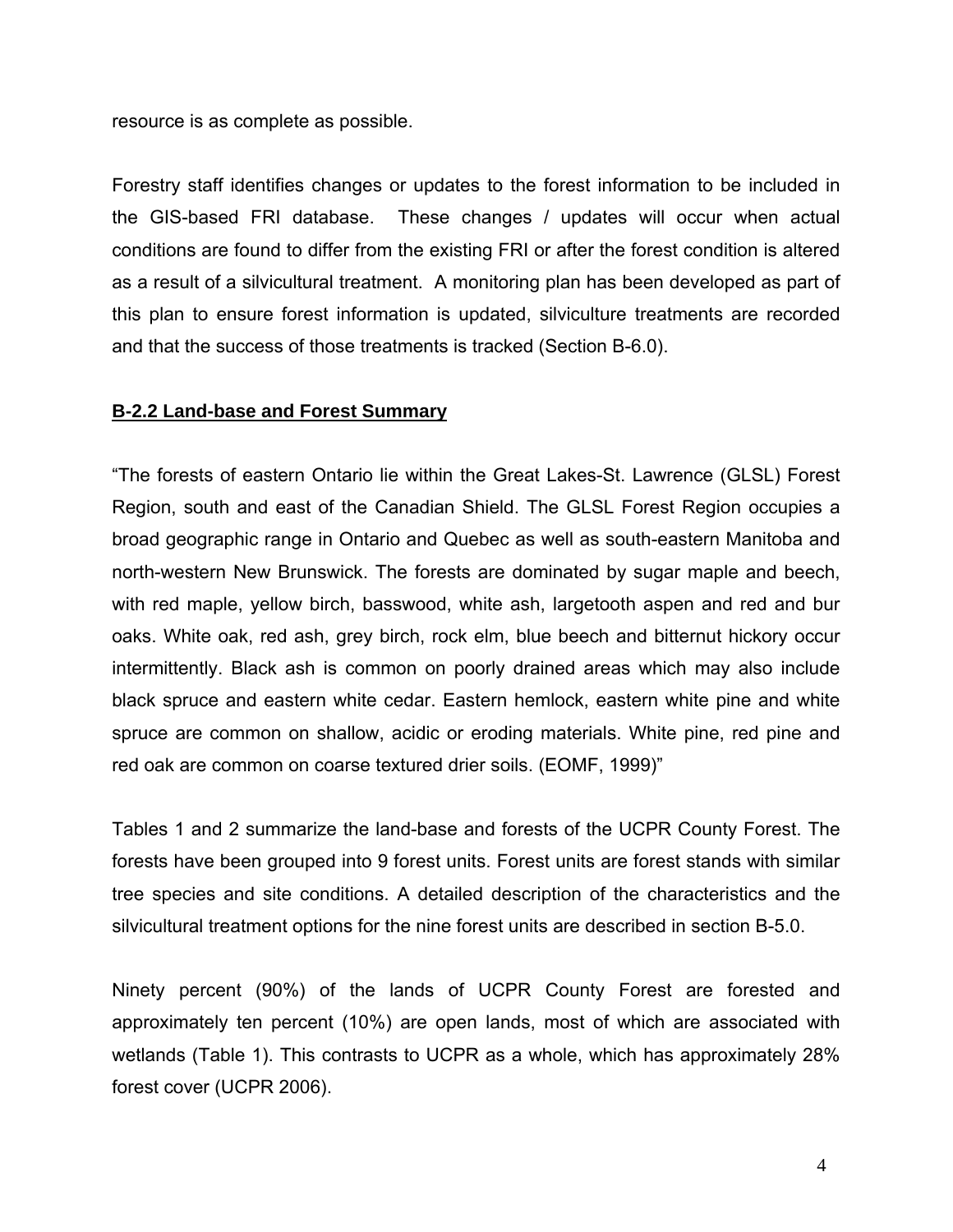resource is as complete as possible.

Forestry staff identifies changes or updates to the forest information to be included in the GIS-based FRI database. These changes / updates will occur when actual conditions are found to differ from the existing FRI or after the forest condition is altered as a result of a silvicultural treatment. A monitoring plan has been developed as part of this plan to ensure forest information is updated, silviculture treatments are recorded and that the success of those treatments is tracked (Section B-6.0).

#### **B-2.2 Land-base and Forest Summary**

"The forests of eastern Ontario lie within the Great Lakes-St. Lawrence (GLSL) Forest Region, south and east of the Canadian Shield. The GLSL Forest Region occupies a broad geographic range in Ontario and Quebec as well as south-eastern Manitoba and north-western New Brunswick. The forests are dominated by sugar maple and beech, with red maple, yellow birch, basswood, white ash, largetooth aspen and red and bur oaks. White oak, red ash, grey birch, rock elm, blue beech and bitternut hickory occur intermittently. Black ash is common on poorly drained areas which may also include black spruce and eastern white cedar. Eastern hemlock, eastern white pine and white spruce are common on shallow, acidic or eroding materials. White pine, red pine and red oak are common on coarse textured drier soils. (EOMF, 1999)"

Tables 1 and 2 summarize the land-base and forests of the UCPR County Forest. The forests have been grouped into 9 forest units. Forest units are forest stands with similar tree species and site conditions. A detailed description of the characteristics and the silvicultural treatment options for the nine forest units are described in section B-5.0.

Ninety percent (90%) of the lands of UCPR County Forest are forested and approximately ten percent (10%) are open lands, most of which are associated with wetlands (Table 1). This contrasts to UCPR as a whole, which has approximately 28% forest cover (UCPR 2006).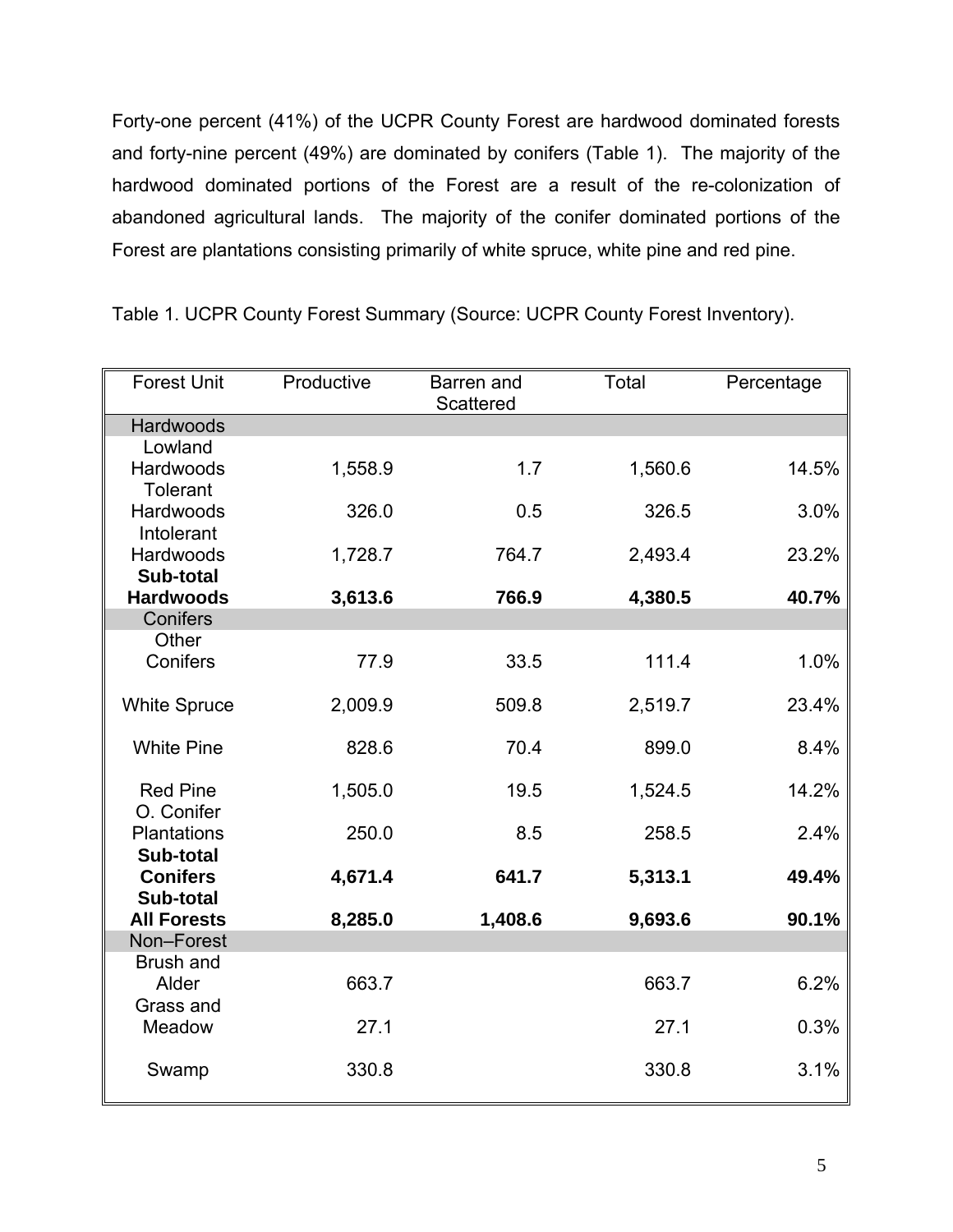Forty-one percent (41%) of the UCPR County Forest are hardwood dominated forests and forty-nine percent (49%) are dominated by conifers (Table 1). The majority of the hardwood dominated portions of the Forest are a result of the re-colonization of abandoned agricultural lands. The majority of the conifer dominated portions of the Forest are plantations consisting primarily of white spruce, white pine and red pine.

| <b>Forest Unit</b>           | Productive | Barren and<br><b>Scattered</b> | Total   | Percentage |
|------------------------------|------------|--------------------------------|---------|------------|
| <b>Hardwoods</b>             |            |                                |         |            |
| Lowland                      |            |                                |         |            |
| Hardwoods                    | 1,558.9    | 1.7                            | 1,560.6 | 14.5%      |
| <b>Tolerant</b>              |            |                                |         |            |
| Hardwoods<br>Intolerant      | 326.0      | 0.5                            | 326.5   | 3.0%       |
| Hardwoods                    | 1,728.7    | 764.7                          | 2,493.4 | 23.2%      |
| Sub-total                    |            |                                |         |            |
| <b>Hardwoods</b>             | 3,613.6    | 766.9                          | 4,380.5 | 40.7%      |
| Conifers                     |            |                                |         |            |
| Other                        |            |                                |         |            |
| Conifers                     | 77.9       | 33.5                           | 111.4   | 1.0%       |
| <b>White Spruce</b>          | 2,009.9    | 509.8                          | 2,519.7 | 23.4%      |
|                              |            |                                |         |            |
| <b>White Pine</b>            | 828.6      | 70.4                           | 899.0   | 8.4%       |
| <b>Red Pine</b>              | 1,505.0    | 19.5                           | 1,524.5 | 14.2%      |
| O. Conifer                   |            |                                |         |            |
| Plantations                  | 250.0      | 8.5                            | 258.5   | 2.4%       |
| Sub-total<br><b>Conifers</b> | 4,671.4    | 641.7                          | 5,313.1 | 49.4%      |
| Sub-total                    |            |                                |         |            |
| <b>All Forests</b>           | 8,285.0    | 1,408.6                        | 9,693.6 | 90.1%      |
| Non-Forest                   |            |                                |         |            |
| Brush and                    |            |                                |         |            |
| Alder                        | 663.7      |                                | 663.7   | 6.2%       |
| Grass and                    |            |                                |         |            |
| Meadow                       | 27.1       |                                | 27.1    | 0.3%       |
| Swamp                        | 330.8      |                                | 330.8   | 3.1%       |

Table 1. UCPR County Forest Summary (Source: UCPR County Forest Inventory).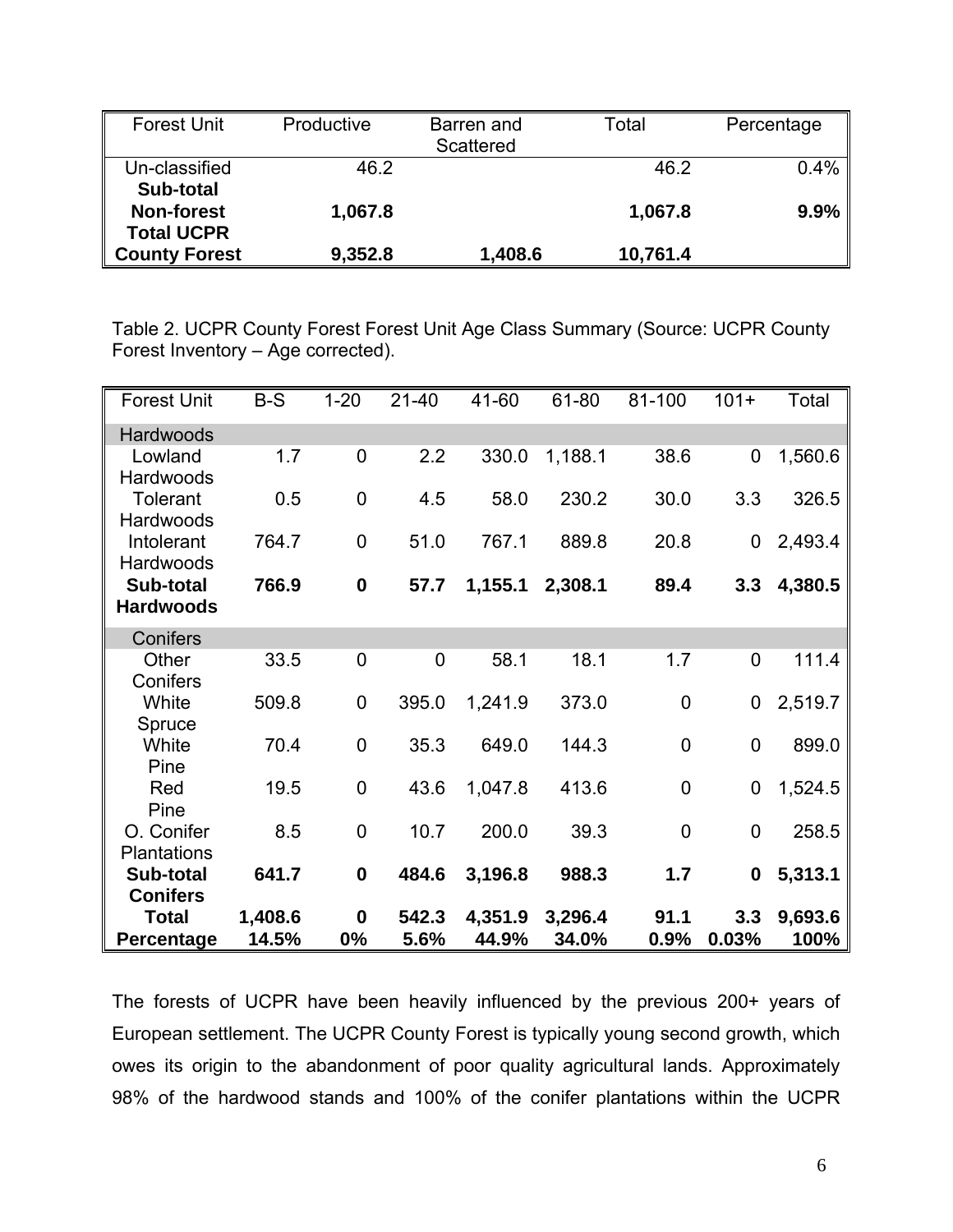| <b>Forest Unit</b>                     | Productive | Barren and<br>Scattered | Total    | Percentage |
|----------------------------------------|------------|-------------------------|----------|------------|
| Un-classified<br>Sub-total             | 46.2       |                         | 46.2     | 0.4%       |
| <b>Non-forest</b><br><b>Total UCPR</b> | 1,067.8    |                         | 1,067.8  | 9.9%       |
| <b>County Forest</b>                   | 9,352.8    | 1,408.6                 | 10,761.4 |            |

Table 2. UCPR County Forest Forest Unit Age Class Summary (Source: UCPR County Forest Inventory – Age corrected).

| <b>Forest Unit</b>            | $B-S$            | $1 - 20$          | $21 - 40$      | 41-60            | 61-80            | 81-100       | $101 +$          | Total           |
|-------------------------------|------------------|-------------------|----------------|------------------|------------------|--------------|------------------|-----------------|
| Hardwoods                     |                  |                   |                |                  |                  |              |                  |                 |
| Lowland<br>Hardwoods          | 1.7              | 0                 | 2.2            | 330.0            | 1,188.1          | 38.6         | $\overline{0}$   | 1,560.6         |
| <b>Tolerant</b><br>Hardwoods  | 0.5              | $\mathbf 0$       | 4.5            | 58.0             | 230.2            | 30.0         | 3.3              | 326.5           |
| Intolerant<br>Hardwoods       | 764.7            | $\mathbf 0$       | 51.0           | 767.1            | 889.8            | 20.8         | 0                | 2,493.4         |
| Sub-total<br><b>Hardwoods</b> | 766.9            | $\boldsymbol{0}$  | 57.7           | 1,155.1          | 2,308.1          | 89.4         | 3.3              | 4,380.5         |
| Conifers                      |                  |                   |                |                  |                  |              |                  |                 |
| Other<br>Conifers             | 33.5             | $\overline{0}$    | $\overline{0}$ | 58.1             | 18.1             | 1.7          | $\overline{0}$   | 111.4           |
| White<br>Spruce               | 509.8            | $\mathbf 0$       | 395.0          | 1,241.9          | 373.0            | $\mathbf 0$  | 0                | 2,519.7         |
| White<br>Pine                 | 70.4             | $\mathbf 0$       | 35.3           | 649.0            | 144.3            | $\mathbf 0$  | $\overline{0}$   | 899.0           |
| Red<br>Pine                   | 19.5             | $\mathbf 0$       | 43.6           | 1,047.8          | 413.6            | $\mathbf 0$  | $\mathbf 0$      | 1,524.5         |
| O. Conifer<br>Plantations     | 8.5              | $\mathbf 0$       | 10.7           | 200.0            | 39.3             | $\mathbf 0$  | $\mathbf 0$      | 258.5           |
| Sub-total<br><b>Conifers</b>  | 641.7            | $\boldsymbol{0}$  | 484.6          | 3,196.8          | 988.3            | 1.7          | $\boldsymbol{0}$ | 5,313.1         |
| <b>Total</b><br>Percentage    | 1,408.6<br>14.5% | $\mathbf 0$<br>0% | 542.3<br>5.6%  | 4,351.9<br>44.9% | 3,296.4<br>34.0% | 91.1<br>0.9% | 3.3<br>0.03%     | 9,693.6<br>100% |

The forests of UCPR have been heavily influenced by the previous 200+ years of European settlement. The UCPR County Forest is typically young second growth, which owes its origin to the abandonment of poor quality agricultural lands. Approximately 98% of the hardwood stands and 100% of the conifer plantations within the UCPR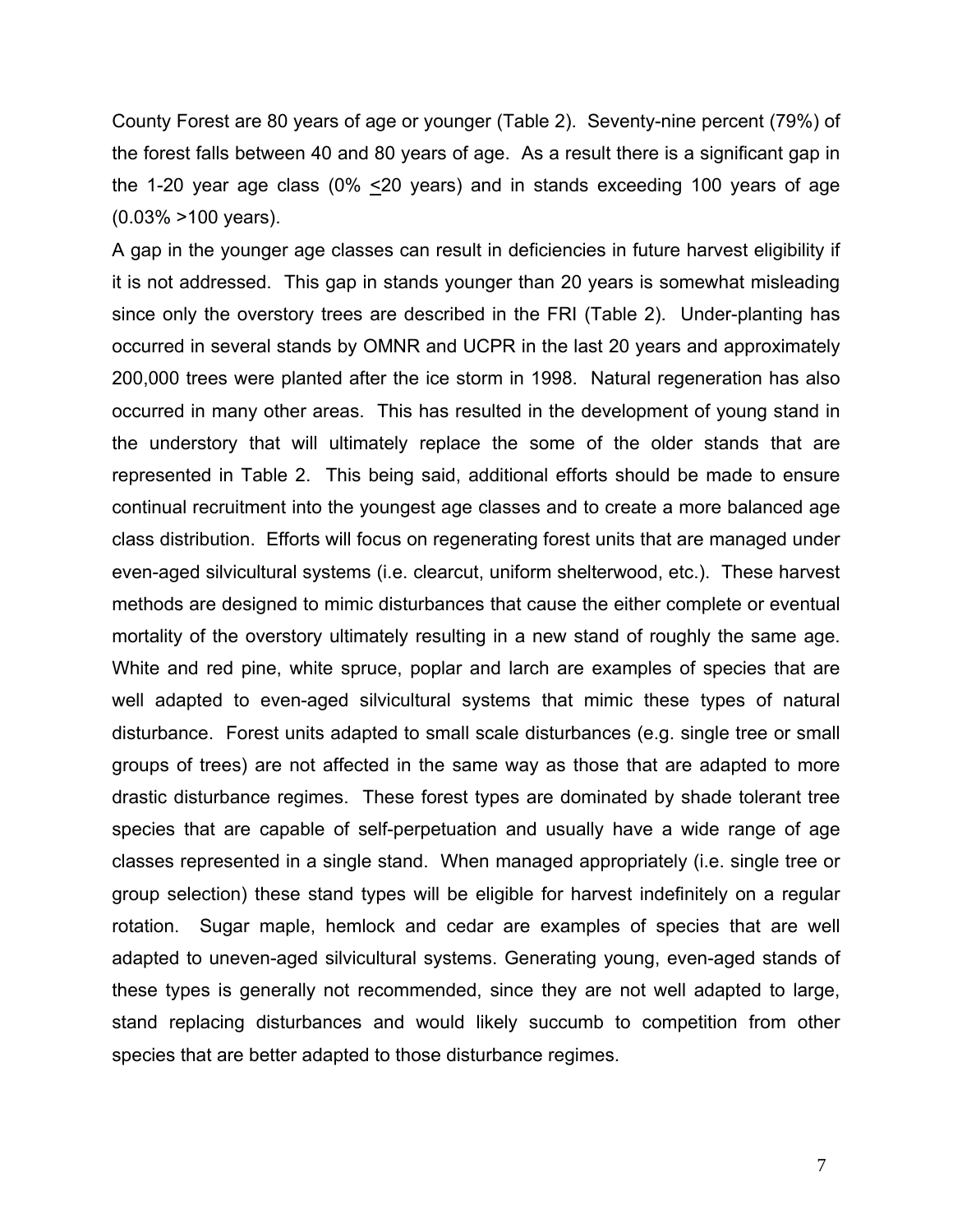County Forest are 80 years of age or younger (Table 2). Seventy-nine percent (79%) of the forest falls between 40 and 80 years of age. As a result there is a significant gap in the 1-20 year age class (0%  $\leq$ 20 years) and in stands exceeding 100 years of age (0.03% >100 years).

A gap in the younger age classes can result in deficiencies in future harvest eligibility if it is not addressed. This gap in stands younger than 20 years is somewhat misleading since only the overstory trees are described in the FRI (Table 2). Under-planting has occurred in several stands by OMNR and UCPR in the last 20 years and approximately 200,000 trees were planted after the ice storm in 1998. Natural regeneration has also occurred in many other areas. This has resulted in the development of young stand in the understory that will ultimately replace the some of the older stands that are represented in Table 2. This being said, additional efforts should be made to ensure continual recruitment into the youngest age classes and to create a more balanced age class distribution. Efforts will focus on regenerating forest units that are managed under even-aged silvicultural systems (i.e. clearcut, uniform shelterwood, etc.). These harvest methods are designed to mimic disturbances that cause the either complete or eventual mortality of the overstory ultimately resulting in a new stand of roughly the same age. White and red pine, white spruce, poplar and larch are examples of species that are well adapted to even-aged silvicultural systems that mimic these types of natural disturbance. Forest units adapted to small scale disturbances (e.g. single tree or small groups of trees) are not affected in the same way as those that are adapted to more drastic disturbance regimes. These forest types are dominated by shade tolerant tree species that are capable of self-perpetuation and usually have a wide range of age classes represented in a single stand. When managed appropriately (i.e. single tree or group selection) these stand types will be eligible for harvest indefinitely on a regular rotation. Sugar maple, hemlock and cedar are examples of species that are well adapted to uneven-aged silvicultural systems. Generating young, even-aged stands of these types is generally not recommended, since they are not well adapted to large, stand replacing disturbances and would likely succumb to competition from other species that are better adapted to those disturbance regimes.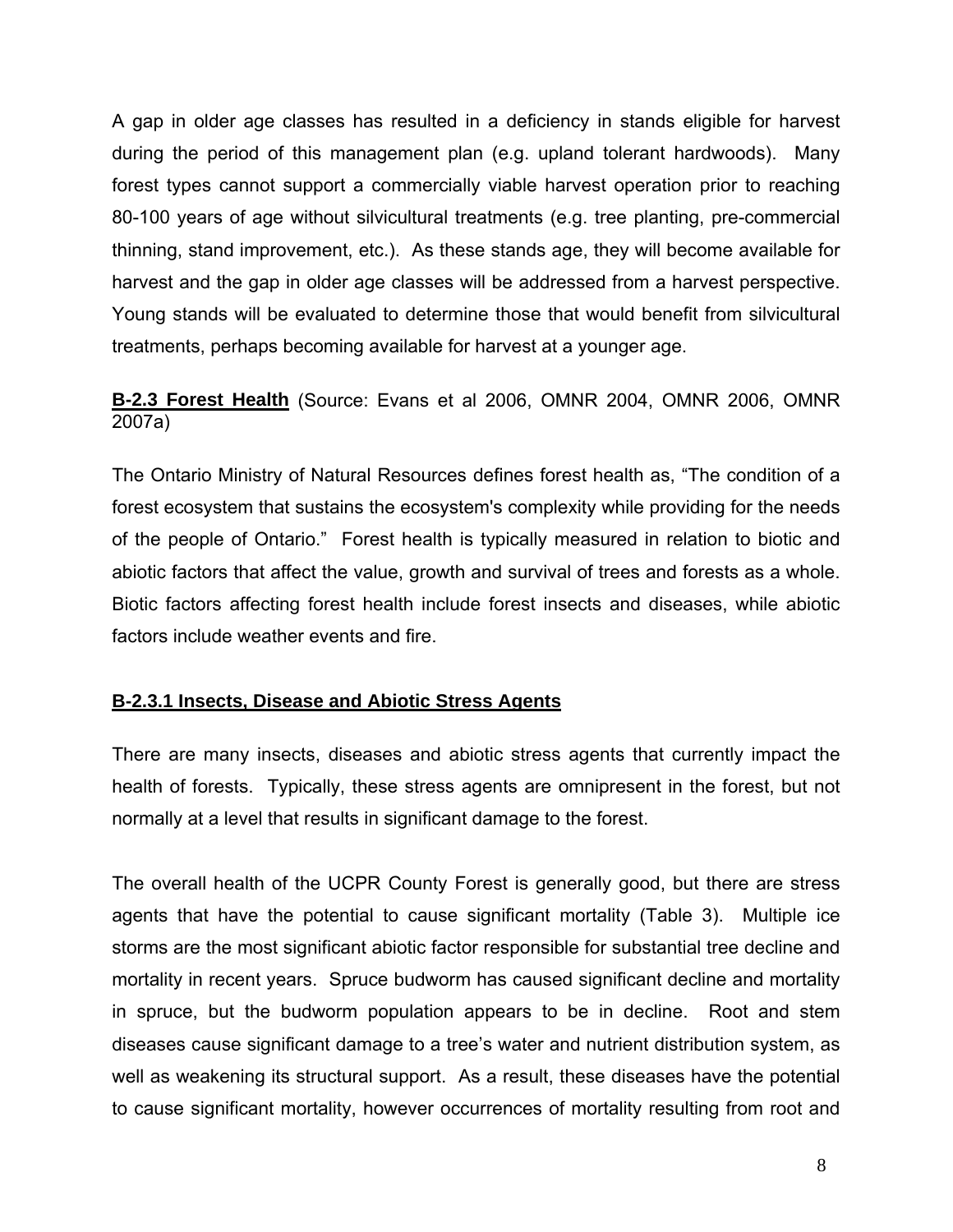A gap in older age classes has resulted in a deficiency in stands eligible for harvest during the period of this management plan (e.g. upland tolerant hardwoods). Many forest types cannot support a commercially viable harvest operation prior to reaching 80-100 years of age without silvicultural treatments (e.g. tree planting, pre-commercial thinning, stand improvement, etc.). As these stands age, they will become available for harvest and the gap in older age classes will be addressed from a harvest perspective. Young stands will be evaluated to determine those that would benefit from silvicultural treatments, perhaps becoming available for harvest at a younger age.

#### **B-2.3 Forest Health** (Source: Evans et al 2006, OMNR 2004, OMNR 2006, OMNR 2007a)

The Ontario Ministry of Natural Resources defines forest health as, "The condition of a forest ecosystem that sustains the ecosystem's complexity while providing for the needs of the people of Ontario." Forest health is typically measured in relation to biotic and abiotic factors that affect the value, growth and survival of trees and forests as a whole. Biotic factors affecting forest health include forest insects and diseases, while abiotic factors include weather events and fire.

#### **B-2.3.1 Insects, Disease and Abiotic Stress Agents**

There are many insects, diseases and abiotic stress agents that currently impact the health of forests. Typically, these stress agents are omnipresent in the forest, but not normally at a level that results in significant damage to the forest.

The overall health of the UCPR County Forest is generally good, but there are stress agents that have the potential to cause significant mortality (Table 3). Multiple ice storms are the most significant abiotic factor responsible for substantial tree decline and mortality in recent years. Spruce budworm has caused significant decline and mortality in spruce, but the budworm population appears to be in decline. Root and stem diseases cause significant damage to a tree's water and nutrient distribution system, as well as weakening its structural support. As a result, these diseases have the potential to cause significant mortality, however occurrences of mortality resulting from root and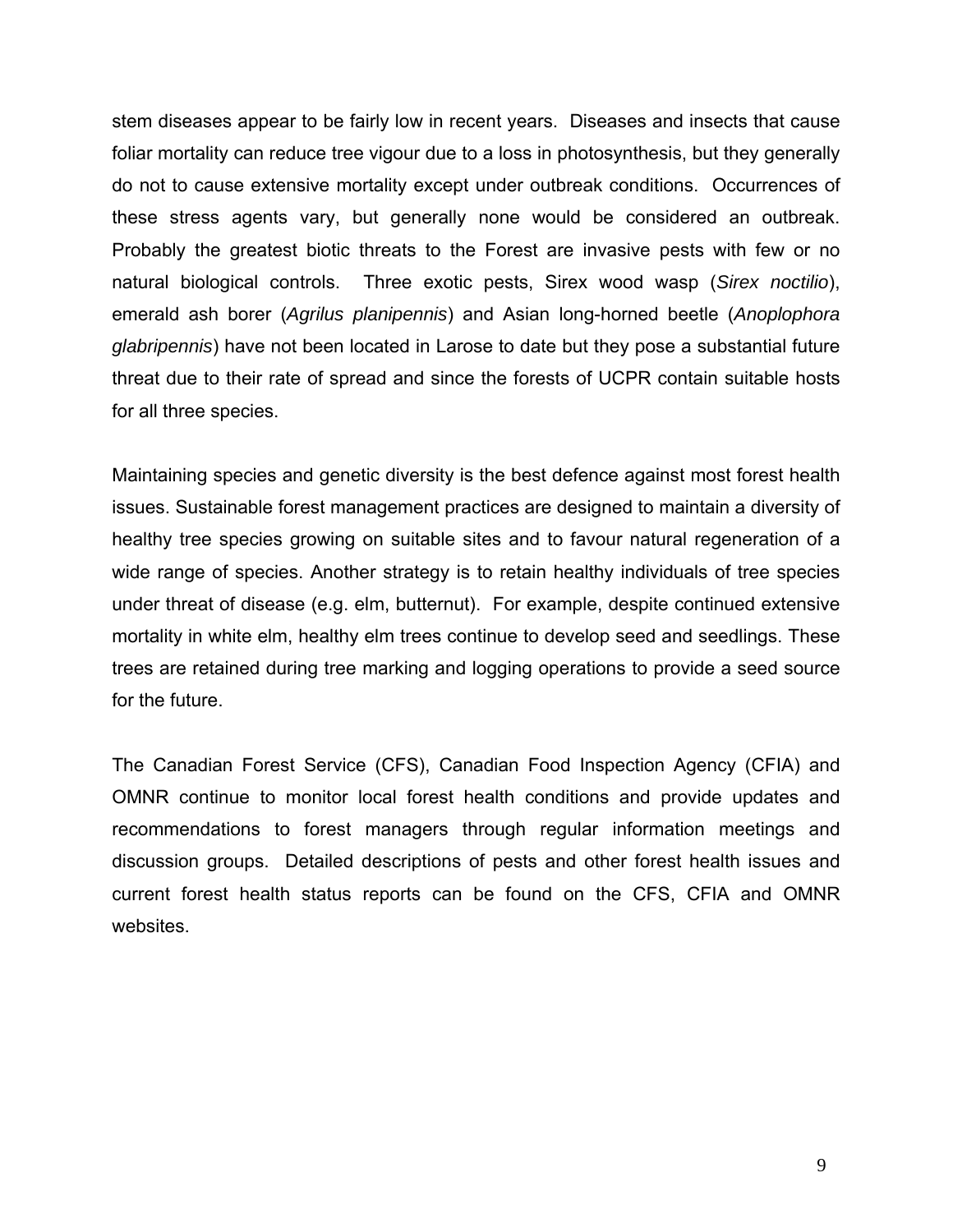stem diseases appear to be fairly low in recent years. Diseases and insects that cause foliar mortality can reduce tree vigour due to a loss in photosynthesis, but they generally do not to cause extensive mortality except under outbreak conditions. Occurrences of these stress agents vary, but generally none would be considered an outbreak. Probably the greatest biotic threats to the Forest are invasive pests with few or no natural biological controls. Three exotic pests, Sirex wood wasp (*Sirex noctilio*), emerald ash borer (*Agrilus planipennis*) and Asian long-horned beetle (*Anoplophora glabripennis*) have not been located in Larose to date but they pose a substantial future threat due to their rate of spread and since the forests of UCPR contain suitable hosts for all three species.

Maintaining species and genetic diversity is the best defence against most forest health issues. Sustainable forest management practices are designed to maintain a diversity of healthy tree species growing on suitable sites and to favour natural regeneration of a wide range of species. Another strategy is to retain healthy individuals of tree species under threat of disease (e.g. elm, butternut). For example, despite continued extensive mortality in white elm, healthy elm trees continue to develop seed and seedlings. These trees are retained during tree marking and logging operations to provide a seed source for the future.

The Canadian Forest Service (CFS), Canadian Food Inspection Agency (CFIA) and OMNR continue to monitor local forest health conditions and provide updates and recommendations to forest managers through regular information meetings and discussion groups. Detailed descriptions of pests and other forest health issues and current forest health status reports can be found on the CFS, CFIA and OMNR websites.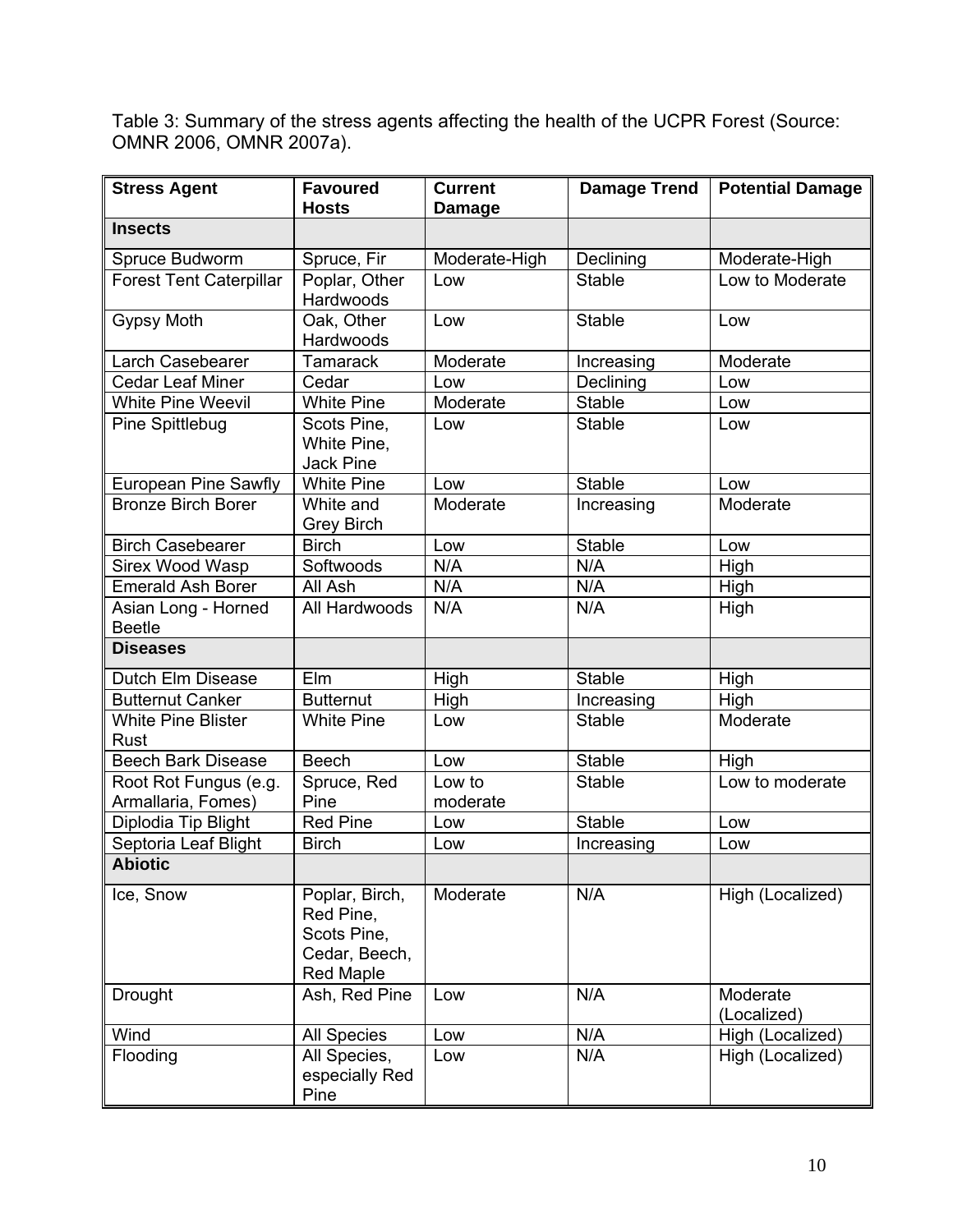Table 3: Summary of the stress agents affecting the health of the UCPR Forest (Source: OMNR 2006, OMNR 2007a).

| <b>Stress Agent</b>                         | <b>Favoured</b><br><b>Hosts</b>                                                 | <b>Current</b><br><b>Damage</b> | <b>Damage Trend</b> | <b>Potential Damage</b> |  |
|---------------------------------------------|---------------------------------------------------------------------------------|---------------------------------|---------------------|-------------------------|--|
| <b>Insects</b>                              |                                                                                 |                                 |                     |                         |  |
| Spruce Budworm                              | Spruce, Fir                                                                     | Moderate-High                   | Declining           | Moderate-High           |  |
| <b>Forest Tent Caterpillar</b>              | Poplar, Other<br>Hardwoods                                                      | Low                             | <b>Stable</b>       | Low to Moderate         |  |
| <b>Gypsy Moth</b>                           | Oak, Other<br>Hardwoods                                                         | Low                             | <b>Stable</b>       | Low                     |  |
| Larch Casebearer                            | <b>Tamarack</b>                                                                 | Moderate                        | Increasing          | Moderate                |  |
| <b>Cedar Leaf Miner</b>                     | Cedar                                                                           | Low                             | Declining           | Low                     |  |
| <b>White Pine Weevil</b>                    | <b>White Pine</b>                                                               | Moderate                        | <b>Stable</b>       | Low                     |  |
| Pine Spittlebug                             | Scots Pine,<br>White Pine,<br><b>Jack Pine</b>                                  | Low                             | <b>Stable</b>       | Low                     |  |
| European Pine Sawfly                        | <b>White Pine</b>                                                               | Low                             | <b>Stable</b>       | Low                     |  |
| <b>Bronze Birch Borer</b>                   | White and<br><b>Grey Birch</b>                                                  | Moderate                        | Increasing          | Moderate                |  |
| <b>Birch Casebearer</b>                     | <b>Birch</b>                                                                    | Low                             | <b>Stable</b>       | Low                     |  |
| <b>Sirex Wood Wasp</b>                      | Softwoods                                                                       | N/A                             | N/A                 | High                    |  |
| <b>Emerald Ash Borer</b>                    | All Ash                                                                         | N/A                             | N/A                 | High                    |  |
| Asian Long - Horned<br><b>Beetle</b>        | All Hardwoods                                                                   | N/A                             | N/A                 | High                    |  |
| <b>Diseases</b>                             |                                                                                 |                                 |                     |                         |  |
| Dutch Elm Disease                           | <b>Elm</b>                                                                      | High                            | <b>Stable</b>       | High                    |  |
| <b>Butternut Canker</b>                     | <b>Butternut</b>                                                                | High                            | Increasing          | High                    |  |
| <b>White Pine Blister</b><br>Rust           | <b>White Pine</b>                                                               | Low                             | <b>Stable</b>       | Moderate                |  |
| <b>Beech Bark Disease</b>                   | <b>Beech</b>                                                                    | Low                             | <b>Stable</b>       | High                    |  |
| Root Rot Fungus (e.g.<br>Armallaria, Fomes) | Spruce, Red<br>Pine                                                             | Low to<br>moderate              | <b>Stable</b>       | Low to moderate         |  |
| Diplodia Tip Blight                         | <b>Red Pine</b>                                                                 | Low                             | <b>Stable</b>       | Low                     |  |
| Septoria Leaf Blight                        | <b>Birch</b>                                                                    | Low                             | Increasing          | Low                     |  |
| <b>Abiotic</b>                              |                                                                                 |                                 |                     |                         |  |
| Ice, Snow                                   | Poplar, Birch,<br>Red Pine,<br>Scots Pine,<br>Cedar, Beech,<br><b>Red Maple</b> | Moderate                        | N/A                 | High (Localized)        |  |
| Drought                                     | Ash, Red Pine                                                                   | Low                             | N/A                 | Moderate<br>(Localized) |  |
| Wind                                        | <b>All Species</b>                                                              | Low                             | N/A                 | High (Localized)        |  |
| Flooding                                    | All Species,<br>especially Red<br>Pine                                          | Low                             | N/A                 | High (Localized)        |  |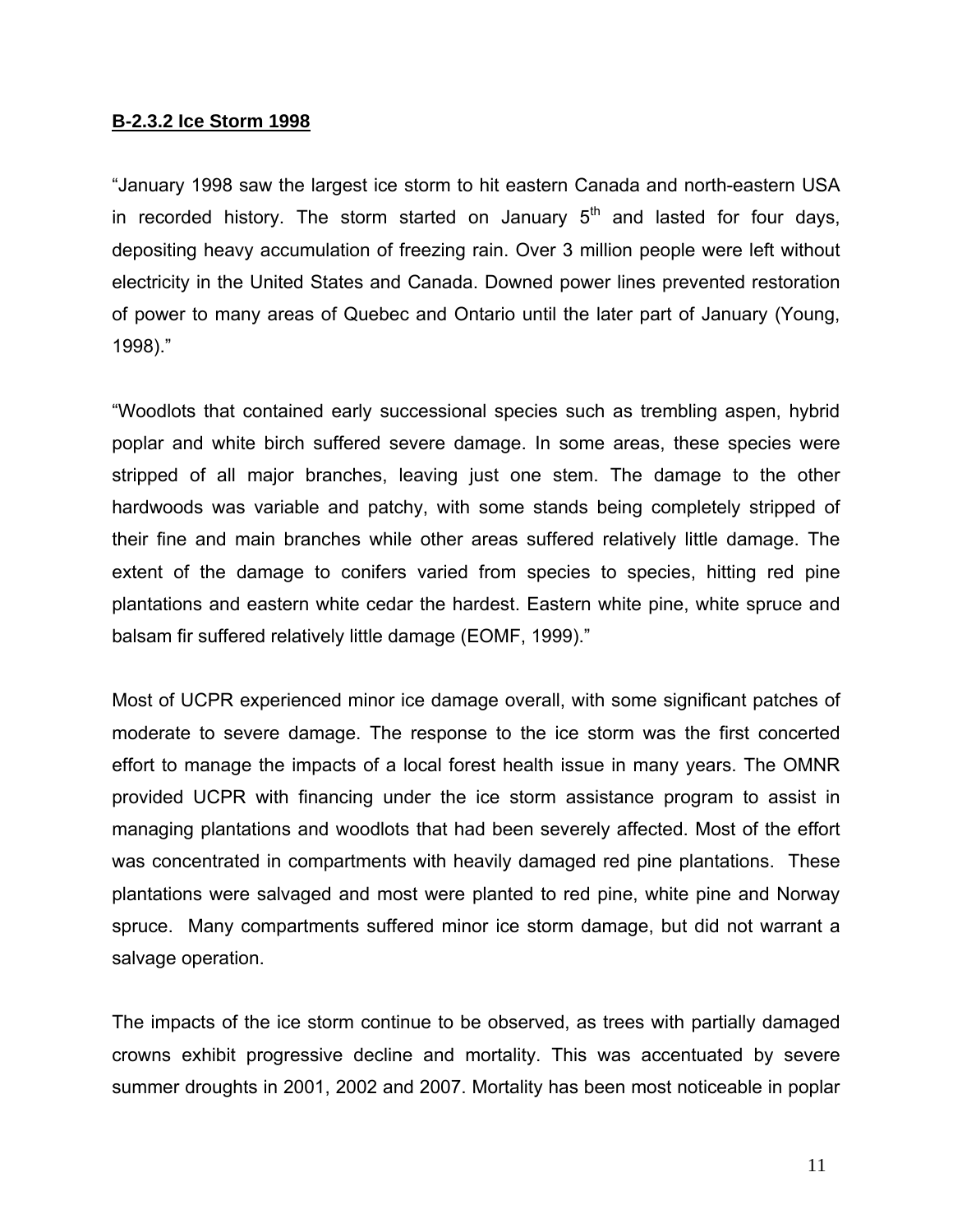#### **B-2.3.2 Ice Storm 1998**

"January 1998 saw the largest ice storm to hit eastern Canada and north-eastern USA in recorded history. The storm started on January  $5<sup>th</sup>$  and lasted for four days, depositing heavy accumulation of freezing rain. Over 3 million people were left without electricity in the United States and Canada. Downed power lines prevented restoration of power to many areas of Quebec and Ontario until the later part of January (Young, 1998)."

"Woodlots that contained early successional species such as trembling aspen, hybrid poplar and white birch suffered severe damage. In some areas, these species were stripped of all major branches, leaving just one stem. The damage to the other hardwoods was variable and patchy, with some stands being completely stripped of their fine and main branches while other areas suffered relatively little damage. The extent of the damage to conifers varied from species to species, hitting red pine plantations and eastern white cedar the hardest. Eastern white pine, white spruce and balsam fir suffered relatively little damage (EOMF, 1999)."

Most of UCPR experienced minor ice damage overall, with some significant patches of moderate to severe damage. The response to the ice storm was the first concerted effort to manage the impacts of a local forest health issue in many years. The OMNR provided UCPR with financing under the ice storm assistance program to assist in managing plantations and woodlots that had been severely affected. Most of the effort was concentrated in compartments with heavily damaged red pine plantations. These plantations were salvaged and most were planted to red pine, white pine and Norway spruce. Many compartments suffered minor ice storm damage, but did not warrant a salvage operation.

The impacts of the ice storm continue to be observed, as trees with partially damaged crowns exhibit progressive decline and mortality. This was accentuated by severe summer droughts in 2001, 2002 and 2007. Mortality has been most noticeable in poplar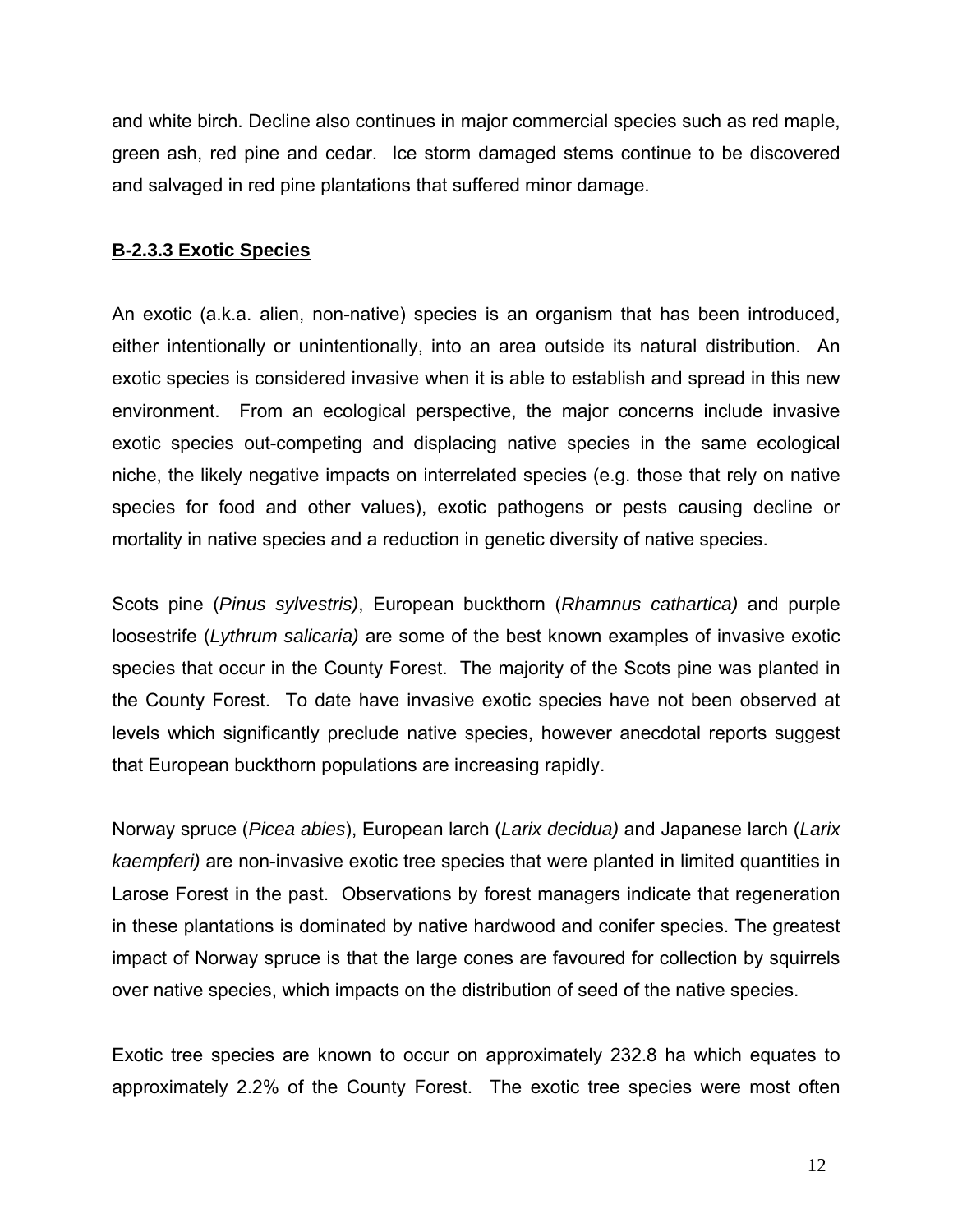and white birch. Decline also continues in major commercial species such as red maple, green ash, red pine and cedar. Ice storm damaged stems continue to be discovered and salvaged in red pine plantations that suffered minor damage.

#### **B-2.3.3 Exotic Species**

An exotic (a.k.a. alien, non-native) species is an organism that has been introduced, either intentionally or unintentionally, into an area outside its natural distribution. An exotic species is considered invasive when it is able to establish and spread in this new environment. From an ecological perspective, the major concerns include invasive exotic species out-competing and displacing native species in the same ecological niche, the likely negative impacts on interrelated species (e.g. those that rely on native species for food and other values), exotic pathogens or pests causing decline or mortality in native species and a reduction in genetic diversity of native species.

Scots pine (*Pinus sylvestris)*, European buckthorn (*Rhamnus cathartica)* and purple loosestrife (*Lythrum salicaria)* are some of the best known examples of invasive exotic species that occur in the County Forest. The majority of the Scots pine was planted in the County Forest. To date have invasive exotic species have not been observed at levels which significantly preclude native species, however anecdotal reports suggest that European buckthorn populations are increasing rapidly.

Norway spruce (*Picea abies*), European larch (*Larix decidua)* and Japanese larch (*Larix kaempferi)* are non-invasive exotic tree species that were planted in limited quantities in Larose Forest in the past. Observations by forest managers indicate that regeneration in these plantations is dominated by native hardwood and conifer species. The greatest impact of Norway spruce is that the large cones are favoured for collection by squirrels over native species, which impacts on the distribution of seed of the native species.

Exotic tree species are known to occur on approximately 232.8 ha which equates to approximately 2.2% of the County Forest. The exotic tree species were most often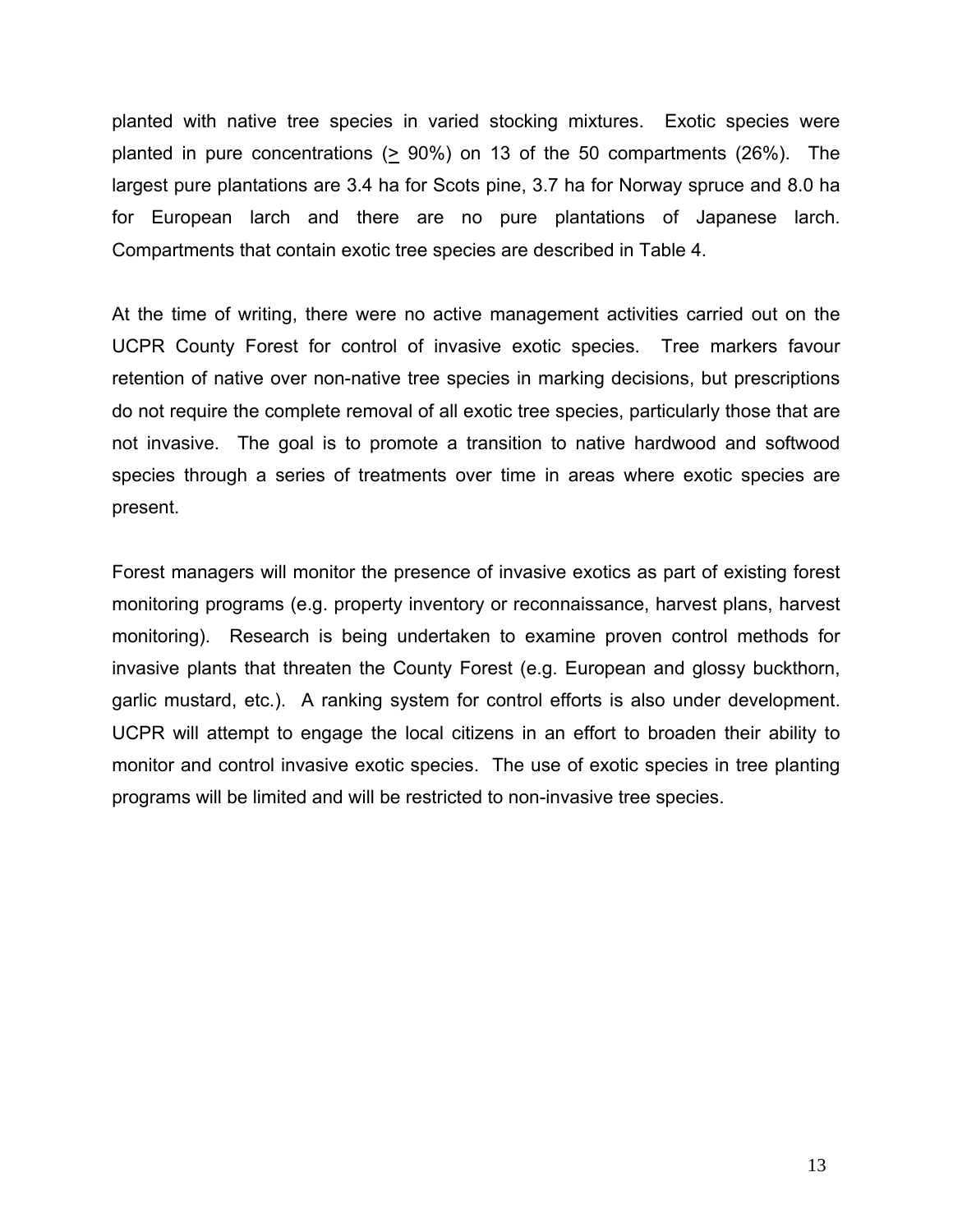planted with native tree species in varied stocking mixtures. Exotic species were planted in pure concentrations ( $\geq$  90%) on 13 of the 50 compartments (26%). The largest pure plantations are 3.4 ha for Scots pine, 3.7 ha for Norway spruce and 8.0 ha for European larch and there are no pure plantations of Japanese larch. Compartments that contain exotic tree species are described in Table 4.

At the time of writing, there were no active management activities carried out on the UCPR County Forest for control of invasive exotic species. Tree markers favour retention of native over non-native tree species in marking decisions, but prescriptions do not require the complete removal of all exotic tree species, particularly those that are not invasive. The goal is to promote a transition to native hardwood and softwood species through a series of treatments over time in areas where exotic species are present.

Forest managers will monitor the presence of invasive exotics as part of existing forest monitoring programs (e.g. property inventory or reconnaissance, harvest plans, harvest monitoring). Research is being undertaken to examine proven control methods for invasive plants that threaten the County Forest (e.g. European and glossy buckthorn, garlic mustard, etc.). A ranking system for control efforts is also under development. UCPR will attempt to engage the local citizens in an effort to broaden their ability to monitor and control invasive exotic species. The use of exotic species in tree planting programs will be limited and will be restricted to non-invasive tree species.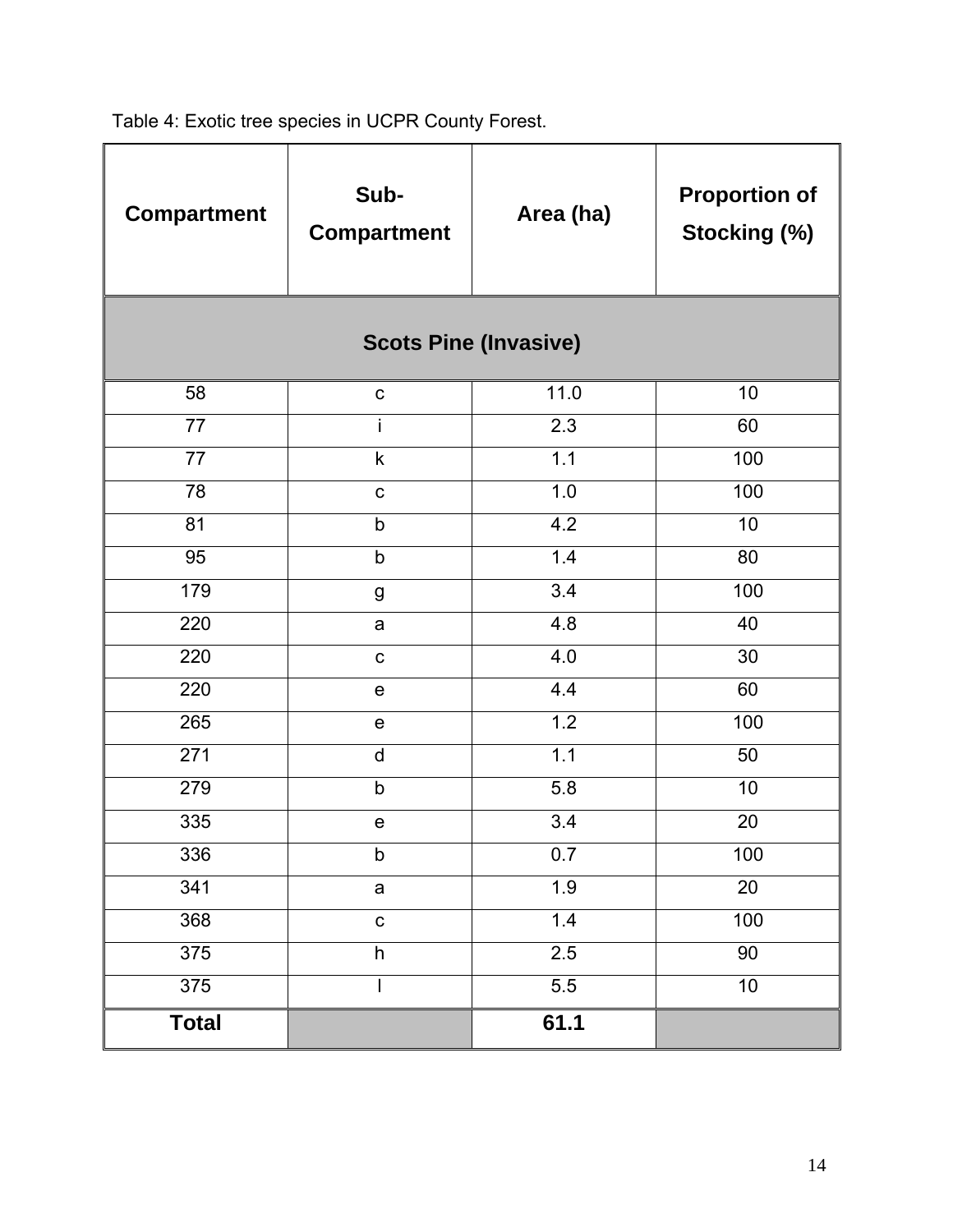Table 4: Exotic tree species in UCPR County Forest.

| <b>Compartment</b> | Sub-<br><b>Compartment</b> | Area (ha)                    | <b>Proportion of</b><br>Stocking (%) |  |
|--------------------|----------------------------|------------------------------|--------------------------------------|--|
|                    |                            | <b>Scots Pine (Invasive)</b> |                                      |  |
| 58                 | $\mathbf C$                | 11.0                         | 10                                   |  |
| $\overline{77}$    | i                          | 2.3                          | 60                                   |  |
| 77                 | $\sf k$                    | 1.1                          | 100                                  |  |
| 78                 | $\mathbf C$                | 1.0                          | 100                                  |  |
| 81                 | b                          | 4.2                          | 10                                   |  |
| 95                 | $\mathsf b$                | 1.4                          | 80                                   |  |
| 179                | $\boldsymbol{g}$           | 3.4                          | 100                                  |  |
| 220                | a                          | 4.8                          | 40                                   |  |
| 220                | $\mathbf C$                | 4.0                          | 30                                   |  |
| 220                | ${\bf e}$                  | 4.4                          | 60                                   |  |
| 265                | e                          | 1.2                          | 100                                  |  |
| 271                | $\mathsf{d}$               | 1.1                          | 50                                   |  |
| 279                | $\mathsf b$                | 5.8                          | 10                                   |  |
| 335                | e                          | 3.4                          | 20                                   |  |
| 336                | $\sf b$                    | 0.7                          | 100                                  |  |
| 341                | a                          | 1.9                          | $\overline{20}$                      |  |
| 368                | $\mathbf C$                | 1.4                          | 100                                  |  |
| 375                | $\boldsymbol{\mathsf{h}}$  | 2.5                          | 90                                   |  |
| $\overline{375}$   |                            | 5.5                          | $\overline{10}$                      |  |
| <b>Total</b>       |                            | 61.1                         |                                      |  |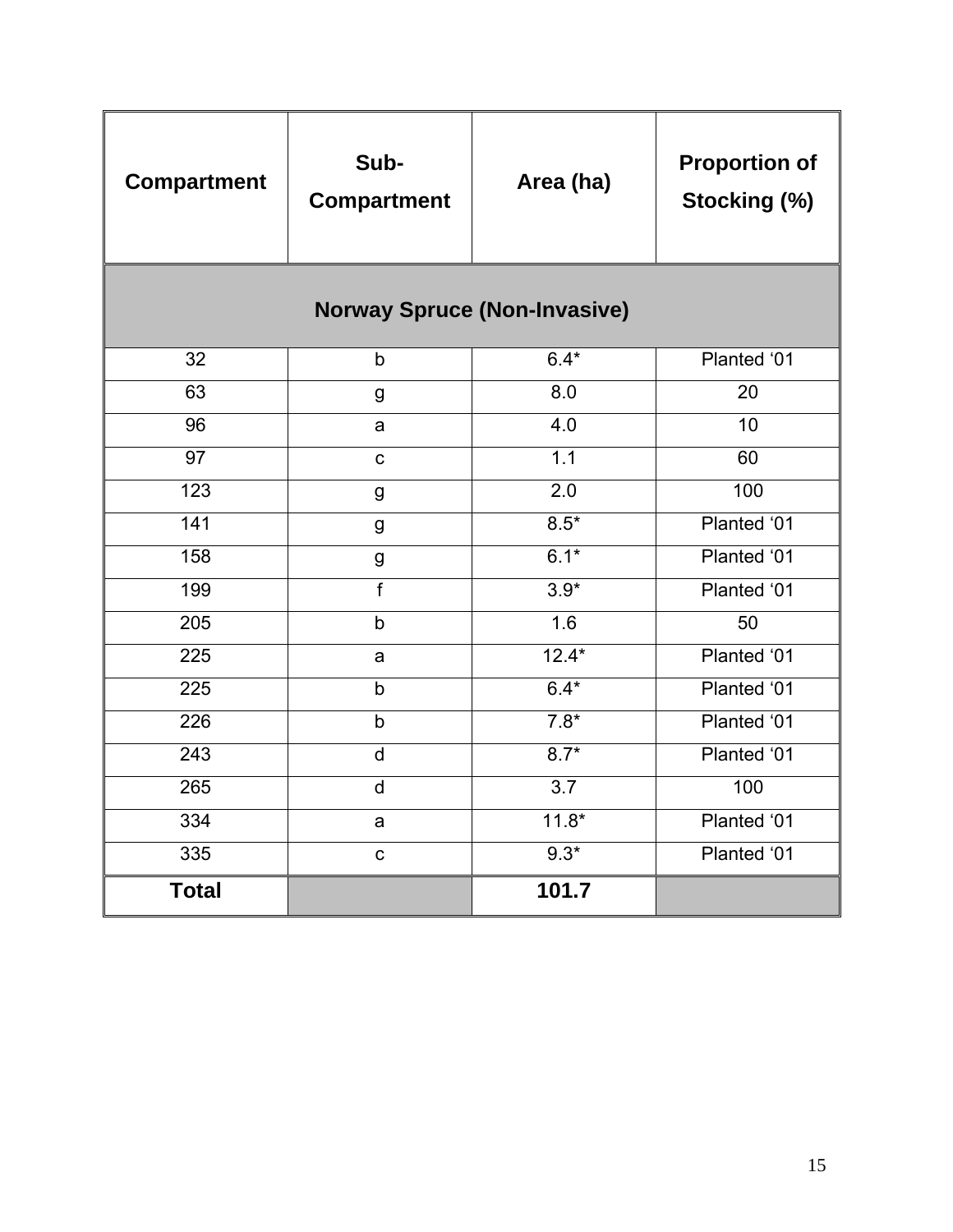| <b>Compartment</b>                  | Sub-<br><b>Compartment</b> | Area (ha)        | <b>Proportion of</b><br>Stocking (%) |  |  |  |  |  |  |
|-------------------------------------|----------------------------|------------------|--------------------------------------|--|--|--|--|--|--|
| <b>Norway Spruce (Non-Invasive)</b> |                            |                  |                                      |  |  |  |  |  |  |
| 32                                  | b                          | $6.4*$           | Planted '01                          |  |  |  |  |  |  |
| 63                                  | g                          | 8.0              | 20                                   |  |  |  |  |  |  |
| 96                                  | a                          | 4.0              | 10                                   |  |  |  |  |  |  |
| $\overline{97}$                     | $\mathsf{C}$               | $\overline{1.1}$ | 60                                   |  |  |  |  |  |  |
| 123                                 | $\mathsf g$                | 2.0              | 100                                  |  |  |  |  |  |  |
| 141                                 | g                          | $8.5*$           | Planted '01                          |  |  |  |  |  |  |
| 158                                 | g                          | $6.1*$           | Planted '01                          |  |  |  |  |  |  |
| 199                                 | $\overline{f}$             | $3.9*$           | Planted '01                          |  |  |  |  |  |  |
| 205                                 | $\mathsf b$                | 1.6              | 50                                   |  |  |  |  |  |  |
| 225                                 | a                          | $12.4*$          | Planted '01                          |  |  |  |  |  |  |
| $\overline{225}$                    | $\mathsf{b}$               | $6.4*$           | Planted '01                          |  |  |  |  |  |  |
| 226                                 | b                          | $7.8*$           | Planted '01                          |  |  |  |  |  |  |
| $\overline{243}$                    | $\mathsf{d}$               | $8.7*$           | Planted '01                          |  |  |  |  |  |  |
| 265                                 | $\mathsf{d}$               | $\overline{3.7}$ | 100                                  |  |  |  |  |  |  |
| 334                                 | a                          | $11.8*$          | Planted '01                          |  |  |  |  |  |  |
| 335                                 | $\mathbf c$                | $9.3*$           | Planted '01                          |  |  |  |  |  |  |
| <b>Total</b>                        |                            | 101.7            |                                      |  |  |  |  |  |  |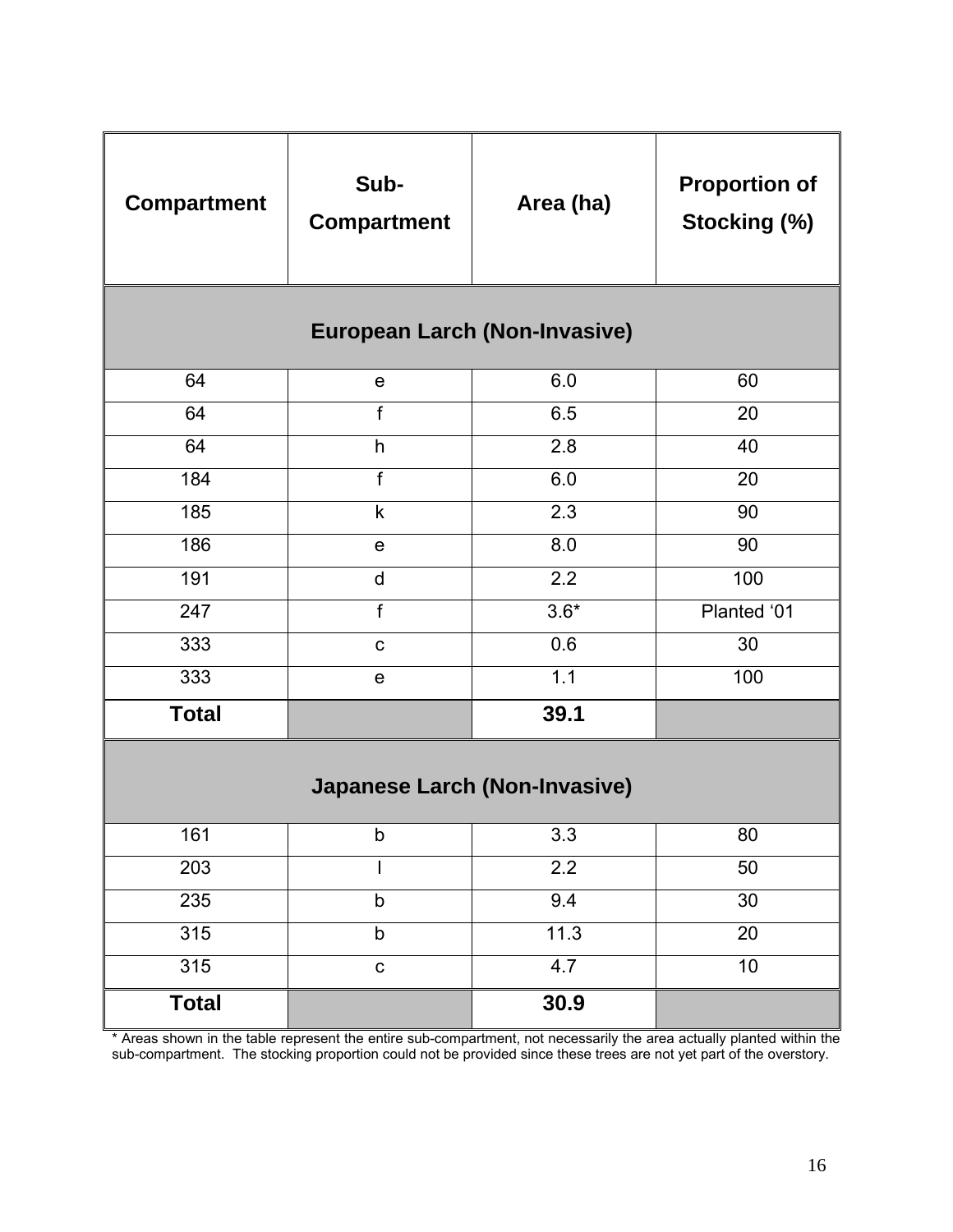| <b>Compartment</b> | Sub-<br><b>Compartment</b>           | Area (ha)        | <b>Proportion of</b><br>Stocking (%) |
|--------------------|--------------------------------------|------------------|--------------------------------------|
|                    | <b>European Larch (Non-Invasive)</b> |                  |                                      |
| 64                 | $\mathbf e$                          | 6.0              | 60                                   |
| 64                 | $\mathsf{f}$                         | 6.5              | 20                                   |
| 64                 | h                                    | 2.8              | 40                                   |
| 184                | $\mathsf{f}$                         | 6.0              | 20                                   |
| 185                | $\mathsf k$                          | 2.3              | 90                                   |
| 186                | $\mathbf e$                          | 8.0              | 90                                   |
| 191                | d                                    | 2.2              | 100                                  |
| 247                | $\mathsf{f}$                         | $3.6*$           | Planted '01                          |
| 333                | $\mathbf{C}$                         | 0.6              | 30                                   |
| 333                | $\mathbf e$                          | 1.1              | 100                                  |
| <b>Total</b>       |                                      | 39.1             |                                      |
|                    | <b>Japanese Larch (Non-Invasive)</b> |                  |                                      |
| 161                | b                                    | 3.3              | 80                                   |
| 203                |                                      | $\overline{2.2}$ | 50                                   |
| 235                | b                                    | 9.4              | 30                                   |
| 315                | b                                    | 11.3             | 20                                   |
| 315                | C                                    | 4.7              | 10                                   |
| <b>Total</b>       |                                      | 30.9             |                                      |

\* Areas shown in the table represent the entire sub-compartment, not necessarily the area actually planted within the sub-compartment. The stocking proportion could not be provided since these trees are not yet part of the overstory.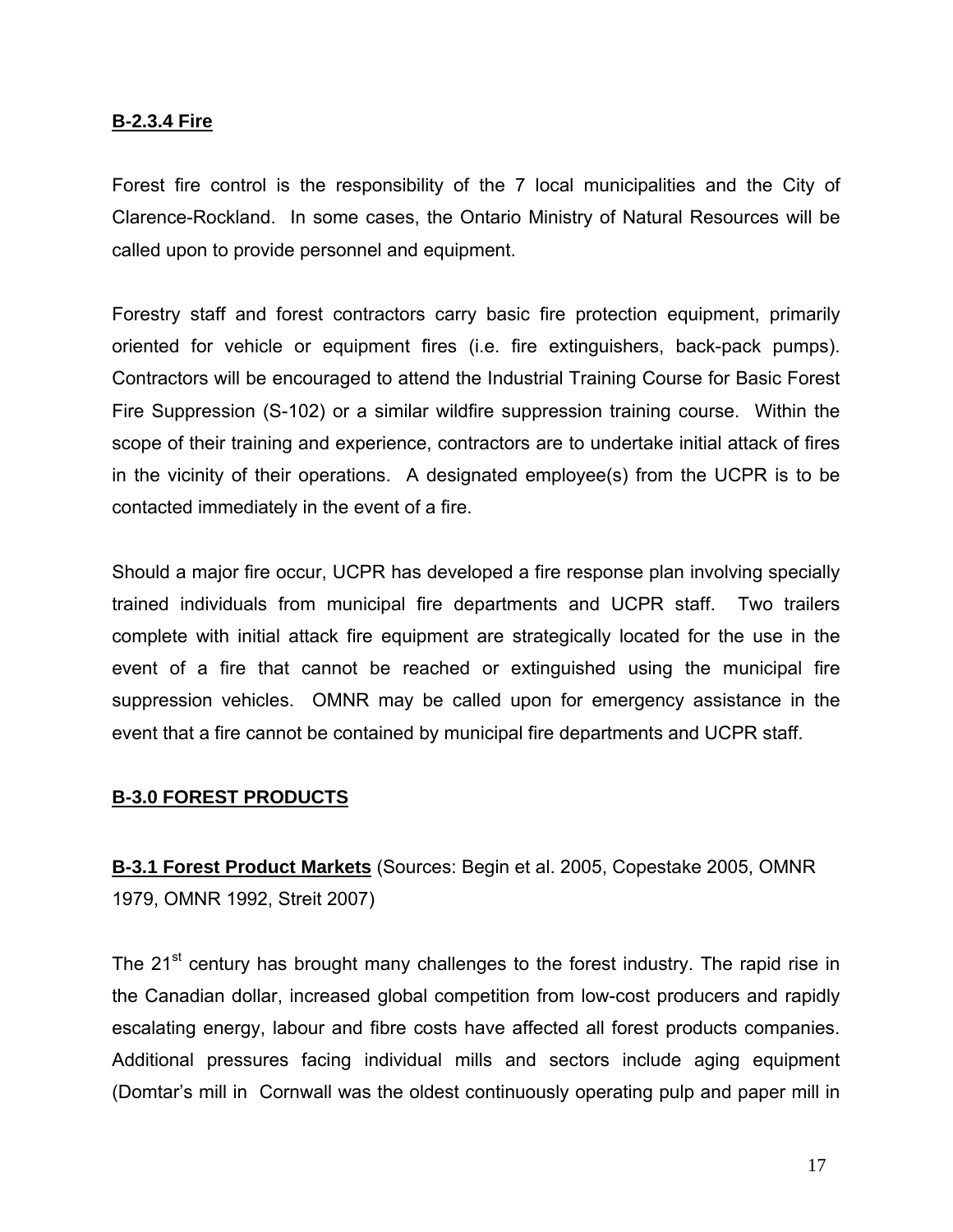### **B-2.3.4 Fire**

Forest fire control is the responsibility of the 7 local municipalities and the City of Clarence-Rockland. In some cases, the Ontario Ministry of Natural Resources will be called upon to provide personnel and equipment.

Forestry staff and forest contractors carry basic fire protection equipment, primarily oriented for vehicle or equipment fires (i.e. fire extinguishers, back-pack pumps). Contractors will be encouraged to attend the Industrial Training Course for Basic Forest Fire Suppression (S-102) or a similar wildfire suppression training course. Within the scope of their training and experience, contractors are to undertake initial attack of fires in the vicinity of their operations. A designated employee(s) from the UCPR is to be contacted immediately in the event of a fire.

Should a major fire occur, UCPR has developed a fire response plan involving specially trained individuals from municipal fire departments and UCPR staff. Two trailers complete with initial attack fire equipment are strategically located for the use in the event of a fire that cannot be reached or extinguished using the municipal fire suppression vehicles. OMNR may be called upon for emergency assistance in the event that a fire cannot be contained by municipal fire departments and UCPR staff.

### **B-3.0 FOREST PRODUCTS**

**B-3.1 Forest Product Markets** (Sources: Begin et al. 2005, Copestake 2005, OMNR 1979, OMNR 1992, Streit 2007)

The 21<sup>st</sup> century has brought many challenges to the forest industry. The rapid rise in the Canadian dollar, increased global competition from low-cost producers and rapidly escalating energy, labour and fibre costs have affected all forest products companies. Additional pressures facing individual mills and sectors include aging equipment (Domtar's mill in Cornwall was the oldest continuously operating pulp and paper mill in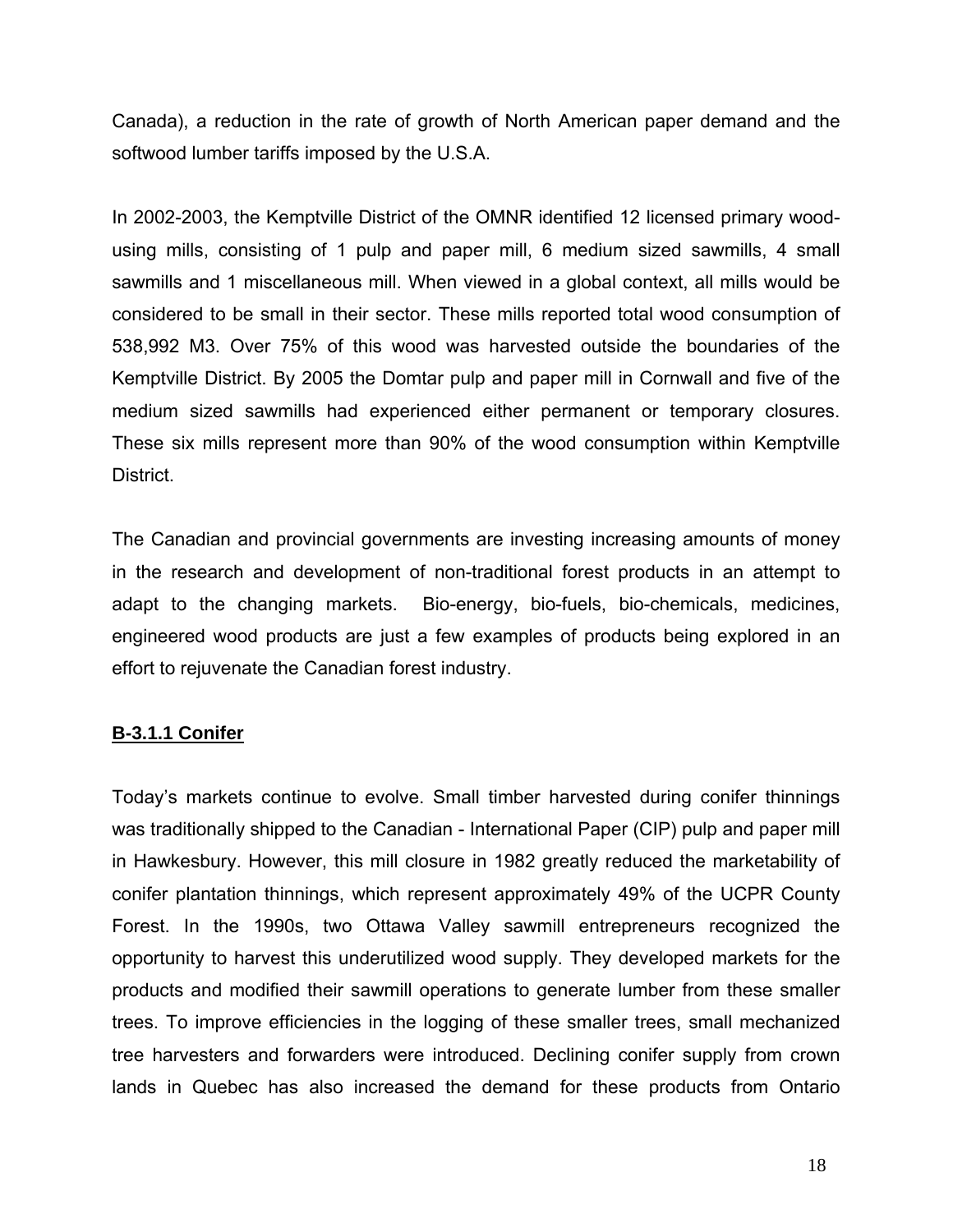Canada), a reduction in the rate of growth of North American paper demand and the softwood lumber tariffs imposed by the U.S.A.

In 2002-2003, the Kemptville District of the OMNR identified 12 licensed primary woodusing mills, consisting of 1 pulp and paper mill, 6 medium sized sawmills, 4 small sawmills and 1 miscellaneous mill. When viewed in a global context, all mills would be considered to be small in their sector. These mills reported total wood consumption of 538,992 M3. Over 75% of this wood was harvested outside the boundaries of the Kemptville District. By 2005 the Domtar pulp and paper mill in Cornwall and five of the medium sized sawmills had experienced either permanent or temporary closures. These six mills represent more than 90% of the wood consumption within Kemptville District.

The Canadian and provincial governments are investing increasing amounts of money in the research and development of non-traditional forest products in an attempt to adapt to the changing markets. Bio-energy, bio-fuels, bio-chemicals, medicines, engineered wood products are just a few examples of products being explored in an effort to rejuvenate the Canadian forest industry.

### **B-3.1.1 Conifer**

Today's markets continue to evolve. Small timber harvested during conifer thinnings was traditionally shipped to the Canadian - International Paper (CIP) pulp and paper mill in Hawkesbury. However, this mill closure in 1982 greatly reduced the marketability of conifer plantation thinnings, which represent approximately 49% of the UCPR County Forest. In the 1990s, two Ottawa Valley sawmill entrepreneurs recognized the opportunity to harvest this underutilized wood supply. They developed markets for the products and modified their sawmill operations to generate lumber from these smaller trees. To improve efficiencies in the logging of these smaller trees, small mechanized tree harvesters and forwarders were introduced. Declining conifer supply from crown lands in Quebec has also increased the demand for these products from Ontario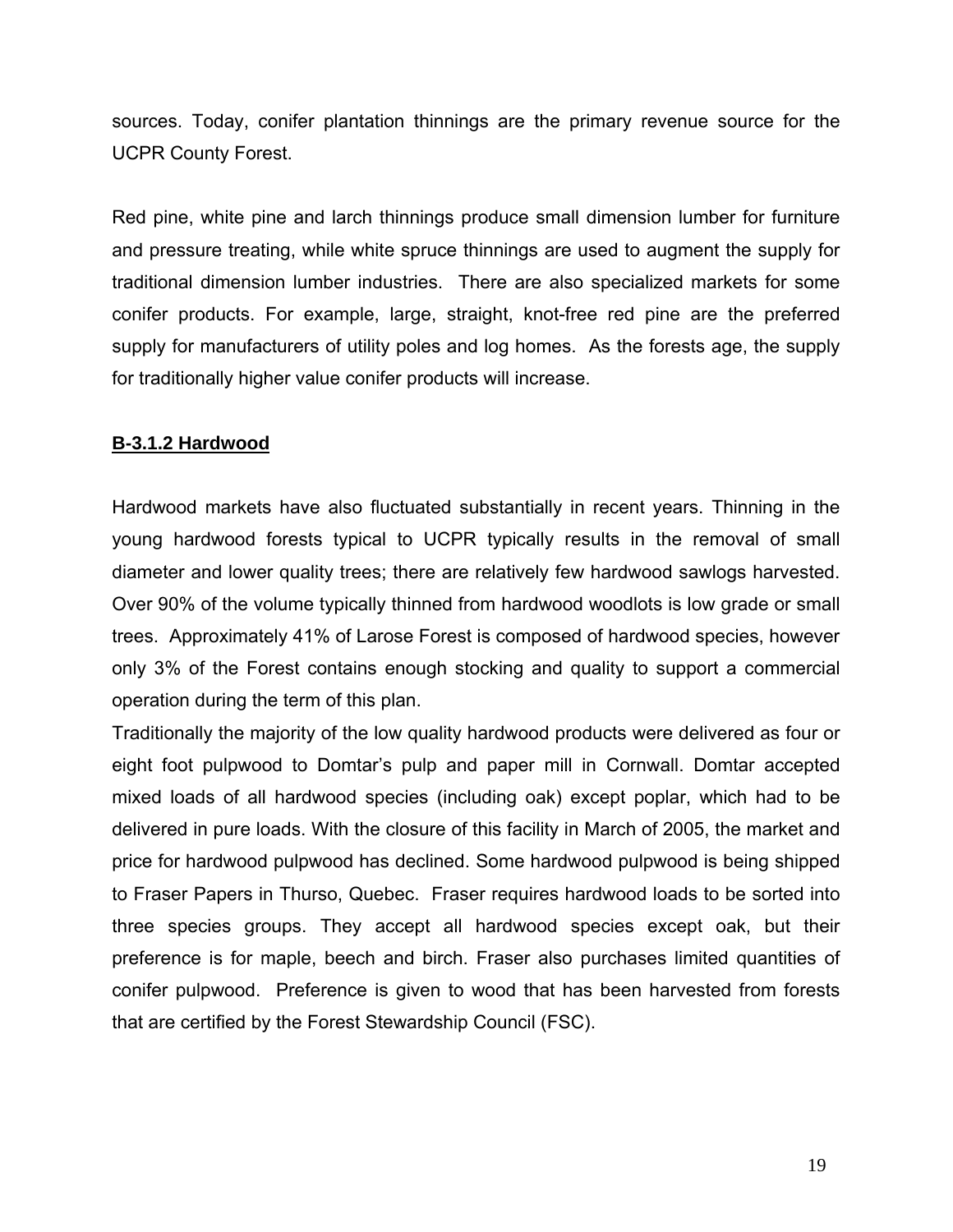sources. Today, conifer plantation thinnings are the primary revenue source for the UCPR County Forest.

Red pine, white pine and larch thinnings produce small dimension lumber for furniture and pressure treating, while white spruce thinnings are used to augment the supply for traditional dimension lumber industries. There are also specialized markets for some conifer products. For example, large, straight, knot-free red pine are the preferred supply for manufacturers of utility poles and log homes. As the forests age, the supply for traditionally higher value conifer products will increase.

# **B-3.1.2 Hardwood**

Hardwood markets have also fluctuated substantially in recent years. Thinning in the young hardwood forests typical to UCPR typically results in the removal of small diameter and lower quality trees; there are relatively few hardwood sawlogs harvested. Over 90% of the volume typically thinned from hardwood woodlots is low grade or small trees. Approximately 41% of Larose Forest is composed of hardwood species, however only 3% of the Forest contains enough stocking and quality to support a commercial operation during the term of this plan.

Traditionally the majority of the low quality hardwood products were delivered as four or eight foot pulpwood to Domtar's pulp and paper mill in Cornwall. Domtar accepted mixed loads of all hardwood species (including oak) except poplar, which had to be delivered in pure loads. With the closure of this facility in March of 2005, the market and price for hardwood pulpwood has declined. Some hardwood pulpwood is being shipped to Fraser Papers in Thurso, Quebec. Fraser requires hardwood loads to be sorted into three species groups. They accept all hardwood species except oak, but their preference is for maple, beech and birch. Fraser also purchases limited quantities of conifer pulpwood. Preference is given to wood that has been harvested from forests that are certified by the Forest Stewardship Council (FSC).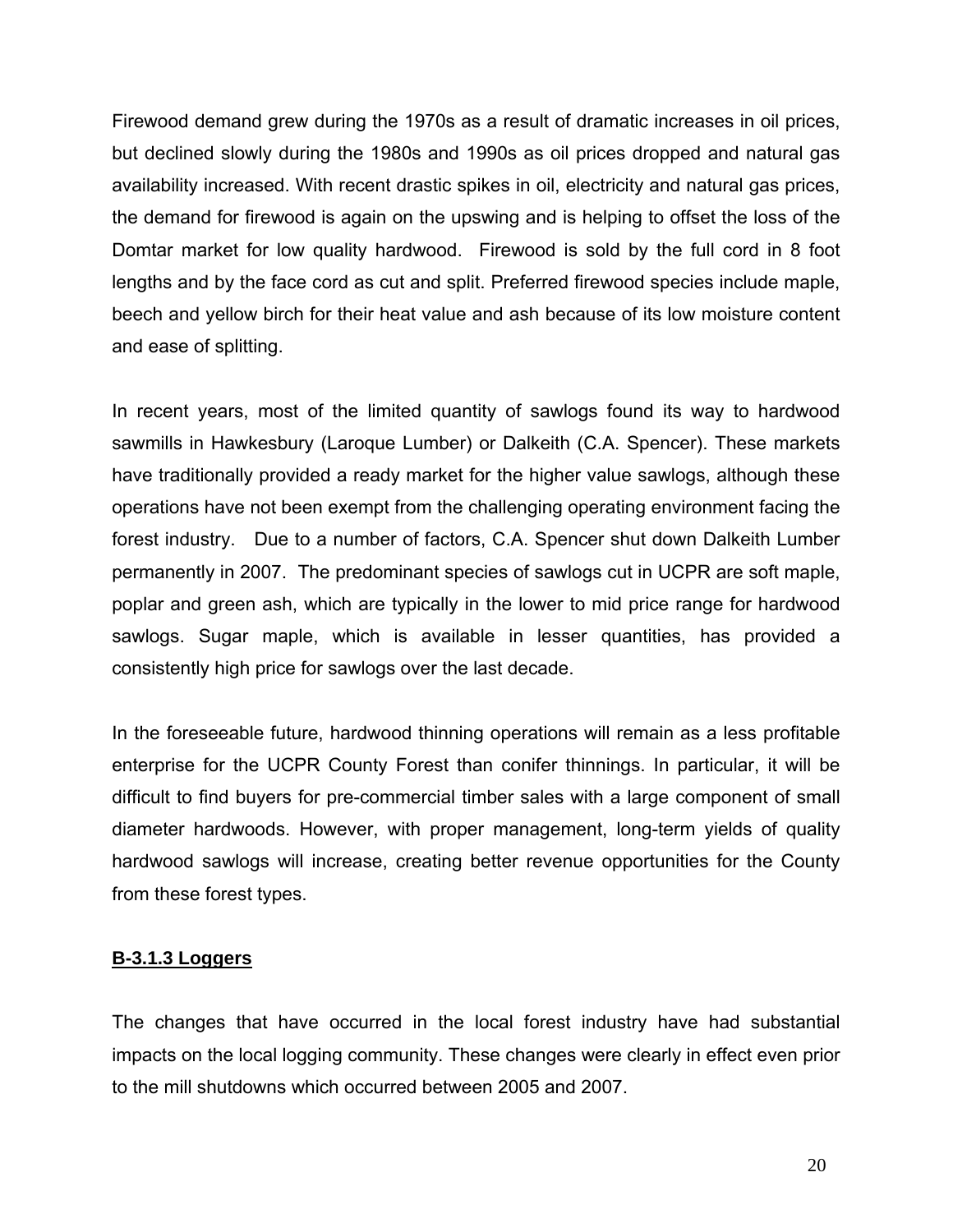Firewood demand grew during the 1970s as a result of dramatic increases in oil prices, but declined slowly during the 1980s and 1990s as oil prices dropped and natural gas availability increased. With recent drastic spikes in oil, electricity and natural gas prices, the demand for firewood is again on the upswing and is helping to offset the loss of the Domtar market for low quality hardwood. Firewood is sold by the full cord in 8 foot lengths and by the face cord as cut and split. Preferred firewood species include maple, beech and yellow birch for their heat value and ash because of its low moisture content and ease of splitting.

In recent years, most of the limited quantity of sawlogs found its way to hardwood sawmills in Hawkesbury (Laroque Lumber) or Dalkeith (C.A. Spencer). These markets have traditionally provided a ready market for the higher value sawlogs, although these operations have not been exempt from the challenging operating environment facing the forest industry. Due to a number of factors, C.A. Spencer shut down Dalkeith Lumber permanently in 2007. The predominant species of sawlogs cut in UCPR are soft maple, poplar and green ash, which are typically in the lower to mid price range for hardwood sawlogs. Sugar maple, which is available in lesser quantities, has provided a consistently high price for sawlogs over the last decade.

In the foreseeable future, hardwood thinning operations will remain as a less profitable enterprise for the UCPR County Forest than conifer thinnings. In particular, it will be difficult to find buyers for pre-commercial timber sales with a large component of small diameter hardwoods. However, with proper management, long-term yields of quality hardwood sawlogs will increase, creating better revenue opportunities for the County from these forest types.

### **B-3.1.3 Loggers**

The changes that have occurred in the local forest industry have had substantial impacts on the local logging community. These changes were clearly in effect even prior to the mill shutdowns which occurred between 2005 and 2007.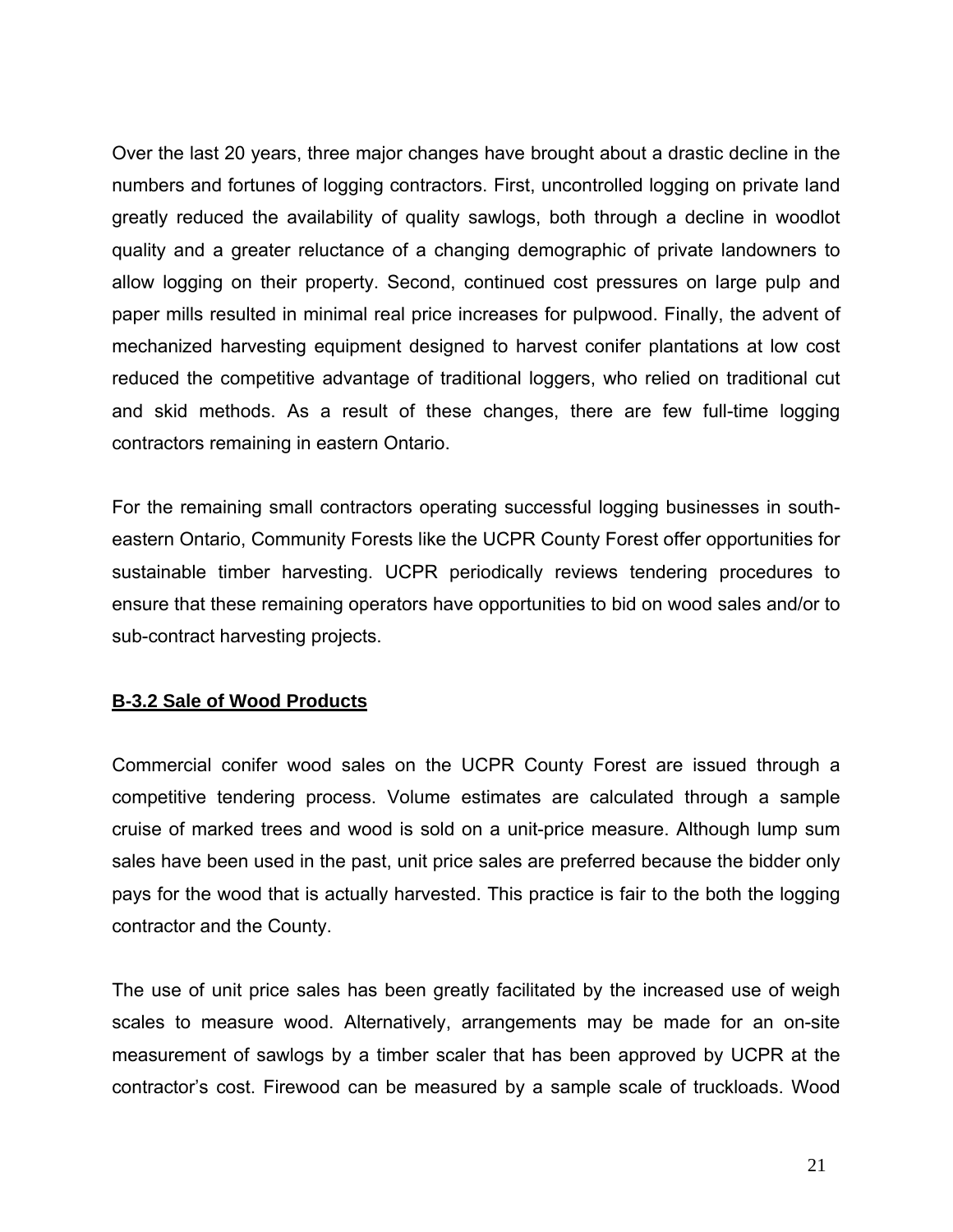Over the last 20 years, three major changes have brought about a drastic decline in the numbers and fortunes of logging contractors. First, uncontrolled logging on private land greatly reduced the availability of quality sawlogs, both through a decline in woodlot quality and a greater reluctance of a changing demographic of private landowners to allow logging on their property. Second, continued cost pressures on large pulp and paper mills resulted in minimal real price increases for pulpwood. Finally, the advent of mechanized harvesting equipment designed to harvest conifer plantations at low cost reduced the competitive advantage of traditional loggers, who relied on traditional cut and skid methods. As a result of these changes, there are few full-time logging contractors remaining in eastern Ontario.

For the remaining small contractors operating successful logging businesses in southeastern Ontario, Community Forests like the UCPR County Forest offer opportunities for sustainable timber harvesting. UCPR periodically reviews tendering procedures to ensure that these remaining operators have opportunities to bid on wood sales and/or to sub-contract harvesting projects.

# **B-3.2 Sale of Wood Products**

Commercial conifer wood sales on the UCPR County Forest are issued through a competitive tendering process. Volume estimates are calculated through a sample cruise of marked trees and wood is sold on a unit-price measure. Although lump sum sales have been used in the past, unit price sales are preferred because the bidder only pays for the wood that is actually harvested. This practice is fair to the both the logging contractor and the County.

The use of unit price sales has been greatly facilitated by the increased use of weigh scales to measure wood. Alternatively, arrangements may be made for an on-site measurement of sawlogs by a timber scaler that has been approved by UCPR at the contractor's cost. Firewood can be measured by a sample scale of truckloads. Wood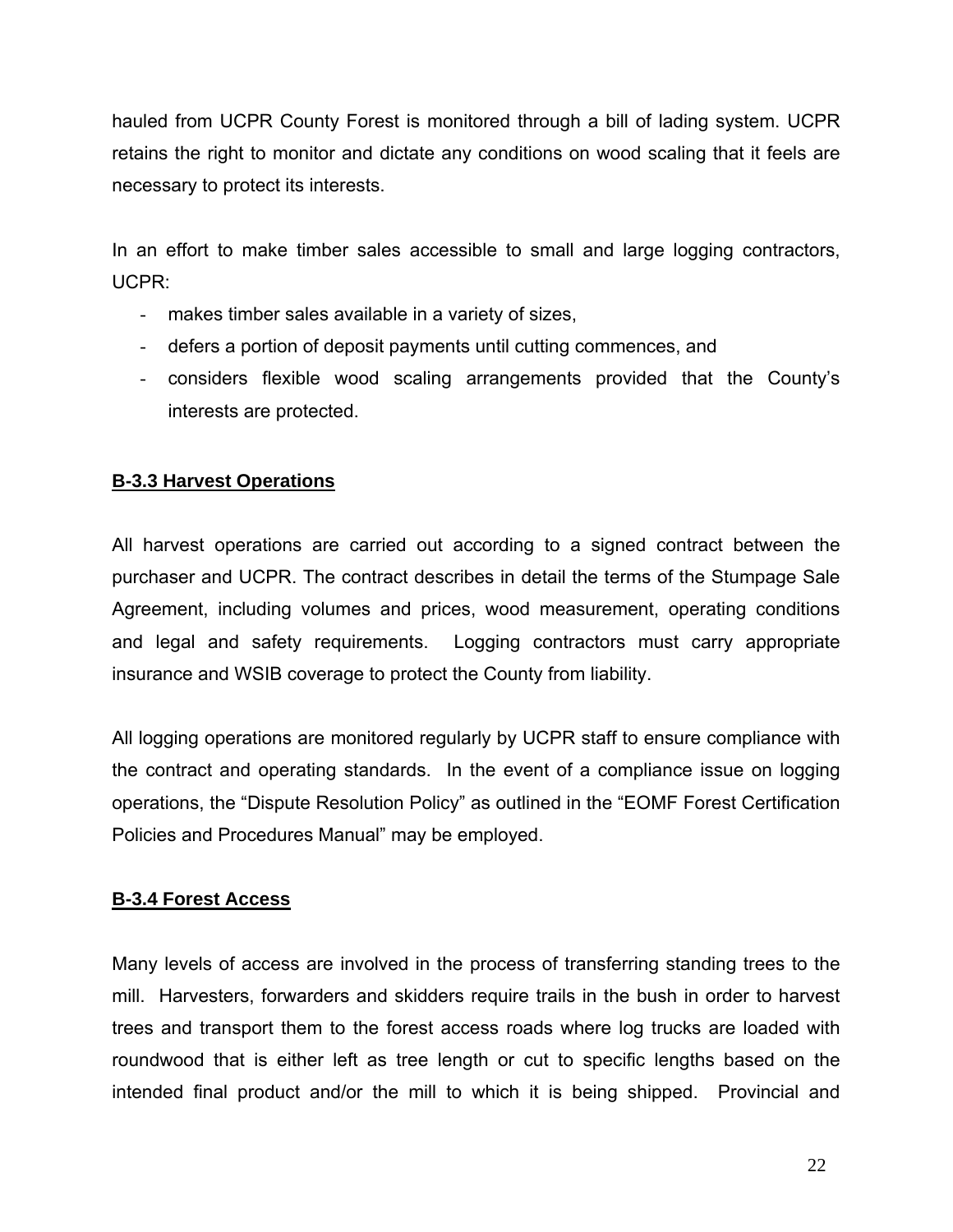hauled from UCPR County Forest is monitored through a bill of lading system. UCPR retains the right to monitor and dictate any conditions on wood scaling that it feels are necessary to protect its interests.

In an effort to make timber sales accessible to small and large logging contractors, UCPR:

- makes timber sales available in a variety of sizes,
- defers a portion of deposit payments until cutting commences, and
- considers flexible wood scaling arrangements provided that the County's interests are protected.

# **B-3.3 Harvest Operations**

All harvest operations are carried out according to a signed contract between the purchaser and UCPR. The contract describes in detail the terms of the Stumpage Sale Agreement, including volumes and prices, wood measurement, operating conditions and legal and safety requirements. Logging contractors must carry appropriate insurance and WSIB coverage to protect the County from liability.

All logging operations are monitored regularly by UCPR staff to ensure compliance with the contract and operating standards. In the event of a compliance issue on logging operations, the "Dispute Resolution Policy" as outlined in the "EOMF Forest Certification Policies and Procedures Manual" may be employed.

### **B-3.4 Forest Access**

Many levels of access are involved in the process of transferring standing trees to the mill. Harvesters, forwarders and skidders require trails in the bush in order to harvest trees and transport them to the forest access roads where log trucks are loaded with roundwood that is either left as tree length or cut to specific lengths based on the intended final product and/or the mill to which it is being shipped. Provincial and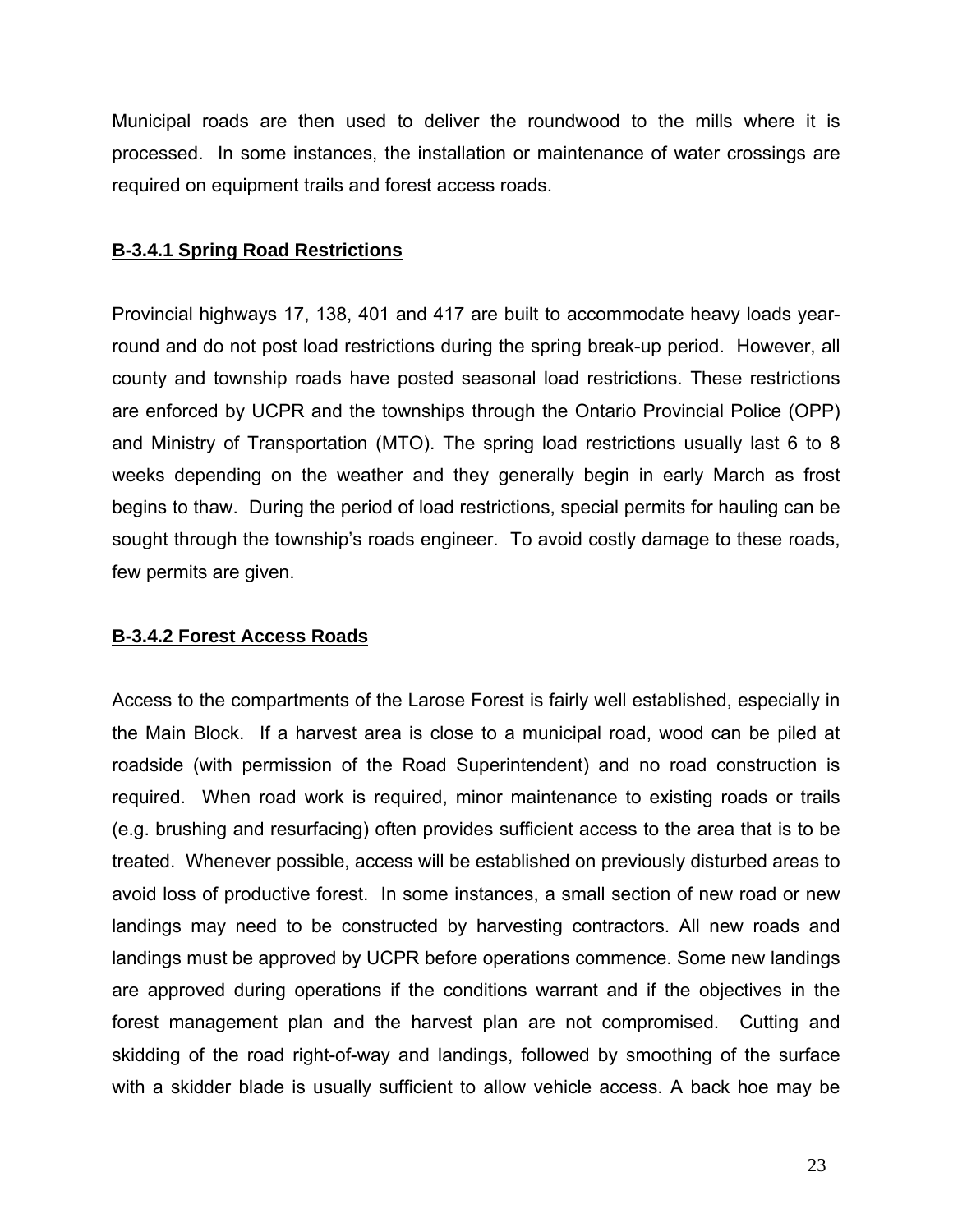Municipal roads are then used to deliver the roundwood to the mills where it is processed. In some instances, the installation or maintenance of water crossings are required on equipment trails and forest access roads.

# **B-3.4.1 Spring Road Restrictions**

Provincial highways 17, 138, 401 and 417 are built to accommodate heavy loads yearround and do not post load restrictions during the spring break-up period. However, all county and township roads have posted seasonal load restrictions. These restrictions are enforced by UCPR and the townships through the Ontario Provincial Police (OPP) and Ministry of Transportation (MTO). The spring load restrictions usually last 6 to 8 weeks depending on the weather and they generally begin in early March as frost begins to thaw. During the period of load restrictions, special permits for hauling can be sought through the township's roads engineer. To avoid costly damage to these roads, few permits are given.

# **B-3.4.2 Forest Access Roads**

Access to the compartments of the Larose Forest is fairly well established, especially in the Main Block. If a harvest area is close to a municipal road, wood can be piled at roadside (with permission of the Road Superintendent) and no road construction is required. When road work is required, minor maintenance to existing roads or trails (e.g. brushing and resurfacing) often provides sufficient access to the area that is to be treated. Whenever possible, access will be established on previously disturbed areas to avoid loss of productive forest. In some instances, a small section of new road or new landings may need to be constructed by harvesting contractors. All new roads and landings must be approved by UCPR before operations commence. Some new landings are approved during operations if the conditions warrant and if the objectives in the forest management plan and the harvest plan are not compromised. Cutting and skidding of the road right-of-way and landings, followed by smoothing of the surface with a skidder blade is usually sufficient to allow vehicle access. A back hoe may be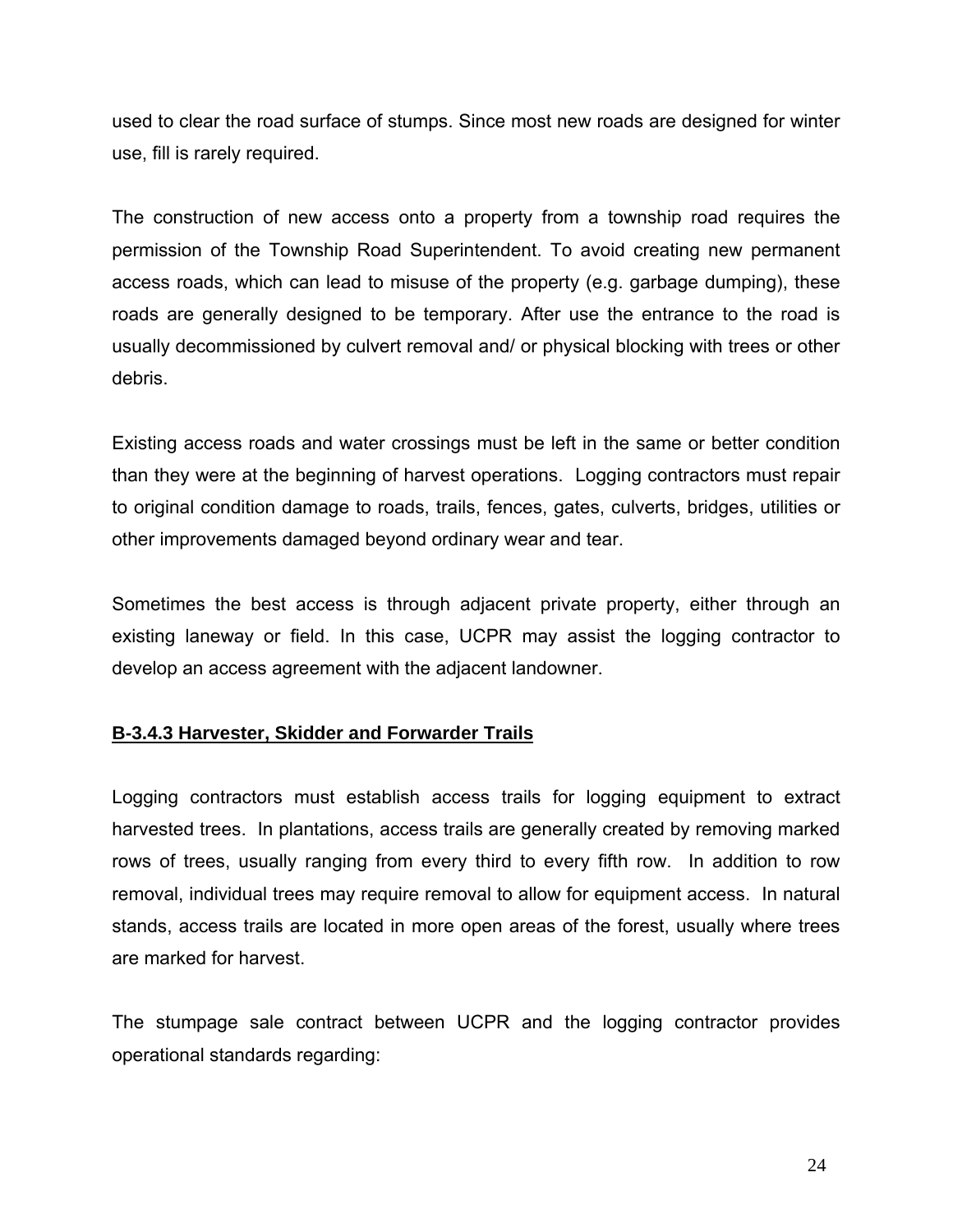used to clear the road surface of stumps. Since most new roads are designed for winter use, fill is rarely required.

The construction of new access onto a property from a township road requires the permission of the Township Road Superintendent. To avoid creating new permanent access roads, which can lead to misuse of the property (e.g. garbage dumping), these roads are generally designed to be temporary. After use the entrance to the road is usually decommissioned by culvert removal and/ or physical blocking with trees or other debris.

Existing access roads and water crossings must be left in the same or better condition than they were at the beginning of harvest operations. Logging contractors must repair to original condition damage to roads, trails, fences, gates, culverts, bridges, utilities or other improvements damaged beyond ordinary wear and tear.

Sometimes the best access is through adjacent private property, either through an existing laneway or field. In this case, UCPR may assist the logging contractor to develop an access agreement with the adjacent landowner.

### **B-3.4.3 Harvester, Skidder and Forwarder Trails**

Logging contractors must establish access trails for logging equipment to extract harvested trees. In plantations, access trails are generally created by removing marked rows of trees, usually ranging from every third to every fifth row. In addition to row removal, individual trees may require removal to allow for equipment access. In natural stands, access trails are located in more open areas of the forest, usually where trees are marked for harvest.

The stumpage sale contract between UCPR and the logging contractor provides operational standards regarding: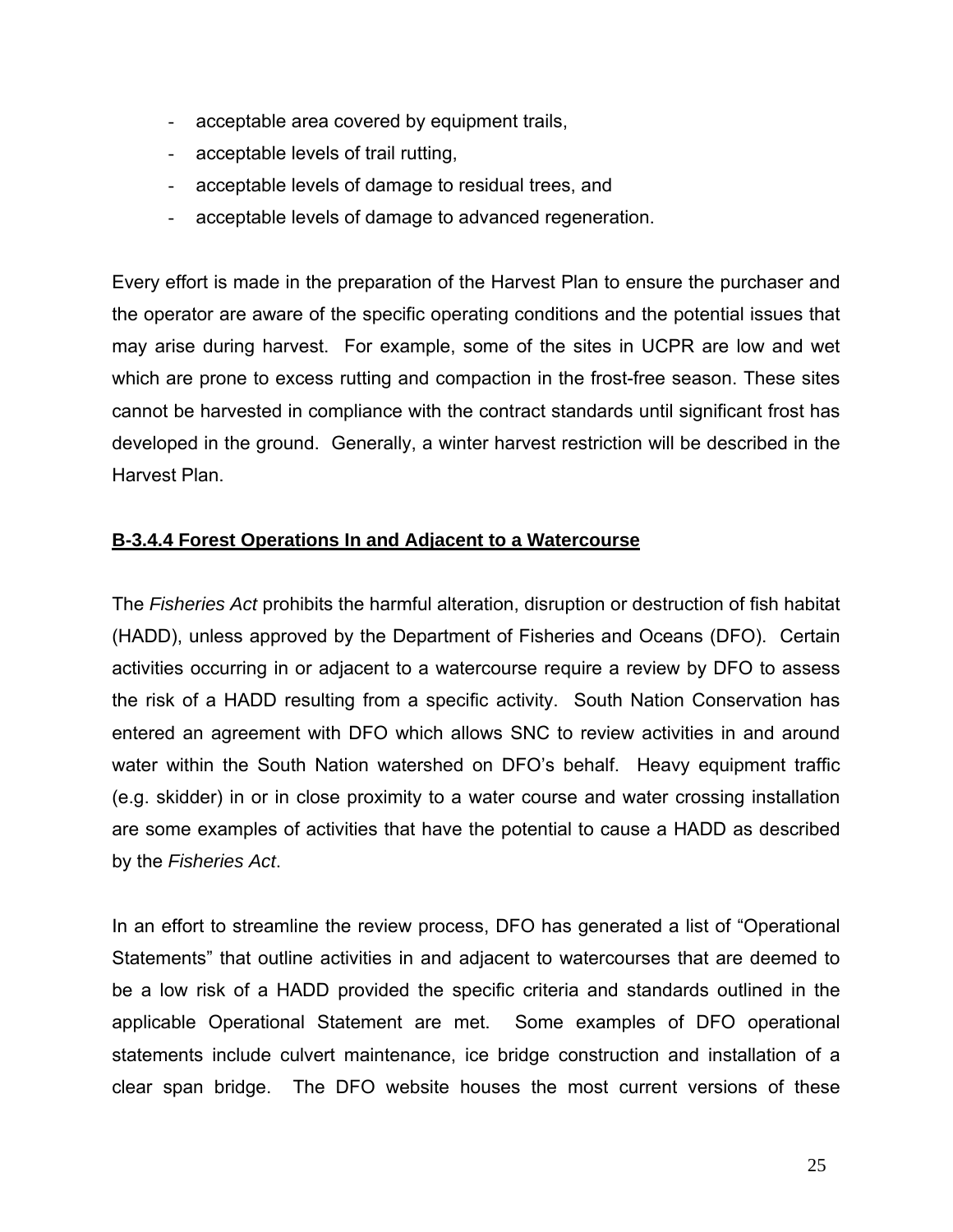- acceptable area covered by equipment trails,
- acceptable levels of trail rutting,
- acceptable levels of damage to residual trees, and
- acceptable levels of damage to advanced regeneration.

Every effort is made in the preparation of the Harvest Plan to ensure the purchaser and the operator are aware of the specific operating conditions and the potential issues that may arise during harvest. For example, some of the sites in UCPR are low and wet which are prone to excess rutting and compaction in the frost-free season. These sites cannot be harvested in compliance with the contract standards until significant frost has developed in the ground. Generally, a winter harvest restriction will be described in the Harvest Plan.

## **B-3.4.4 Forest Operations In and Adjacent to a Watercourse**

The *Fisheries Act* prohibits the harmful alteration, disruption or destruction of fish habitat (HADD), unless approved by the Department of Fisheries and Oceans (DFO). Certain activities occurring in or adjacent to a watercourse require a review by DFO to assess the risk of a HADD resulting from a specific activity. South Nation Conservation has entered an agreement with DFO which allows SNC to review activities in and around water within the South Nation watershed on DFO's behalf. Heavy equipment traffic (e.g. skidder) in or in close proximity to a water course and water crossing installation are some examples of activities that have the potential to cause a HADD as described by the *Fisheries Act*.

In an effort to streamline the review process, DFO has generated a list of "Operational Statements" that outline activities in and adjacent to watercourses that are deemed to be a low risk of a HADD provided the specific criteria and standards outlined in the applicable Operational Statement are met. Some examples of DFO operational statements include culvert maintenance, ice bridge construction and installation of a clear span bridge. The DFO website houses the most current versions of these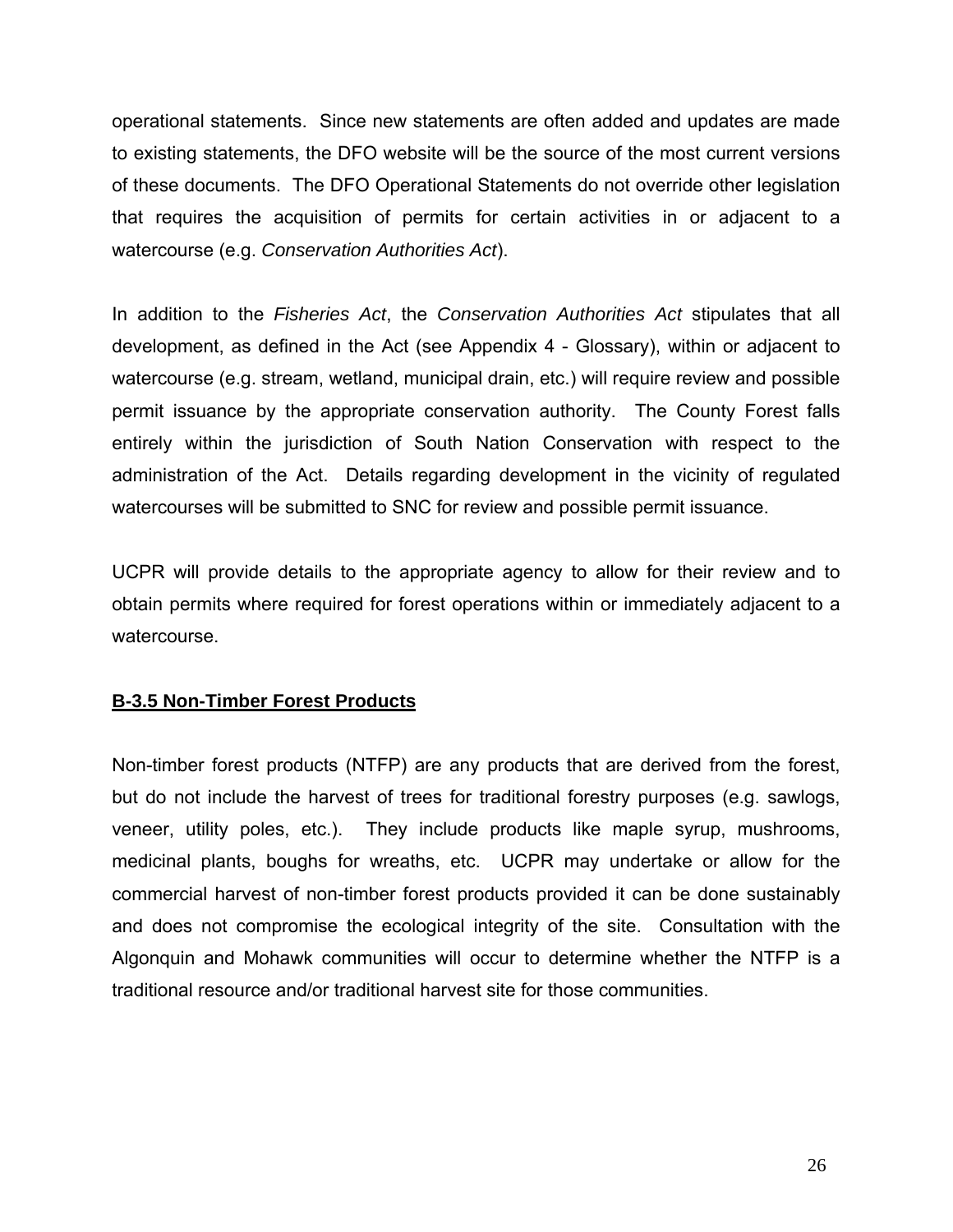operational statements. Since new statements are often added and updates are made to existing statements, the DFO website will be the source of the most current versions of these documents. The DFO Operational Statements do not override other legislation that requires the acquisition of permits for certain activities in or adjacent to a watercourse (e.g. *Conservation Authorities Act*).

In addition to the *Fisheries Act*, the *Conservation Authorities Act* stipulates that all development, as defined in the Act (see Appendix 4 - Glossary), within or adjacent to watercourse (e.g. stream, wetland, municipal drain, etc.) will require review and possible permit issuance by the appropriate conservation authority. The County Forest falls entirely within the jurisdiction of South Nation Conservation with respect to the administration of the Act. Details regarding development in the vicinity of regulated watercourses will be submitted to SNC for review and possible permit issuance.

UCPR will provide details to the appropriate agency to allow for their review and to obtain permits where required for forest operations within or immediately adjacent to a watercourse.

# **B-3.5 Non-Timber Forest Products**

Non-timber forest products (NTFP) are any products that are derived from the forest, but do not include the harvest of trees for traditional forestry purposes (e.g. sawlogs, veneer, utility poles, etc.). They include products like maple syrup, mushrooms, medicinal plants, boughs for wreaths, etc. UCPR may undertake or allow for the commercial harvest of non-timber forest products provided it can be done sustainably and does not compromise the ecological integrity of the site. Consultation with the Algonquin and Mohawk communities will occur to determine whether the NTFP is a traditional resource and/or traditional harvest site for those communities.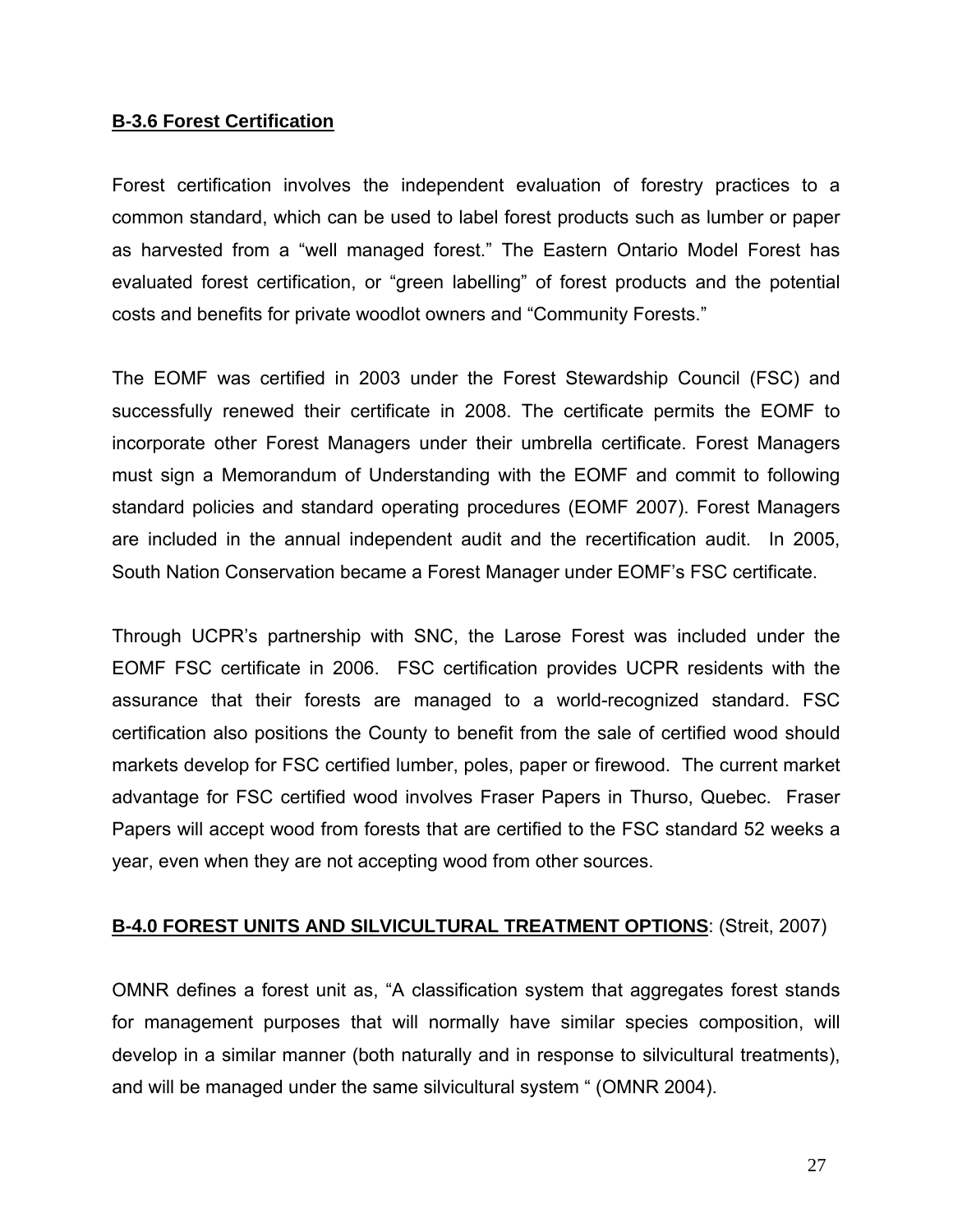#### **B-3.6 Forest Certification**

Forest certification involves the independent evaluation of forestry practices to a common standard, which can be used to label forest products such as lumber or paper as harvested from a "well managed forest." The Eastern Ontario Model Forest has evaluated forest certification, or "green labelling" of forest products and the potential costs and benefits for private woodlot owners and "Community Forests."

The EOMF was certified in 2003 under the Forest Stewardship Council (FSC) and successfully renewed their certificate in 2008. The certificate permits the EOMF to incorporate other Forest Managers under their umbrella certificate. Forest Managers must sign a Memorandum of Understanding with the EOMF and commit to following standard policies and standard operating procedures (EOMF 2007). Forest Managers are included in the annual independent audit and the recertification audit. In 2005, South Nation Conservation became a Forest Manager under EOMF's FSC certificate.

Through UCPR's partnership with SNC, the Larose Forest was included under the EOMF FSC certificate in 2006. FSC certification provides UCPR residents with the assurance that their forests are managed to a world-recognized standard. FSC certification also positions the County to benefit from the sale of certified wood should markets develop for FSC certified lumber, poles, paper or firewood. The current market advantage for FSC certified wood involves Fraser Papers in Thurso, Quebec. Fraser Papers will accept wood from forests that are certified to the FSC standard 52 weeks a year, even when they are not accepting wood from other sources.

### **B-4.0 FOREST UNITS AND SILVICULTURAL TREATMENT OPTIONS**: (Streit, 2007)

OMNR defines a forest unit as, "A classification system that aggregates forest stands for management purposes that will normally have similar species composition, will develop in a similar manner (both naturally and in response to silvicultural treatments), and will be managed under the same silvicultural system " (OMNR 2004).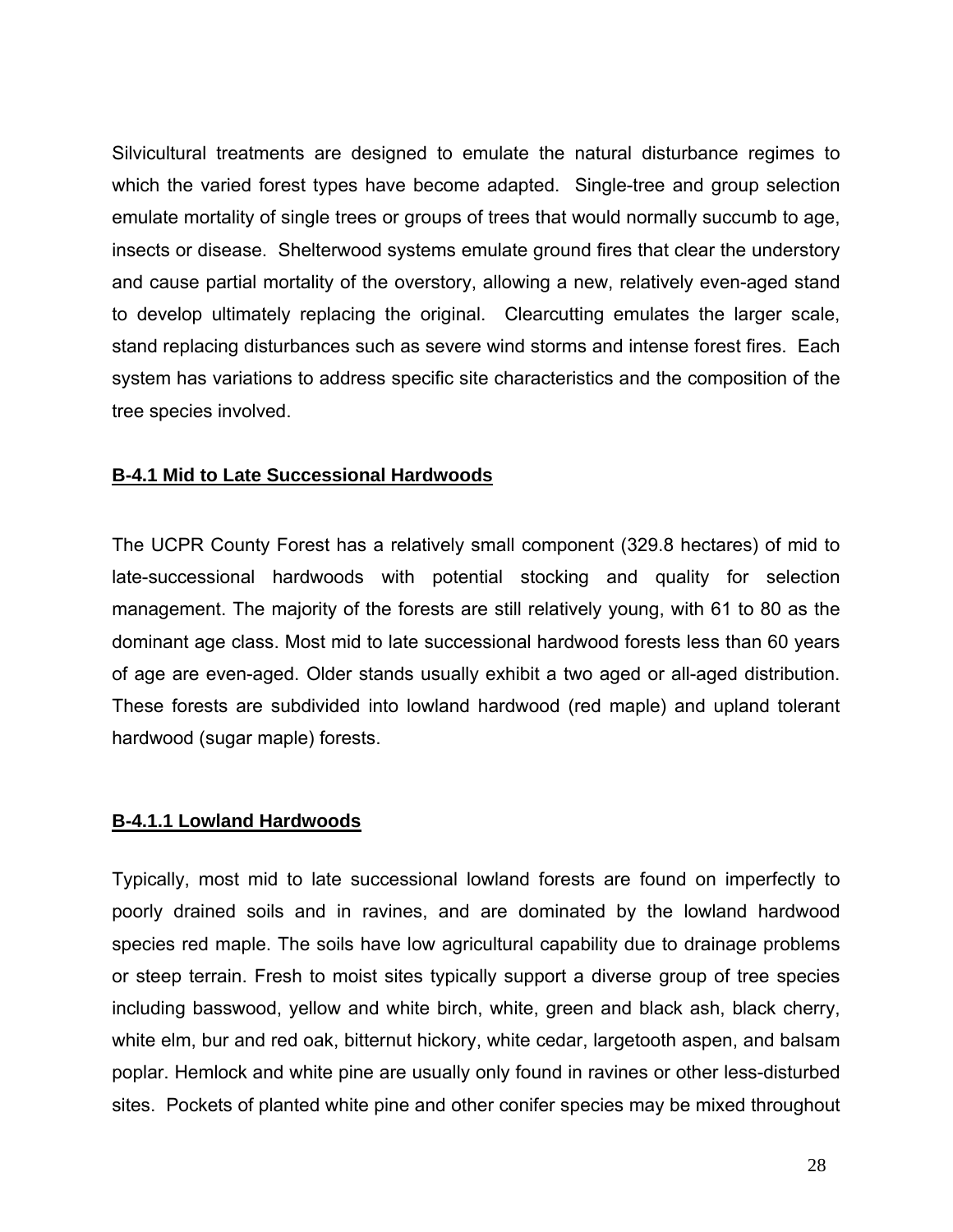Silvicultural treatments are designed to emulate the natural disturbance regimes to which the varied forest types have become adapted. Single-tree and group selection emulate mortality of single trees or groups of trees that would normally succumb to age, insects or disease. Shelterwood systems emulate ground fires that clear the understory and cause partial mortality of the overstory, allowing a new, relatively even-aged stand to develop ultimately replacing the original. Clearcutting emulates the larger scale, stand replacing disturbances such as severe wind storms and intense forest fires. Each system has variations to address specific site characteristics and the composition of the tree species involved.

### **B-4.1 Mid to Late Successional Hardwoods**

The UCPR County Forest has a relatively small component (329.8 hectares) of mid to late-successional hardwoods with potential stocking and quality for selection management. The majority of the forests are still relatively young, with 61 to 80 as the dominant age class. Most mid to late successional hardwood forests less than 60 years of age are even-aged. Older stands usually exhibit a two aged or all-aged distribution. These forests are subdivided into lowland hardwood (red maple) and upland tolerant hardwood (sugar maple) forests.

### **B-4.1.1 Lowland Hardwoods**

Typically, most mid to late successional lowland forests are found on imperfectly to poorly drained soils and in ravines, and are dominated by the lowland hardwood species red maple. The soils have low agricultural capability due to drainage problems or steep terrain. Fresh to moist sites typically support a diverse group of tree species including basswood, yellow and white birch, white, green and black ash, black cherry, white elm, bur and red oak, bitternut hickory, white cedar, largetooth aspen, and balsam poplar. Hemlock and white pine are usually only found in ravines or other less-disturbed sites. Pockets of planted white pine and other conifer species may be mixed throughout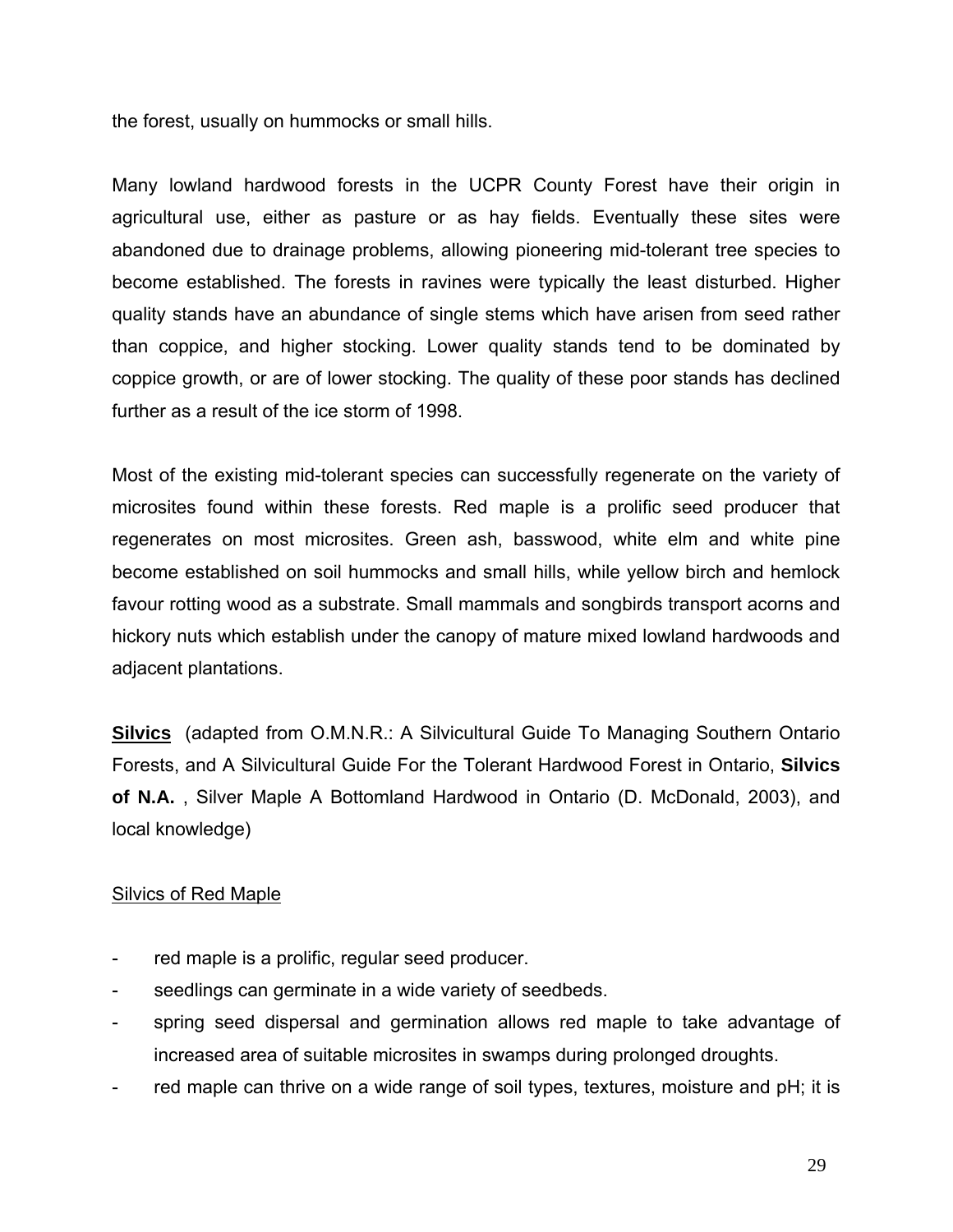the forest, usually on hummocks or small hills.

Many lowland hardwood forests in the UCPR County Forest have their origin in agricultural use, either as pasture or as hay fields. Eventually these sites were abandoned due to drainage problems, allowing pioneering mid-tolerant tree species to become established. The forests in ravines were typically the least disturbed. Higher quality stands have an abundance of single stems which have arisen from seed rather than coppice, and higher stocking. Lower quality stands tend to be dominated by coppice growth, or are of lower stocking. The quality of these poor stands has declined further as a result of the ice storm of 1998.

Most of the existing mid-tolerant species can successfully regenerate on the variety of microsites found within these forests. Red maple is a prolific seed producer that regenerates on most microsites. Green ash, basswood, white elm and white pine become established on soil hummocks and small hills, while yellow birch and hemlock favour rotting wood as a substrate. Small mammals and songbirds transport acorns and hickory nuts which establish under the canopy of mature mixed lowland hardwoods and adjacent plantations.

**Silvics** (adapted from O.M.N.R.: A Silvicultural Guide To Managing Southern Ontario Forests, and A Silvicultural Guide For the Tolerant Hardwood Forest in Ontario, **Silvics of N.A.** , Silver Maple A Bottomland Hardwood in Ontario (D. McDonald, 2003), and local knowledge)

### Silvics of Red Maple

- red maple is a prolific, regular seed producer.
- seedlings can germinate in a wide variety of seedbeds.
- spring seed dispersal and germination allows red maple to take advantage of increased area of suitable microsites in swamps during prolonged droughts.
- red maple can thrive on a wide range of soil types, textures, moisture and pH; it is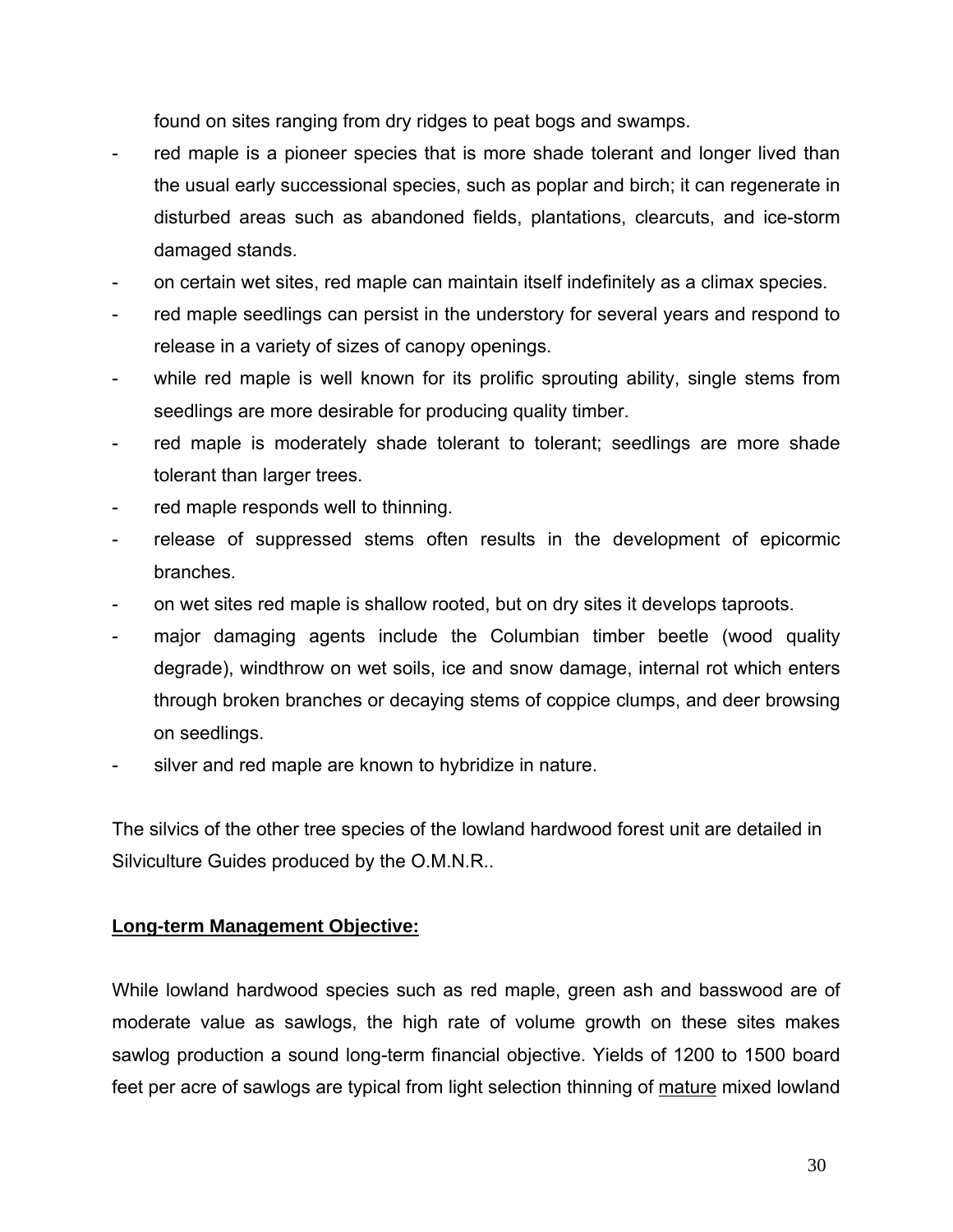found on sites ranging from dry ridges to peat bogs and swamps.

- red maple is a pioneer species that is more shade tolerant and longer lived than the usual early successional species, such as poplar and birch; it can regenerate in disturbed areas such as abandoned fields, plantations, clearcuts, and ice-storm damaged stands.
- on certain wet sites, red maple can maintain itself indefinitely as a climax species.
- red maple seedlings can persist in the understory for several years and respond to release in a variety of sizes of canopy openings.
- while red maple is well known for its prolific sprouting ability, single stems from seedlings are more desirable for producing quality timber.
- red maple is moderately shade tolerant to tolerant; seedlings are more shade tolerant than larger trees.
- red maple responds well to thinning.
- release of suppressed stems often results in the development of epicormic branches.
- on wet sites red maple is shallow rooted, but on dry sites it develops taproots.
- major damaging agents include the Columbian timber beetle (wood quality degrade), windthrow on wet soils, ice and snow damage, internal rot which enters through broken branches or decaying stems of coppice clumps, and deer browsing on seedlings.
- silver and red maple are known to hybridize in nature.

The silvics of the other tree species of the lowland hardwood forest unit are detailed in Silviculture Guides produced by the O.M.N.R..

### **Long-term Management Objective:**

While lowland hardwood species such as red maple, green ash and basswood are of moderate value as sawlogs, the high rate of volume growth on these sites makes sawlog production a sound long-term financial objective. Yields of 1200 to 1500 board feet per acre of sawlogs are typical from light selection thinning of mature mixed lowland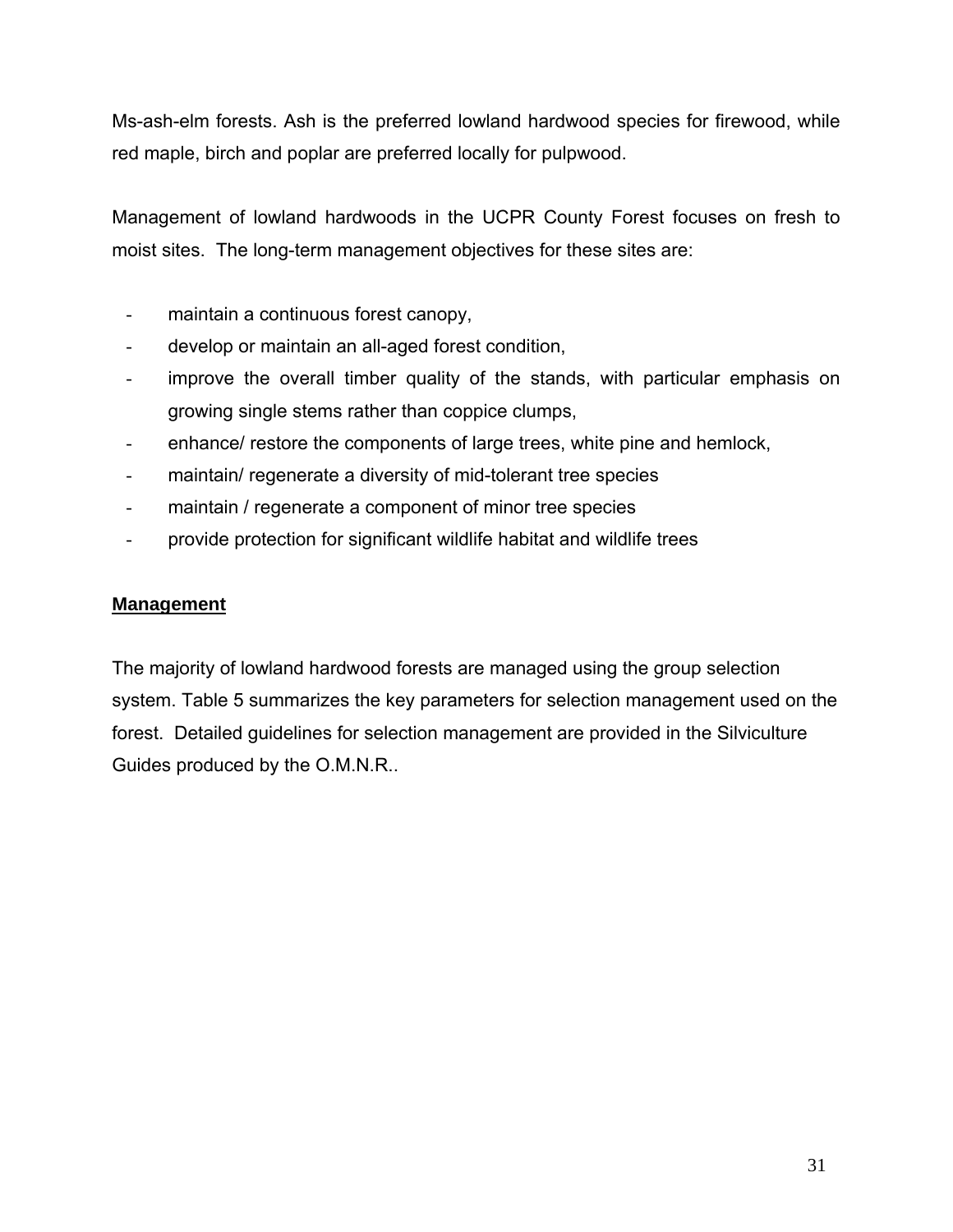Ms-ash-elm forests. Ash is the preferred lowland hardwood species for firewood, while red maple, birch and poplar are preferred locally for pulpwood.

Management of lowland hardwoods in the UCPR County Forest focuses on fresh to moist sites. The long-term management objectives for these sites are:

- maintain a continuous forest canopy,
- develop or maintain an all-aged forest condition,
- improve the overall timber quality of the stands, with particular emphasis on growing single stems rather than coppice clumps,
- enhance/ restore the components of large trees, white pine and hemlock,
- maintain/ regenerate a diversity of mid-tolerant tree species
- maintain / regenerate a component of minor tree species
- provide protection for significant wildlife habitat and wildlife trees

## **Management**

The majority of lowland hardwood forests are managed using the group selection system. Table 5 summarizes the key parameters for selection management used on the forest. Detailed guidelines for selection management are provided in the Silviculture Guides produced by the O.M.N.R..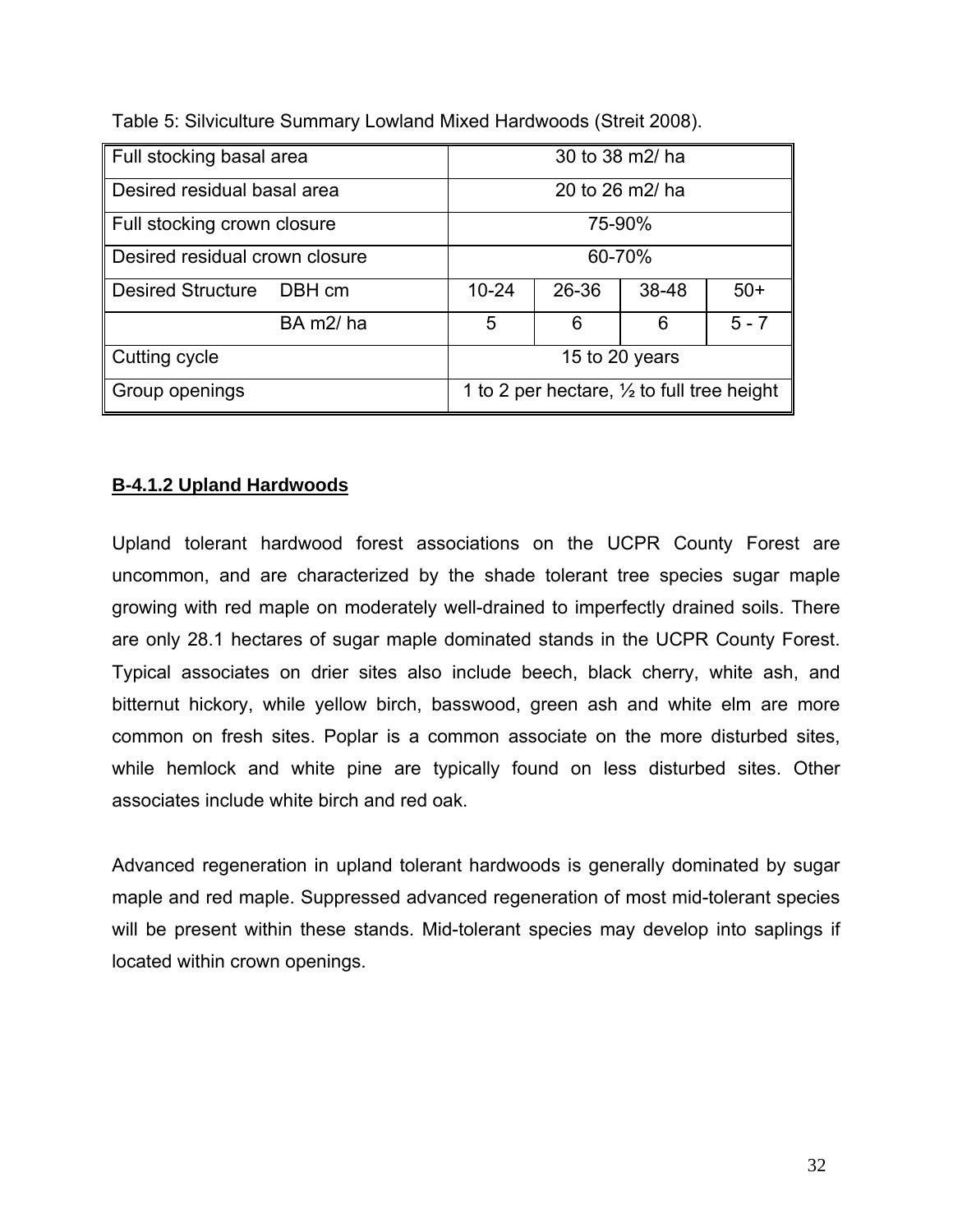| Full stocking basal area           | 30 to 38 m2/ ha                                       |       |       |         |  |  |
|------------------------------------|-------------------------------------------------------|-------|-------|---------|--|--|
| Desired residual basal area        | 20 to 26 m2/ ha                                       |       |       |         |  |  |
| Full stocking crown closure        | 75-90%                                                |       |       |         |  |  |
| Desired residual crown closure     | 60-70%                                                |       |       |         |  |  |
| <b>Desired Structure</b><br>DBH cm | $10 - 24$                                             | 26-36 | 38-48 | $50+$   |  |  |
| BA m2/ha                           | 5                                                     | 6     | 6     | $5 - 7$ |  |  |
| Cutting cycle                      | 15 to 20 years                                        |       |       |         |  |  |
| Group openings                     | 1 to 2 per hectare, $\frac{1}{2}$ to full tree height |       |       |         |  |  |

Table 5: Silviculture Summary Lowland Mixed Hardwoods (Streit 2008).

# **B-4.1.2 Upland Hardwoods**

Upland tolerant hardwood forest associations on the UCPR County Forest are uncommon, and are characterized by the shade tolerant tree species sugar maple growing with red maple on moderately well-drained to imperfectly drained soils. There are only 28.1 hectares of sugar maple dominated stands in the UCPR County Forest. Typical associates on drier sites also include beech, black cherry, white ash, and bitternut hickory, while yellow birch, basswood, green ash and white elm are more common on fresh sites. Poplar is a common associate on the more disturbed sites, while hemlock and white pine are typically found on less disturbed sites. Other associates include white birch and red oak.

Advanced regeneration in upland tolerant hardwoods is generally dominated by sugar maple and red maple. Suppressed advanced regeneration of most mid-tolerant species will be present within these stands. Mid-tolerant species may develop into saplings if located within crown openings.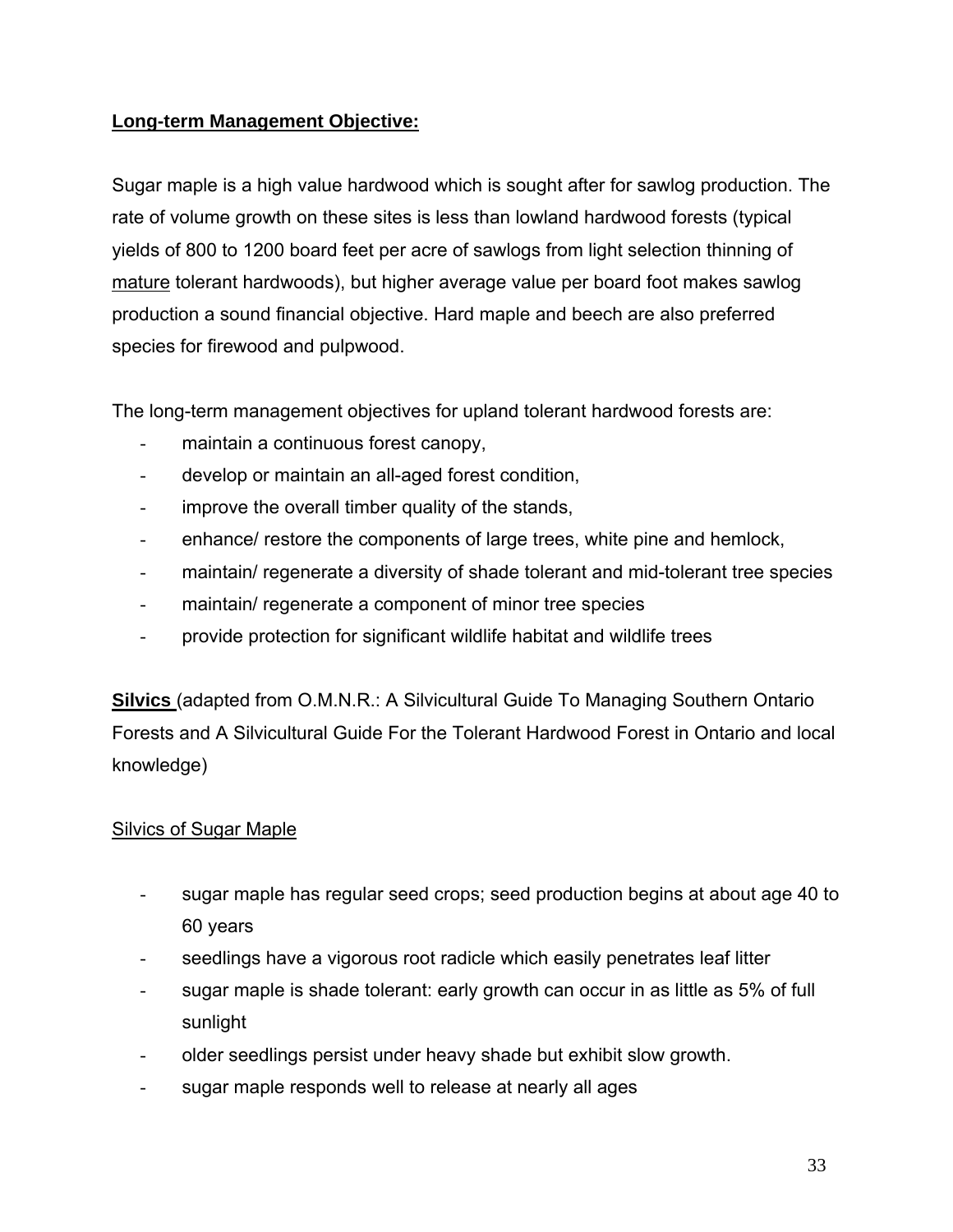# **Long-term Management Objective:**

Sugar maple is a high value hardwood which is sought after for sawlog production. The rate of volume growth on these sites is less than lowland hardwood forests (typical yields of 800 to 1200 board feet per acre of sawlogs from light selection thinning of mature tolerant hardwoods), but higher average value per board foot makes sawlog production a sound financial objective. Hard maple and beech are also preferred species for firewood and pulpwood.

The long-term management objectives for upland tolerant hardwood forests are:

- maintain a continuous forest canopy,
- develop or maintain an all-aged forest condition,
- improve the overall timber quality of the stands,
- enhance/ restore the components of large trees, white pine and hemlock,
- maintain/ regenerate a diversity of shade tolerant and mid-tolerant tree species
- maintain/ regenerate a component of minor tree species
- provide protection for significant wildlife habitat and wildlife trees

**Silvics** (adapted from O.M.N.R.: A Silvicultural Guide To Managing Southern Ontario Forests and A Silvicultural Guide For the Tolerant Hardwood Forest in Ontario and local knowledge)

# Silvics of Sugar Maple

- sugar maple has regular seed crops; seed production begins at about age 40 to 60 years
- seedlings have a vigorous root radicle which easily penetrates leaf litter
- sugar maple is shade tolerant: early growth can occur in as little as 5% of full sunlight
- older seedlings persist under heavy shade but exhibit slow growth.
- sugar maple responds well to release at nearly all ages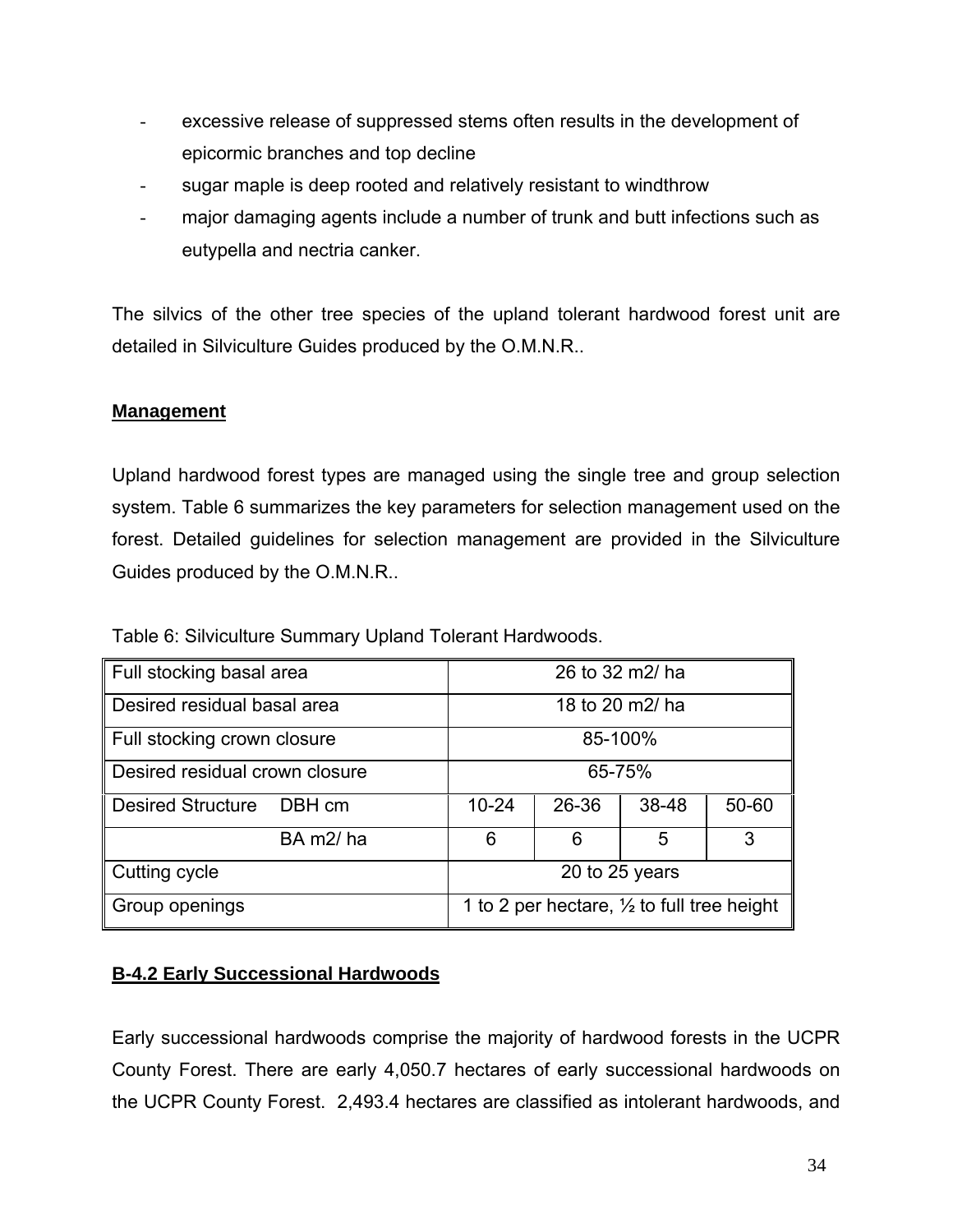- excessive release of suppressed stems often results in the development of epicormic branches and top decline
- sugar maple is deep rooted and relatively resistant to windthrow
- major damaging agents include a number of trunk and butt infections such as eutypella and nectria canker.

The silvics of the other tree species of the upland tolerant hardwood forest unit are detailed in Silviculture Guides produced by the O.M.N.R..

## **Management**

Upland hardwood forest types are managed using the single tree and group selection system. Table 6 summarizes the key parameters for selection management used on the forest. Detailed guidelines for selection management are provided in the Silviculture Guides produced by the O.M.N.R..

| Full stocking basal area           | 26 to 32 m2/ ha                                       |       |       |       |  |  |
|------------------------------------|-------------------------------------------------------|-------|-------|-------|--|--|
| Desired residual basal area        | 18 to 20 m2/ ha                                       |       |       |       |  |  |
| Full stocking crown closure        | 85-100%                                               |       |       |       |  |  |
| Desired residual crown closure     | 65-75%                                                |       |       |       |  |  |
| <b>Desired Structure</b><br>DBH cm | $10 - 24$                                             | 26-36 | 38-48 | 50-60 |  |  |
| BA m2/ha                           | 6                                                     | 6     | 5     | 3     |  |  |
| Cutting cycle                      | 20 to 25 years                                        |       |       |       |  |  |
| Group openings                     | 1 to 2 per hectare, $\frac{1}{2}$ to full tree height |       |       |       |  |  |

Table 6: Silviculture Summary Upland Tolerant Hardwoods.

# **B-4.2 Early Successional Hardwoods**

Early successional hardwoods comprise the majority of hardwood forests in the UCPR County Forest. There are early 4,050.7 hectares of early successional hardwoods on the UCPR County Forest. 2,493.4 hectares are classified as intolerant hardwoods, and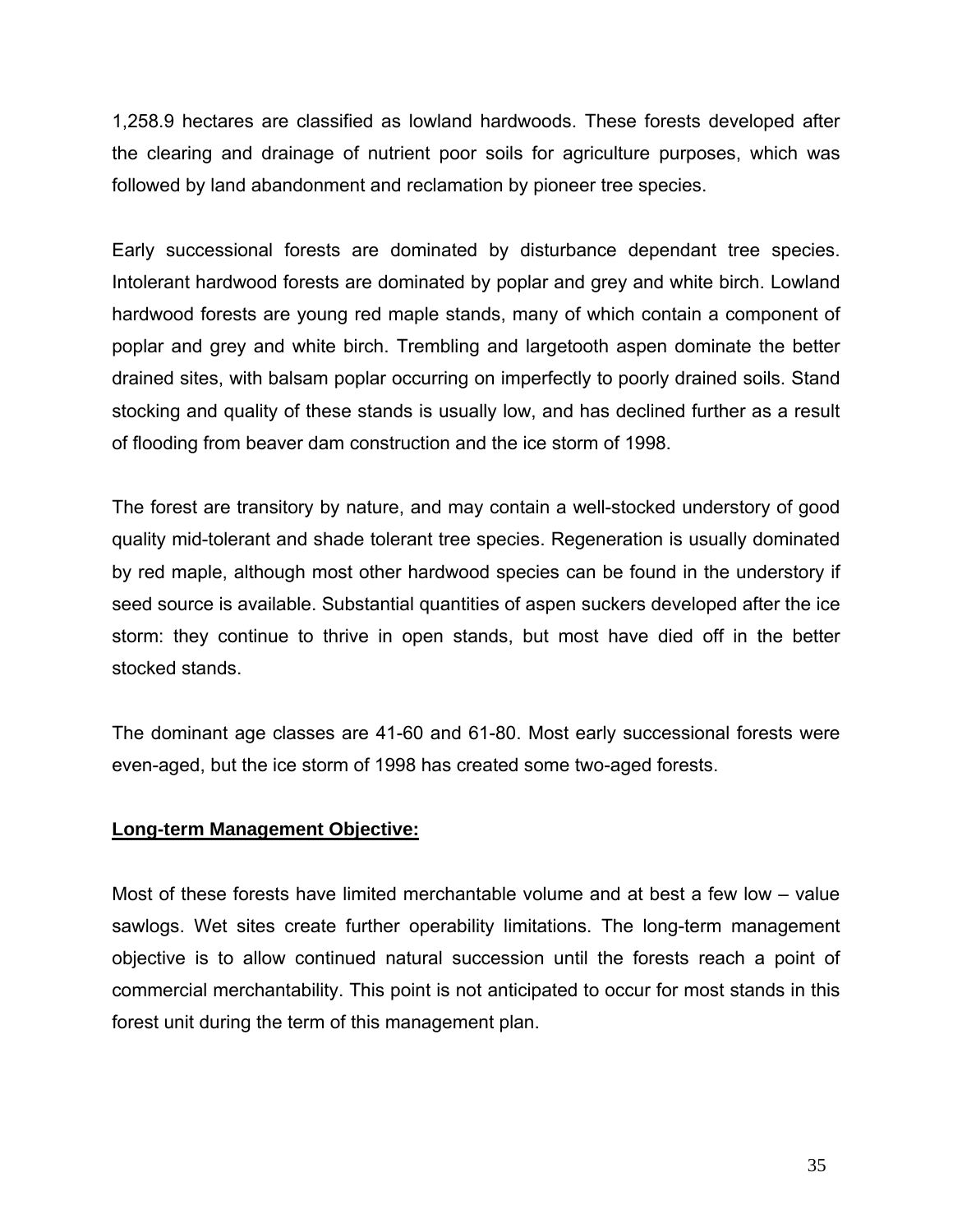1,258.9 hectares are classified as lowland hardwoods. These forests developed after the clearing and drainage of nutrient poor soils for agriculture purposes, which was followed by land abandonment and reclamation by pioneer tree species.

Early successional forests are dominated by disturbance dependant tree species. Intolerant hardwood forests are dominated by poplar and grey and white birch. Lowland hardwood forests are young red maple stands, many of which contain a component of poplar and grey and white birch. Trembling and largetooth aspen dominate the better drained sites, with balsam poplar occurring on imperfectly to poorly drained soils. Stand stocking and quality of these stands is usually low, and has declined further as a result of flooding from beaver dam construction and the ice storm of 1998.

The forest are transitory by nature, and may contain a well-stocked understory of good quality mid-tolerant and shade tolerant tree species. Regeneration is usually dominated by red maple, although most other hardwood species can be found in the understory if seed source is available. Substantial quantities of aspen suckers developed after the ice storm: they continue to thrive in open stands, but most have died off in the better stocked stands.

The dominant age classes are 41-60 and 61-80. Most early successional forests were even-aged, but the ice storm of 1998 has created some two-aged forests.

### **Long-term Management Objective:**

Most of these forests have limited merchantable volume and at best a few low – value sawlogs. Wet sites create further operability limitations. The long-term management objective is to allow continued natural succession until the forests reach a point of commercial merchantability. This point is not anticipated to occur for most stands in this forest unit during the term of this management plan.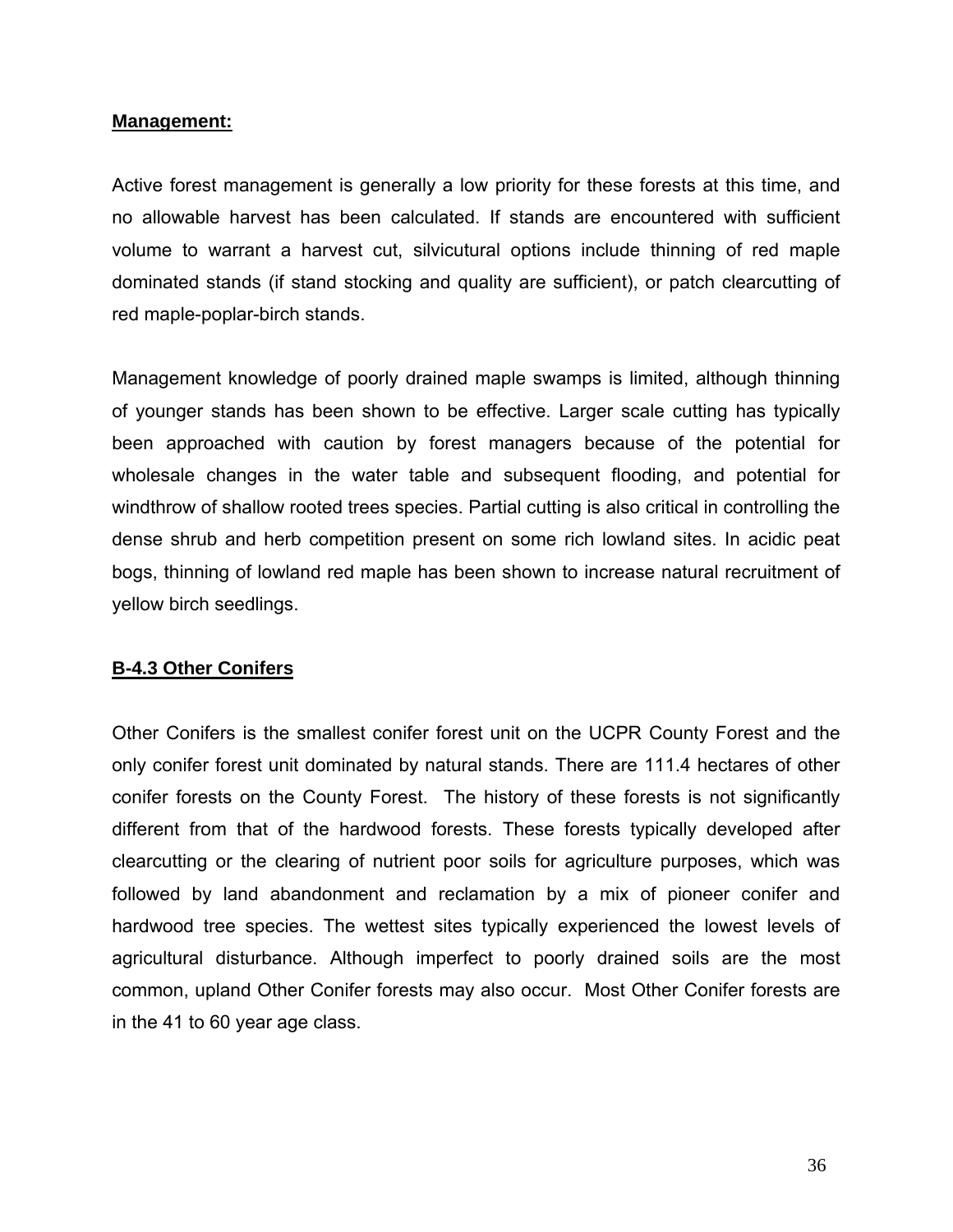#### **Management:**

Active forest management is generally a low priority for these forests at this time, and no allowable harvest has been calculated. If stands are encountered with sufficient volume to warrant a harvest cut, silvicutural options include thinning of red maple dominated stands (if stand stocking and quality are sufficient), or patch clearcutting of red maple-poplar-birch stands.

Management knowledge of poorly drained maple swamps is limited, although thinning of younger stands has been shown to be effective. Larger scale cutting has typically been approached with caution by forest managers because of the potential for wholesale changes in the water table and subsequent flooding, and potential for windthrow of shallow rooted trees species. Partial cutting is also critical in controlling the dense shrub and herb competition present on some rich lowland sites. In acidic peat bogs, thinning of lowland red maple has been shown to increase natural recruitment of yellow birch seedlings.

### **B-4.3 Other Conifers**

Other Conifers is the smallest conifer forest unit on the UCPR County Forest and the only conifer forest unit dominated by natural stands. There are 111.4 hectares of other conifer forests on the County Forest. The history of these forests is not significantly different from that of the hardwood forests. These forests typically developed after clearcutting or the clearing of nutrient poor soils for agriculture purposes, which was followed by land abandonment and reclamation by a mix of pioneer conifer and hardwood tree species. The wettest sites typically experienced the lowest levels of agricultural disturbance. Although imperfect to poorly drained soils are the most common, upland Other Conifer forests may also occur. Most Other Conifer forests are in the 41 to 60 year age class.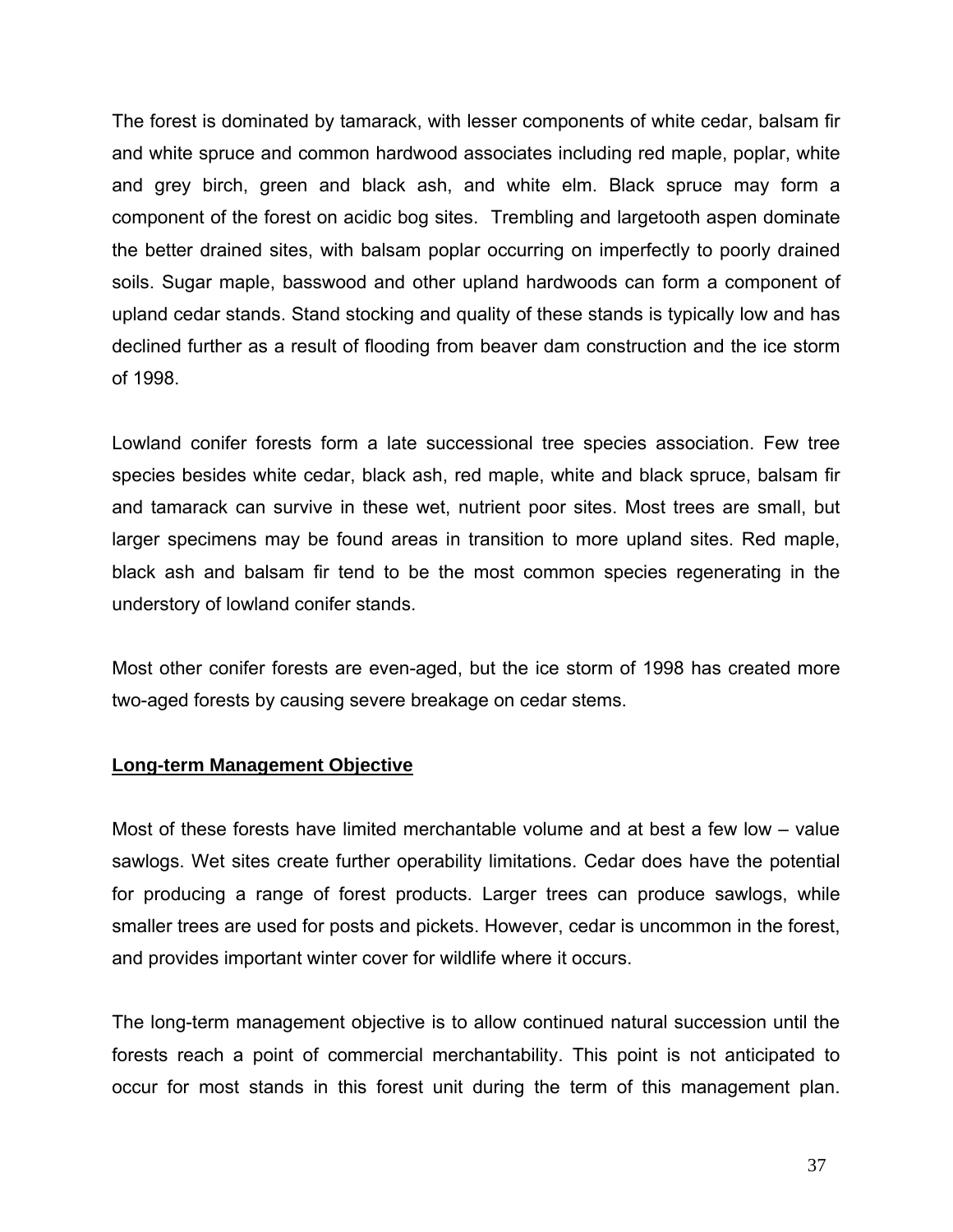The forest is dominated by tamarack, with lesser components of white cedar, balsam fir and white spruce and common hardwood associates including red maple, poplar, white and grey birch, green and black ash, and white elm. Black spruce may form a component of the forest on acidic bog sites. Trembling and largetooth aspen dominate the better drained sites, with balsam poplar occurring on imperfectly to poorly drained soils. Sugar maple, basswood and other upland hardwoods can form a component of upland cedar stands. Stand stocking and quality of these stands is typically low and has declined further as a result of flooding from beaver dam construction and the ice storm of 1998.

Lowland conifer forests form a late successional tree species association. Few tree species besides white cedar, black ash, red maple, white and black spruce, balsam fir and tamarack can survive in these wet, nutrient poor sites. Most trees are small, but larger specimens may be found areas in transition to more upland sites. Red maple, black ash and balsam fir tend to be the most common species regenerating in the understory of lowland conifer stands.

Most other conifer forests are even-aged, but the ice storm of 1998 has created more two-aged forests by causing severe breakage on cedar stems.

### **Long-term Management Objective**

Most of these forests have limited merchantable volume and at best a few low – value sawlogs. Wet sites create further operability limitations. Cedar does have the potential for producing a range of forest products. Larger trees can produce sawlogs, while smaller trees are used for posts and pickets. However, cedar is uncommon in the forest, and provides important winter cover for wildlife where it occurs.

The long-term management objective is to allow continued natural succession until the forests reach a point of commercial merchantability. This point is not anticipated to occur for most stands in this forest unit during the term of this management plan.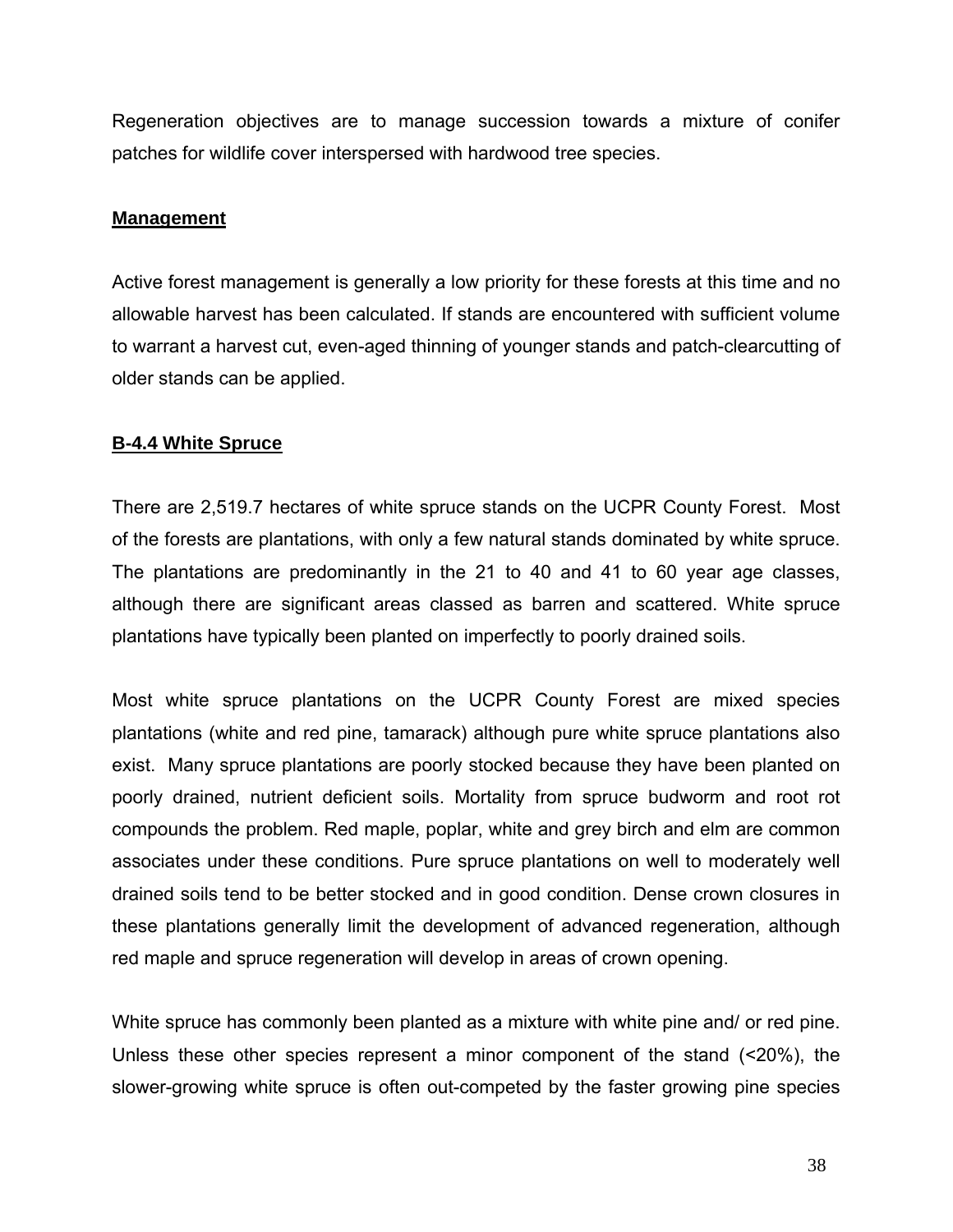Regeneration objectives are to manage succession towards a mixture of conifer patches for wildlife cover interspersed with hardwood tree species.

### **Management**

Active forest management is generally a low priority for these forests at this time and no allowable harvest has been calculated. If stands are encountered with sufficient volume to warrant a harvest cut, even-aged thinning of younger stands and patch-clearcutting of older stands can be applied.

## **B-4.4 White Spruce**

There are 2,519.7 hectares of white spruce stands on the UCPR County Forest. Most of the forests are plantations, with only a few natural stands dominated by white spruce. The plantations are predominantly in the 21 to 40 and 41 to 60 year age classes, although there are significant areas classed as barren and scattered. White spruce plantations have typically been planted on imperfectly to poorly drained soils.

Most white spruce plantations on the UCPR County Forest are mixed species plantations (white and red pine, tamarack) although pure white spruce plantations also exist. Many spruce plantations are poorly stocked because they have been planted on poorly drained, nutrient deficient soils. Mortality from spruce budworm and root rot compounds the problem. Red maple, poplar, white and grey birch and elm are common associates under these conditions. Pure spruce plantations on well to moderately well drained soils tend to be better stocked and in good condition. Dense crown closures in these plantations generally limit the development of advanced regeneration, although red maple and spruce regeneration will develop in areas of crown opening.

White spruce has commonly been planted as a mixture with white pine and/ or red pine. Unless these other species represent a minor component of the stand (<20%), the slower-growing white spruce is often out-competed by the faster growing pine species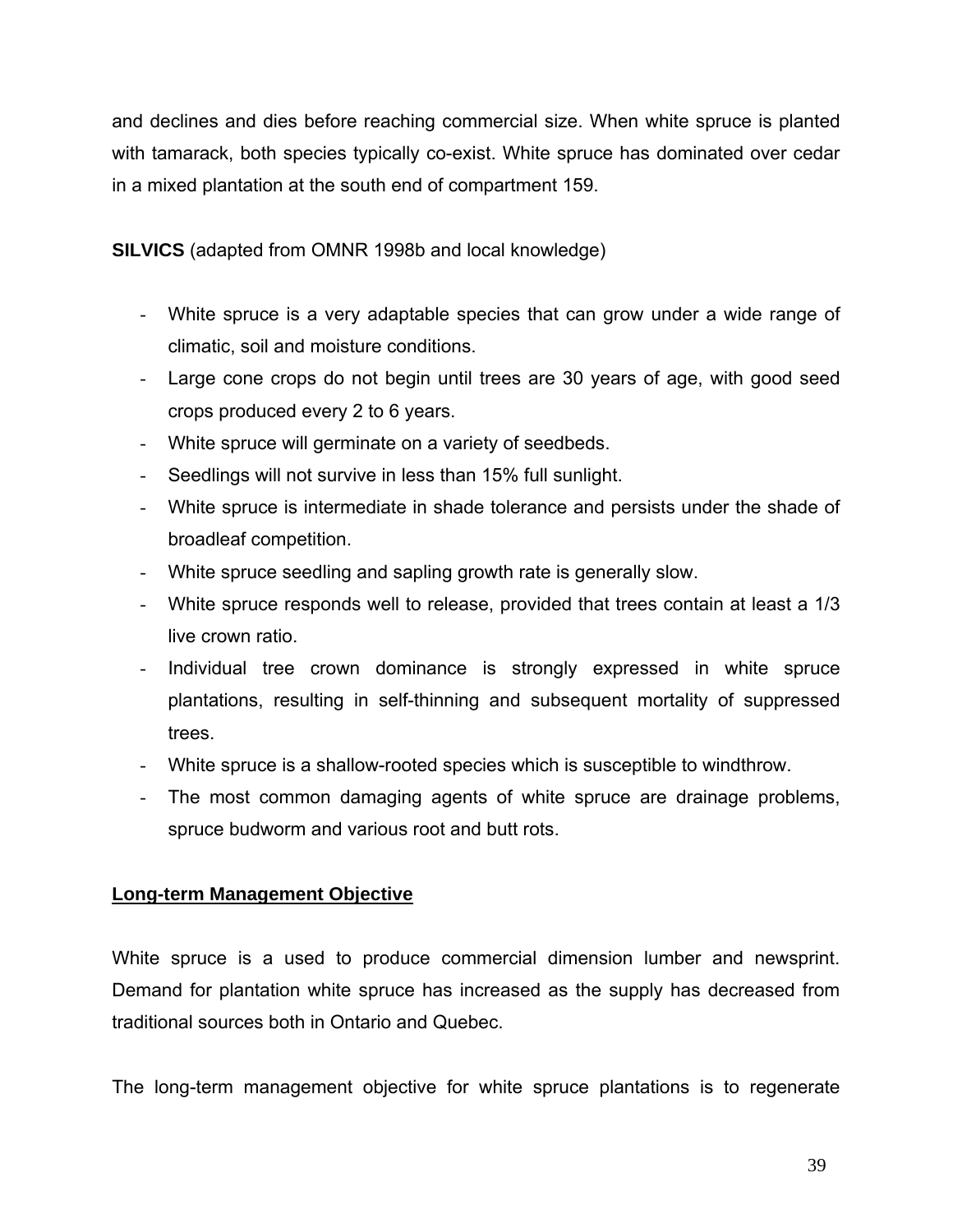and declines and dies before reaching commercial size. When white spruce is planted with tamarack, both species typically co-exist. White spruce has dominated over cedar in a mixed plantation at the south end of compartment 159.

**SILVICS** (adapted from OMNR 1998b and local knowledge)

- White spruce is a very adaptable species that can grow under a wide range of climatic, soil and moisture conditions.
- Large cone crops do not begin until trees are 30 years of age, with good seed crops produced every 2 to 6 years.
- White spruce will germinate on a variety of seedbeds.
- Seedlings will not survive in less than 15% full sunlight.
- White spruce is intermediate in shade tolerance and persists under the shade of broadleaf competition.
- White spruce seedling and sapling growth rate is generally slow.
- White spruce responds well to release, provided that trees contain at least a 1/3 live crown ratio.
- Individual tree crown dominance is strongly expressed in white spruce plantations, resulting in self-thinning and subsequent mortality of suppressed trees.
- White spruce is a shallow-rooted species which is susceptible to windthrow.
- The most common damaging agents of white spruce are drainage problems, spruce budworm and various root and butt rots.

# **Long-term Management Objective**

White spruce is a used to produce commercial dimension lumber and newsprint. Demand for plantation white spruce has increased as the supply has decreased from traditional sources both in Ontario and Quebec.

The long-term management objective for white spruce plantations is to regenerate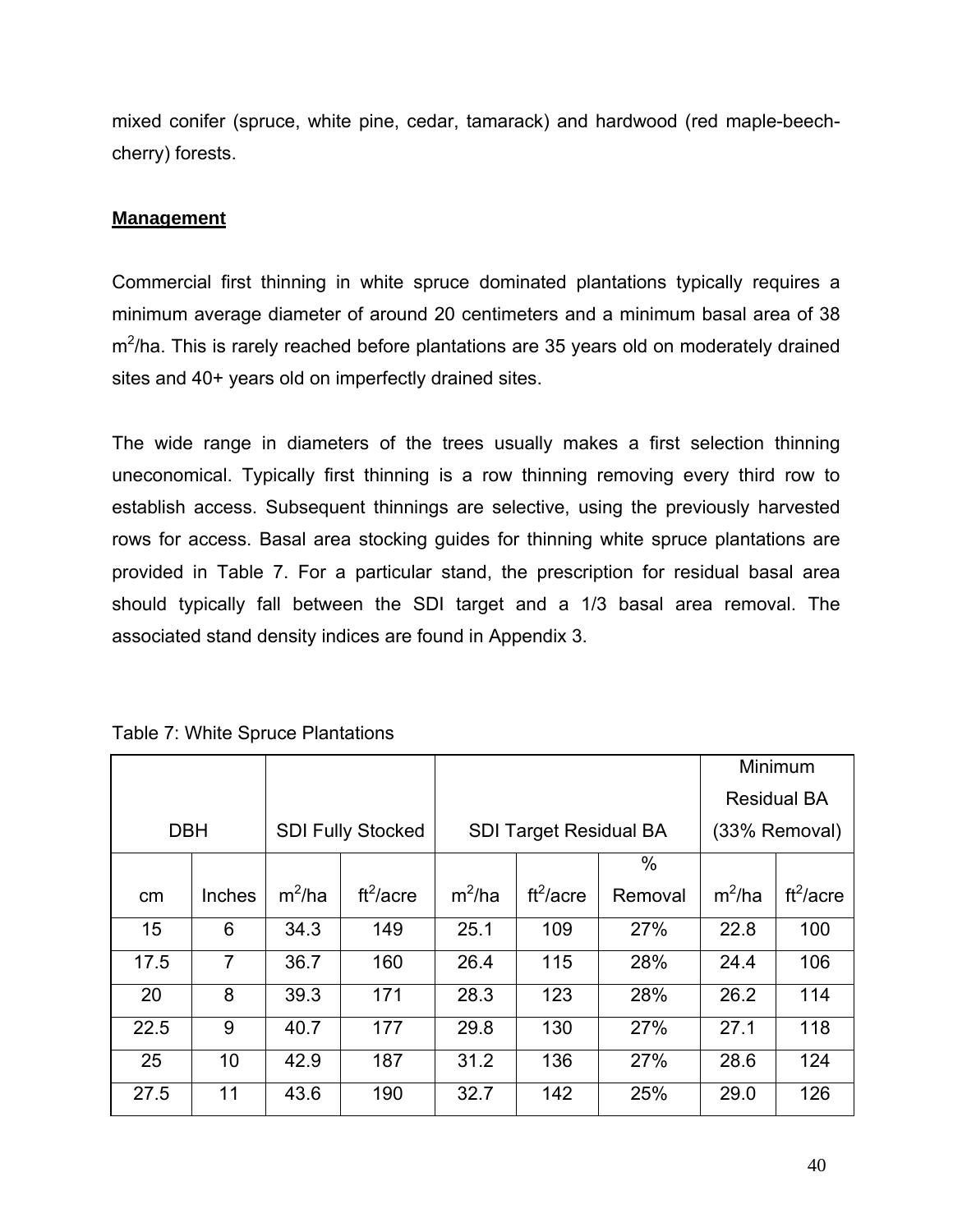mixed conifer (spruce, white pine, cedar, tamarack) and hardwood (red maple-beechcherry) forests.

## **Management**

Commercial first thinning in white spruce dominated plantations typically requires a minimum average diameter of around 20 centimeters and a minimum basal area of 38  $m^2$ /ha. This is rarely reached before plantations are 35 years old on moderately drained sites and 40+ years old on imperfectly drained sites.

The wide range in diameters of the trees usually makes a first selection thinning uneconomical. Typically first thinning is a row thinning removing every third row to establish access. Subsequent thinnings are selective, using the previously harvested rows for access. Basal area stocking guides for thinning white spruce plantations are provided in Table 7. For a particular stand, the prescription for residual basal area should typically fall between the SDI target and a 1/3 basal area removal. The associated stand density indices are found in Appendix 3.

|            |        |          |                          |          |                               |         |          | Minimum            |
|------------|--------|----------|--------------------------|----------|-------------------------------|---------|----------|--------------------|
|            |        |          |                          |          |                               |         |          | <b>Residual BA</b> |
| <b>DBH</b> |        |          | <b>SDI Fully Stocked</b> |          | <b>SDI Target Residual BA</b> |         |          | (33% Removal)      |
|            |        |          |                          |          |                               | $\%$    |          |                    |
| cm         | Inches | $m^2/ha$ | $ft^2/acre$              | $m^2/ha$ | ft <sup>2</sup> /acre         | Removal | $m^2/ha$ | $ft^2/acre$        |
| 15         | 6      | 34.3     | 149                      | 25.1     | 109                           | 27%     | 22.8     | 100                |
| 17.5       | 7      | 36.7     | 160                      | 26.4     | 115                           | 28%     | 24.4     | 106                |
| 20         | 8      | 39.3     | 171                      | 28.3     | 123                           | 28%     | 26.2     | 114                |
| 22.5       | 9      | 40.7     | 177                      | 29.8     | 130                           | 27%     | 27.1     | 118                |
| 25         | 10     | 42.9     | 187                      | 31.2     | 136                           | 27%     | 28.6     | 124                |
| 27.5       | 11     | 43.6     | 190                      | 32.7     | 142                           | 25%     | 29.0     | 126                |

Table 7: White Spruce Plantations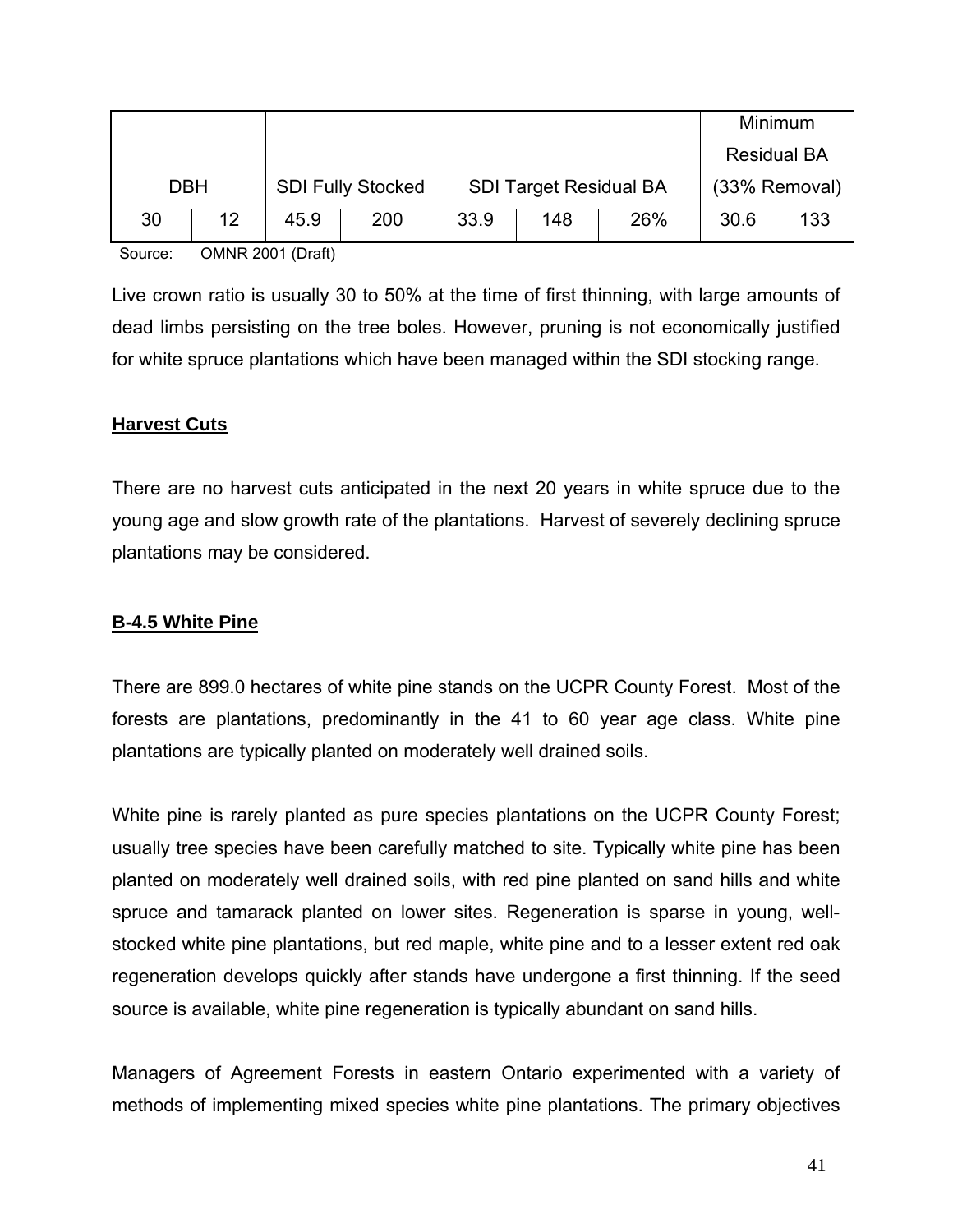|            |    |      |                          |                               |     |     |               | <b>Minimum</b>     |
|------------|----|------|--------------------------|-------------------------------|-----|-----|---------------|--------------------|
|            |    |      |                          |                               |     |     |               | <b>Residual BA</b> |
| <b>DBH</b> |    |      | <b>SDI Fully Stocked</b> | <b>SDI Target Residual BA</b> |     |     | (33% Removal) |                    |
| 30         | 12 | 45.9 | 200                      | 33.9                          | 148 | 26% | 30.6          | 133                |

Source: OMNR 2001 (Draft)

Live crown ratio is usually 30 to 50% at the time of first thinning, with large amounts of dead limbs persisting on the tree boles. However, pruning is not economically justified for white spruce plantations which have been managed within the SDI stocking range.

### **Harvest Cuts**

There are no harvest cuts anticipated in the next 20 years in white spruce due to the young age and slow growth rate of the plantations. Harvest of severely declining spruce plantations may be considered.

## **B-4.5 White Pine**

There are 899.0 hectares of white pine stands on the UCPR County Forest. Most of the forests are plantations, predominantly in the 41 to 60 year age class. White pine plantations are typically planted on moderately well drained soils.

White pine is rarely planted as pure species plantations on the UCPR County Forest; usually tree species have been carefully matched to site. Typically white pine has been planted on moderately well drained soils, with red pine planted on sand hills and white spruce and tamarack planted on lower sites. Regeneration is sparse in young, wellstocked white pine plantations, but red maple, white pine and to a lesser extent red oak regeneration develops quickly after stands have undergone a first thinning. If the seed source is available, white pine regeneration is typically abundant on sand hills.

Managers of Agreement Forests in eastern Ontario experimented with a variety of methods of implementing mixed species white pine plantations. The primary objectives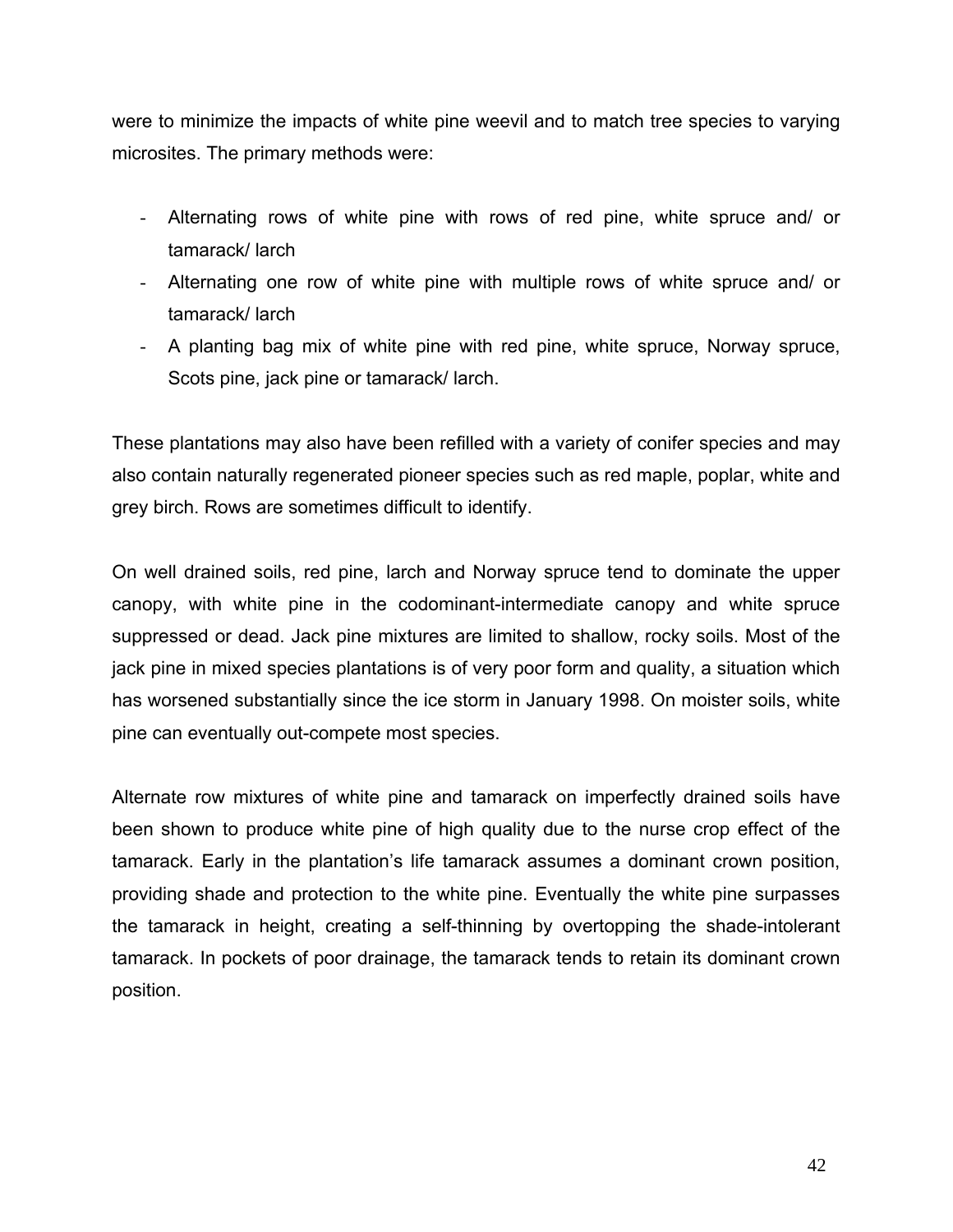were to minimize the impacts of white pine weevil and to match tree species to varying microsites. The primary methods were:

- Alternating rows of white pine with rows of red pine, white spruce and/ or tamarack/ larch
- Alternating one row of white pine with multiple rows of white spruce and/ or tamarack/ larch
- A planting bag mix of white pine with red pine, white spruce, Norway spruce, Scots pine, jack pine or tamarack/ larch.

These plantations may also have been refilled with a variety of conifer species and may also contain naturally regenerated pioneer species such as red maple, poplar, white and grey birch. Rows are sometimes difficult to identify.

On well drained soils, red pine, larch and Norway spruce tend to dominate the upper canopy, with white pine in the codominant-intermediate canopy and white spruce suppressed or dead. Jack pine mixtures are limited to shallow, rocky soils. Most of the jack pine in mixed species plantations is of very poor form and quality, a situation which has worsened substantially since the ice storm in January 1998. On moister soils, white pine can eventually out-compete most species.

Alternate row mixtures of white pine and tamarack on imperfectly drained soils have been shown to produce white pine of high quality due to the nurse crop effect of the tamarack. Early in the plantation's life tamarack assumes a dominant crown position, providing shade and protection to the white pine. Eventually the white pine surpasses the tamarack in height, creating a self-thinning by overtopping the shade-intolerant tamarack. In pockets of poor drainage, the tamarack tends to retain its dominant crown position.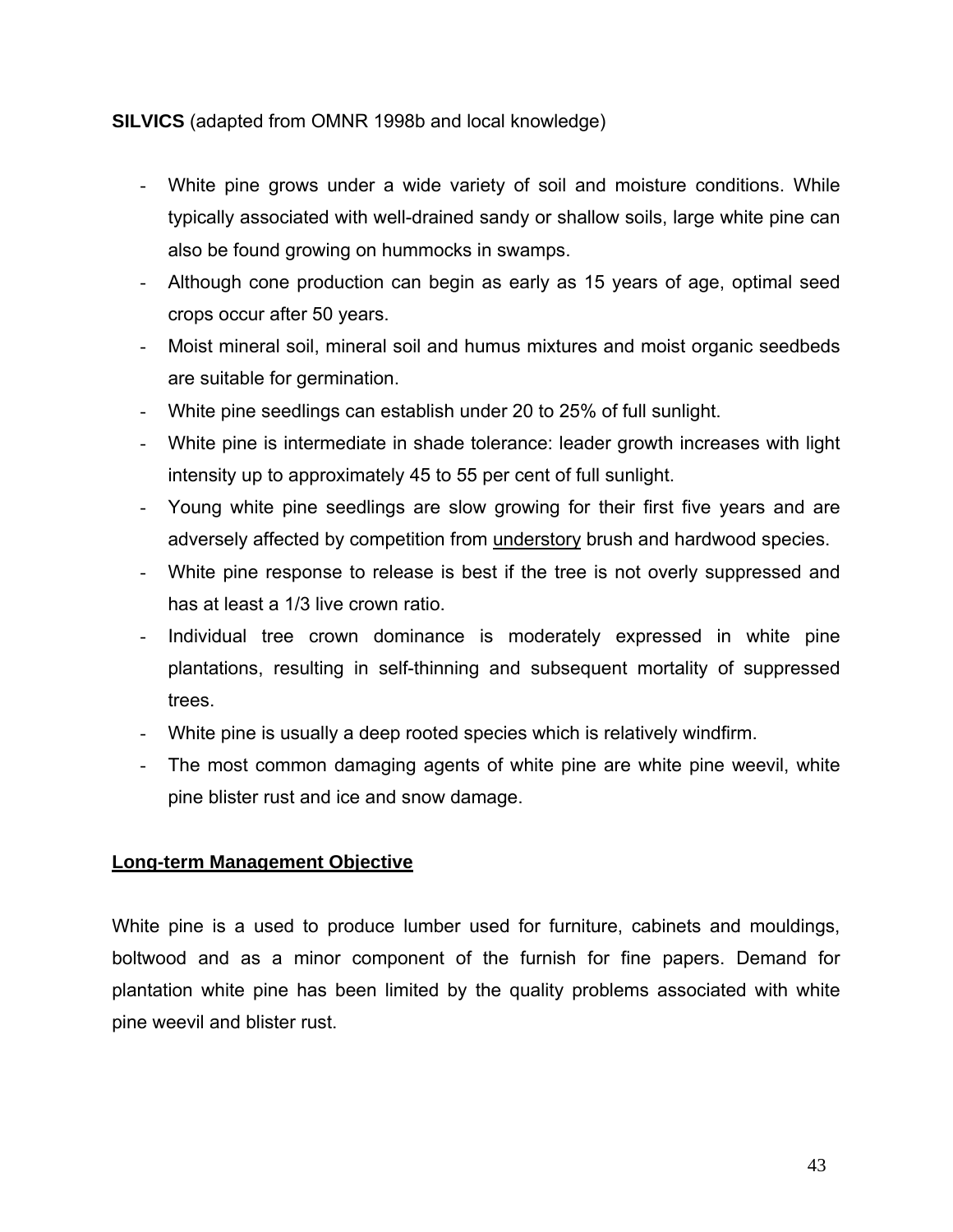**SILVICS** (adapted from OMNR 1998b and local knowledge)

- White pine grows under a wide variety of soil and moisture conditions. While typically associated with well-drained sandy or shallow soils, large white pine can also be found growing on hummocks in swamps.
- Although cone production can begin as early as 15 years of age, optimal seed crops occur after 50 years.
- Moist mineral soil, mineral soil and humus mixtures and moist organic seedbeds are suitable for germination.
- White pine seedlings can establish under 20 to 25% of full sunlight.
- White pine is intermediate in shade tolerance: leader growth increases with light intensity up to approximately 45 to 55 per cent of full sunlight.
- Young white pine seedlings are slow growing for their first five years and are adversely affected by competition from understory brush and hardwood species.
- White pine response to release is best if the tree is not overly suppressed and has at least a 1/3 live crown ratio.
- Individual tree crown dominance is moderately expressed in white pine plantations, resulting in self-thinning and subsequent mortality of suppressed trees.
- White pine is usually a deep rooted species which is relatively windfirm.
- The most common damaging agents of white pine are white pine weevil, white pine blister rust and ice and snow damage.

### **Long-term Management Objective**

White pine is a used to produce lumber used for furniture, cabinets and mouldings, boltwood and as a minor component of the furnish for fine papers. Demand for plantation white pine has been limited by the quality problems associated with white pine weevil and blister rust.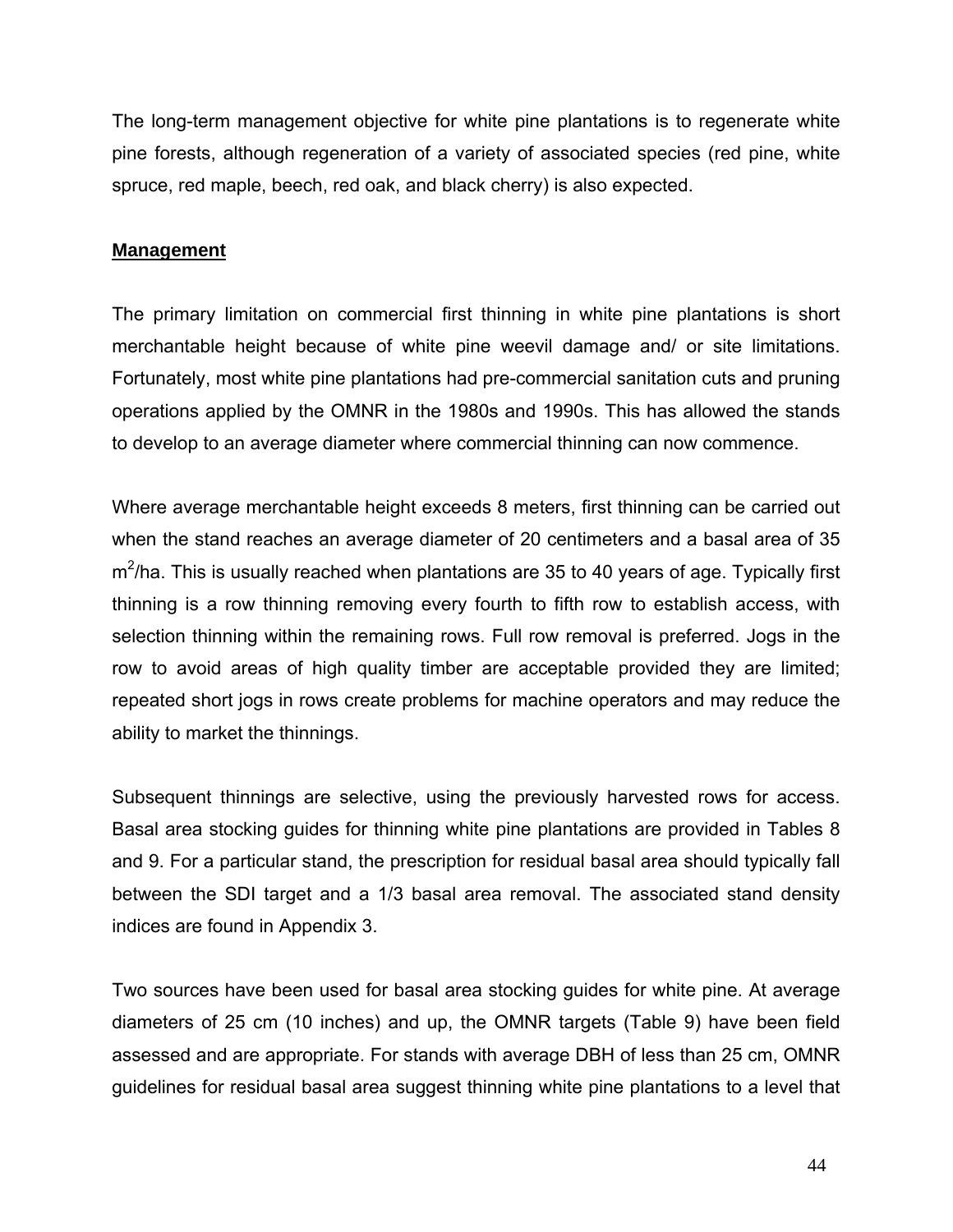The long-term management objective for white pine plantations is to regenerate white pine forests, although regeneration of a variety of associated species (red pine, white spruce, red maple, beech, red oak, and black cherry) is also expected.

## **Management**

The primary limitation on commercial first thinning in white pine plantations is short merchantable height because of white pine weevil damage and/ or site limitations. Fortunately, most white pine plantations had pre-commercial sanitation cuts and pruning operations applied by the OMNR in the 1980s and 1990s. This has allowed the stands to develop to an average diameter where commercial thinning can now commence.

Where average merchantable height exceeds 8 meters, first thinning can be carried out when the stand reaches an average diameter of 20 centimeters and a basal area of 35  $m^2$ /ha. This is usually reached when plantations are 35 to 40 years of age. Typically first thinning is a row thinning removing every fourth to fifth row to establish access, with selection thinning within the remaining rows. Full row removal is preferred. Jogs in the row to avoid areas of high quality timber are acceptable provided they are limited; repeated short jogs in rows create problems for machine operators and may reduce the ability to market the thinnings.

Subsequent thinnings are selective, using the previously harvested rows for access. Basal area stocking guides for thinning white pine plantations are provided in Tables 8 and 9. For a particular stand, the prescription for residual basal area should typically fall between the SDI target and a 1/3 basal area removal. The associated stand density indices are found in Appendix 3.

Two sources have been used for basal area stocking guides for white pine. At average diameters of 25 cm (10 inches) and up, the OMNR targets (Table 9) have been field assessed and are appropriate. For stands with average DBH of less than 25 cm, OMNR guidelines for residual basal area suggest thinning white pine plantations to a level that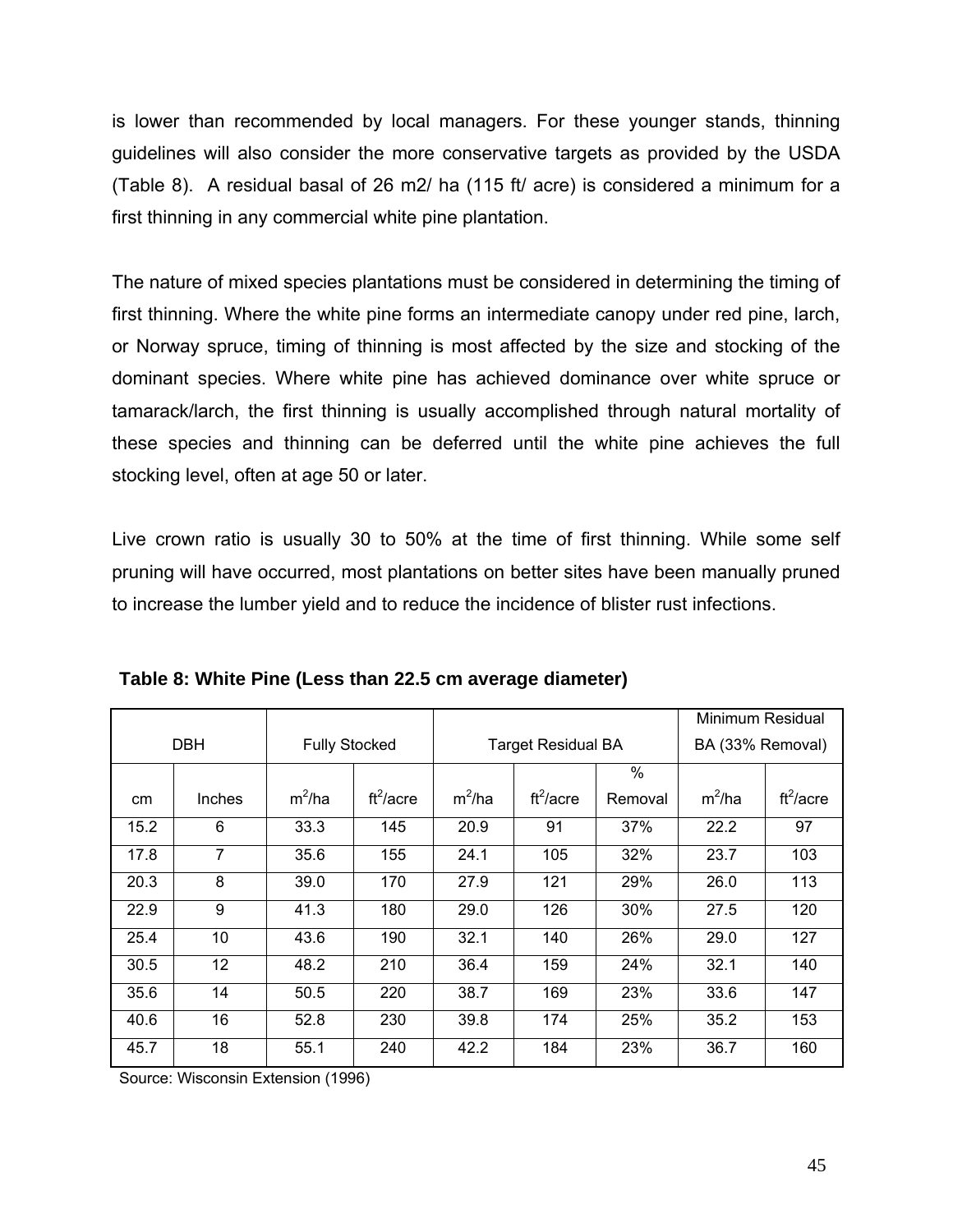is lower than recommended by local managers. For these younger stands, thinning guidelines will also consider the more conservative targets as provided by the USDA (Table 8). A residual basal of 26 m2/ ha (115 ft/ acre) is considered a minimum for a first thinning in any commercial white pine plantation.

The nature of mixed species plantations must be considered in determining the timing of first thinning. Where the white pine forms an intermediate canopy under red pine, larch, or Norway spruce, timing of thinning is most affected by the size and stocking of the dominant species. Where white pine has achieved dominance over white spruce or tamarack/larch, the first thinning is usually accomplished through natural mortality of these species and thinning can be deferred until the white pine achieves the full stocking level, often at age 50 or later.

Live crown ratio is usually 30 to 50% at the time of first thinning. While some self pruning will have occurred, most plantations on better sites have been manually pruned to increase the lumber yield and to reduce the incidence of blister rust infections.

|               |               |                      |             |          |                           |               | Minimum Residual |             |
|---------------|---------------|----------------------|-------------|----------|---------------------------|---------------|------------------|-------------|
|               | <b>DBH</b>    | <b>Fully Stocked</b> |             |          | <b>Target Residual BA</b> |               | BA (33% Removal) |             |
|               |               |                      |             |          |                           | $\frac{0}{0}$ |                  |             |
| <sub>cm</sub> | <b>Inches</b> | $m^2/ha$             | $ft^2/acre$ | $m^2/ha$ | $ft^2/acre$               | Removal       | $m^2/ha$         | $ft^2/acre$ |
| 15.2          | 6             | 33.3                 | 145         | 20.9     | 91                        | 37%           | 22.2             | 97          |
| 17.8          | 7             | 35.6                 | 155         | 24.1     | 105                       | 32%           | 23.7             | 103         |
| 20.3          | 8             | 39.0                 | 170         | 27.9     | 121                       | 29%           | 26.0             | 113         |
| 22.9          | 9             | 41.3                 | 180         | 29.0     | 126                       | 30%           | 27.5             | 120         |
| 25.4          | 10            | 43.6                 | 190         | 32.1     | 140                       | 26%           | 29.0             | 127         |
| 30.5          | 12            | 48.2                 | 210         | 36.4     | 159                       | 24%           | 32.1             | 140         |
| 35.6          | 14            | 50.5                 | 220         | 38.7     | 169                       | 23%           | 33.6             | 147         |
| 40.6          | 16            | 52.8                 | 230         | 39.8     | 174                       | 25%           | 35.2             | 153         |
| 45.7          | 18            | 55.1                 | 240         | 42.2     | 184                       | 23%           | 36.7             | 160         |

**Table 8: White Pine (Less than 22.5 cm average diameter)**

Source: Wisconsin Extension (1996)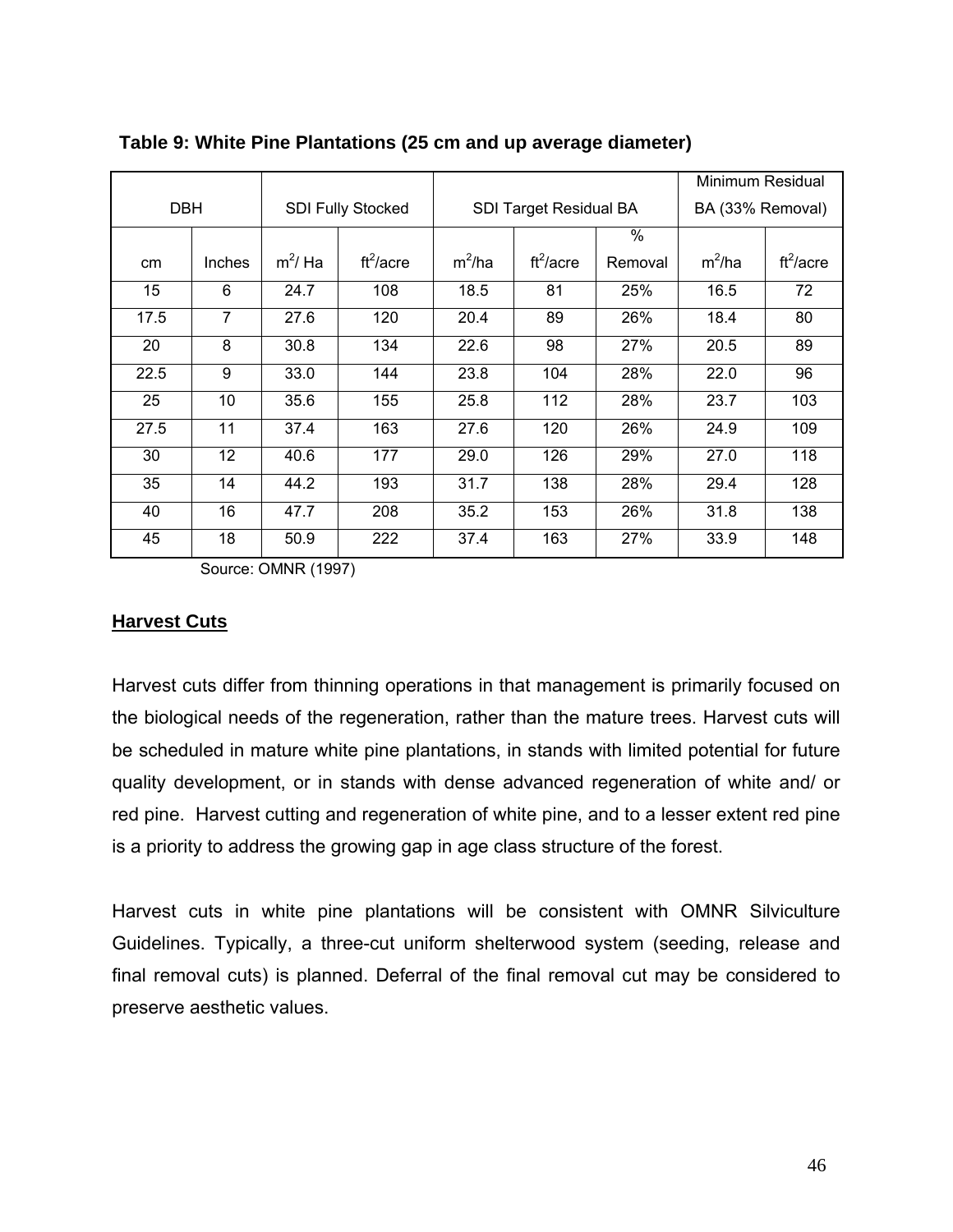|            |               |            |                          |          |                        |               | Minimum Residual |             |
|------------|---------------|------------|--------------------------|----------|------------------------|---------------|------------------|-------------|
| <b>DBH</b> |               |            | <b>SDI Fully Stocked</b> |          | SDI Target Residual BA |               | BA (33% Removal) |             |
|            |               |            |                          |          |                        | $\frac{0}{0}$ |                  |             |
| cm         | <b>Inches</b> | $m^2$ / Ha | $ft^2/acre$              | $m^2/ha$ | $ft^2/acre$            | Removal       | $m^2/ha$         | $ft^2/acre$ |
| 15         | 6             | 24.7       | 108                      | 18.5     | 81                     | 25%           | 16.5             | 72          |
| 17.5       | 7             | 27.6       | 120                      | 20.4     | 89                     | 26%           | 18.4             | 80          |
| 20         | 8             | 30.8       | 134                      | 22.6     | 98                     | 27%           | 20.5             | 89          |
| 22.5       | 9             | 33.0       | 144                      | 23.8     | 104                    | 28%           | 22.0             | 96          |
| 25         | 10            | 35.6       | 155                      | 25.8     | 112                    | 28%           | 23.7             | 103         |
| 27.5       | 11            | 37.4       | 163                      | 27.6     | 120                    | 26%           | 24.9             | 109         |
| 30         | 12            | 40.6       | 177                      | 29.0     | 126                    | 29%           | 27.0             | 118         |
| 35         | 14            | 44.2       | 193                      | 31.7     | 138                    | 28%           | 29.4             | 128         |
| 40         | 16            | 47.7       | 208                      | 35.2     | 153                    | 26%           | 31.8             | 138         |
| 45         | 18            | 50.9       | 222                      | 37.4     | 163                    | 27%           | 33.9             | 148         |

### **Table 9: White Pine Plantations (25 cm and up average diameter)**

Source: OMNR (1997)

### **Harvest Cuts**

Harvest cuts differ from thinning operations in that management is primarily focused on the biological needs of the regeneration, rather than the mature trees. Harvest cuts will be scheduled in mature white pine plantations, in stands with limited potential for future quality development, or in stands with dense advanced regeneration of white and/ or red pine. Harvest cutting and regeneration of white pine, and to a lesser extent red pine is a priority to address the growing gap in age class structure of the forest.

Harvest cuts in white pine plantations will be consistent with OMNR Silviculture Guidelines. Typically, a three-cut uniform shelterwood system (seeding, release and final removal cuts) is planned. Deferral of the final removal cut may be considered to preserve aesthetic values.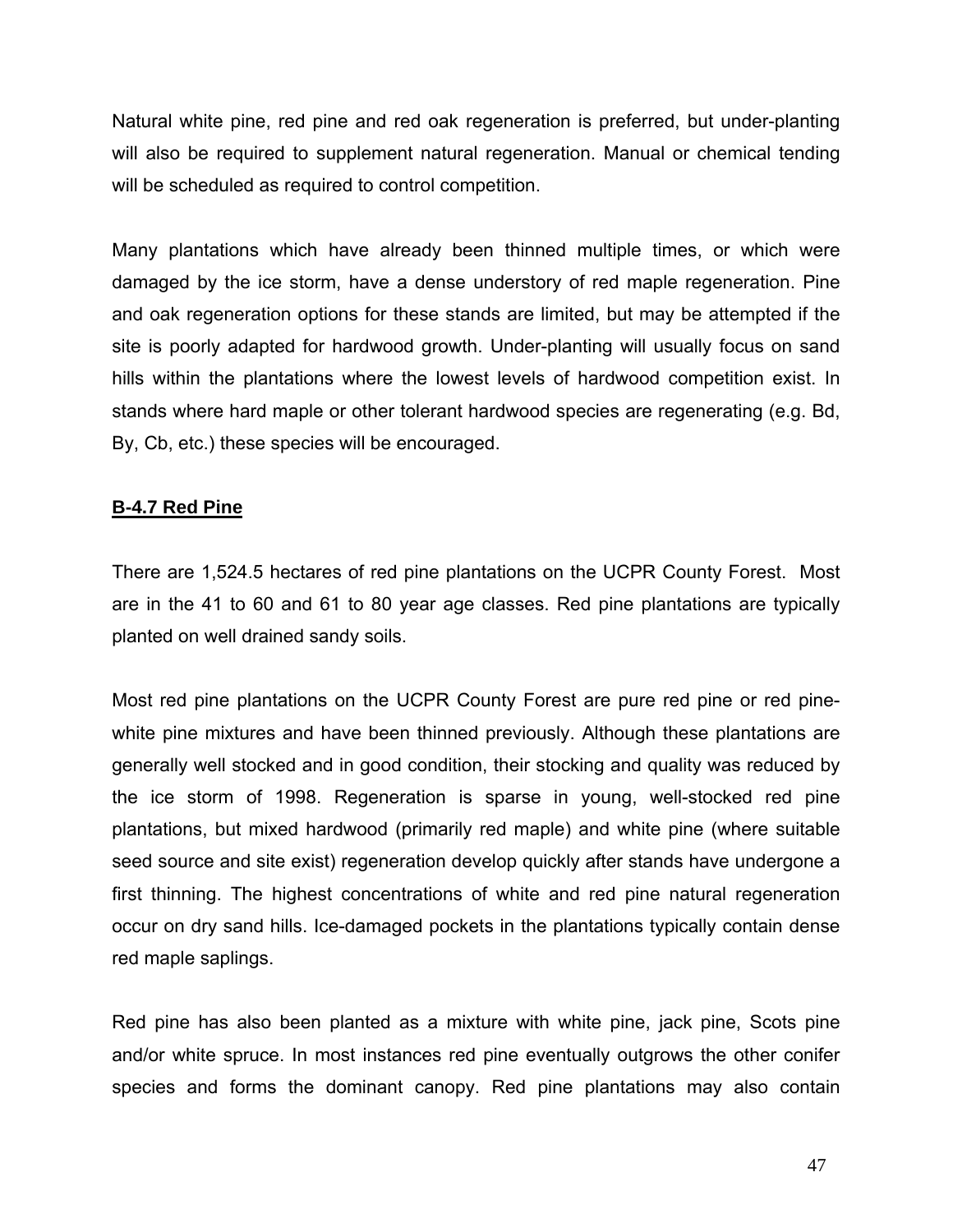Natural white pine, red pine and red oak regeneration is preferred, but under-planting will also be required to supplement natural regeneration. Manual or chemical tending will be scheduled as required to control competition.

Many plantations which have already been thinned multiple times, or which were damaged by the ice storm, have a dense understory of red maple regeneration. Pine and oak regeneration options for these stands are limited, but may be attempted if the site is poorly adapted for hardwood growth. Under-planting will usually focus on sand hills within the plantations where the lowest levels of hardwood competition exist. In stands where hard maple or other tolerant hardwood species are regenerating (e.g. Bd, By, Cb, etc.) these species will be encouraged.

## **B-4.7 Red Pine**

There are 1,524.5 hectares of red pine plantations on the UCPR County Forest. Most are in the 41 to 60 and 61 to 80 year age classes. Red pine plantations are typically planted on well drained sandy soils.

Most red pine plantations on the UCPR County Forest are pure red pine or red pinewhite pine mixtures and have been thinned previously. Although these plantations are generally well stocked and in good condition, their stocking and quality was reduced by the ice storm of 1998. Regeneration is sparse in young, well-stocked red pine plantations, but mixed hardwood (primarily red maple) and white pine (where suitable seed source and site exist) regeneration develop quickly after stands have undergone a first thinning. The highest concentrations of white and red pine natural regeneration occur on dry sand hills. Ice-damaged pockets in the plantations typically contain dense red maple saplings.

Red pine has also been planted as a mixture with white pine, jack pine, Scots pine and/or white spruce. In most instances red pine eventually outgrows the other conifer species and forms the dominant canopy. Red pine plantations may also contain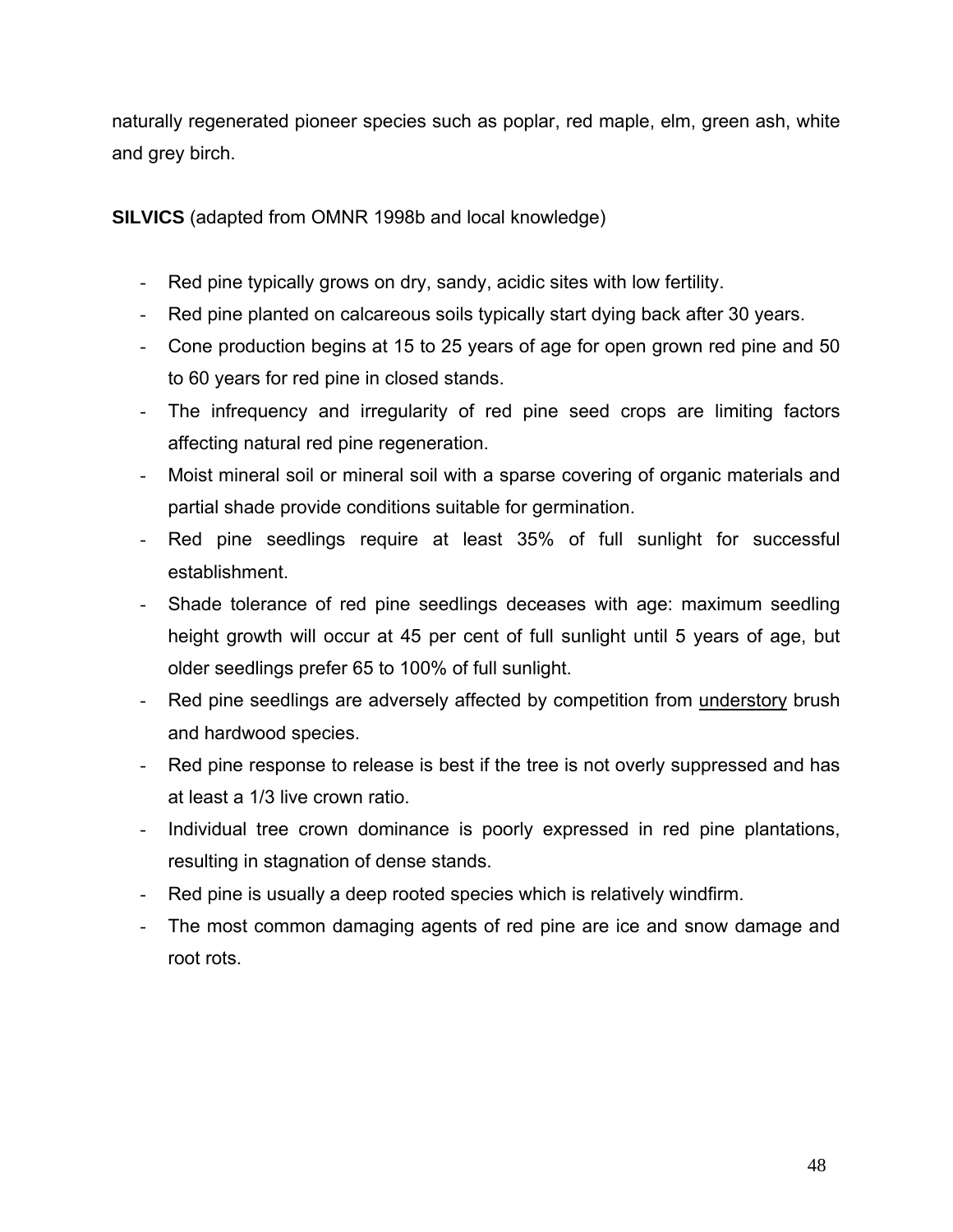naturally regenerated pioneer species such as poplar, red maple, elm, green ash, white and grey birch.

**SILVICS** (adapted from OMNR 1998b and local knowledge)

- Red pine typically grows on dry, sandy, acidic sites with low fertility.
- Red pine planted on calcareous soils typically start dying back after 30 years.
- Cone production begins at 15 to 25 years of age for open grown red pine and 50 to 60 years for red pine in closed stands.
- The infrequency and irregularity of red pine seed crops are limiting factors affecting natural red pine regeneration.
- Moist mineral soil or mineral soil with a sparse covering of organic materials and partial shade provide conditions suitable for germination.
- Red pine seedlings require at least 35% of full sunlight for successful establishment.
- Shade tolerance of red pine seedlings deceases with age: maximum seedling height growth will occur at 45 per cent of full sunlight until 5 years of age, but older seedlings prefer 65 to 100% of full sunlight.
- Red pine seedlings are adversely affected by competition from understory brush and hardwood species.
- Red pine response to release is best if the tree is not overly suppressed and has at least a 1/3 live crown ratio.
- Individual tree crown dominance is poorly expressed in red pine plantations, resulting in stagnation of dense stands.
- Red pine is usually a deep rooted species which is relatively windfirm.
- The most common damaging agents of red pine are ice and snow damage and root rots.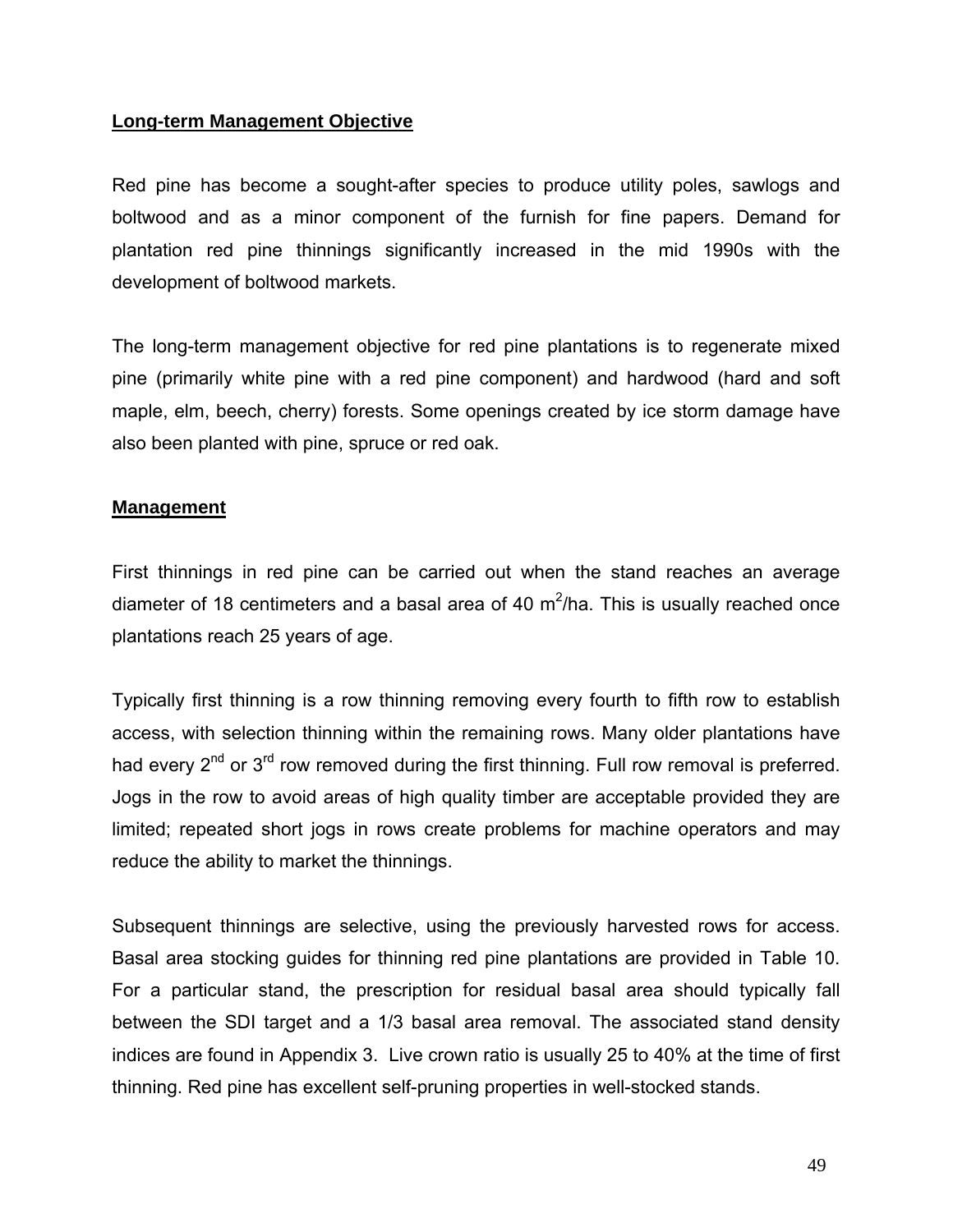#### **Long-term Management Objective**

Red pine has become a sought-after species to produce utility poles, sawlogs and boltwood and as a minor component of the furnish for fine papers. Demand for plantation red pine thinnings significantly increased in the mid 1990s with the development of boltwood markets.

The long-term management objective for red pine plantations is to regenerate mixed pine (primarily white pine with a red pine component) and hardwood (hard and soft maple, elm, beech, cherry) forests. Some openings created by ice storm damage have also been planted with pine, spruce or red oak.

#### **Management**

First thinnings in red pine can be carried out when the stand reaches an average diameter of 18 centimeters and a basal area of 40  $m^2/ha$ . This is usually reached once plantations reach 25 years of age.

Typically first thinning is a row thinning removing every fourth to fifth row to establish access, with selection thinning within the remaining rows. Many older plantations have had every  $2^{nd}$  or  $3^{rd}$  row removed during the first thinning. Full row removal is preferred. Jogs in the row to avoid areas of high quality timber are acceptable provided they are limited; repeated short jogs in rows create problems for machine operators and may reduce the ability to market the thinnings.

Subsequent thinnings are selective, using the previously harvested rows for access. Basal area stocking guides for thinning red pine plantations are provided in Table 10. For a particular stand, the prescription for residual basal area should typically fall between the SDI target and a 1/3 basal area removal. The associated stand density indices are found in Appendix 3. Live crown ratio is usually 25 to 40% at the time of first thinning. Red pine has excellent self-pruning properties in well-stocked stands.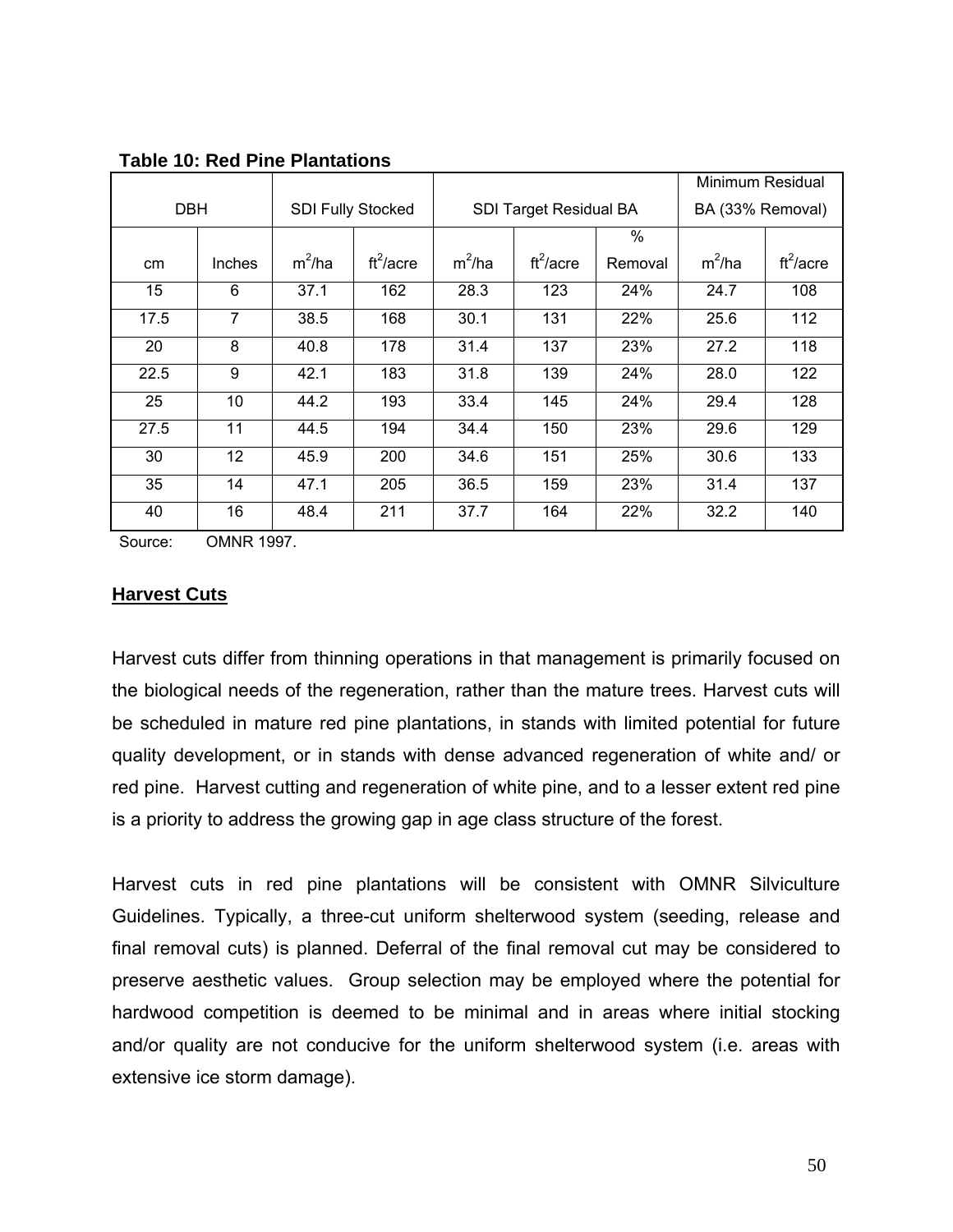|               |        |                          |             |          |                        |         | Minimum Residual |                  |  |
|---------------|--------|--------------------------|-------------|----------|------------------------|---------|------------------|------------------|--|
| <b>DBH</b>    |        | <b>SDI Fully Stocked</b> |             |          | SDI Target Residual BA |         |                  | BA (33% Removal) |  |
|               |        |                          |             |          |                        | $\%$    |                  |                  |  |
| <sub>cm</sub> | Inches | $m^2/ha$                 | $ft^2/acre$ | $m^2/ha$ | $ft^2/acre$            | Removal | $m^2/ha$         | $ft^2/acre$      |  |
| 15            | 6      | 37.1                     | 162         | 28.3     | 123                    | 24%     | 24.7             | 108              |  |
| 17.5          | 7      | 38.5                     | 168         | 30.1     | 131                    | 22%     | 25.6             | 112              |  |
| 20            | 8      | 40.8                     | 178         | 31.4     | 137                    | 23%     | 27.2             | 118              |  |
| 22.5          | 9      | 42.1                     | 183         | 31.8     | 139                    | 24%     | 28.0             | 122              |  |
| 25            | 10     | 44.2                     | 193         | 33.4     | 145                    | 24%     | 29.4             | 128              |  |
| 27.5          | 11     | 44.5                     | 194         | 34.4     | 150                    | 23%     | 29.6             | 129              |  |
| 30            | 12     | 45.9                     | 200         | 34.6     | 151                    | 25%     | 30.6             | 133              |  |
| 35            | 14     | 47.1                     | 205         | 36.5     | 159                    | 23%     | 31.4             | 137              |  |
| 40            | 16     | 48.4                     | 211         | 37.7     | 164                    | 22%     | 32.2             | 140              |  |

**Table 10: Red Pine Plantations** 

Source: OMNR 1997.

#### **Harvest Cuts**

Harvest cuts differ from thinning operations in that management is primarily focused on the biological needs of the regeneration, rather than the mature trees. Harvest cuts will be scheduled in mature red pine plantations, in stands with limited potential for future quality development, or in stands with dense advanced regeneration of white and/ or red pine. Harvest cutting and regeneration of white pine, and to a lesser extent red pine is a priority to address the growing gap in age class structure of the forest.

Harvest cuts in red pine plantations will be consistent with OMNR Silviculture Guidelines. Typically, a three-cut uniform shelterwood system (seeding, release and final removal cuts) is planned. Deferral of the final removal cut may be considered to preserve aesthetic values. Group selection may be employed where the potential for hardwood competition is deemed to be minimal and in areas where initial stocking and/or quality are not conducive for the uniform shelterwood system (i.e. areas with extensive ice storm damage).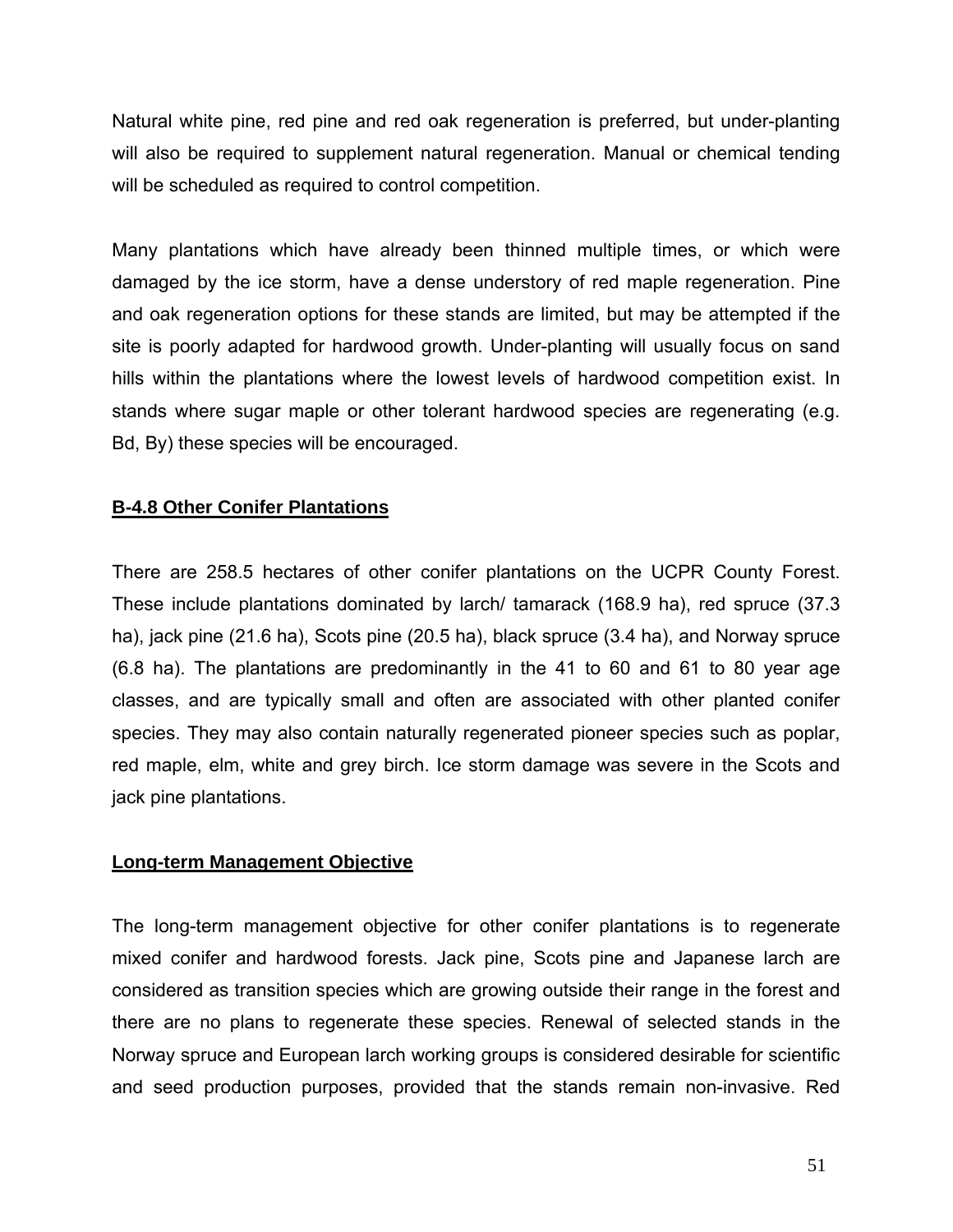Natural white pine, red pine and red oak regeneration is preferred, but under-planting will also be required to supplement natural regeneration. Manual or chemical tending will be scheduled as required to control competition.

Many plantations which have already been thinned multiple times, or which were damaged by the ice storm, have a dense understory of red maple regeneration. Pine and oak regeneration options for these stands are limited, but may be attempted if the site is poorly adapted for hardwood growth. Under-planting will usually focus on sand hills within the plantations where the lowest levels of hardwood competition exist. In stands where sugar maple or other tolerant hardwood species are regenerating (e.g. Bd, By) these species will be encouraged.

# **B-4.8 Other Conifer Plantations**

There are 258.5 hectares of other conifer plantations on the UCPR County Forest. These include plantations dominated by larch/ tamarack (168.9 ha), red spruce (37.3 ha), jack pine (21.6 ha), Scots pine (20.5 ha), black spruce (3.4 ha), and Norway spruce (6.8 ha). The plantations are predominantly in the 41 to 60 and 61 to 80 year age classes, and are typically small and often are associated with other planted conifer species. They may also contain naturally regenerated pioneer species such as poplar, red maple, elm, white and grey birch. Ice storm damage was severe in the Scots and jack pine plantations.

#### **Long-term Management Objective**

The long-term management objective for other conifer plantations is to regenerate mixed conifer and hardwood forests. Jack pine, Scots pine and Japanese larch are considered as transition species which are growing outside their range in the forest and there are no plans to regenerate these species. Renewal of selected stands in the Norway spruce and European larch working groups is considered desirable for scientific and seed production purposes, provided that the stands remain non-invasive. Red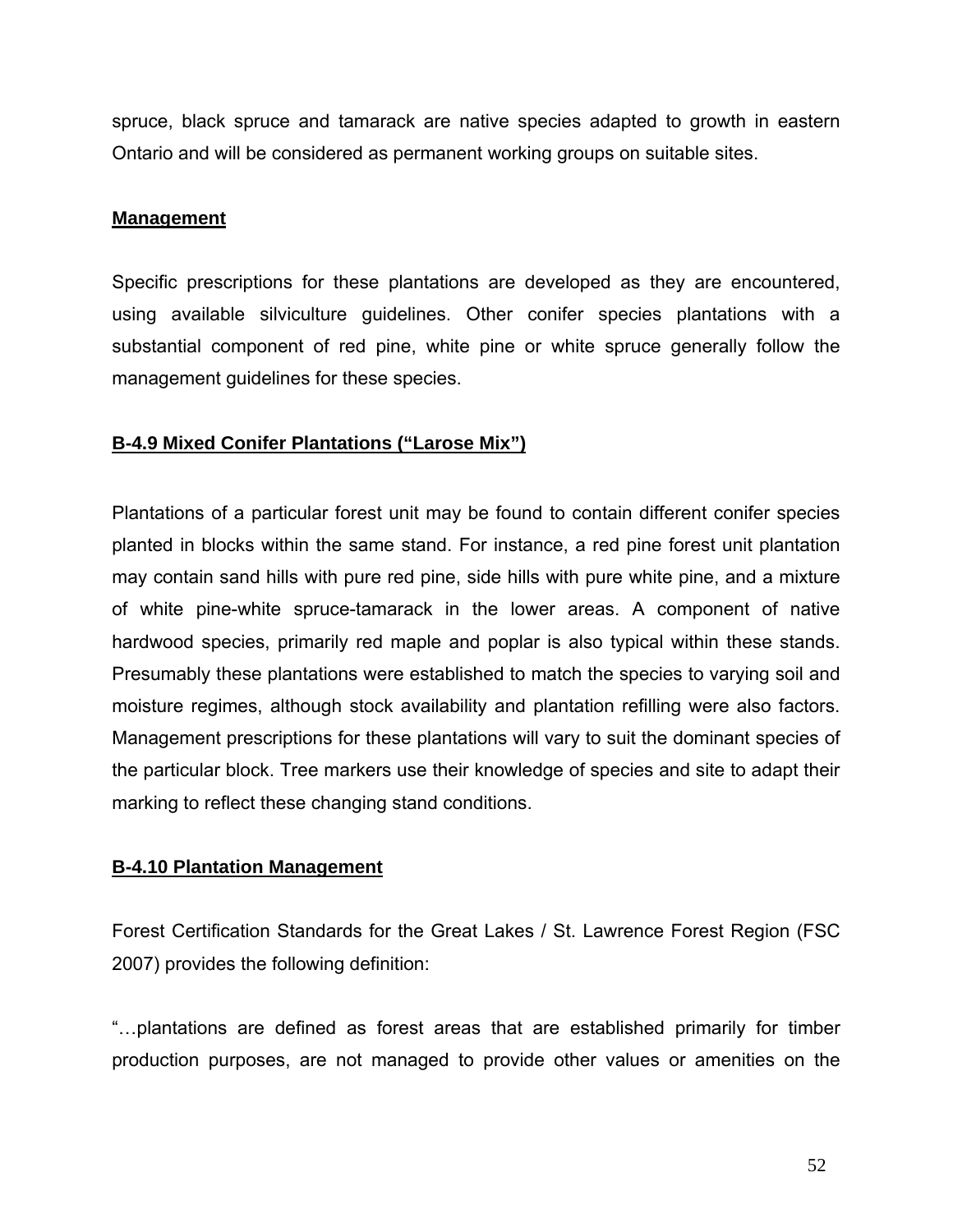spruce, black spruce and tamarack are native species adapted to growth in eastern Ontario and will be considered as permanent working groups on suitable sites.

#### **Management**

Specific prescriptions for these plantations are developed as they are encountered, using available silviculture guidelines. Other conifer species plantations with a substantial component of red pine, white pine or white spruce generally follow the management guidelines for these species.

# **B-4.9 Mixed Conifer Plantations ("Larose Mix")**

Plantations of a particular forest unit may be found to contain different conifer species planted in blocks within the same stand. For instance, a red pine forest unit plantation may contain sand hills with pure red pine, side hills with pure white pine, and a mixture of white pine-white spruce-tamarack in the lower areas. A component of native hardwood species, primarily red maple and poplar is also typical within these stands. Presumably these plantations were established to match the species to varying soil and moisture regimes, although stock availability and plantation refilling were also factors. Management prescriptions for these plantations will vary to suit the dominant species of the particular block. Tree markers use their knowledge of species and site to adapt their marking to reflect these changing stand conditions.

# **B-4.10 Plantation Management**

Forest Certification Standards for the Great Lakes / St. Lawrence Forest Region (FSC 2007) provides the following definition:

"…plantations are defined as forest areas that are established primarily for timber production purposes, are not managed to provide other values or amenities on the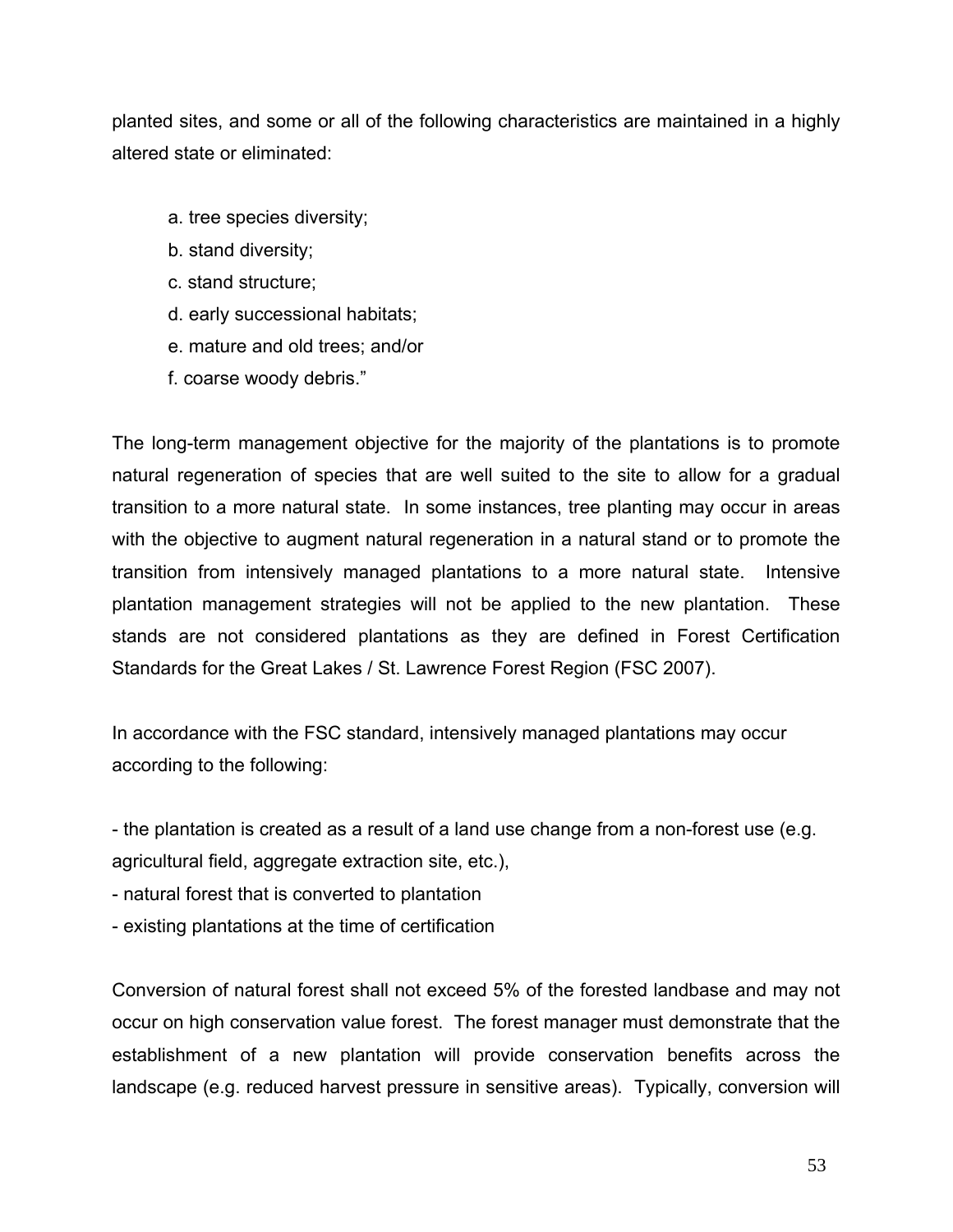planted sites, and some or all of the following characteristics are maintained in a highly altered state or eliminated:

- a. tree species diversity;
- b. stand diversity;
- c. stand structure;
- d. early successional habitats;
- e. mature and old trees; and/or
- f. coarse woody debris."

The long-term management objective for the majority of the plantations is to promote natural regeneration of species that are well suited to the site to allow for a gradual transition to a more natural state. In some instances, tree planting may occur in areas with the objective to augment natural regeneration in a natural stand or to promote the transition from intensively managed plantations to a more natural state. Intensive plantation management strategies will not be applied to the new plantation. These stands are not considered plantations as they are defined in Forest Certification Standards for the Great Lakes / St. Lawrence Forest Region (FSC 2007).

In accordance with the FSC standard, intensively managed plantations may occur according to the following:

- the plantation is created as a result of a land use change from a non-forest use (e.g. agricultural field, aggregate extraction site, etc.),

- natural forest that is converted to plantation

- existing plantations at the time of certification

Conversion of natural forest shall not exceed 5% of the forested landbase and may not occur on high conservation value forest. The forest manager must demonstrate that the establishment of a new plantation will provide conservation benefits across the landscape (e.g. reduced harvest pressure in sensitive areas). Typically, conversion will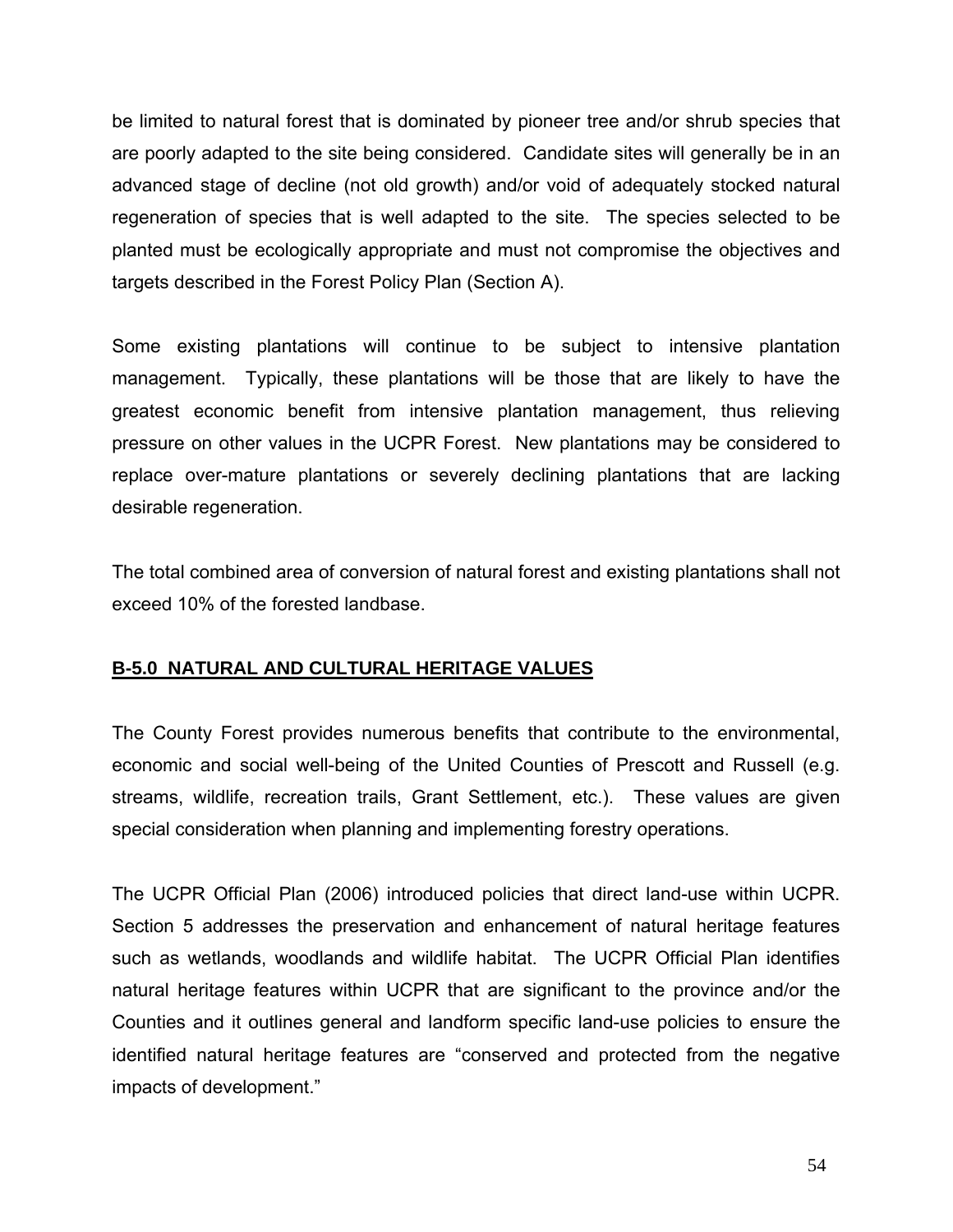be limited to natural forest that is dominated by pioneer tree and/or shrub species that are poorly adapted to the site being considered. Candidate sites will generally be in an advanced stage of decline (not old growth) and/or void of adequately stocked natural regeneration of species that is well adapted to the site. The species selected to be planted must be ecologically appropriate and must not compromise the objectives and targets described in the Forest Policy Plan (Section A).

Some existing plantations will continue to be subject to intensive plantation management. Typically, these plantations will be those that are likely to have the greatest economic benefit from intensive plantation management, thus relieving pressure on other values in the UCPR Forest. New plantations may be considered to replace over-mature plantations or severely declining plantations that are lacking desirable regeneration.

The total combined area of conversion of natural forest and existing plantations shall not exceed 10% of the forested landbase.

# **B-5.0 NATURAL AND CULTURAL HERITAGE VALUES**

The County Forest provides numerous benefits that contribute to the environmental, economic and social well-being of the United Counties of Prescott and Russell (e.g. streams, wildlife, recreation trails, Grant Settlement, etc.). These values are given special consideration when planning and implementing forestry operations.

The UCPR Official Plan (2006) introduced policies that direct land-use within UCPR. Section 5 addresses the preservation and enhancement of natural heritage features such as wetlands, woodlands and wildlife habitat. The UCPR Official Plan identifies natural heritage features within UCPR that are significant to the province and/or the Counties and it outlines general and landform specific land-use policies to ensure the identified natural heritage features are "conserved and protected from the negative impacts of development."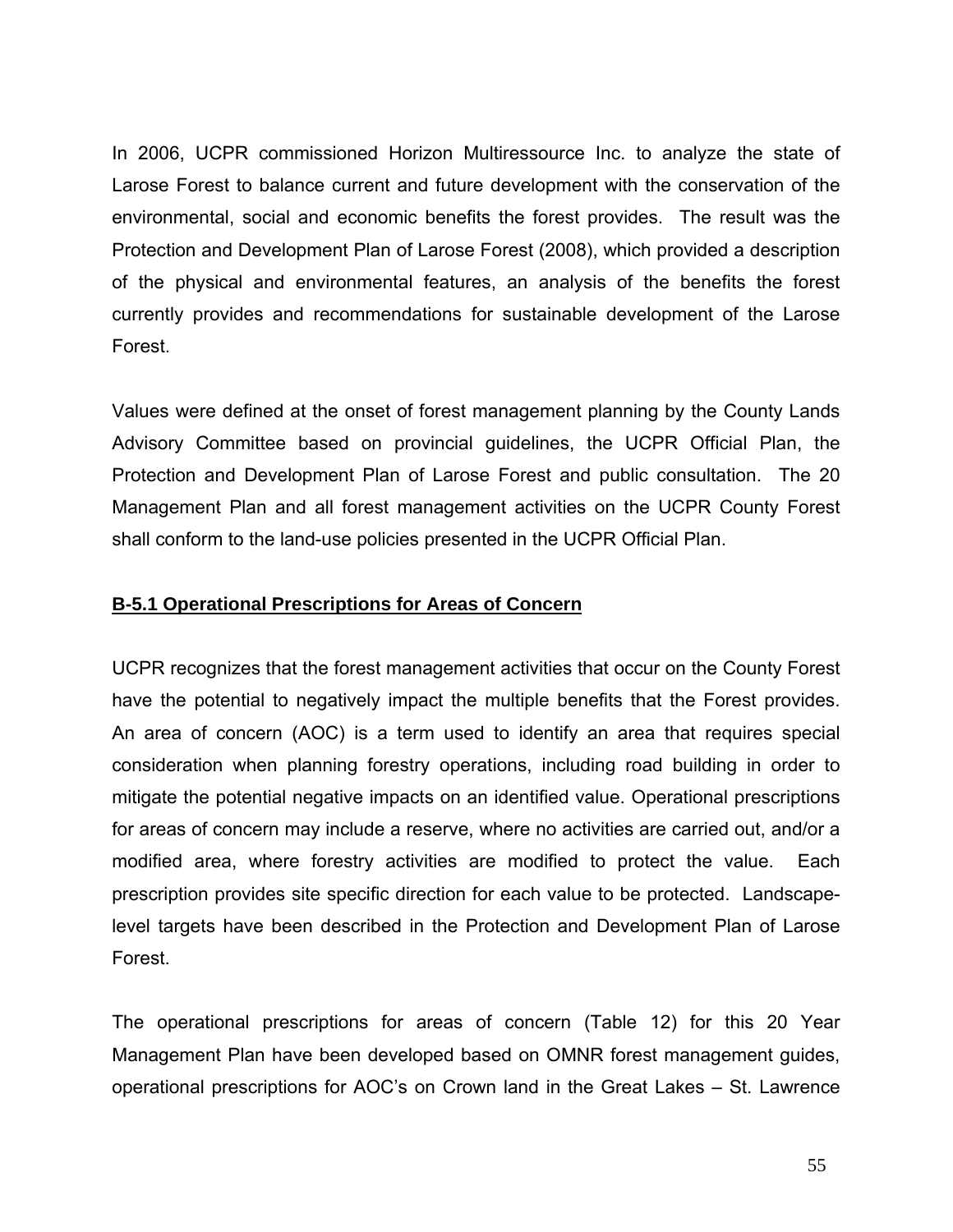In 2006, UCPR commissioned Horizon Multiressource Inc. to analyze the state of Larose Forest to balance current and future development with the conservation of the environmental, social and economic benefits the forest provides. The result was the Protection and Development Plan of Larose Forest (2008), which provided a description of the physical and environmental features, an analysis of the benefits the forest currently provides and recommendations for sustainable development of the Larose Forest.

Values were defined at the onset of forest management planning by the County Lands Advisory Committee based on provincial guidelines, the UCPR Official Plan, the Protection and Development Plan of Larose Forest and public consultation. The 20 Management Plan and all forest management activities on the UCPR County Forest shall conform to the land-use policies presented in the UCPR Official Plan.

#### **B-5.1 Operational Prescriptions for Areas of Concern**

UCPR recognizes that the forest management activities that occur on the County Forest have the potential to negatively impact the multiple benefits that the Forest provides. An area of concern (AOC) is a term used to identify an area that requires special consideration when planning forestry operations, including road building in order to mitigate the potential negative impacts on an identified value. Operational prescriptions for areas of concern may include a reserve, where no activities are carried out, and/or a modified area, where forestry activities are modified to protect the value. Each prescription provides site specific direction for each value to be protected. Landscapelevel targets have been described in the Protection and Development Plan of Larose Forest.

The operational prescriptions for areas of concern (Table 12) for this 20 Year Management Plan have been developed based on OMNR forest management guides, operational prescriptions for AOC's on Crown land in the Great Lakes – St. Lawrence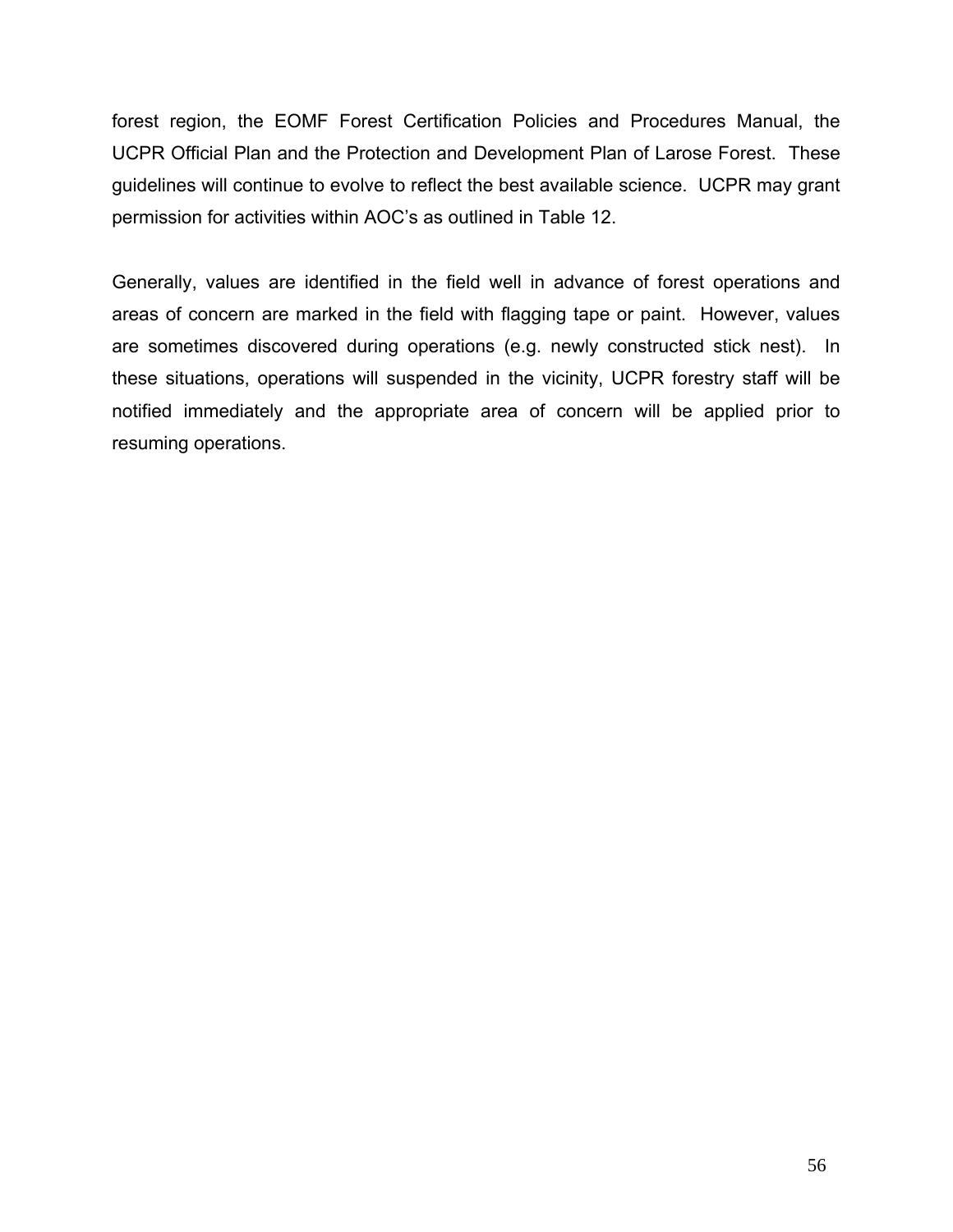forest region, the EOMF Forest Certification Policies and Procedures Manual, the UCPR Official Plan and the Protection and Development Plan of Larose Forest. These guidelines will continue to evolve to reflect the best available science. UCPR may grant permission for activities within AOC's as outlined in Table 12.

Generally, values are identified in the field well in advance of forest operations and areas of concern are marked in the field with flagging tape or paint. However, values are sometimes discovered during operations (e.g. newly constructed stick nest). In these situations, operations will suspended in the vicinity, UCPR forestry staff will be notified immediately and the appropriate area of concern will be applied prior to resuming operations.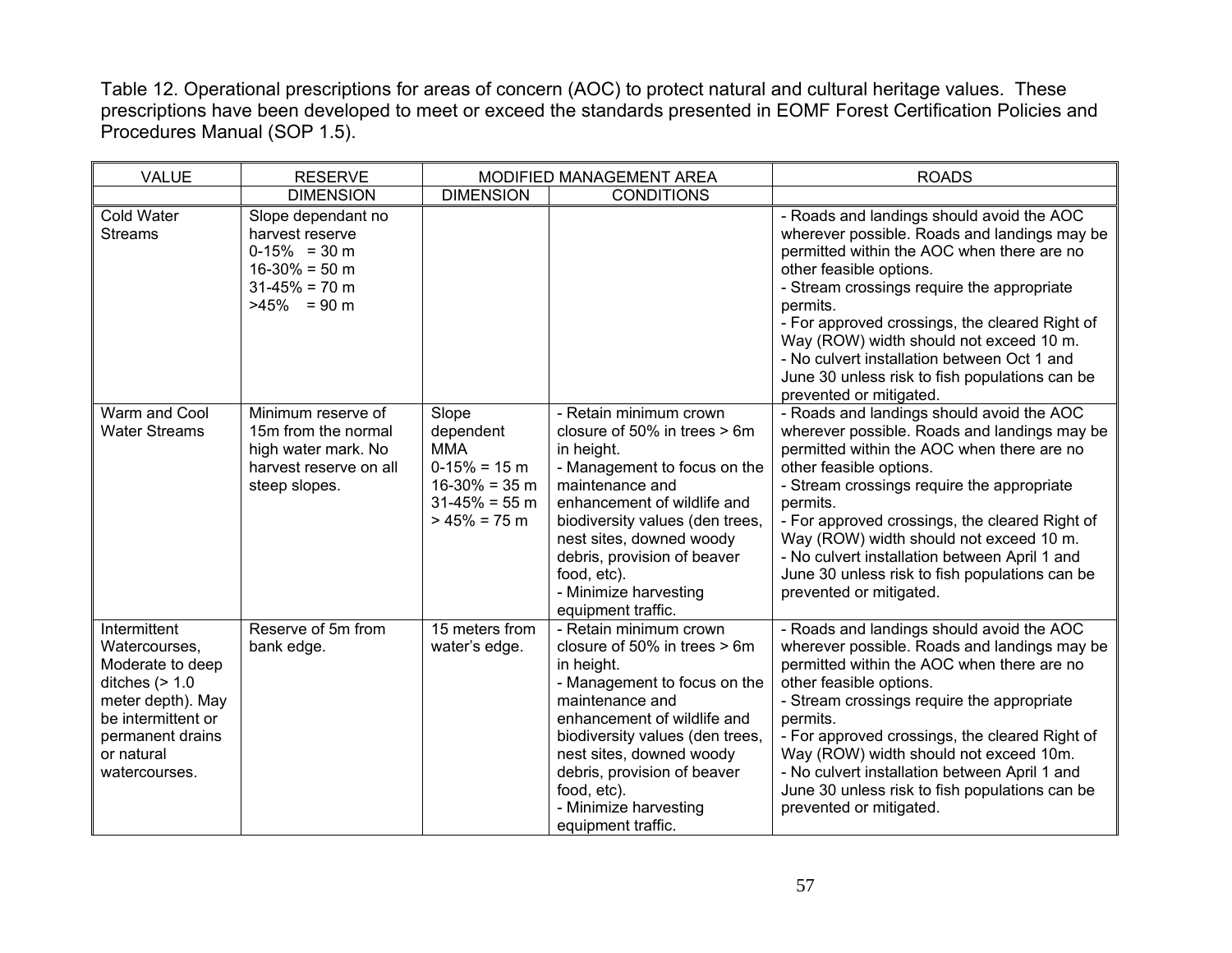Table 12. Operational prescriptions for areas of concern (AOC) to protect natural and cultural heritage values. These prescriptions have been developed to meet or exceed the standards presented in EOMF Forest Certification Policies and Procedures Manual (SOP 1.5).

| <b>VALUE</b>                                                                                                                                                        | <b>RESERVE</b><br>MODIFIED MANAGEMENT AREA                                                                                       |                                                                                                              |                                                                                                                                                                                                                                                                                                                    | <b>ROADS</b>                                                                                                                                                                                                                                                                                                                                                                                                                                            |
|---------------------------------------------------------------------------------------------------------------------------------------------------------------------|----------------------------------------------------------------------------------------------------------------------------------|--------------------------------------------------------------------------------------------------------------|--------------------------------------------------------------------------------------------------------------------------------------------------------------------------------------------------------------------------------------------------------------------------------------------------------------------|---------------------------------------------------------------------------------------------------------------------------------------------------------------------------------------------------------------------------------------------------------------------------------------------------------------------------------------------------------------------------------------------------------------------------------------------------------|
|                                                                                                                                                                     | <b>DIMENSION</b>                                                                                                                 | <b>DIMENSION</b>                                                                                             | <b>CONDITIONS</b>                                                                                                                                                                                                                                                                                                  |                                                                                                                                                                                                                                                                                                                                                                                                                                                         |
| <b>Cold Water</b><br><b>Streams</b>                                                                                                                                 | Slope dependant no<br>harvest reserve<br>$0-15\% = 30 \text{ m}$<br>$16-30% = 50$ m<br>$31-45% = 70$ m<br>$>45\% = 90 \text{ m}$ |                                                                                                              |                                                                                                                                                                                                                                                                                                                    | - Roads and landings should avoid the AOC<br>wherever possible. Roads and landings may be<br>permitted within the AOC when there are no<br>other feasible options.<br>- Stream crossings require the appropriate<br>permits.<br>- For approved crossings, the cleared Right of<br>Way (ROW) width should not exceed 10 m.<br>- No culvert installation between Oct 1 and<br>June 30 unless risk to fish populations can be<br>prevented or mitigated.   |
| Warm and Cool<br><b>Water Streams</b>                                                                                                                               | Minimum reserve of<br>15m from the normal<br>high water mark. No<br>harvest reserve on all<br>steep slopes.                      | Slope<br>dependent<br><b>MMA</b><br>$0-15% = 15$ m<br>$16-30\% = 35$ m<br>$31-45% = 55$ m<br>$> 45\% = 75$ m | - Retain minimum crown<br>closure of 50% in trees > 6m<br>in height.<br>- Management to focus on the<br>maintenance and<br>enhancement of wildlife and<br>biodiversity values (den trees,<br>nest sites, downed woody<br>debris, provision of beaver<br>food, etc).<br>- Minimize harvesting<br>equipment traffic. | - Roads and landings should avoid the AOC<br>wherever possible. Roads and landings may be<br>permitted within the AOC when there are no<br>other feasible options.<br>- Stream crossings require the appropriate<br>permits.<br>- For approved crossings, the cleared Right of<br>Way (ROW) width should not exceed 10 m.<br>- No culvert installation between April 1 and<br>June 30 unless risk to fish populations can be<br>prevented or mitigated. |
| Intermittent<br>Watercourses,<br>Moderate to deep<br>ditches $(> 1.0$<br>meter depth). May<br>be intermittent or<br>permanent drains<br>or natural<br>watercourses. | Reserve of 5m from<br>bank edge.                                                                                                 | 15 meters from<br>water's edge.                                                                              | - Retain minimum crown<br>closure of 50% in trees > 6m<br>in height.<br>- Management to focus on the<br>maintenance and<br>enhancement of wildlife and<br>biodiversity values (den trees,<br>nest sites, downed woody<br>debris, provision of beaver<br>food, etc).<br>- Minimize harvesting<br>equipment traffic. | - Roads and landings should avoid the AOC<br>wherever possible. Roads and landings may be<br>permitted within the AOC when there are no<br>other feasible options.<br>- Stream crossings require the appropriate<br>permits.<br>- For approved crossings, the cleared Right of<br>Way (ROW) width should not exceed 10m.<br>- No culvert installation between April 1 and<br>June 30 unless risk to fish populations can be<br>prevented or mitigated.  |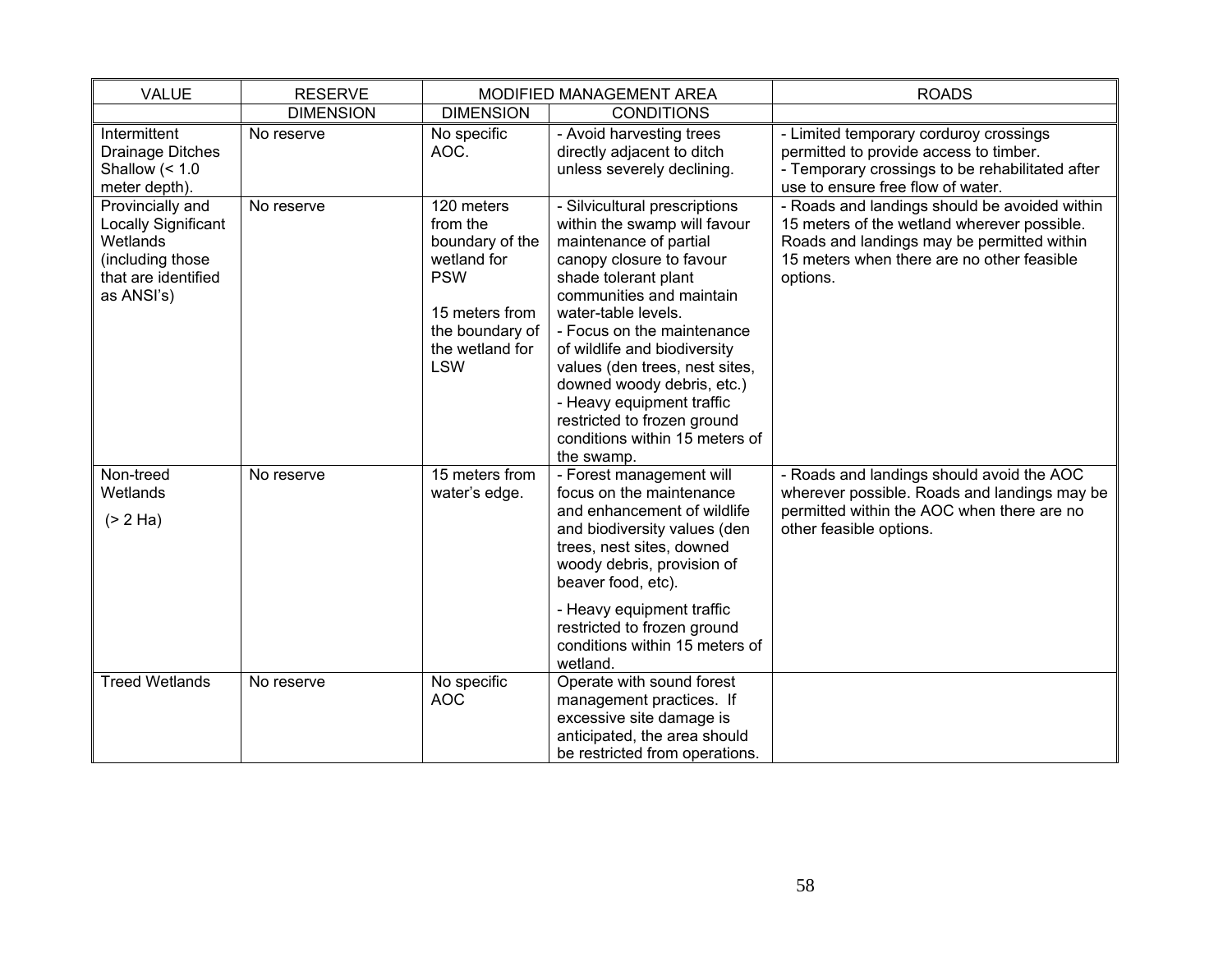| <b>VALUE</b>                                                                                                 | <b>RESERVE</b><br>MODIFIED MANAGEMENT AREA |                                                                                                                                              |                                                                                                                                                                                                                                                                                                                                                                                                                                          | <b>ROADS</b>                                                                                                                                                                                         |
|--------------------------------------------------------------------------------------------------------------|--------------------------------------------|----------------------------------------------------------------------------------------------------------------------------------------------|------------------------------------------------------------------------------------------------------------------------------------------------------------------------------------------------------------------------------------------------------------------------------------------------------------------------------------------------------------------------------------------------------------------------------------------|------------------------------------------------------------------------------------------------------------------------------------------------------------------------------------------------------|
|                                                                                                              | <b>DIMENSION</b>                           | <b>DIMENSION</b>                                                                                                                             | <b>CONDITIONS</b>                                                                                                                                                                                                                                                                                                                                                                                                                        |                                                                                                                                                                                                      |
| Intermittent<br>Drainage Ditches<br>Shallow $(1.0meter depth).$                                              | No reserve                                 | No specific<br>AOC.                                                                                                                          | - Avoid harvesting trees<br>directly adjacent to ditch<br>unless severely declining.                                                                                                                                                                                                                                                                                                                                                     | - Limited temporary corduroy crossings<br>permitted to provide access to timber.<br>- Temporary crossings to be rehabilitated after<br>use to ensure free flow of water.                             |
| Provincially and<br>Locally Significant<br>Wetlands<br>(including those<br>that are identified<br>as ANSI's) | No reserve                                 | 120 meters<br>from the<br>boundary of the<br>wetland for<br><b>PSW</b><br>15 meters from<br>the boundary of<br>the wetland for<br><b>LSW</b> | - Silvicultural prescriptions<br>within the swamp will favour<br>maintenance of partial<br>canopy closure to favour<br>shade tolerant plant<br>communities and maintain<br>water-table levels.<br>- Focus on the maintenance<br>of wildlife and biodiversity<br>values (den trees, nest sites,<br>downed woody debris, etc.)<br>- Heavy equipment traffic<br>restricted to frozen ground<br>conditions within 15 meters of<br>the swamp. | - Roads and landings should be avoided within<br>15 meters of the wetland wherever possible.<br>Roads and landings may be permitted within<br>15 meters when there are no other feasible<br>options. |
| Non-treed<br>Wetlands<br>(> 2 Ha)                                                                            | No reserve                                 | 15 meters from<br>water's edge.                                                                                                              | - Forest management will<br>focus on the maintenance<br>and enhancement of wildlife<br>and biodiversity values (den<br>trees, nest sites, downed<br>woody debris, provision of<br>beaver food, etc).<br>- Heavy equipment traffic<br>restricted to frozen ground<br>conditions within 15 meters of<br>wetland.                                                                                                                           | - Roads and landings should avoid the AOC<br>wherever possible. Roads and landings may be<br>permitted within the AOC when there are no<br>other feasible options.                                   |
| <b>Treed Wetlands</b>                                                                                        | No reserve                                 | No specific<br><b>AOC</b>                                                                                                                    | Operate with sound forest<br>management practices. If<br>excessive site damage is<br>anticipated, the area should<br>be restricted from operations.                                                                                                                                                                                                                                                                                      |                                                                                                                                                                                                      |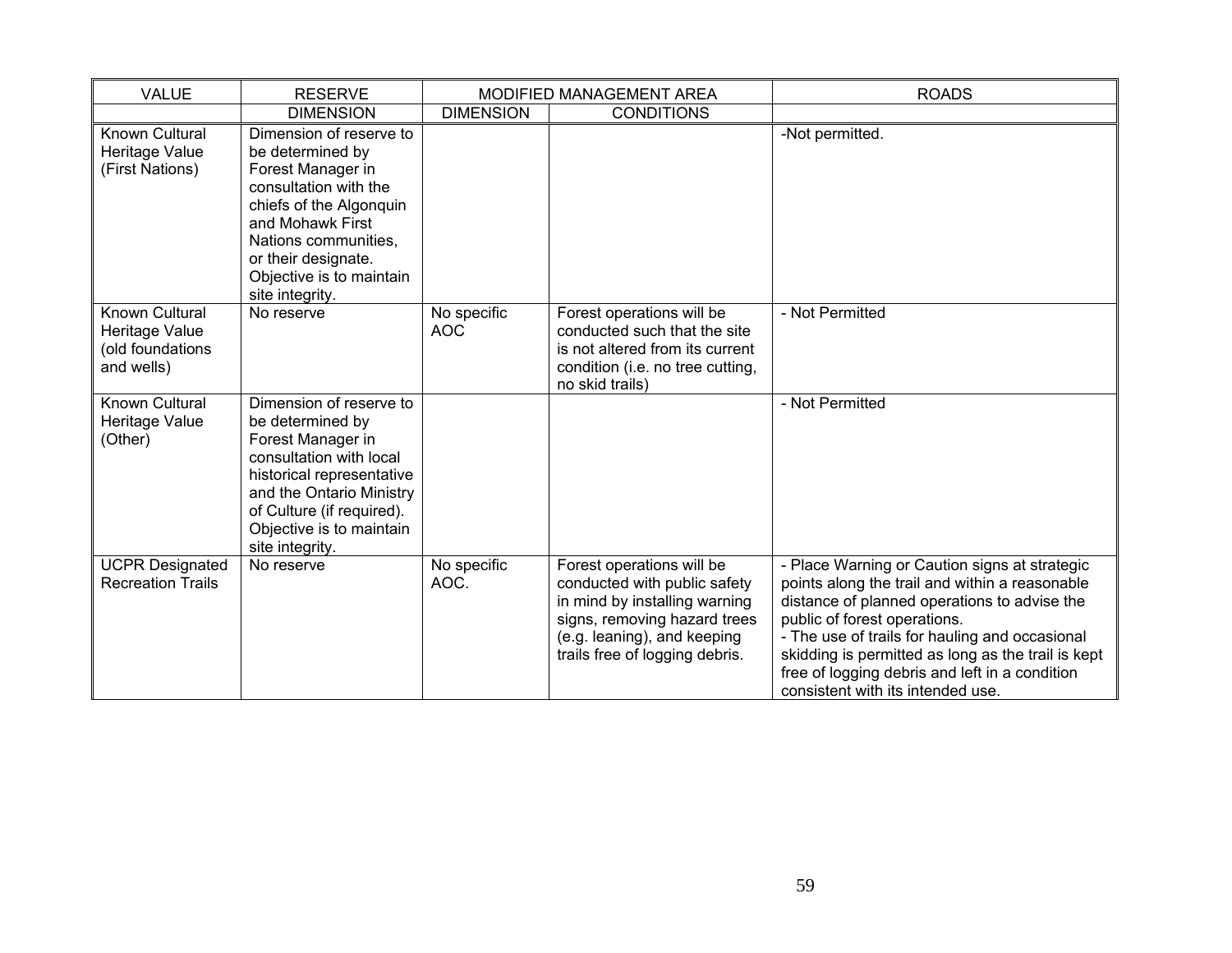| <b>VALUE</b>                                                       | <b>RESERVE</b><br>MODIFIED MANAGEMENT AREA                                                                                                                                                                                             |                           |                                                                                                                                                                                             | <b>ROADS</b>                                                                                                                                                                                                                                                                                                                                                                   |
|--------------------------------------------------------------------|----------------------------------------------------------------------------------------------------------------------------------------------------------------------------------------------------------------------------------------|---------------------------|---------------------------------------------------------------------------------------------------------------------------------------------------------------------------------------------|--------------------------------------------------------------------------------------------------------------------------------------------------------------------------------------------------------------------------------------------------------------------------------------------------------------------------------------------------------------------------------|
|                                                                    | <b>DIMENSION</b>                                                                                                                                                                                                                       | <b>DIMENSION</b>          | <b>CONDITIONS</b>                                                                                                                                                                           |                                                                                                                                                                                                                                                                                                                                                                                |
| Known Cultural<br>Heritage Value<br>(First Nations)                | Dimension of reserve to<br>be determined by<br>Forest Manager in<br>consultation with the<br>chiefs of the Algonquin<br>and Mohawk First<br>Nations communities,<br>or their designate.<br>Objective is to maintain<br>site integrity. |                           |                                                                                                                                                                                             | -Not permitted.                                                                                                                                                                                                                                                                                                                                                                |
| Known Cultural<br>Heritage Value<br>(old foundations<br>and wells) | No reserve                                                                                                                                                                                                                             | No specific<br><b>AOC</b> | Forest operations will be<br>conducted such that the site<br>is not altered from its current<br>condition (i.e. no tree cutting,<br>no skid trails)                                         | - Not Permitted                                                                                                                                                                                                                                                                                                                                                                |
| Known Cultural<br>Heritage Value<br>(Other)                        | Dimension of reserve to<br>be determined by<br>Forest Manager in<br>consultation with local<br>historical representative<br>and the Ontario Ministry<br>of Culture (if required).<br>Objective is to maintain<br>site integrity.       |                           |                                                                                                                                                                                             | - Not Permitted                                                                                                                                                                                                                                                                                                                                                                |
| <b>UCPR Designated</b><br><b>Recreation Trails</b>                 | No reserve                                                                                                                                                                                                                             | No specific<br>AOC.       | Forest operations will be<br>conducted with public safety<br>in mind by installing warning<br>signs, removing hazard trees<br>(e.g. leaning), and keeping<br>trails free of logging debris. | - Place Warning or Caution signs at strategic<br>points along the trail and within a reasonable<br>distance of planned operations to advise the<br>public of forest operations.<br>- The use of trails for hauling and occasional<br>skidding is permitted as long as the trail is kept<br>free of logging debris and left in a condition<br>consistent with its intended use. |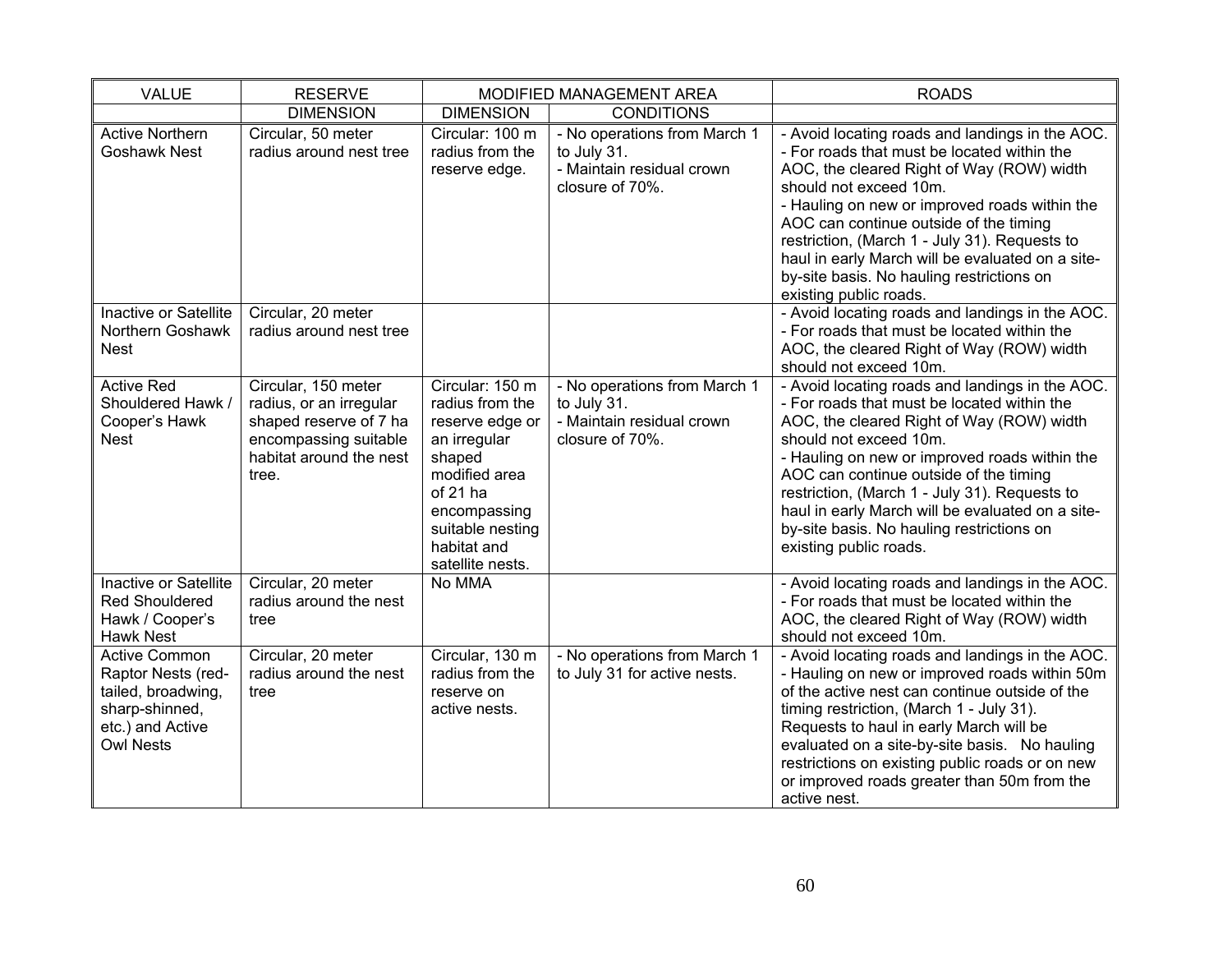| <b>VALUE</b>                                                                                                               | <b>RESERVE</b>                                                                                                                        | MODIFIED MANAGEMENT AREA                                                                                                                                                            |                                                                                             | <b>ROADS</b>                                                                                                                                                                                                                                                                                                                                                                                                                                 |
|----------------------------------------------------------------------------------------------------------------------------|---------------------------------------------------------------------------------------------------------------------------------------|-------------------------------------------------------------------------------------------------------------------------------------------------------------------------------------|---------------------------------------------------------------------------------------------|----------------------------------------------------------------------------------------------------------------------------------------------------------------------------------------------------------------------------------------------------------------------------------------------------------------------------------------------------------------------------------------------------------------------------------------------|
|                                                                                                                            | <b>DIMENSION</b>                                                                                                                      | <b>DIMENSION</b>                                                                                                                                                                    | <b>CONDITIONS</b>                                                                           |                                                                                                                                                                                                                                                                                                                                                                                                                                              |
| <b>Active Northern</b><br><b>Goshawk Nest</b>                                                                              | Circular, 50 meter<br>radius around nest tree                                                                                         | Circular: 100 m<br>radius from the<br>reserve edge.                                                                                                                                 | - No operations from March 1<br>to July 31.<br>- Maintain residual crown<br>closure of 70%. | - Avoid locating roads and landings in the AOC.<br>- For roads that must be located within the<br>AOC, the cleared Right of Way (ROW) width<br>should not exceed 10m.<br>- Hauling on new or improved roads within the<br>AOC can continue outside of the timing<br>restriction, (March 1 - July 31). Requests to<br>haul in early March will be evaluated on a site-<br>by-site basis. No hauling restrictions on<br>existing public roads. |
| Inactive or Satellite<br>Northern Goshawk<br><b>Nest</b>                                                                   | Circular, 20 meter<br>radius around nest tree                                                                                         |                                                                                                                                                                                     |                                                                                             | - Avoid locating roads and landings in the AOC.<br>- For roads that must be located within the<br>AOC, the cleared Right of Way (ROW) width<br>should not exceed 10m.                                                                                                                                                                                                                                                                        |
| <b>Active Red</b><br>Shouldered Hawk /<br>Cooper's Hawk<br><b>Nest</b>                                                     | Circular, 150 meter<br>radius, or an irregular<br>shaped reserve of 7 ha<br>encompassing suitable<br>habitat around the nest<br>tree. | Circular: 150 m<br>radius from the<br>reserve edge or<br>an irregular<br>shaped<br>modified area<br>of 21 ha<br>encompassing<br>suitable nesting<br>habitat and<br>satellite nests. | - No operations from March 1<br>to July 31.<br>- Maintain residual crown<br>closure of 70%. | - Avoid locating roads and landings in the AOC.<br>- For roads that must be located within the<br>AOC, the cleared Right of Way (ROW) width<br>should not exceed 10m.<br>- Hauling on new or improved roads within the<br>AOC can continue outside of the timing<br>restriction, (March 1 - July 31). Requests to<br>haul in early March will be evaluated on a site-<br>by-site basis. No hauling restrictions on<br>existing public roads. |
| Inactive or Satellite<br><b>Red Shouldered</b><br>Hawk / Cooper's<br><b>Hawk Nest</b>                                      | Circular, 20 meter<br>radius around the nest<br>tree                                                                                  | No MMA                                                                                                                                                                              |                                                                                             | - Avoid locating roads and landings in the AOC.<br>- For roads that must be located within the<br>AOC, the cleared Right of Way (ROW) width<br>should not exceed 10m.                                                                                                                                                                                                                                                                        |
| <b>Active Common</b><br>Raptor Nests (red-<br>tailed, broadwing,<br>sharp-shinned,<br>etc.) and Active<br><b>Owl Nests</b> | Circular, 20 meter<br>radius around the nest<br>tree                                                                                  | Circular, 130 m<br>radius from the<br>reserve on<br>active nests.                                                                                                                   | - No operations from March 1<br>to July 31 for active nests.                                | - Avoid locating roads and landings in the AOC.<br>- Hauling on new or improved roads within 50m<br>of the active nest can continue outside of the<br>timing restriction, (March 1 - July 31).<br>Requests to haul in early March will be<br>evaluated on a site-by-site basis. No hauling<br>restrictions on existing public roads or on new<br>or improved roads greater than 50m from the<br>active nest.                                 |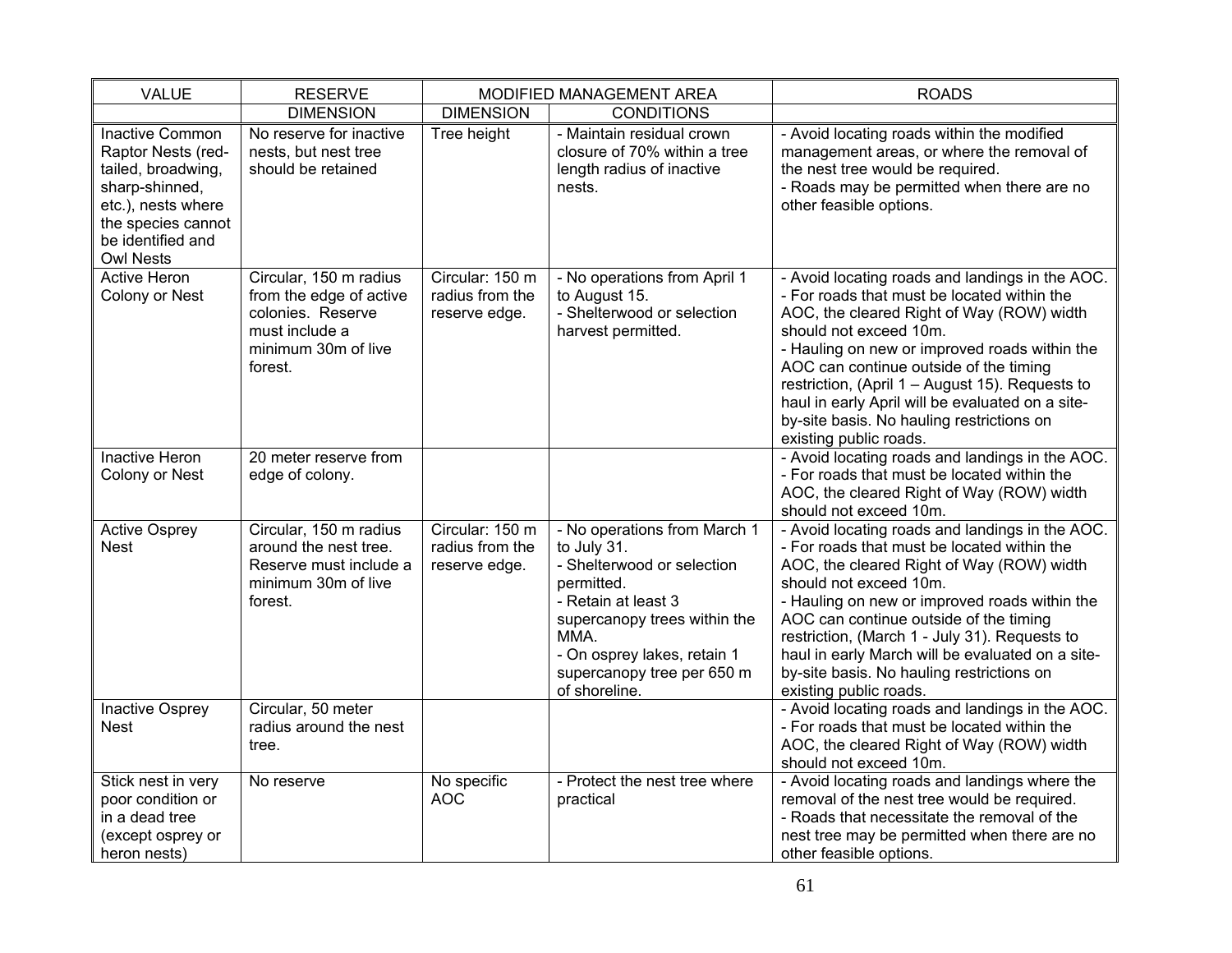| <b>VALUE</b>                                                                                                                                                              | <b>RESERVE</b>                                                                                                             |                                                     | MODIFIED MANAGEMENT AREA                                                                                                                                                                                                             | <b>ROADS</b>                                                                                                                                                                                                                                                                                                                                                                                                                                   |
|---------------------------------------------------------------------------------------------------------------------------------------------------------------------------|----------------------------------------------------------------------------------------------------------------------------|-----------------------------------------------------|--------------------------------------------------------------------------------------------------------------------------------------------------------------------------------------------------------------------------------------|------------------------------------------------------------------------------------------------------------------------------------------------------------------------------------------------------------------------------------------------------------------------------------------------------------------------------------------------------------------------------------------------------------------------------------------------|
|                                                                                                                                                                           | <b>DIMENSION</b>                                                                                                           | <b>DIMENSION</b>                                    | <b>CONDITIONS</b>                                                                                                                                                                                                                    |                                                                                                                                                                                                                                                                                                                                                                                                                                                |
| <b>Inactive Common</b><br>Raptor Nests (red-<br>tailed, broadwing,<br>sharp-shinned,<br>etc.), nests where<br>the species cannot<br>be identified and<br><b>Owl Nests</b> | No reserve for inactive<br>nests, but nest tree<br>should be retained                                                      | Tree height                                         | - Maintain residual crown<br>closure of 70% within a tree<br>length radius of inactive<br>nests.                                                                                                                                     | - Avoid locating roads within the modified<br>management areas, or where the removal of<br>the nest tree would be required.<br>- Roads may be permitted when there are no<br>other feasible options.                                                                                                                                                                                                                                           |
| <b>Active Heron</b><br>Colony or Nest                                                                                                                                     | Circular, 150 m radius<br>from the edge of active<br>colonies. Reserve<br>must include a<br>minimum 30m of live<br>forest. | Circular: 150 m<br>radius from the<br>reserve edge. | - No operations from April 1<br>to August 15.<br>- Shelterwood or selection<br>harvest permitted.                                                                                                                                    | - Avoid locating roads and landings in the AOC.<br>- For roads that must be located within the<br>AOC, the cleared Right of Way (ROW) width<br>should not exceed 10m.<br>- Hauling on new or improved roads within the<br>AOC can continue outside of the timing<br>restriction, (April 1 - August 15). Requests to<br>haul in early April will be evaluated on a site-<br>by-site basis. No hauling restrictions on<br>existing public roads. |
| <b>Inactive Heron</b><br>Colony or Nest                                                                                                                                   | 20 meter reserve from<br>edge of colony.                                                                                   |                                                     |                                                                                                                                                                                                                                      | - Avoid locating roads and landings in the AOC.<br>- For roads that must be located within the<br>AOC, the cleared Right of Way (ROW) width<br>should not exceed 10m.                                                                                                                                                                                                                                                                          |
| <b>Active Osprey</b><br><b>Nest</b>                                                                                                                                       | Circular, 150 m radius<br>around the nest tree.<br>Reserve must include a<br>minimum 30m of live<br>forest.                | Circular: 150 m<br>radius from the<br>reserve edge. | - No operations from March 1<br>to July 31.<br>- Shelterwood or selection<br>permitted.<br>- Retain at least 3<br>supercanopy trees within the<br>MMA.<br>- On osprey lakes, retain 1<br>supercanopy tree per 650 m<br>of shoreline. | - Avoid locating roads and landings in the AOC.<br>- For roads that must be located within the<br>AOC, the cleared Right of Way (ROW) width<br>should not exceed 10m.<br>- Hauling on new or improved roads within the<br>AOC can continue outside of the timing<br>restriction, (March 1 - July 31). Requests to<br>haul in early March will be evaluated on a site-<br>by-site basis. No hauling restrictions on<br>existing public roads.   |
| Inactive Osprey<br><b>Nest</b>                                                                                                                                            | Circular, 50 meter<br>radius around the nest<br>tree.                                                                      |                                                     |                                                                                                                                                                                                                                      | - Avoid locating roads and landings in the AOC.<br>- For roads that must be located within the<br>AOC, the cleared Right of Way (ROW) width<br>should not exceed 10m.                                                                                                                                                                                                                                                                          |
| Stick nest in very<br>poor condition or<br>in a dead tree<br>(except osprey or<br>heron nests)                                                                            | No reserve                                                                                                                 | No specific<br><b>AOC</b>                           | - Protect the nest tree where<br>practical                                                                                                                                                                                           | - Avoid locating roads and landings where the<br>removal of the nest tree would be required.<br>- Roads that necessitate the removal of the<br>nest tree may be permitted when there are no<br>other feasible options.                                                                                                                                                                                                                         |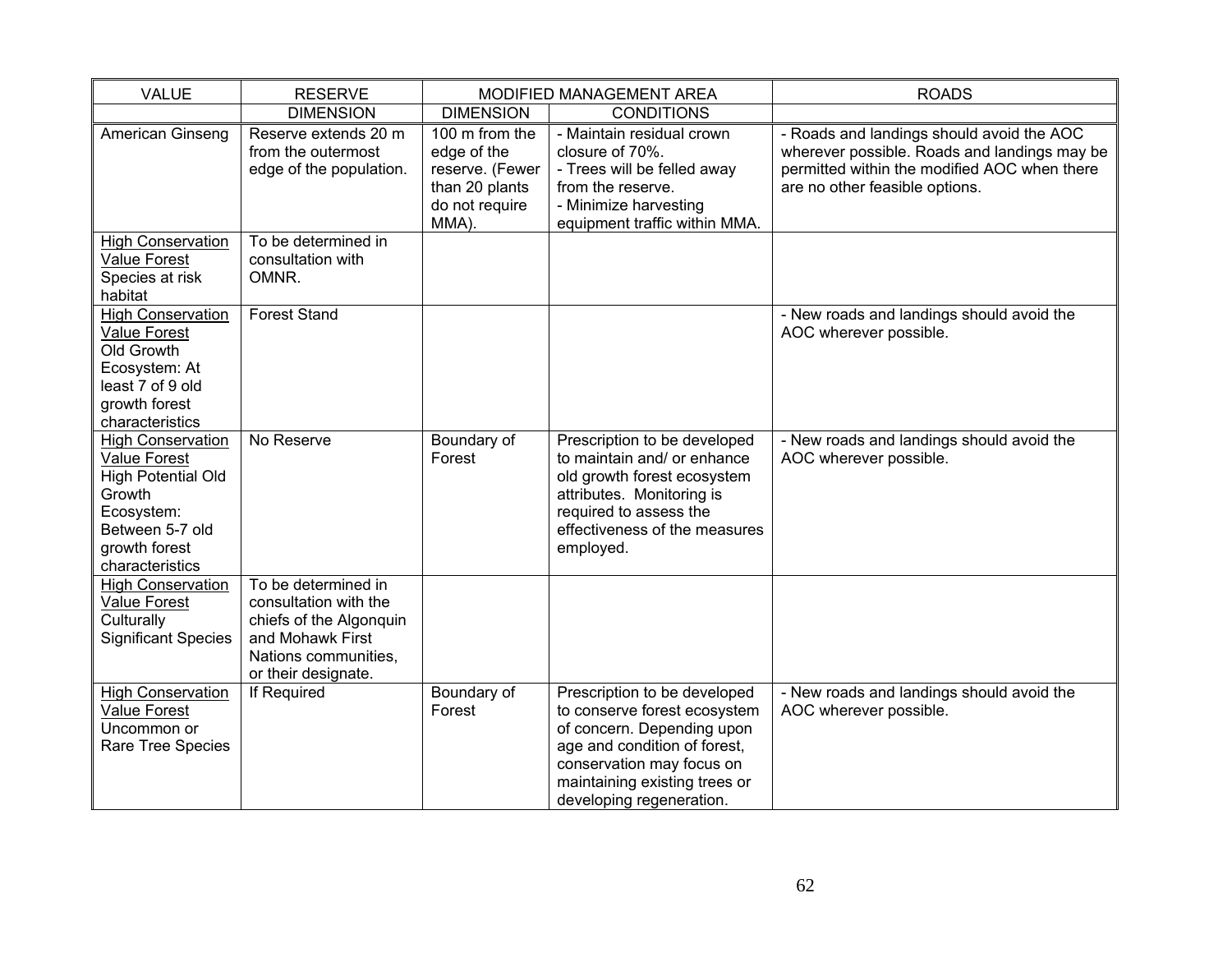| <b>VALUE</b>                                                                                                                                         | <b>RESERVE</b>                                                                                                                             | MODIFIED MANAGEMENT AREA                                                                      |                                                                                                                                                                                                                      | <b>ROADS</b>                                                                                                                                                                |
|------------------------------------------------------------------------------------------------------------------------------------------------------|--------------------------------------------------------------------------------------------------------------------------------------------|-----------------------------------------------------------------------------------------------|----------------------------------------------------------------------------------------------------------------------------------------------------------------------------------------------------------------------|-----------------------------------------------------------------------------------------------------------------------------------------------------------------------------|
|                                                                                                                                                      | <b>DIMENSION</b>                                                                                                                           | <b>DIMENSION</b>                                                                              | <b>CONDITIONS</b>                                                                                                                                                                                                    |                                                                                                                                                                             |
| American Ginseng                                                                                                                                     | Reserve extends 20 m<br>from the outermost<br>edge of the population.                                                                      | 100 m from the<br>edge of the<br>reserve. (Fewer<br>than 20 plants<br>do not require<br>MMA). | - Maintain residual crown<br>closure of 70%.<br>- Trees will be felled away<br>from the reserve.<br>- Minimize harvesting<br>equipment traffic within MMA.                                                           | - Roads and landings should avoid the AOC<br>wherever possible. Roads and landings may be<br>permitted within the modified AOC when there<br>are no other feasible options. |
| <b>High Conservation</b><br><b>Value Forest</b><br>Species at risk<br>habitat                                                                        | To be determined in<br>consultation with<br>OMNR.                                                                                          |                                                                                               |                                                                                                                                                                                                                      |                                                                                                                                                                             |
| <b>High Conservation</b><br><b>Value Forest</b><br>Old Growth<br>Ecosystem: At<br>least 7 of 9 old<br>growth forest<br>characteristics               | <b>Forest Stand</b>                                                                                                                        |                                                                                               |                                                                                                                                                                                                                      | - New roads and landings should avoid the<br>AOC wherever possible.                                                                                                         |
| <b>High Conservation</b><br>Value Forest<br><b>High Potential Old</b><br>Growth<br>Ecosystem:<br>Between 5-7 old<br>growth forest<br>characteristics | No Reserve                                                                                                                                 | Boundary of<br>Forest                                                                         | Prescription to be developed<br>to maintain and/ or enhance<br>old growth forest ecosystem<br>attributes. Monitoring is<br>required to assess the<br>effectiveness of the measures<br>employed.                      | - New roads and landings should avoid the<br>AOC wherever possible.                                                                                                         |
| <b>High Conservation</b><br><b>Value Forest</b><br>Culturally<br><b>Significant Species</b>                                                          | To be determined in<br>consultation with the<br>chiefs of the Algonquin<br>and Mohawk First<br>Nations communities,<br>or their designate. |                                                                                               |                                                                                                                                                                                                                      |                                                                                                                                                                             |
| <b>High Conservation</b><br><b>Value Forest</b><br>Uncommon or<br>Rare Tree Species                                                                  | If Required                                                                                                                                | Boundary of<br>Forest                                                                         | Prescription to be developed<br>to conserve forest ecosystem<br>of concern. Depending upon<br>age and condition of forest,<br>conservation may focus on<br>maintaining existing trees or<br>developing regeneration. | - New roads and landings should avoid the<br>AOC wherever possible.                                                                                                         |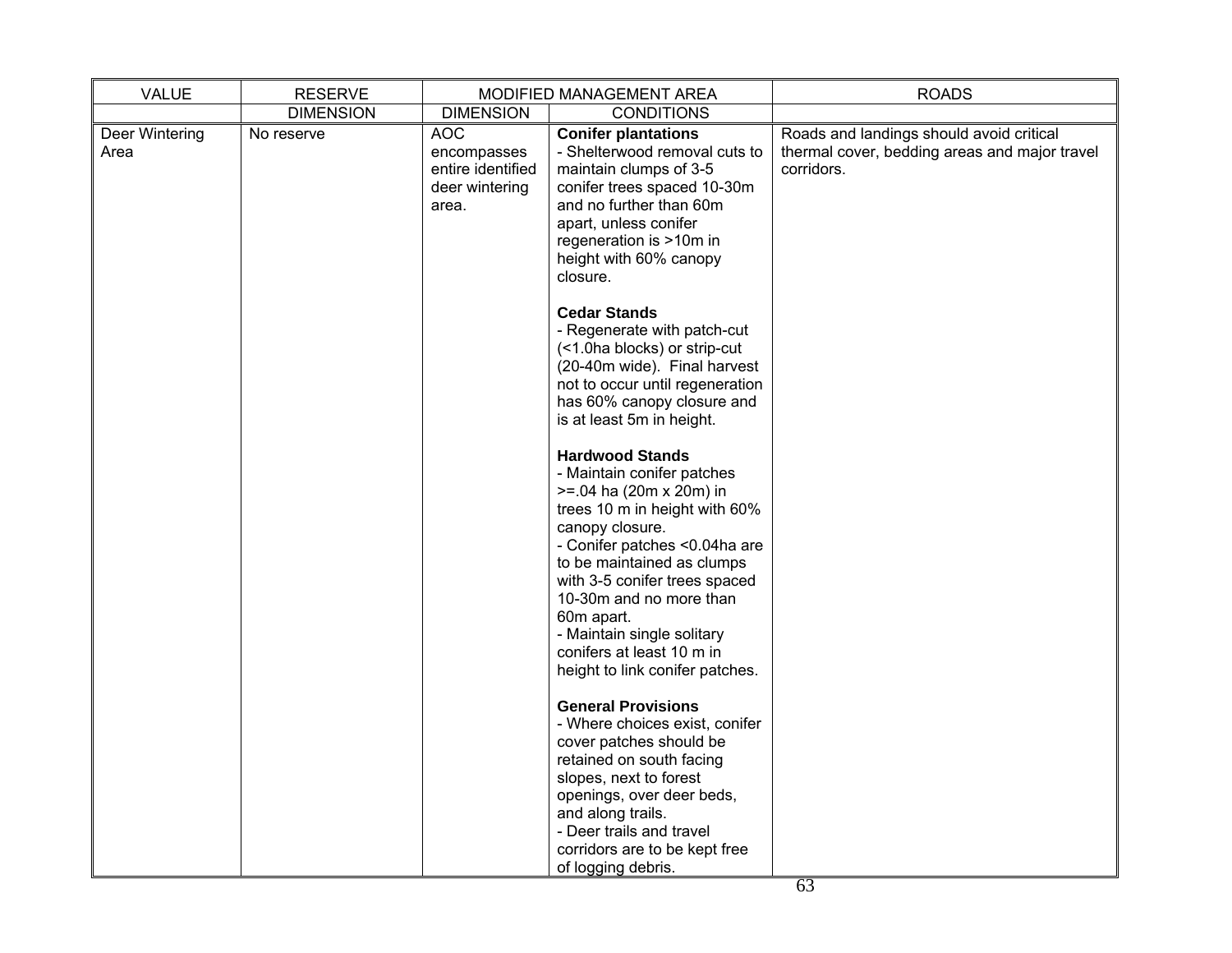| <b>VALUE</b>           | <b>RESERVE</b>   |                                                                           | MODIFIED MANAGEMENT AREA                                                                                                                                                                                                                                                                                                                                                       | <b>ROADS</b>                                                                                            |
|------------------------|------------------|---------------------------------------------------------------------------|--------------------------------------------------------------------------------------------------------------------------------------------------------------------------------------------------------------------------------------------------------------------------------------------------------------------------------------------------------------------------------|---------------------------------------------------------------------------------------------------------|
|                        | <b>DIMENSION</b> | <b>DIMENSION</b>                                                          | <b>CONDITIONS</b>                                                                                                                                                                                                                                                                                                                                                              |                                                                                                         |
| Deer Wintering<br>Area | No reserve       | <b>AOC</b><br>encompasses<br>entire identified<br>deer wintering<br>area. | <b>Conifer plantations</b><br>- Shelterwood removal cuts to<br>maintain clumps of 3-5<br>conifer trees spaced 10-30m<br>and no further than 60m<br>apart, unless conifer<br>regeneration is >10m in<br>height with 60% canopy<br>closure.                                                                                                                                      | Roads and landings should avoid critical<br>thermal cover, bedding areas and major travel<br>corridors. |
|                        |                  |                                                                           | <b>Cedar Stands</b><br>- Regenerate with patch-cut<br>(<1.0ha blocks) or strip-cut<br>(20-40m wide). Final harvest<br>not to occur until regeneration<br>has 60% canopy closure and<br>is at least 5m in height.                                                                                                                                                               |                                                                                                         |
|                        |                  |                                                                           | <b>Hardwood Stands</b><br>- Maintain conifer patches<br>$>= 0.04$ ha (20m x 20m) in<br>trees 10 m in height with 60%<br>canopy closure.<br>- Conifer patches <0.04ha are<br>to be maintained as clumps<br>with 3-5 conifer trees spaced<br>10-30m and no more than<br>60m apart.<br>- Maintain single solitary<br>conifers at least 10 m in<br>height to link conifer patches. |                                                                                                         |
|                        |                  |                                                                           | <b>General Provisions</b><br>- Where choices exist, conifer<br>cover patches should be<br>retained on south facing<br>slopes, next to forest<br>openings, over deer beds,<br>and along trails.<br>- Deer trails and travel<br>corridors are to be kept free<br>of logging debris.                                                                                              |                                                                                                         |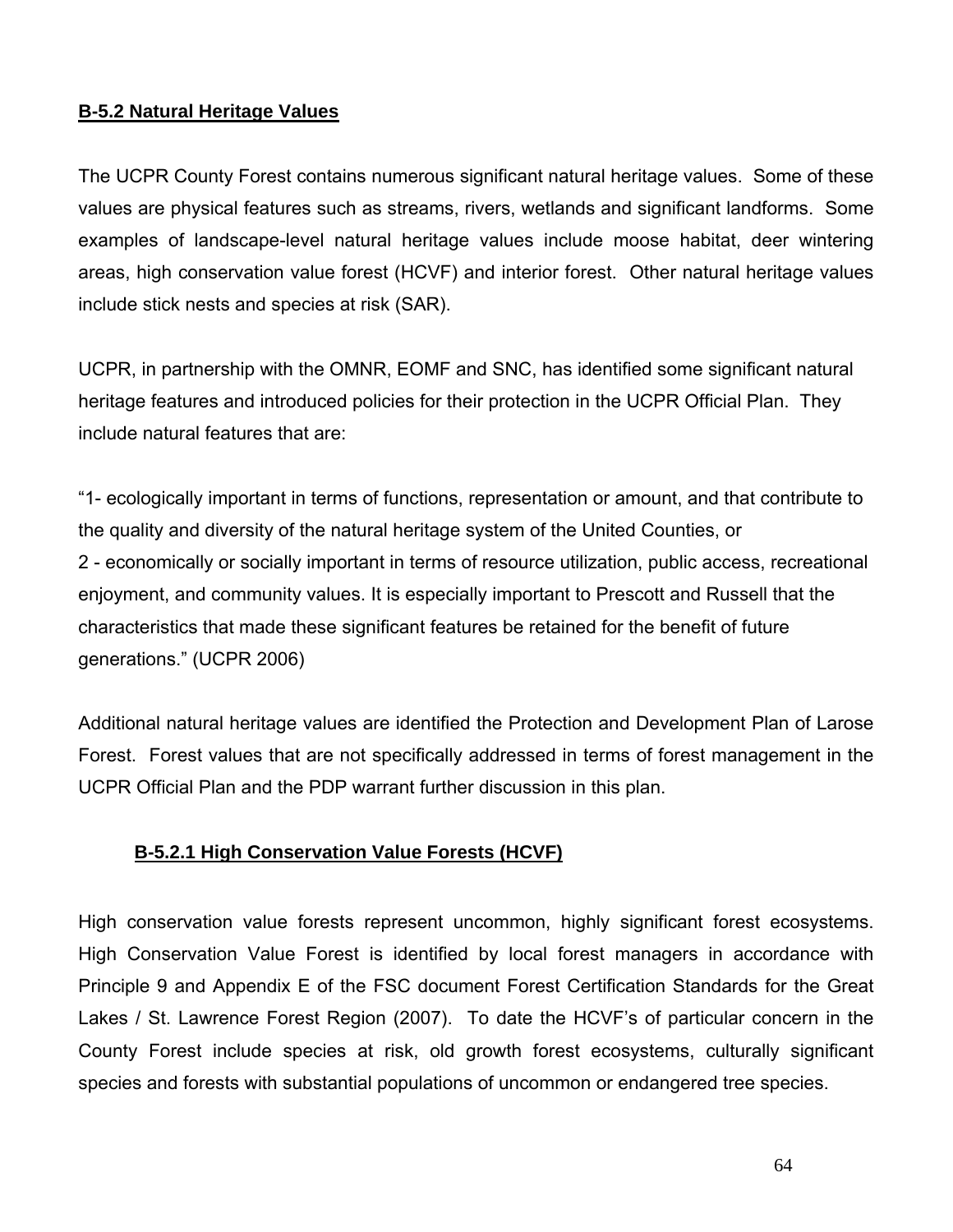# **B-5.2 Natural Heritage Values**

The UCPR County Forest contains numerous significant natural heritage values. Some of these values are physical features such as streams, rivers, wetlands and significant landforms. Some examples of landscape-level natural heritage values include moose habitat, deer wintering areas, high conservation value forest (HCVF) and interior forest. Other natural heritage values include stick nests and species at risk (SAR).

UCPR, in partnership with the OMNR, EOMF and SNC, has identified some significant natural heritage features and introduced policies for their protection in the UCPR Official Plan. They include natural features that are:

"1- ecologically important in terms of functions, representation or amount, and that contribute to the quality and diversity of the natural heritage system of the United Counties, or 2 - economically or socially important in terms of resource utilization, public access, recreational enjoyment, and community values. It is especially important to Prescott and Russell that the characteristics that made these significant features be retained for the benefit of future generations." (UCPR 2006)

Additional natural heritage values are identified the Protection and Development Plan of Larose Forest. Forest values that are not specifically addressed in terms of forest management in the UCPR Official Plan and the PDP warrant further discussion in this plan.

# **B-5.2.1 High Conservation Value Forests (HCVF)**

High conservation value forests represent uncommon, highly significant forest ecosystems. High Conservation Value Forest is identified by local forest managers in accordance with Principle 9 and Appendix E of the FSC document Forest Certification Standards for the Great Lakes / St. Lawrence Forest Region (2007). To date the HCVF's of particular concern in the County Forest include species at risk, old growth forest ecosystems, culturally significant species and forests with substantial populations of uncommon or endangered tree species.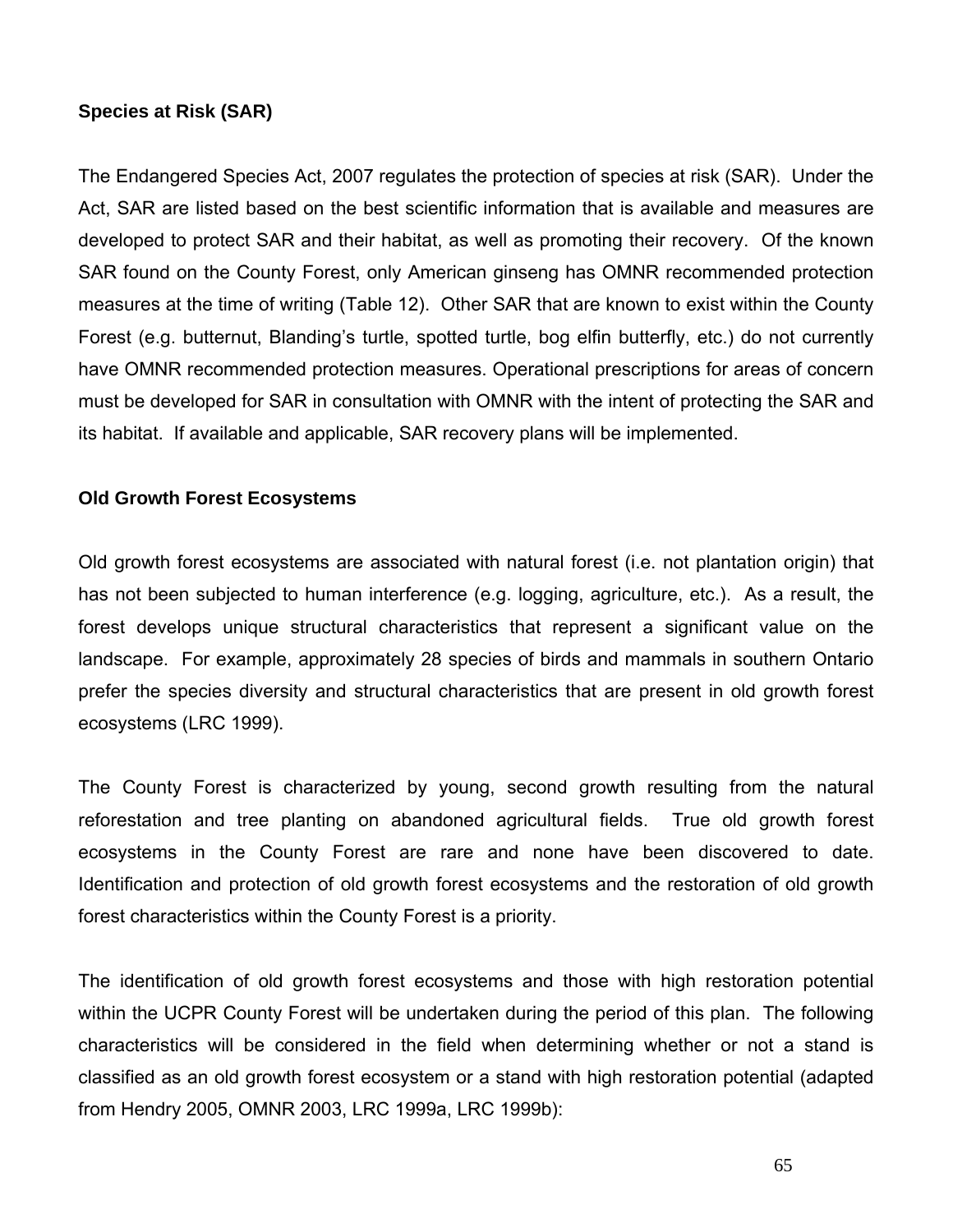#### **Species at Risk (SAR)**

The Endangered Species Act, 2007 regulates the protection of species at risk (SAR). Under the Act, SAR are listed based on the best scientific information that is available and measures are developed to protect SAR and their habitat, as well as promoting their recovery. Of the known SAR found on the County Forest, only American ginseng has OMNR recommended protection measures at the time of writing (Table 12). Other SAR that are known to exist within the County Forest (e.g. butternut, Blanding's turtle, spotted turtle, bog elfin butterfly, etc.) do not currently have OMNR recommended protection measures. Operational prescriptions for areas of concern must be developed for SAR in consultation with OMNR with the intent of protecting the SAR and its habitat. If available and applicable, SAR recovery plans will be implemented.

#### **Old Growth Forest Ecosystems**

Old growth forest ecosystems are associated with natural forest (i.e. not plantation origin) that has not been subjected to human interference (e.g. logging, agriculture, etc.). As a result, the forest develops unique structural characteristics that represent a significant value on the landscape. For example, approximately 28 species of birds and mammals in southern Ontario prefer the species diversity and structural characteristics that are present in old growth forest ecosystems (LRC 1999).

The County Forest is characterized by young, second growth resulting from the natural reforestation and tree planting on abandoned agricultural fields. True old growth forest ecosystems in the County Forest are rare and none have been discovered to date. Identification and protection of old growth forest ecosystems and the restoration of old growth forest characteristics within the County Forest is a priority.

The identification of old growth forest ecosystems and those with high restoration potential within the UCPR County Forest will be undertaken during the period of this plan. The following characteristics will be considered in the field when determining whether or not a stand is classified as an old growth forest ecosystem or a stand with high restoration potential (adapted from Hendry 2005, OMNR 2003, LRC 1999a, LRC 1999b):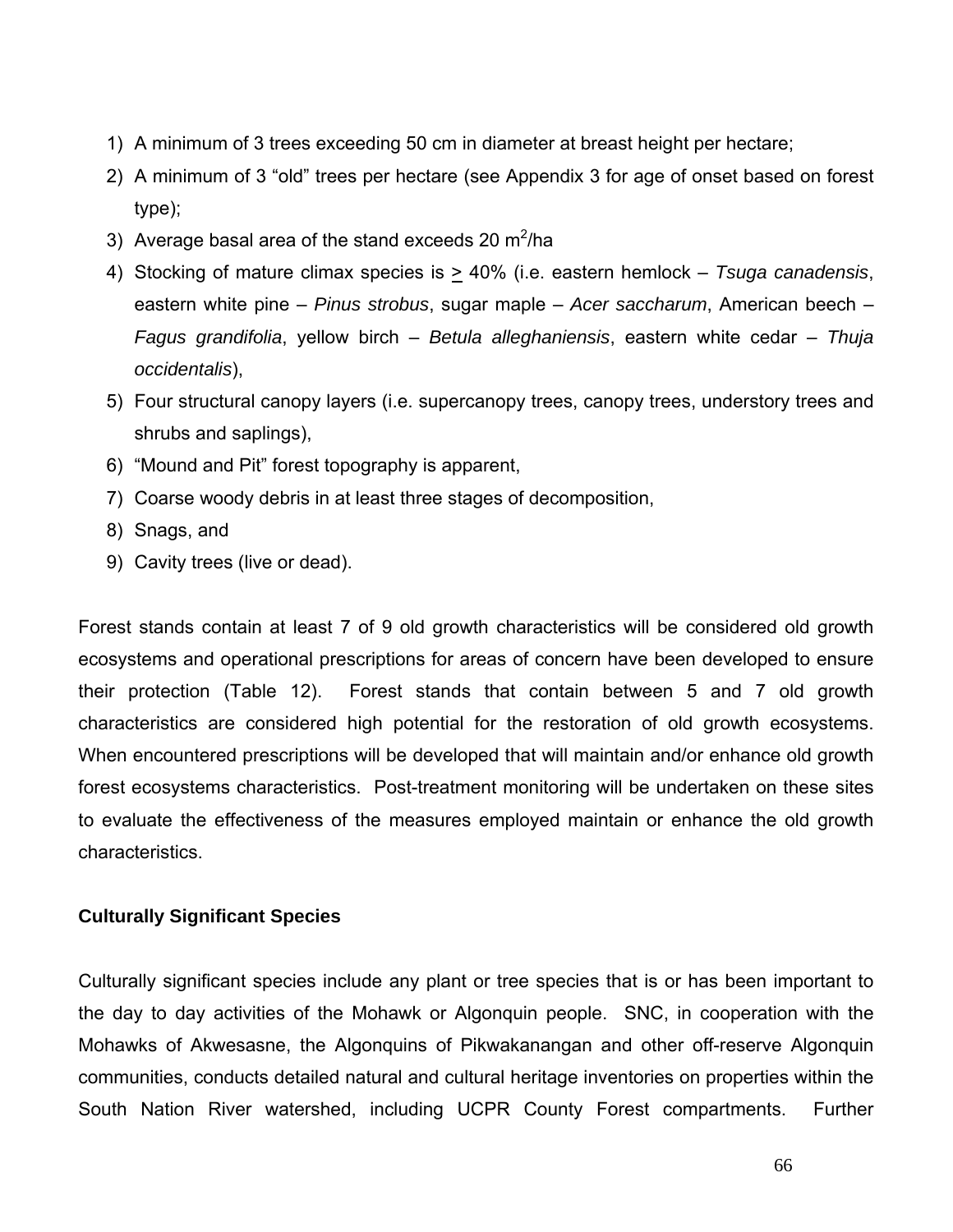- 1) A minimum of 3 trees exceeding 50 cm in diameter at breast height per hectare;
- 2) A minimum of 3 "old" trees per hectare (see Appendix 3 for age of onset based on forest type);
- 3) Average basal area of the stand exceeds 20  $\text{m}^2/\text{ha}$
- 4) Stocking of mature climax species is > 40% (i.e. eastern hemlock *Tsuga canadensis*, eastern white pine – *Pinus strobus*, sugar maple – *Acer saccharum*, American beech – *Fagus grandifolia*, yellow birch – *Betula alleghaniensis*, eastern white cedar – *Thuja occidentalis*),
- 5) Four structural canopy layers (i.e. supercanopy trees, canopy trees, understory trees and shrubs and saplings),
- 6) "Mound and Pit" forest topography is apparent,
- 7) Coarse woody debris in at least three stages of decomposition,
- 8) Snags, and
- 9) Cavity trees (live or dead).

Forest stands contain at least 7 of 9 old growth characteristics will be considered old growth ecosystems and operational prescriptions for areas of concern have been developed to ensure their protection (Table 12). Forest stands that contain between 5 and 7 old growth characteristics are considered high potential for the restoration of old growth ecosystems. When encountered prescriptions will be developed that will maintain and/or enhance old growth forest ecosystems characteristics. Post-treatment monitoring will be undertaken on these sites to evaluate the effectiveness of the measures employed maintain or enhance the old growth characteristics.

#### **Culturally Significant Species**

Culturally significant species include any plant or tree species that is or has been important to the day to day activities of the Mohawk or Algonquin people. SNC, in cooperation with the Mohawks of Akwesasne, the Algonquins of Pikwakanangan and other off-reserve Algonquin communities, conducts detailed natural and cultural heritage inventories on properties within the South Nation River watershed, including UCPR County Forest compartments. Further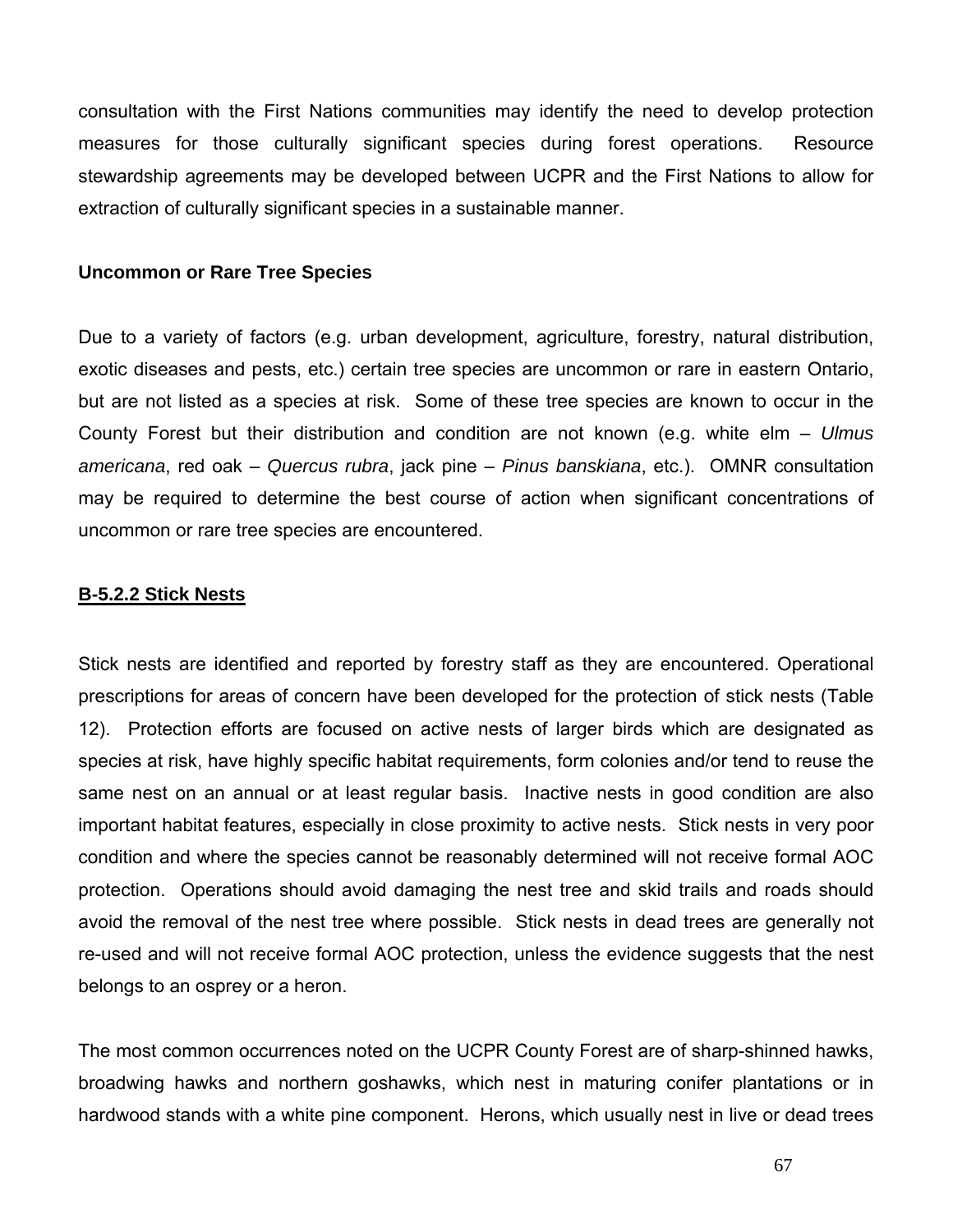consultation with the First Nations communities may identify the need to develop protection measures for those culturally significant species during forest operations. Resource stewardship agreements may be developed between UCPR and the First Nations to allow for extraction of culturally significant species in a sustainable manner.

#### **Uncommon or Rare Tree Species**

Due to a variety of factors (e.g. urban development, agriculture, forestry, natural distribution, exotic diseases and pests, etc.) certain tree species are uncommon or rare in eastern Ontario, but are not listed as a species at risk. Some of these tree species are known to occur in the County Forest but their distribution and condition are not known (e.g. white elm – *Ulmus americana*, red oak – *Quercus rubra*, jack pine – *Pinus banskiana*, etc.). OMNR consultation may be required to determine the best course of action when significant concentrations of uncommon or rare tree species are encountered.

#### **B-5.2.2 Stick Nests**

Stick nests are identified and reported by forestry staff as they are encountered. Operational prescriptions for areas of concern have been developed for the protection of stick nests (Table 12). Protection efforts are focused on active nests of larger birds which are designated as species at risk, have highly specific habitat requirements, form colonies and/or tend to reuse the same nest on an annual or at least regular basis. Inactive nests in good condition are also important habitat features, especially in close proximity to active nests. Stick nests in very poor condition and where the species cannot be reasonably determined will not receive formal AOC protection. Operations should avoid damaging the nest tree and skid trails and roads should avoid the removal of the nest tree where possible. Stick nests in dead trees are generally not re-used and will not receive formal AOC protection, unless the evidence suggests that the nest belongs to an osprey or a heron.

The most common occurrences noted on the UCPR County Forest are of sharp-shinned hawks, broadwing hawks and northern goshawks, which nest in maturing conifer plantations or in hardwood stands with a white pine component. Herons, which usually nest in live or dead trees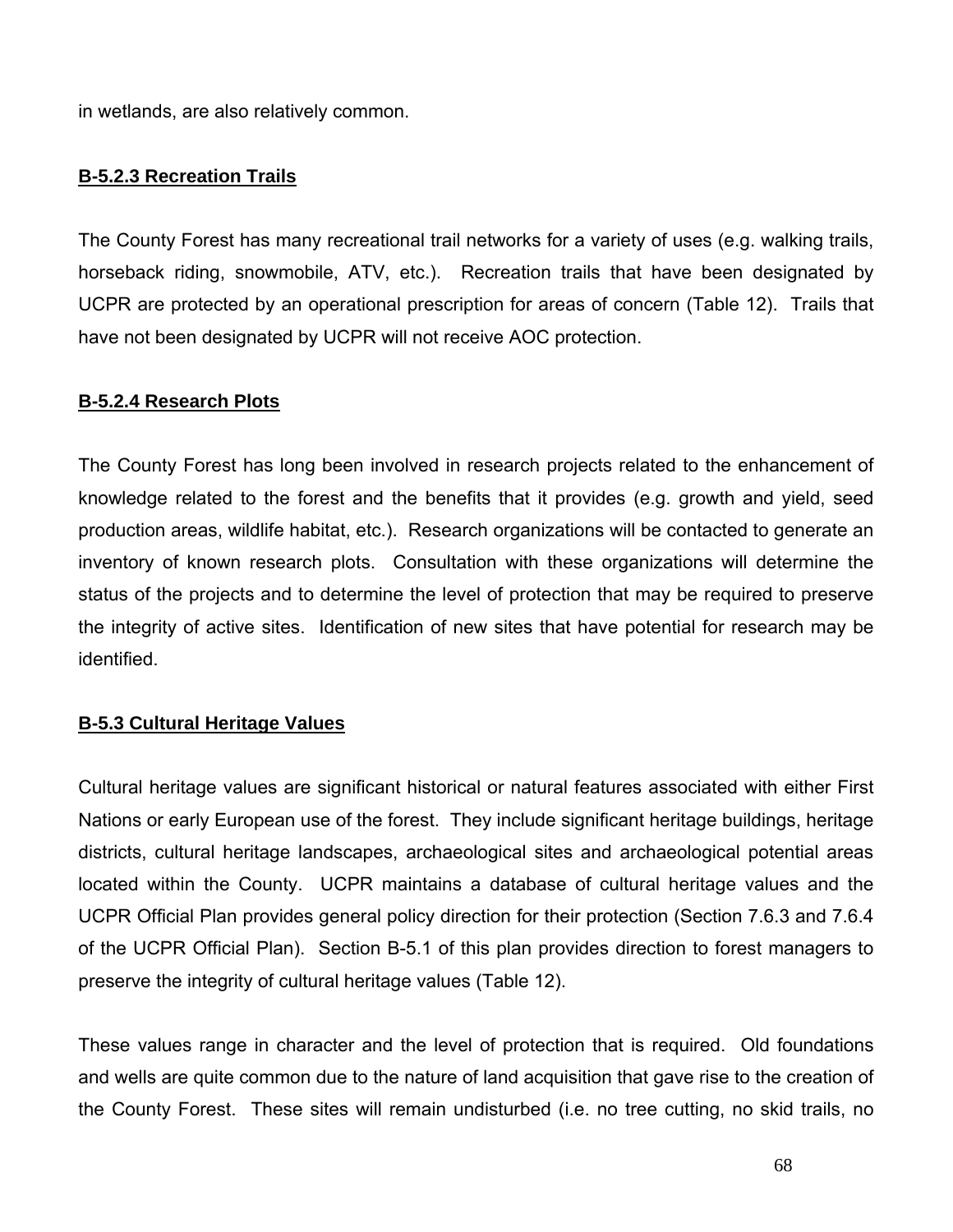in wetlands, are also relatively common.

# **B-5.2.3 Recreation Trails**

The County Forest has many recreational trail networks for a variety of uses (e.g. walking trails, horseback riding, snowmobile, ATV, etc.). Recreation trails that have been designated by UCPR are protected by an operational prescription for areas of concern (Table 12). Trails that have not been designated by UCPR will not receive AOC protection.

# **B-5.2.4 Research Plots**

The County Forest has long been involved in research projects related to the enhancement of knowledge related to the forest and the benefits that it provides (e.g. growth and yield, seed production areas, wildlife habitat, etc.). Research organizations will be contacted to generate an inventory of known research plots. Consultation with these organizations will determine the status of the projects and to determine the level of protection that may be required to preserve the integrity of active sites. Identification of new sites that have potential for research may be identified.

#### **B-5.3 Cultural Heritage Values**

Cultural heritage values are significant historical or natural features associated with either First Nations or early European use of the forest. They include significant heritage buildings, heritage districts, cultural heritage landscapes, archaeological sites and archaeological potential areas located within the County. UCPR maintains a database of cultural heritage values and the UCPR Official Plan provides general policy direction for their protection (Section 7.6.3 and 7.6.4 of the UCPR Official Plan). Section B-5.1 of this plan provides direction to forest managers to preserve the integrity of cultural heritage values (Table 12).

These values range in character and the level of protection that is required. Old foundations and wells are quite common due to the nature of land acquisition that gave rise to the creation of the County Forest. These sites will remain undisturbed (i.e. no tree cutting, no skid trails, no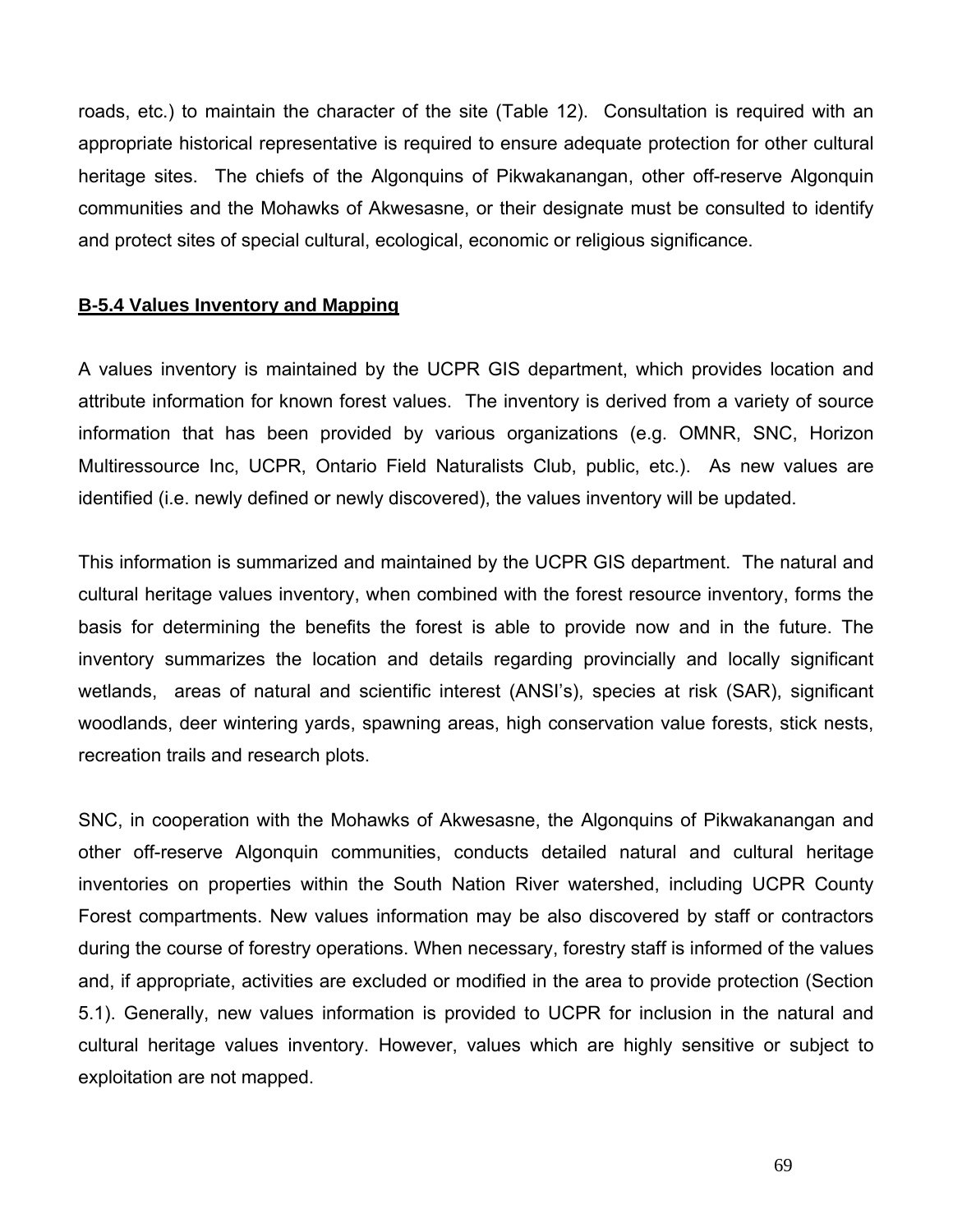roads, etc.) to maintain the character of the site (Table 12). Consultation is required with an appropriate historical representative is required to ensure adequate protection for other cultural heritage sites. The chiefs of the Algonquins of Pikwakanangan, other off-reserve Algonquin communities and the Mohawks of Akwesasne, or their designate must be consulted to identify and protect sites of special cultural, ecological, economic or religious significance.

#### **B-5.4 Values Inventory and Mapping**

A values inventory is maintained by the UCPR GIS department, which provides location and attribute information for known forest values. The inventory is derived from a variety of source information that has been provided by various organizations (e.g. OMNR, SNC, Horizon Multiressource Inc, UCPR, Ontario Field Naturalists Club, public, etc.). As new values are identified (i.e. newly defined or newly discovered), the values inventory will be updated.

This information is summarized and maintained by the UCPR GIS department. The natural and cultural heritage values inventory, when combined with the forest resource inventory, forms the basis for determining the benefits the forest is able to provide now and in the future. The inventory summarizes the location and details regarding provincially and locally significant wetlands, areas of natural and scientific interest (ANSI's), species at risk (SAR), significant woodlands, deer wintering yards, spawning areas, high conservation value forests, stick nests, recreation trails and research plots.

SNC, in cooperation with the Mohawks of Akwesasne, the Algonquins of Pikwakanangan and other off-reserve Algonquin communities, conducts detailed natural and cultural heritage inventories on properties within the South Nation River watershed, including UCPR County Forest compartments. New values information may be also discovered by staff or contractors during the course of forestry operations. When necessary, forestry staff is informed of the values and, if appropriate, activities are excluded or modified in the area to provide protection (Section 5.1). Generally, new values information is provided to UCPR for inclusion in the natural and cultural heritage values inventory. However, values which are highly sensitive or subject to exploitation are not mapped.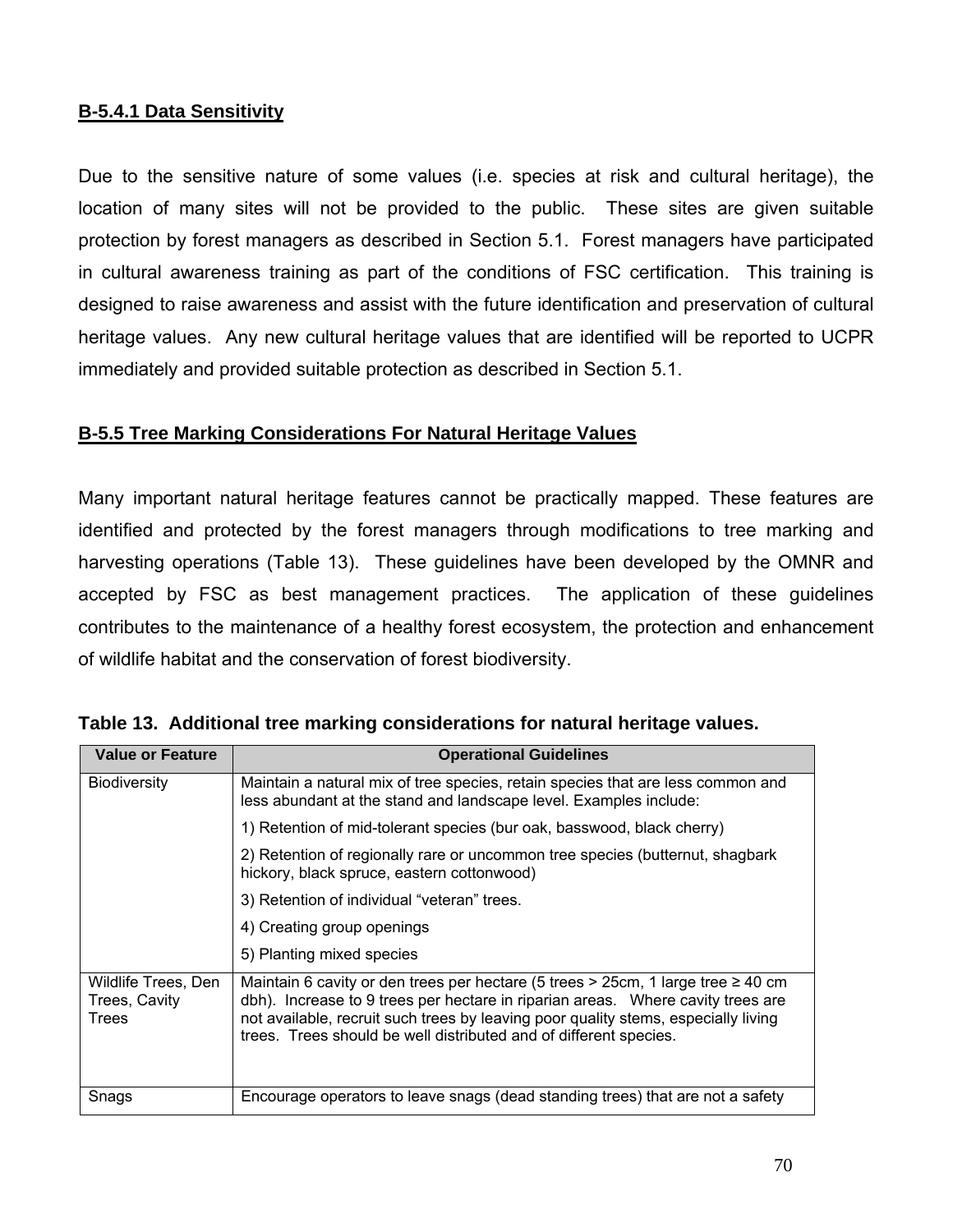# **B-5.4.1 Data Sensitivity**

Due to the sensitive nature of some values (i.e. species at risk and cultural heritage), the location of many sites will not be provided to the public. These sites are given suitable protection by forest managers as described in Section 5.1. Forest managers have participated in cultural awareness training as part of the conditions of FSC certification. This training is designed to raise awareness and assist with the future identification and preservation of cultural heritage values. Any new cultural heritage values that are identified will be reported to UCPR immediately and provided suitable protection as described in Section 5.1.

# **B-5.5 Tree Marking Considerations For Natural Heritage Values**

Many important natural heritage features cannot be practically mapped. These features are identified and protected by the forest managers through modifications to tree marking and harvesting operations (Table 13). These guidelines have been developed by the OMNR and accepted by FSC as best management practices. The application of these guidelines contributes to the maintenance of a healthy forest ecosystem, the protection and enhancement of wildlife habitat and the conservation of forest biodiversity.

| <b>Value or Feature</b>                              | <b>Operational Guidelines</b>                                                                                                                                                                                                                                                                                                       |  |  |  |
|------------------------------------------------------|-------------------------------------------------------------------------------------------------------------------------------------------------------------------------------------------------------------------------------------------------------------------------------------------------------------------------------------|--|--|--|
| <b>Biodiversity</b>                                  | Maintain a natural mix of tree species, retain species that are less common and<br>less abundant at the stand and landscape level. Examples include:                                                                                                                                                                                |  |  |  |
|                                                      | 1) Retention of mid-tolerant species (bur oak, basswood, black cherry)                                                                                                                                                                                                                                                              |  |  |  |
|                                                      | 2) Retention of regionally rare or uncommon tree species (butternut, shagbark<br>hickory, black spruce, eastern cottonwood)                                                                                                                                                                                                         |  |  |  |
|                                                      | 3) Retention of individual "veteran" trees.                                                                                                                                                                                                                                                                                         |  |  |  |
|                                                      | 4) Creating group openings                                                                                                                                                                                                                                                                                                          |  |  |  |
|                                                      | 5) Planting mixed species                                                                                                                                                                                                                                                                                                           |  |  |  |
| Wildlife Trees, Den<br>Trees, Cavity<br><b>Trees</b> | Maintain 6 cavity or den trees per hectare (5 trees > 25cm, 1 large tree $\geq 40$ cm<br>dbh). Increase to 9 trees per hectare in riparian areas. Where cavity trees are<br>not available, recruit such trees by leaving poor quality stems, especially living<br>trees. Trees should be well distributed and of different species. |  |  |  |
| Snags                                                | Encourage operators to leave snags (dead standing trees) that are not a safety                                                                                                                                                                                                                                                      |  |  |  |

**Table 13. Additional tree marking considerations for natural heritage values.**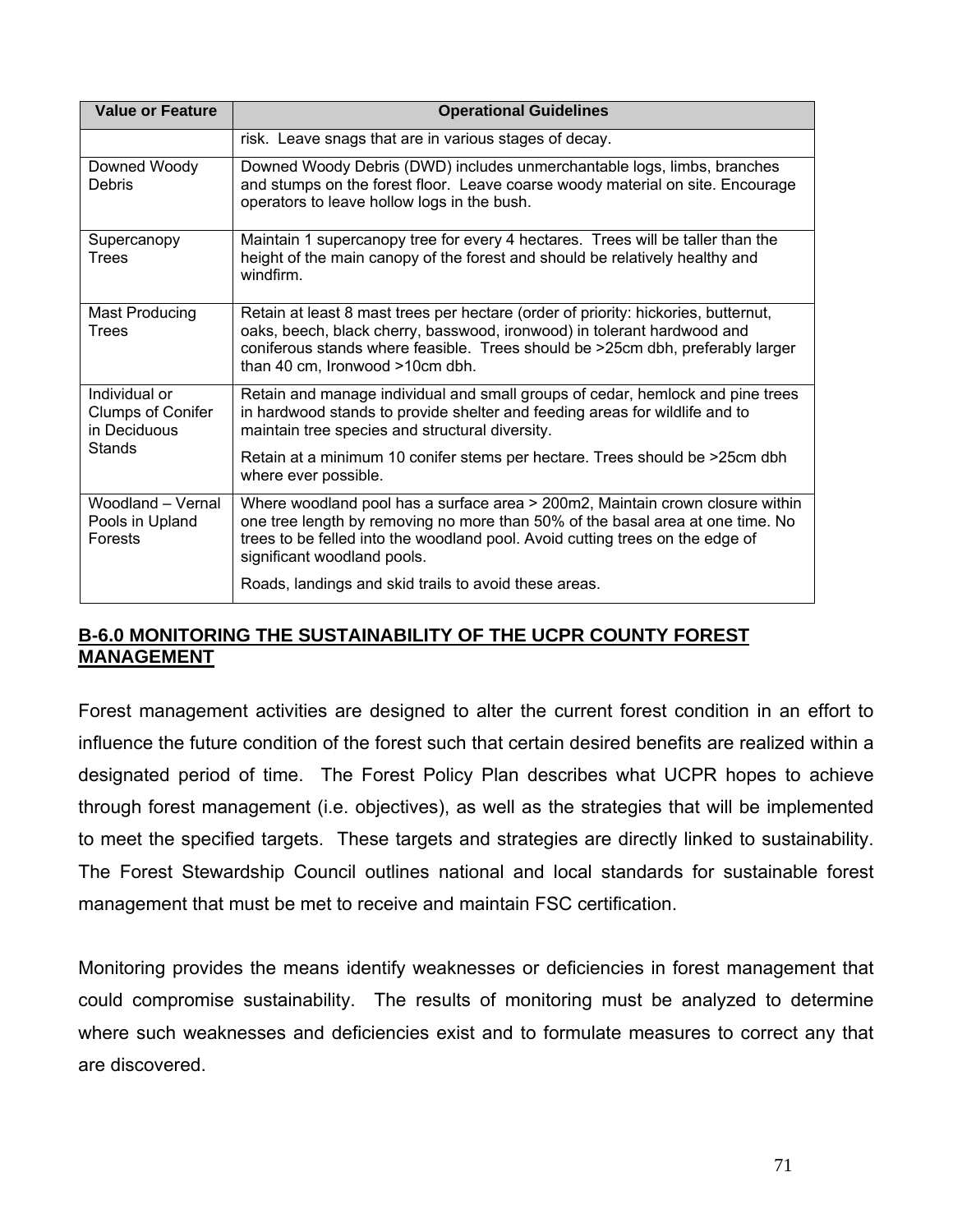| <b>Value or Feature</b>                                   | <b>Operational Guidelines</b>                                                                                                                                                                                                                                                      |
|-----------------------------------------------------------|------------------------------------------------------------------------------------------------------------------------------------------------------------------------------------------------------------------------------------------------------------------------------------|
|                                                           | risk. Leave snags that are in various stages of decay.                                                                                                                                                                                                                             |
| Downed Woody<br>Debris                                    | Downed Woody Debris (DWD) includes unmerchantable logs, limbs, branches<br>and stumps on the forest floor. Leave coarse woody material on site. Encourage<br>operators to leave hollow logs in the bush.                                                                           |
| Supercanopy<br>Trees                                      | Maintain 1 supercanopy tree for every 4 hectares. Trees will be taller than the<br>height of the main canopy of the forest and should be relatively healthy and<br>windfirm.                                                                                                       |
| Mast Producing<br>Trees                                   | Retain at least 8 mast trees per hectare (order of priority: hickories, butternut,<br>oaks, beech, black cherry, basswood, ironwood) in tolerant hardwood and<br>coniferous stands where feasible. Trees should be >25cm dbh, preferably larger<br>than 40 cm, Ironwood >10cm dbh. |
| Individual or<br><b>Clumps of Conifer</b><br>in Deciduous | Retain and manage individual and small groups of cedar, hemlock and pine trees<br>in hardwood stands to provide shelter and feeding areas for wildlife and to<br>maintain tree species and structural diversity.                                                                   |
| Stands                                                    | Retain at a minimum 10 conifer stems per hectare. Trees should be >25cm dbh<br>where ever possible.                                                                                                                                                                                |
| Woodland - Vernal<br>Pools in Upland<br>Forests           | Where woodland pool has a surface area > 200m2, Maintain crown closure within<br>one tree length by removing no more than 50% of the basal area at one time. No<br>trees to be felled into the woodland pool. Avoid cutting trees on the edge of<br>significant woodland pools.    |
|                                                           | Roads, landings and skid trails to avoid these areas.                                                                                                                                                                                                                              |

# **B-6.0 MONITORING THE SUSTAINABILITY OF THE UCPR COUNTY FOREST MANAGEMENT**

Forest management activities are designed to alter the current forest condition in an effort to influence the future condition of the forest such that certain desired benefits are realized within a designated period of time. The Forest Policy Plan describes what UCPR hopes to achieve through forest management (i.e. objectives), as well as the strategies that will be implemented to meet the specified targets. These targets and strategies are directly linked to sustainability. The Forest Stewardship Council outlines national and local standards for sustainable forest management that must be met to receive and maintain FSC certification.

Monitoring provides the means identify weaknesses or deficiencies in forest management that could compromise sustainability. The results of monitoring must be analyzed to determine where such weaknesses and deficiencies exist and to formulate measures to correct any that are discovered.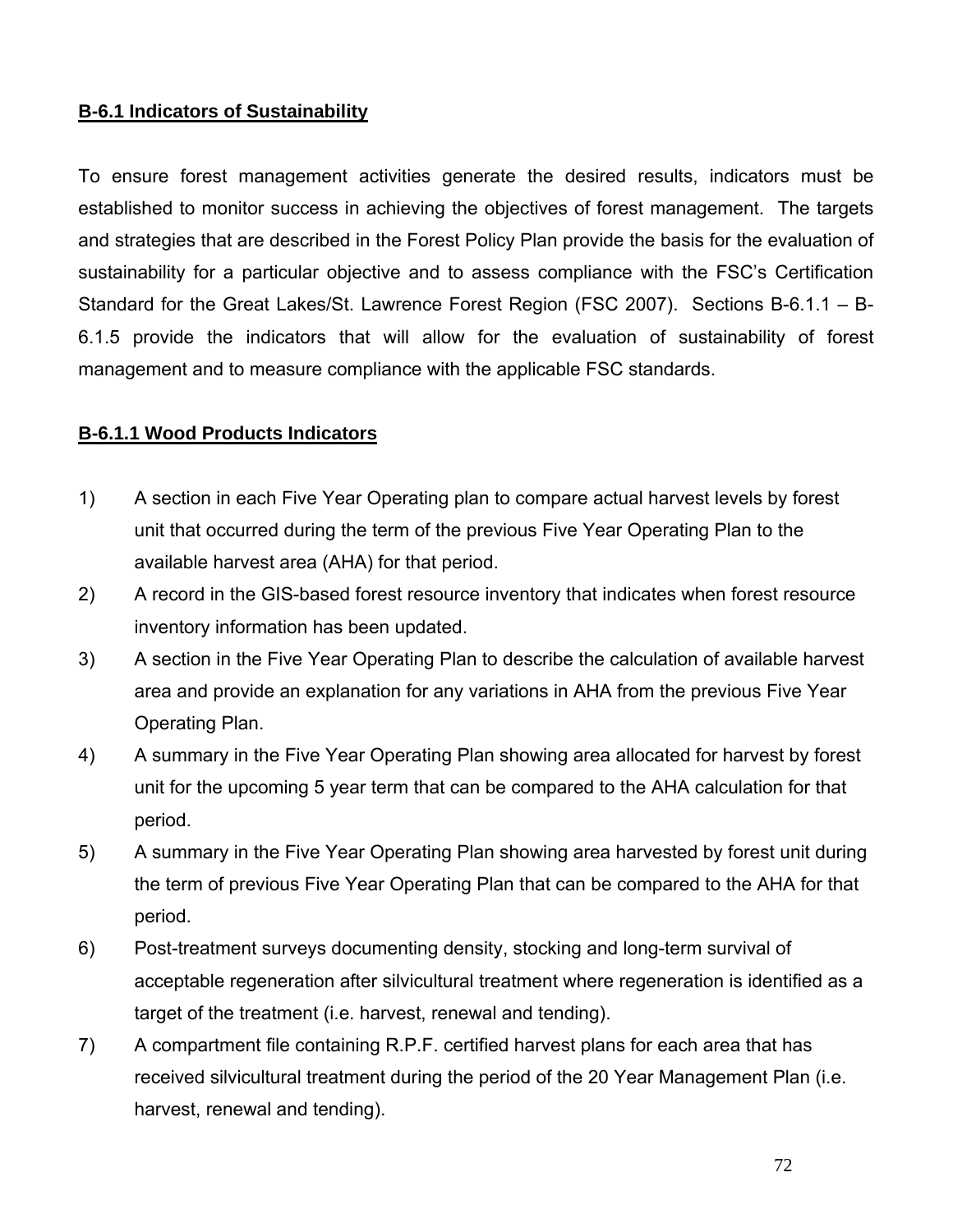# **B-6.1 Indicators of Sustainability**

To ensure forest management activities generate the desired results, indicators must be established to monitor success in achieving the objectives of forest management. The targets and strategies that are described in the Forest Policy Plan provide the basis for the evaluation of sustainability for a particular objective and to assess compliance with the FSC's Certification Standard for the Great Lakes/St. Lawrence Forest Region (FSC 2007). Sections B-6.1.1 – B-6.1.5 provide the indicators that will allow for the evaluation of sustainability of forest management and to measure compliance with the applicable FSC standards.

# **B-6.1.1 Wood Products Indicators**

- 1) A section in each Five Year Operating plan to compare actual harvest levels by forest unit that occurred during the term of the previous Five Year Operating Plan to the available harvest area (AHA) for that period.
- 2) A record in the GIS-based forest resource inventory that indicates when forest resource inventory information has been updated.
- 3) A section in the Five Year Operating Plan to describe the calculation of available harvest area and provide an explanation for any variations in AHA from the previous Five Year Operating Plan.
- 4) A summary in the Five Year Operating Plan showing area allocated for harvest by forest unit for the upcoming 5 year term that can be compared to the AHA calculation for that period.
- 5) A summary in the Five Year Operating Plan showing area harvested by forest unit during the term of previous Five Year Operating Plan that can be compared to the AHA for that period.
- 6) Post-treatment surveys documenting density, stocking and long-term survival of acceptable regeneration after silvicultural treatment where regeneration is identified as a target of the treatment (i.e. harvest, renewal and tending).
- 7) A compartment file containing R.P.F. certified harvest plans for each area that has received silvicultural treatment during the period of the 20 Year Management Plan (i.e. harvest, renewal and tending).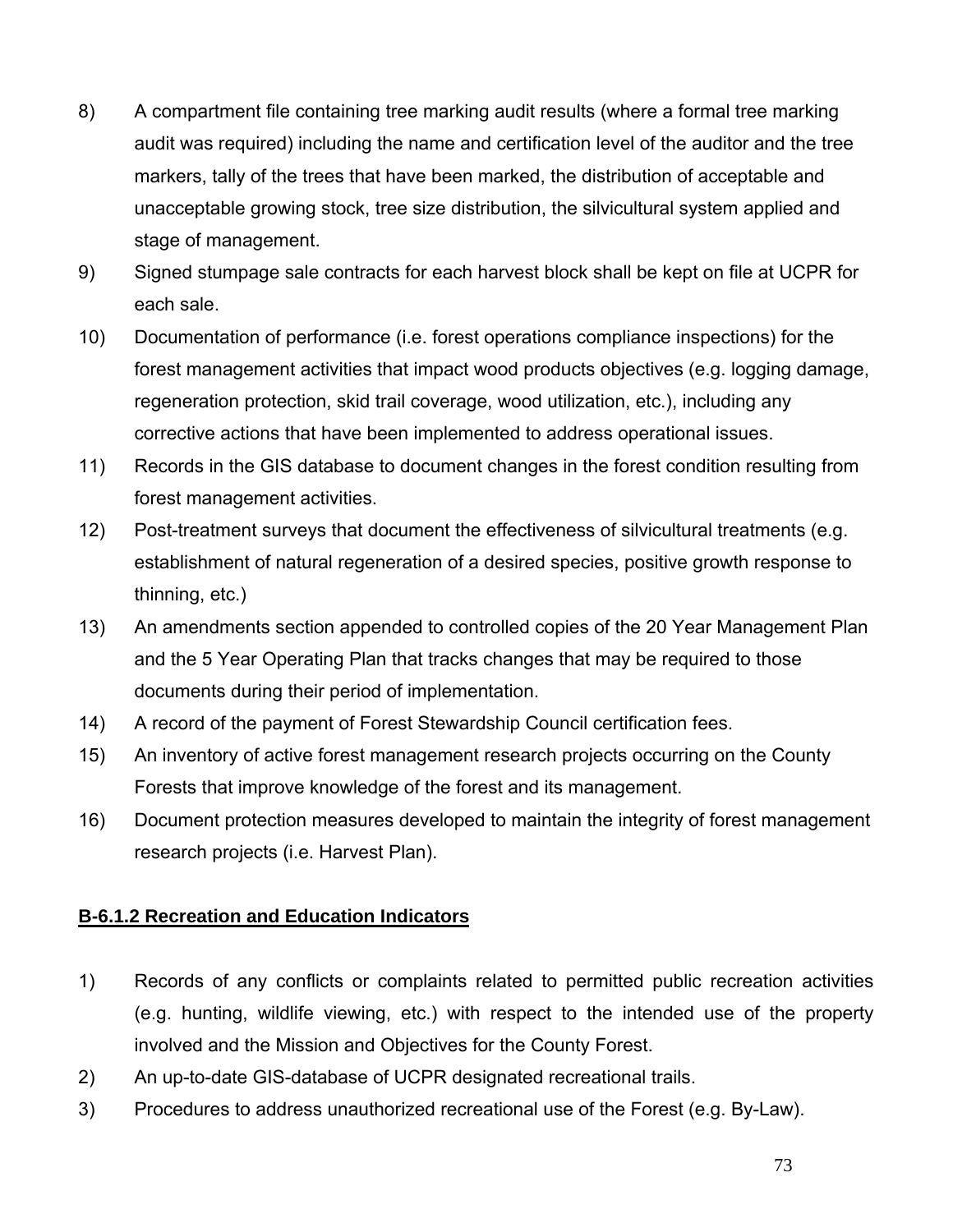- 8) A compartment file containing tree marking audit results (where a formal tree marking audit was required) including the name and certification level of the auditor and the tree markers, tally of the trees that have been marked, the distribution of acceptable and unacceptable growing stock, tree size distribution, the silvicultural system applied and stage of management.
- 9) Signed stumpage sale contracts for each harvest block shall be kept on file at UCPR for each sale.
- 10) Documentation of performance (i.e. forest operations compliance inspections) for the forest management activities that impact wood products objectives (e.g. logging damage, regeneration protection, skid trail coverage, wood utilization, etc.), including any corrective actions that have been implemented to address operational issues.
- 11) Records in the GIS database to document changes in the forest condition resulting from forest management activities.
- 12) Post-treatment surveys that document the effectiveness of silvicultural treatments (e.g. establishment of natural regeneration of a desired species, positive growth response to thinning, etc.)
- 13) An amendments section appended to controlled copies of the 20 Year Management Plan and the 5 Year Operating Plan that tracks changes that may be required to those documents during their period of implementation.
- 14) A record of the payment of Forest Stewardship Council certification fees.
- 15) An inventory of active forest management research projects occurring on the County Forests that improve knowledge of the forest and its management.
- 16) Document protection measures developed to maintain the integrity of forest management research projects (i.e. Harvest Plan).

# **B-6.1.2 Recreation and Education Indicators**

- 1) Records of any conflicts or complaints related to permitted public recreation activities (e.g. hunting, wildlife viewing, etc.) with respect to the intended use of the property involved and the Mission and Objectives for the County Forest.
- 2) An up-to-date GIS-database of UCPR designated recreational trails.
- 3) Procedures to address unauthorized recreational use of the Forest (e.g. By-Law).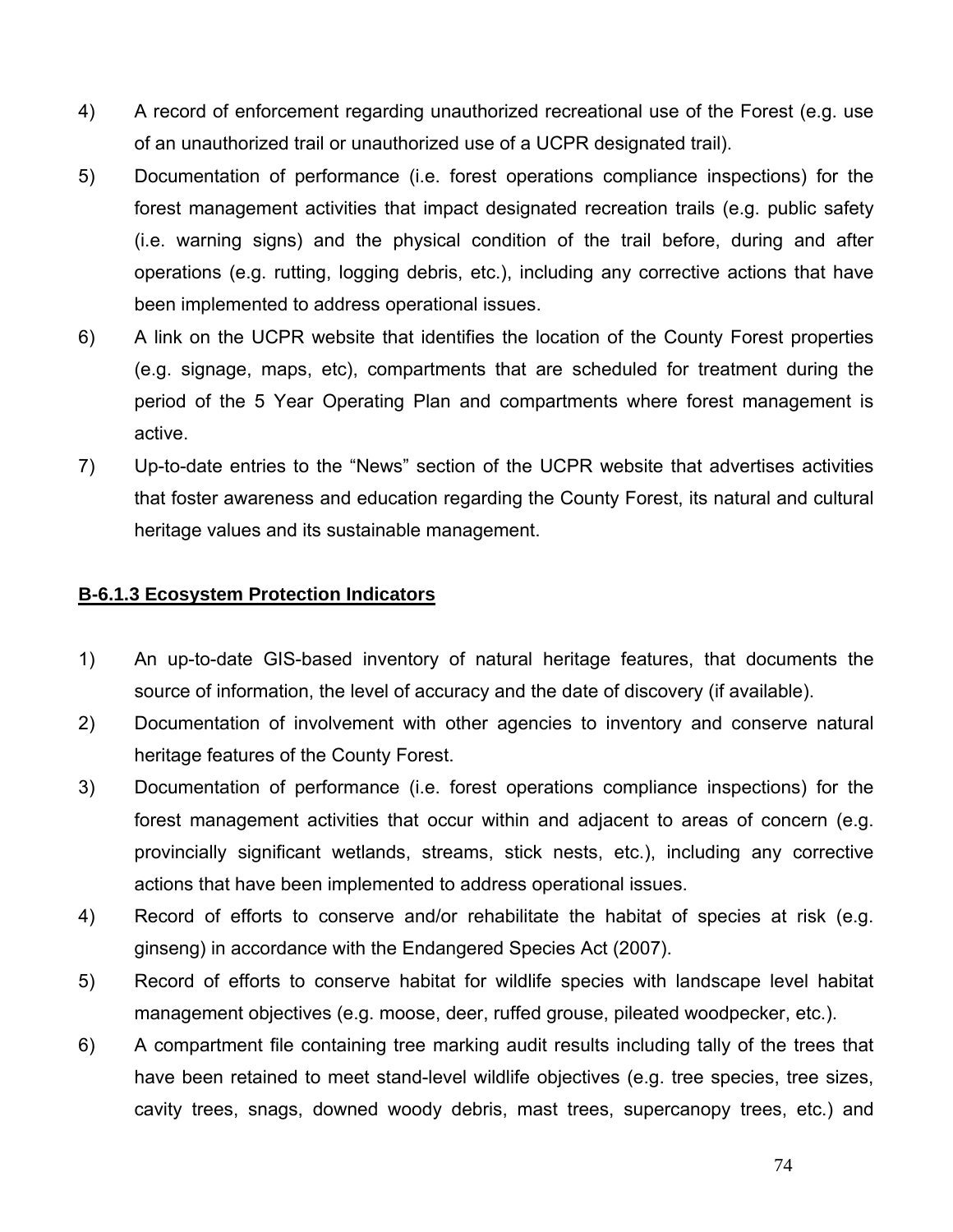- 4) A record of enforcement regarding unauthorized recreational use of the Forest (e.g. use of an unauthorized trail or unauthorized use of a UCPR designated trail).
- 5) Documentation of performance (i.e. forest operations compliance inspections) for the forest management activities that impact designated recreation trails (e.g. public safety (i.e. warning signs) and the physical condition of the trail before, during and after operations (e.g. rutting, logging debris, etc.), including any corrective actions that have been implemented to address operational issues.
- 6) A link on the UCPR website that identifies the location of the County Forest properties (e.g. signage, maps, etc), compartments that are scheduled for treatment during the period of the 5 Year Operating Plan and compartments where forest management is active.
- 7) Up-to-date entries to the "News" section of the UCPR website that advertises activities that foster awareness and education regarding the County Forest, its natural and cultural heritage values and its sustainable management.

# **B-6.1.3 Ecosystem Protection Indicators**

- 1) An up-to-date GIS-based inventory of natural heritage features, that documents the source of information, the level of accuracy and the date of discovery (if available).
- 2) Documentation of involvement with other agencies to inventory and conserve natural heritage features of the County Forest.
- 3) Documentation of performance (i.e. forest operations compliance inspections) for the forest management activities that occur within and adjacent to areas of concern (e.g. provincially significant wetlands, streams, stick nests, etc.), including any corrective actions that have been implemented to address operational issues.
- 4) Record of efforts to conserve and/or rehabilitate the habitat of species at risk (e.g. ginseng) in accordance with the Endangered Species Act (2007).
- 5) Record of efforts to conserve habitat for wildlife species with landscape level habitat management objectives (e.g. moose, deer, ruffed grouse, pileated woodpecker, etc.).
- 6) A compartment file containing tree marking audit results including tally of the trees that have been retained to meet stand-level wildlife objectives (e.g. tree species, tree sizes, cavity trees, snags, downed woody debris, mast trees, supercanopy trees, etc.) and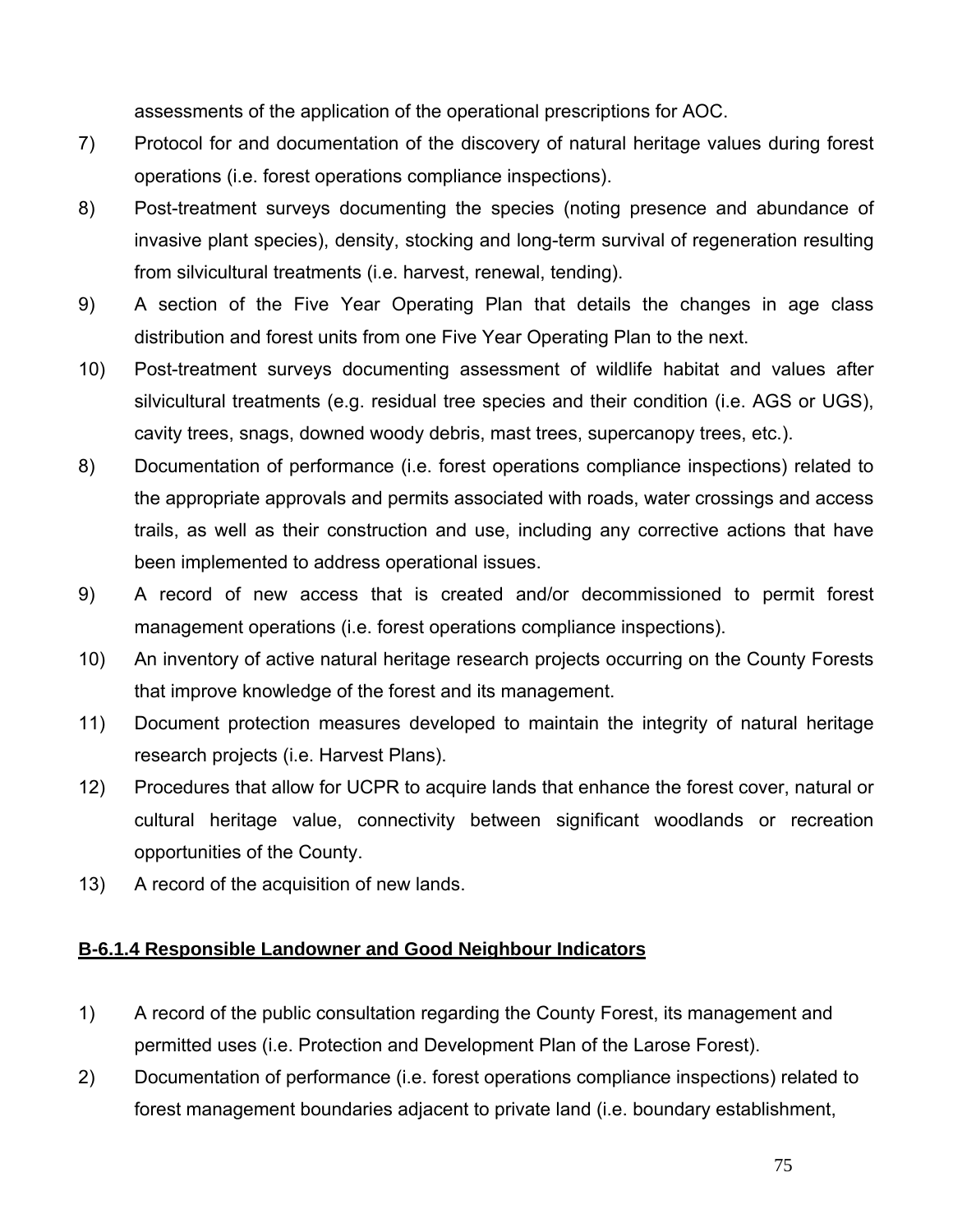assessments of the application of the operational prescriptions for AOC.

- 7) Protocol for and documentation of the discovery of natural heritage values during forest operations (i.e. forest operations compliance inspections).
- 8) Post-treatment surveys documenting the species (noting presence and abundance of invasive plant species), density, stocking and long-term survival of regeneration resulting from silvicultural treatments (i.e. harvest, renewal, tending).
- 9) A section of the Five Year Operating Plan that details the changes in age class distribution and forest units from one Five Year Operating Plan to the next.
- 10) Post-treatment surveys documenting assessment of wildlife habitat and values after silvicultural treatments (e.g. residual tree species and their condition (i.e. AGS or UGS), cavity trees, snags, downed woody debris, mast trees, supercanopy trees, etc.).
- 8) Documentation of performance (i.e. forest operations compliance inspections) related to the appropriate approvals and permits associated with roads, water crossings and access trails, as well as their construction and use, including any corrective actions that have been implemented to address operational issues.
- 9) A record of new access that is created and/or decommissioned to permit forest management operations (i.e. forest operations compliance inspections).
- 10) An inventory of active natural heritage research projects occurring on the County Forests that improve knowledge of the forest and its management.
- 11) Document protection measures developed to maintain the integrity of natural heritage research projects (i.e. Harvest Plans).
- 12) Procedures that allow for UCPR to acquire lands that enhance the forest cover, natural or cultural heritage value, connectivity between significant woodlands or recreation opportunities of the County.
- 13) A record of the acquisition of new lands.

# **B-6.1.4 Responsible Landowner and Good Neighbour Indicators**

- 1) A record of the public consultation regarding the County Forest, its management and permitted uses (i.e. Protection and Development Plan of the Larose Forest).
- 2) Documentation of performance (i.e. forest operations compliance inspections) related to forest management boundaries adjacent to private land (i.e. boundary establishment,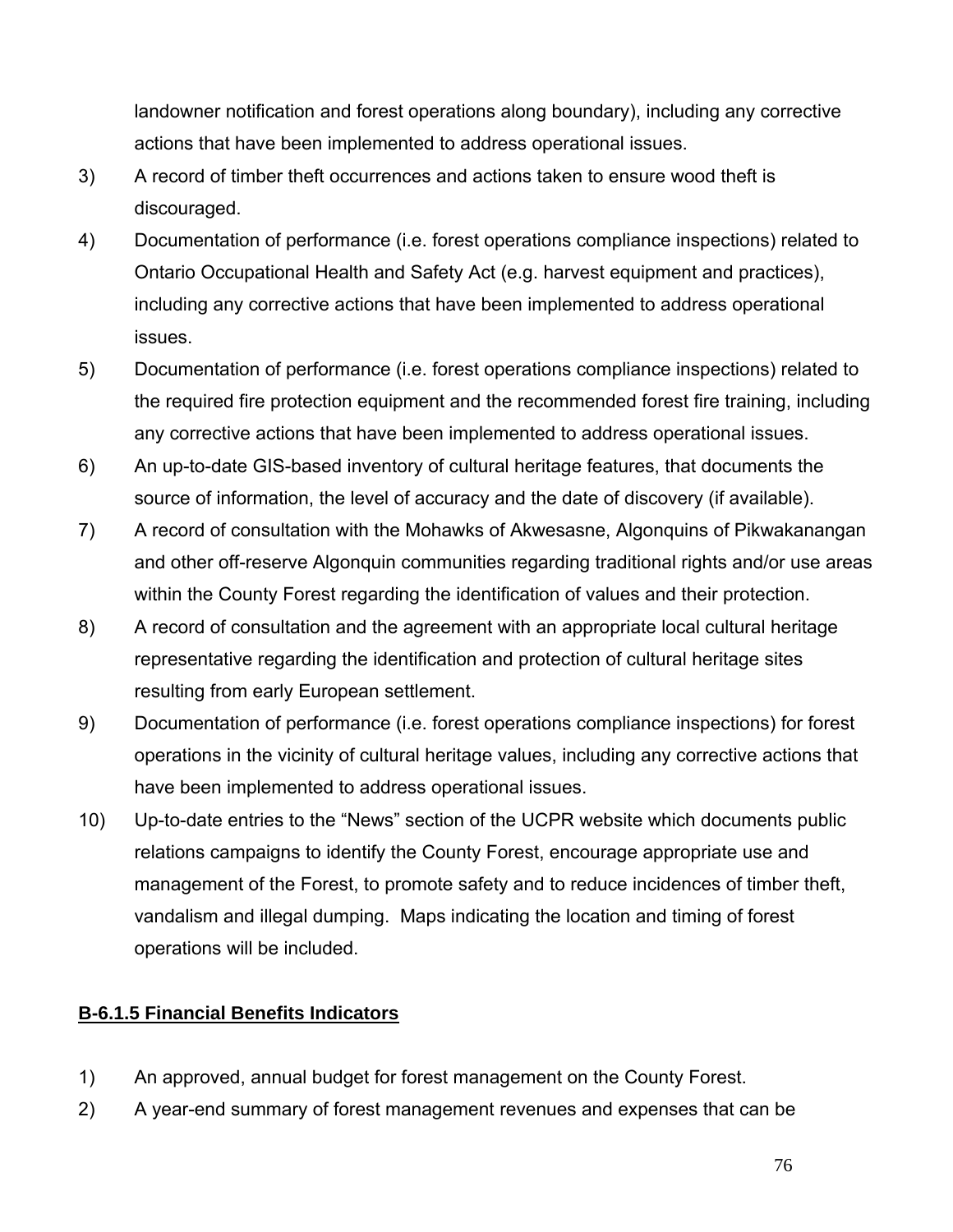landowner notification and forest operations along boundary), including any corrective actions that have been implemented to address operational issues.

- 3) A record of timber theft occurrences and actions taken to ensure wood theft is discouraged.
- 4) Documentation of performance (i.e. forest operations compliance inspections) related to Ontario Occupational Health and Safety Act (e.g. harvest equipment and practices), including any corrective actions that have been implemented to address operational issues.
- 5) Documentation of performance (i.e. forest operations compliance inspections) related to the required fire protection equipment and the recommended forest fire training, including any corrective actions that have been implemented to address operational issues.
- 6) An up-to-date GIS-based inventory of cultural heritage features, that documents the source of information, the level of accuracy and the date of discovery (if available).
- 7) A record of consultation with the Mohawks of Akwesasne, Algonquins of Pikwakanangan and other off-reserve Algonquin communities regarding traditional rights and/or use areas within the County Forest regarding the identification of values and their protection.
- 8) A record of consultation and the agreement with an appropriate local cultural heritage representative regarding the identification and protection of cultural heritage sites resulting from early European settlement.
- 9) Documentation of performance (i.e. forest operations compliance inspections) for forest operations in the vicinity of cultural heritage values, including any corrective actions that have been implemented to address operational issues.
- 10) Up-to-date entries to the "News" section of the UCPR website which documents public relations campaigns to identify the County Forest, encourage appropriate use and management of the Forest, to promote safety and to reduce incidences of timber theft, vandalism and illegal dumping. Maps indicating the location and timing of forest operations will be included.

# **B-6.1.5 Financial Benefits Indicators**

- 1) An approved, annual budget for forest management on the County Forest.
- 2) A year-end summary of forest management revenues and expenses that can be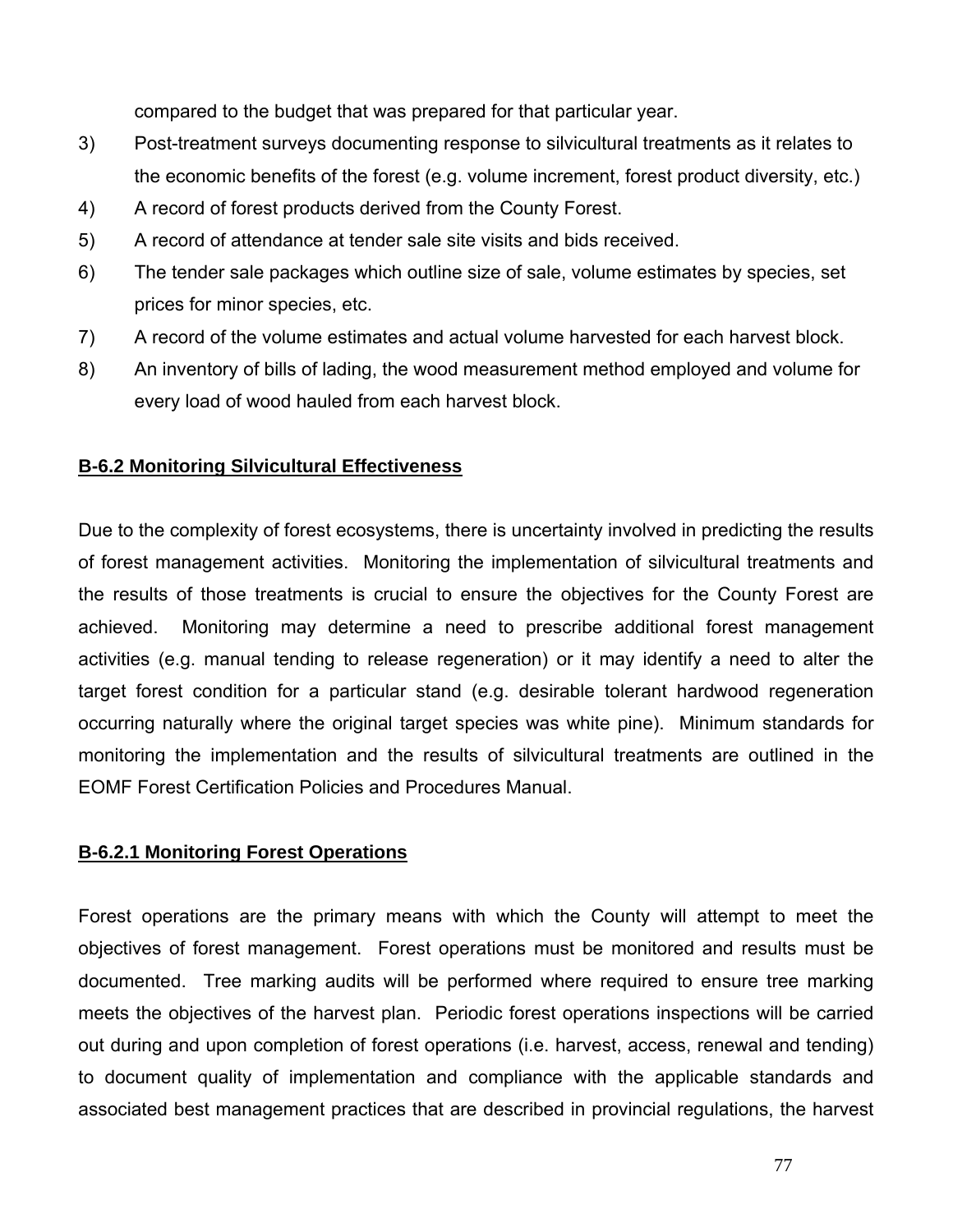compared to the budget that was prepared for that particular year.

- 3) Post-treatment surveys documenting response to silvicultural treatments as it relates to the economic benefits of the forest (e.g. volume increment, forest product diversity, etc.)
- 4) A record of forest products derived from the County Forest.
- 5) A record of attendance at tender sale site visits and bids received.
- 6) The tender sale packages which outline size of sale, volume estimates by species, set prices for minor species, etc.
- 7) A record of the volume estimates and actual volume harvested for each harvest block.
- 8) An inventory of bills of lading, the wood measurement method employed and volume for every load of wood hauled from each harvest block.

# **B-6.2 Monitoring Silvicultural Effectiveness**

Due to the complexity of forest ecosystems, there is uncertainty involved in predicting the results of forest management activities. Monitoring the implementation of silvicultural treatments and the results of those treatments is crucial to ensure the objectives for the County Forest are achieved. Monitoring may determine a need to prescribe additional forest management activities (e.g. manual tending to release regeneration) or it may identify a need to alter the target forest condition for a particular stand (e.g. desirable tolerant hardwood regeneration occurring naturally where the original target species was white pine). Minimum standards for monitoring the implementation and the results of silvicultural treatments are outlined in the EOMF Forest Certification Policies and Procedures Manual.

#### **B-6.2.1 Monitoring Forest Operations**

Forest operations are the primary means with which the County will attempt to meet the objectives of forest management. Forest operations must be monitored and results must be documented. Tree marking audits will be performed where required to ensure tree marking meets the objectives of the harvest plan. Periodic forest operations inspections will be carried out during and upon completion of forest operations (i.e. harvest, access, renewal and tending) to document quality of implementation and compliance with the applicable standards and associated best management practices that are described in provincial regulations, the harvest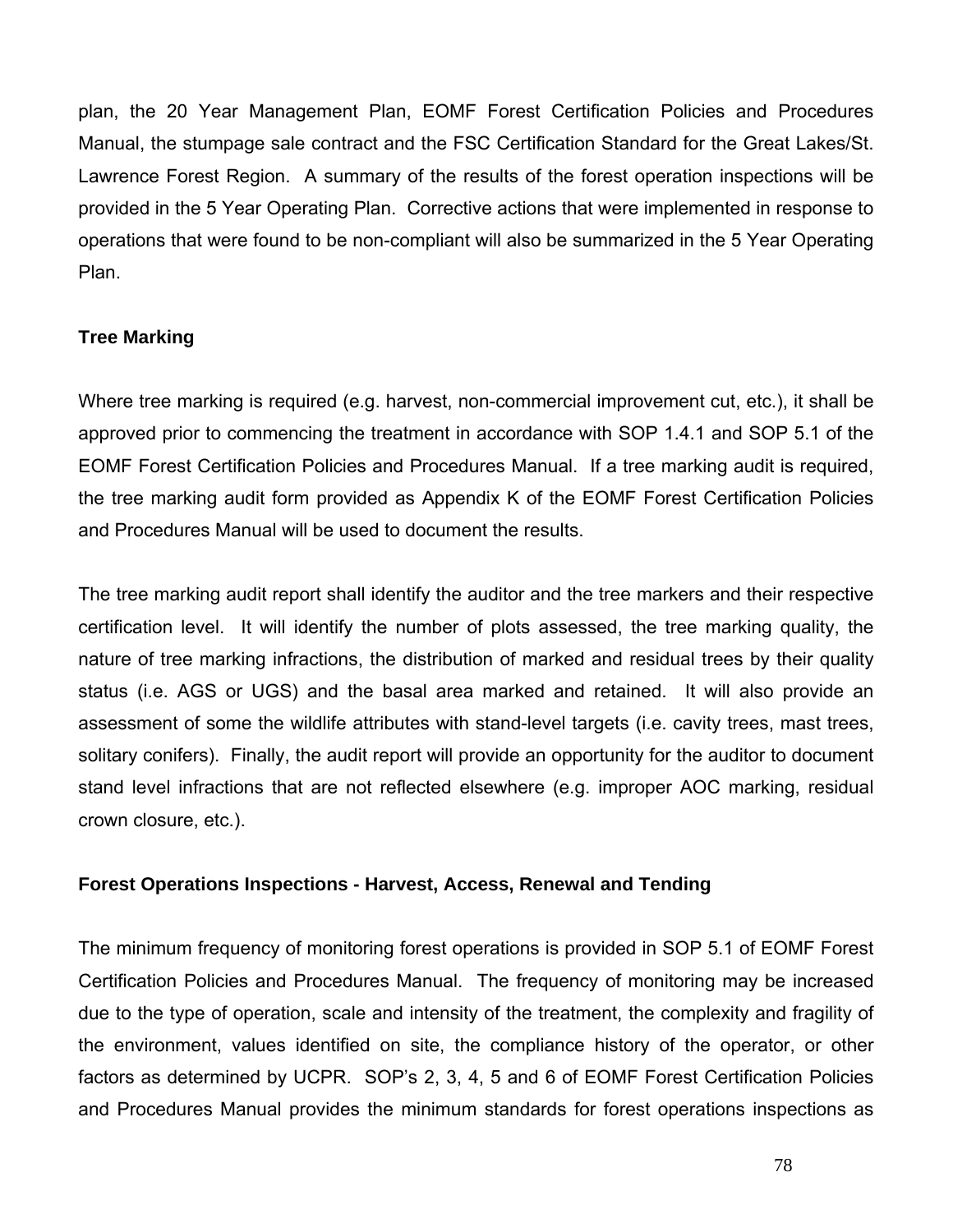plan, the 20 Year Management Plan, EOMF Forest Certification Policies and Procedures Manual, the stumpage sale contract and the FSC Certification Standard for the Great Lakes/St. Lawrence Forest Region. A summary of the results of the forest operation inspections will be provided in the 5 Year Operating Plan. Corrective actions that were implemented in response to operations that were found to be non-compliant will also be summarized in the 5 Year Operating Plan.

# **Tree Marking**

Where tree marking is required (e.g. harvest, non-commercial improvement cut, etc.), it shall be approved prior to commencing the treatment in accordance with SOP 1.4.1 and SOP 5.1 of the EOMF Forest Certification Policies and Procedures Manual. If a tree marking audit is required, the tree marking audit form provided as Appendix K of the EOMF Forest Certification Policies and Procedures Manual will be used to document the results.

The tree marking audit report shall identify the auditor and the tree markers and their respective certification level. It will identify the number of plots assessed, the tree marking quality, the nature of tree marking infractions, the distribution of marked and residual trees by their quality status (i.e. AGS or UGS) and the basal area marked and retained. It will also provide an assessment of some the wildlife attributes with stand-level targets (i.e. cavity trees, mast trees, solitary conifers). Finally, the audit report will provide an opportunity for the auditor to document stand level infractions that are not reflected elsewhere (e.g. improper AOC marking, residual crown closure, etc.).

#### **Forest Operations Inspections - Harvest, Access, Renewal and Tending**

The minimum frequency of monitoring forest operations is provided in SOP 5.1 of EOMF Forest Certification Policies and Procedures Manual. The frequency of monitoring may be increased due to the type of operation, scale and intensity of the treatment, the complexity and fragility of the environment, values identified on site, the compliance history of the operator, or other factors as determined by UCPR. SOP's 2, 3, 4, 5 and 6 of EOMF Forest Certification Policies and Procedures Manual provides the minimum standards for forest operations inspections as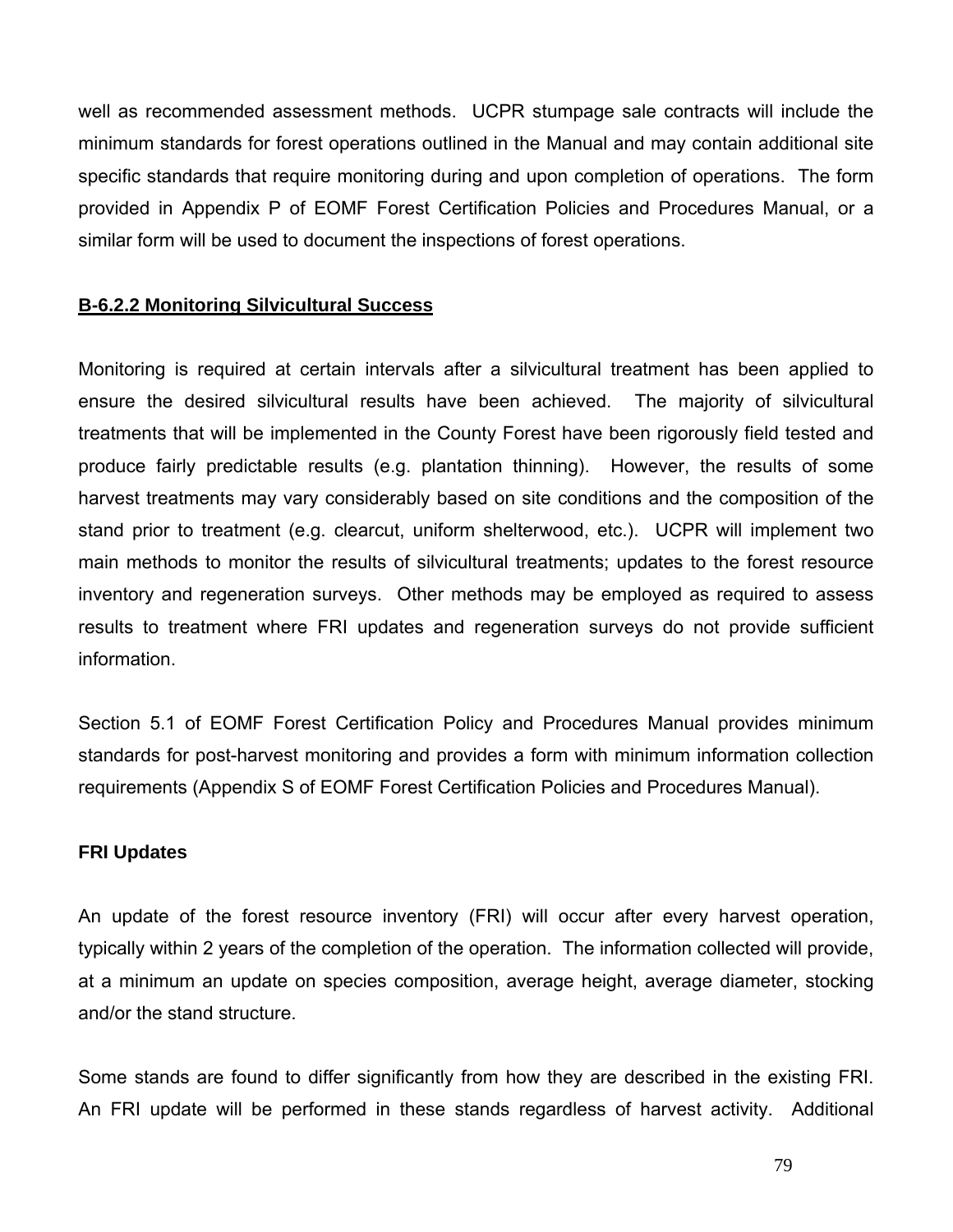well as recommended assessment methods. UCPR stumpage sale contracts will include the minimum standards for forest operations outlined in the Manual and may contain additional site specific standards that require monitoring during and upon completion of operations. The form provided in Appendix P of EOMF Forest Certification Policies and Procedures Manual, or a similar form will be used to document the inspections of forest operations.

## **B-6.2.2 Monitoring Silvicultural Success**

Monitoring is required at certain intervals after a silvicultural treatment has been applied to ensure the desired silvicultural results have been achieved. The majority of silvicultural treatments that will be implemented in the County Forest have been rigorously field tested and produce fairly predictable results (e.g. plantation thinning). However, the results of some harvest treatments may vary considerably based on site conditions and the composition of the stand prior to treatment (e.g. clearcut, uniform shelterwood, etc.). UCPR will implement two main methods to monitor the results of silvicultural treatments; updates to the forest resource inventory and regeneration surveys. Other methods may be employed as required to assess results to treatment where FRI updates and regeneration surveys do not provide sufficient information.

Section 5.1 of EOMF Forest Certification Policy and Procedures Manual provides minimum standards for post-harvest monitoring and provides a form with minimum information collection requirements (Appendix S of EOMF Forest Certification Policies and Procedures Manual).

#### **FRI Updates**

An update of the forest resource inventory (FRI) will occur after every harvest operation, typically within 2 years of the completion of the operation. The information collected will provide, at a minimum an update on species composition, average height, average diameter, stocking and/or the stand structure.

Some stands are found to differ significantly from how they are described in the existing FRI. An FRI update will be performed in these stands regardless of harvest activity. Additional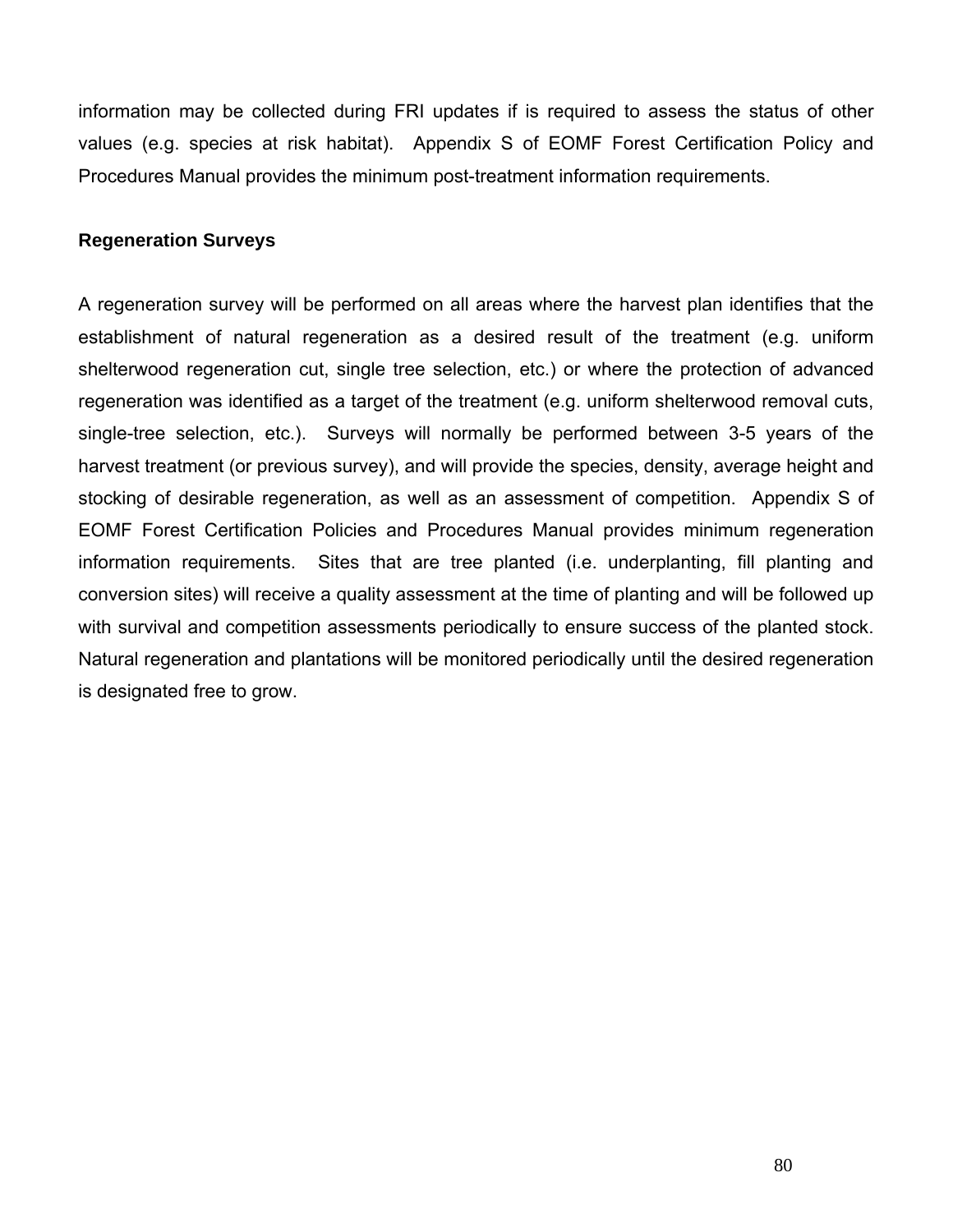information may be collected during FRI updates if is required to assess the status of other values (e.g. species at risk habitat). Appendix S of EOMF Forest Certification Policy and Procedures Manual provides the minimum post-treatment information requirements.

#### **Regeneration Surveys**

A regeneration survey will be performed on all areas where the harvest plan identifies that the establishment of natural regeneration as a desired result of the treatment (e.g. uniform shelterwood regeneration cut, single tree selection, etc.) or where the protection of advanced regeneration was identified as a target of the treatment (e.g. uniform shelterwood removal cuts, single-tree selection, etc.). Surveys will normally be performed between 3-5 years of the harvest treatment (or previous survey), and will provide the species, density, average height and stocking of desirable regeneration, as well as an assessment of competition. Appendix S of EOMF Forest Certification Policies and Procedures Manual provides minimum regeneration information requirements. Sites that are tree planted (i.e. underplanting, fill planting and conversion sites) will receive a quality assessment at the time of planting and will be followed up with survival and competition assessments periodically to ensure success of the planted stock. Natural regeneration and plantations will be monitored periodically until the desired regeneration is designated free to grow.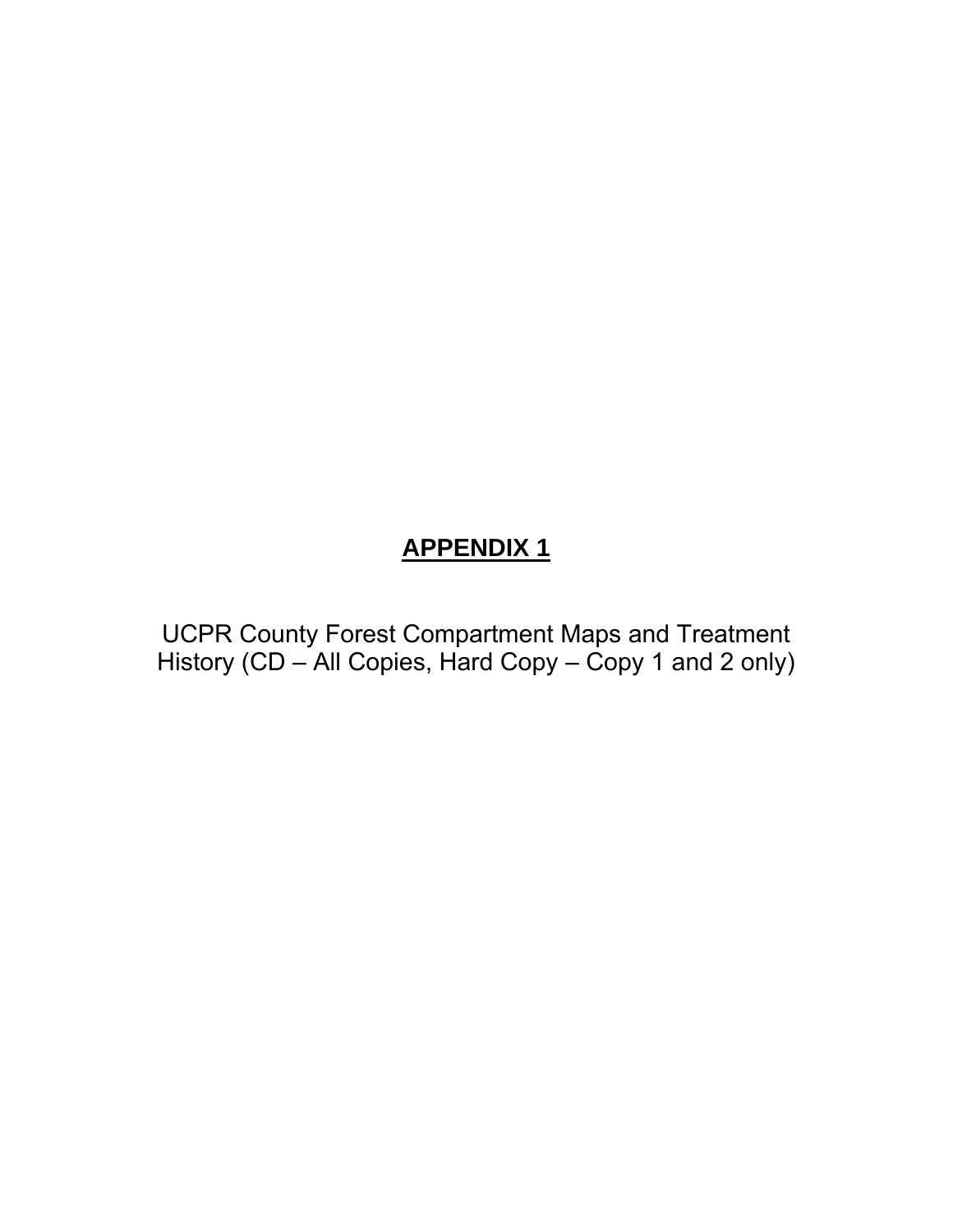# **APPENDIX 1**

UCPR County Forest Compartment Maps and Treatment History (CD – All Copies, Hard Copy – Copy 1 and 2 only)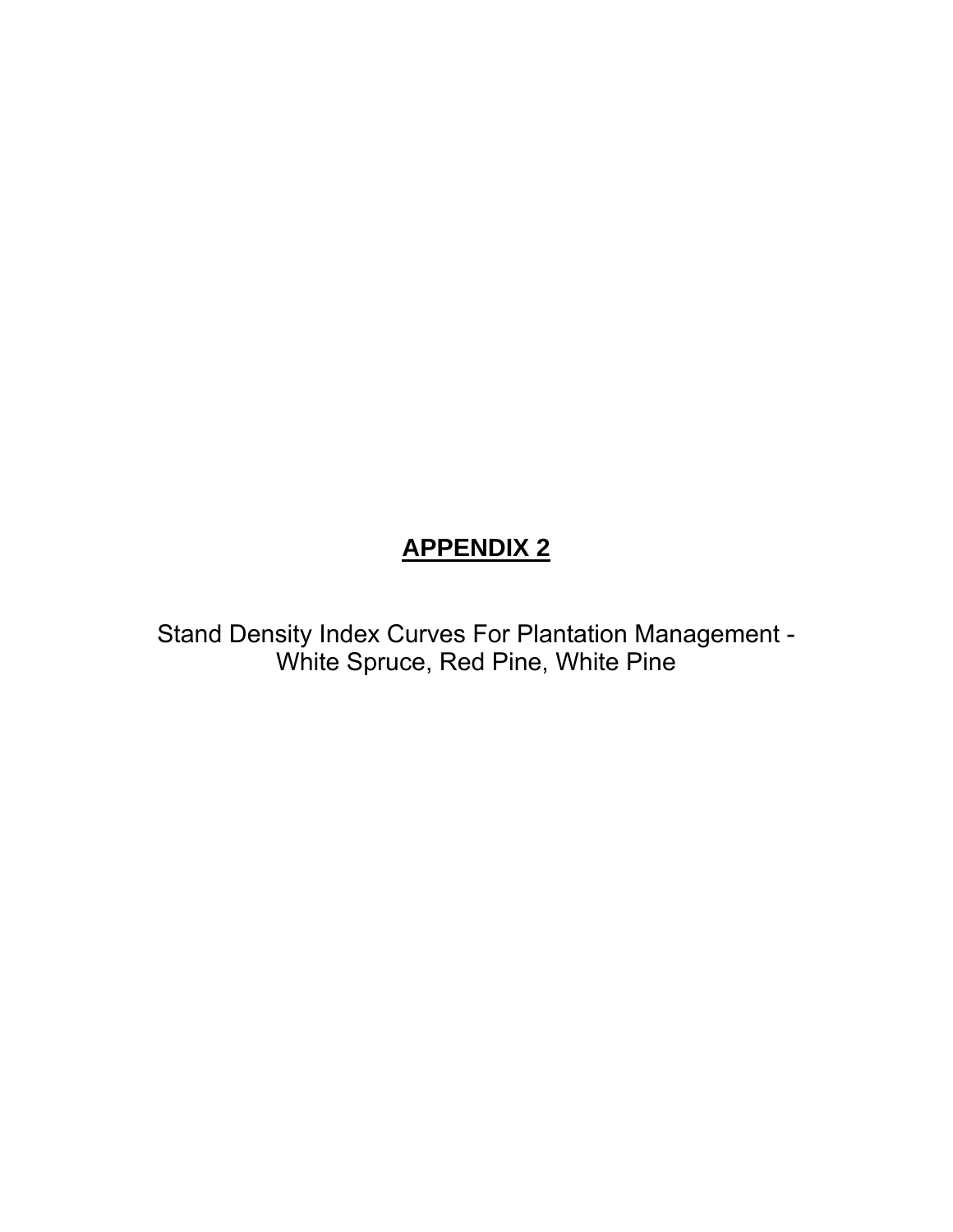# **APPENDIX 2**

Stand Density Index Curves For Plantation Management - White Spruce, Red Pine, White Pine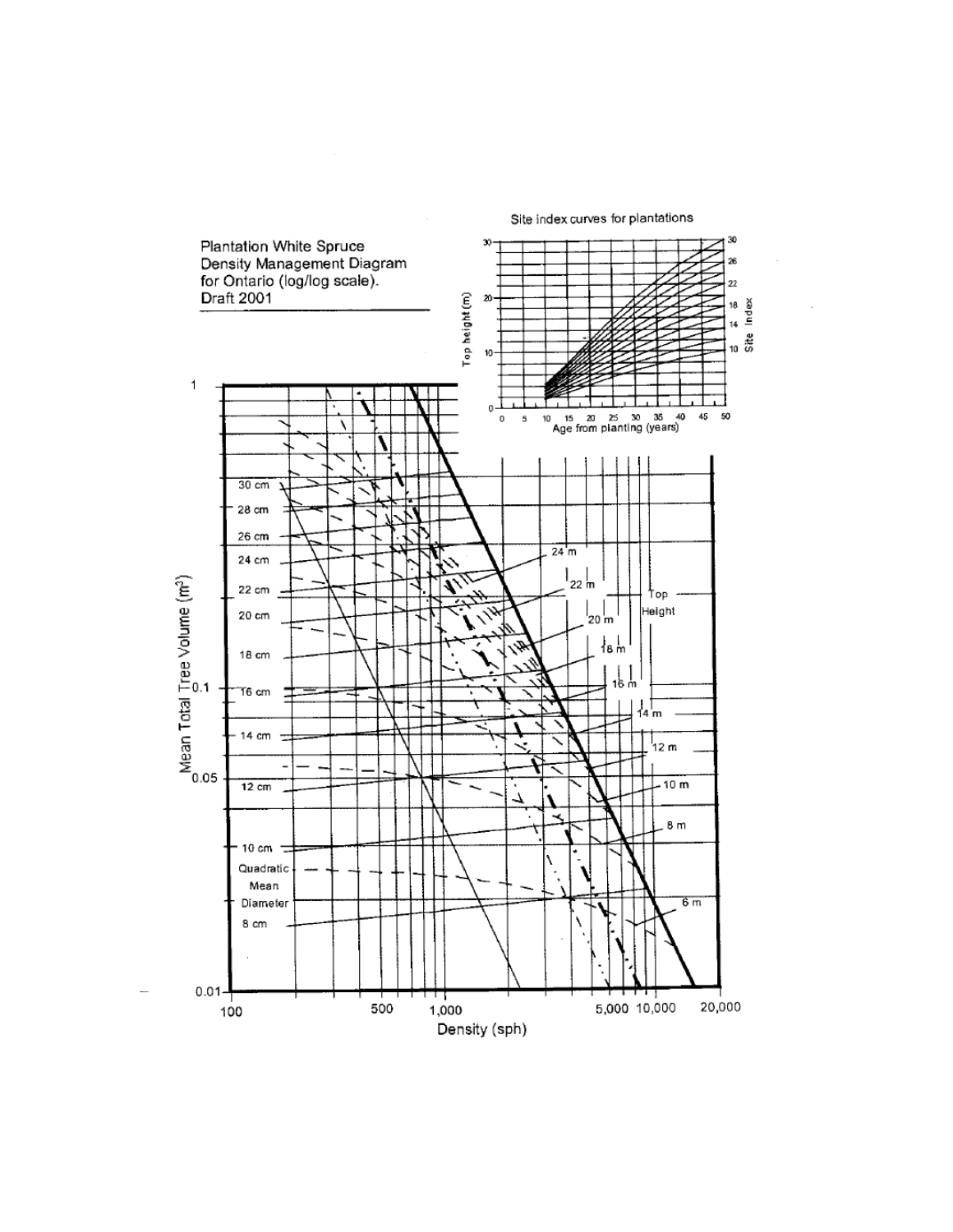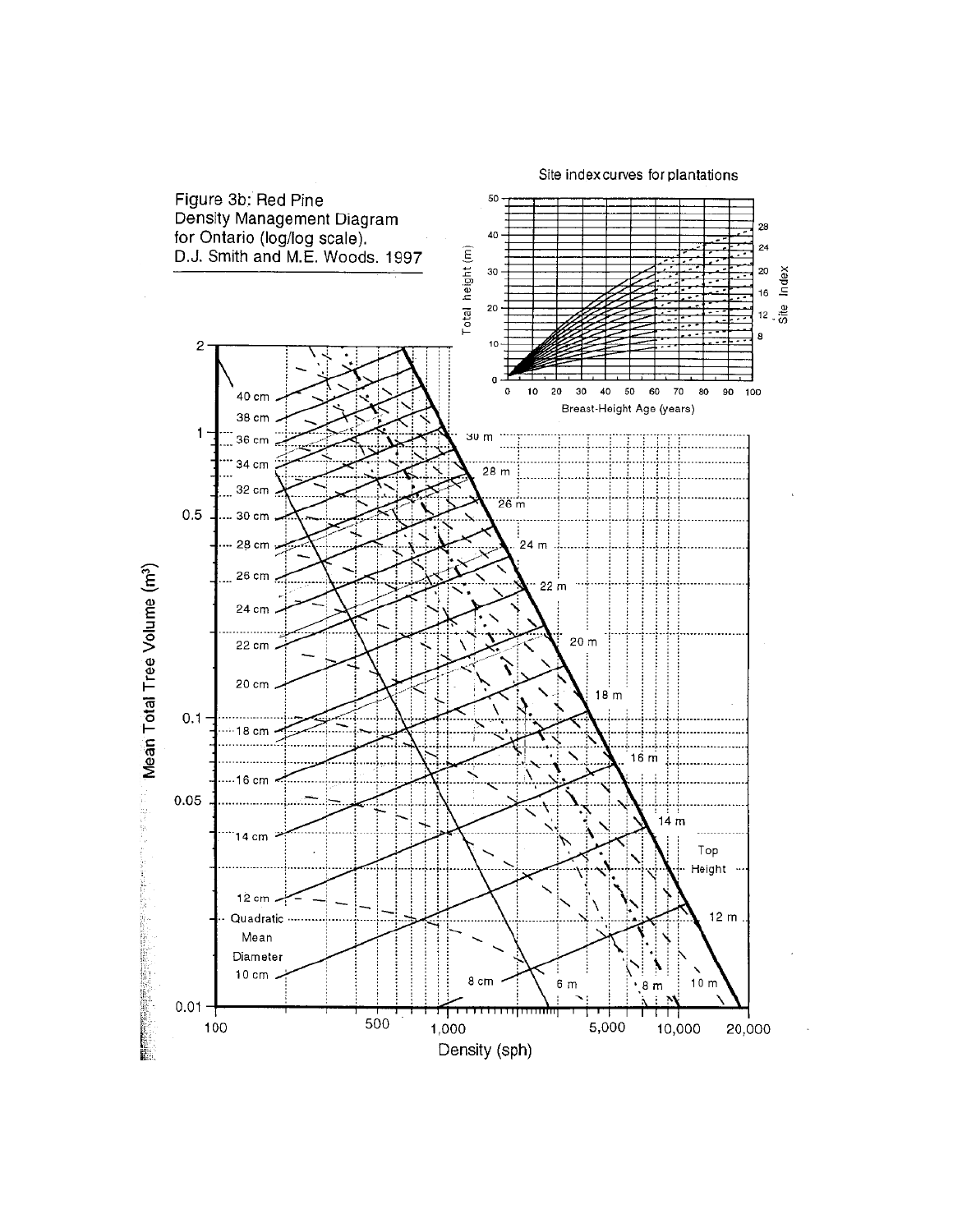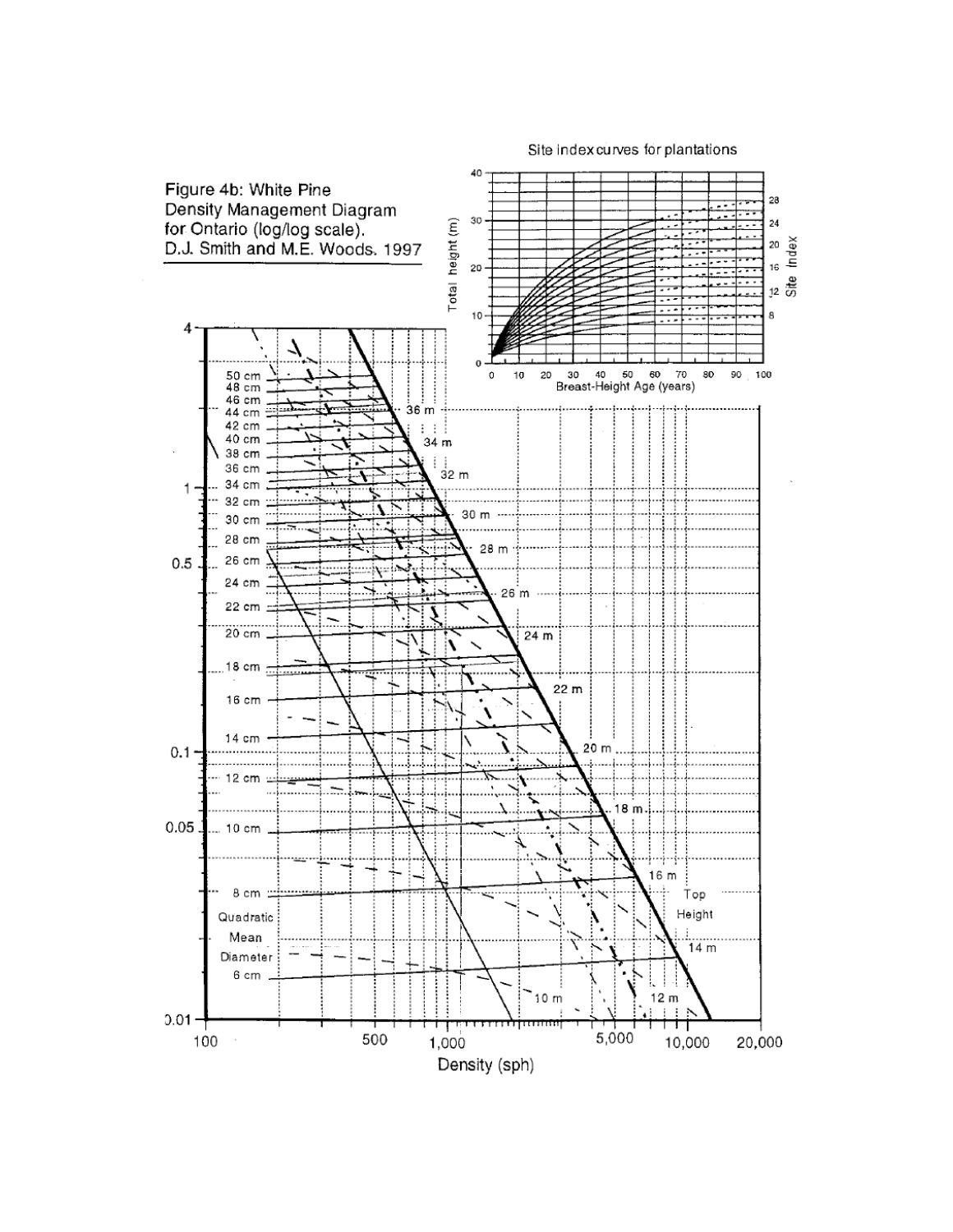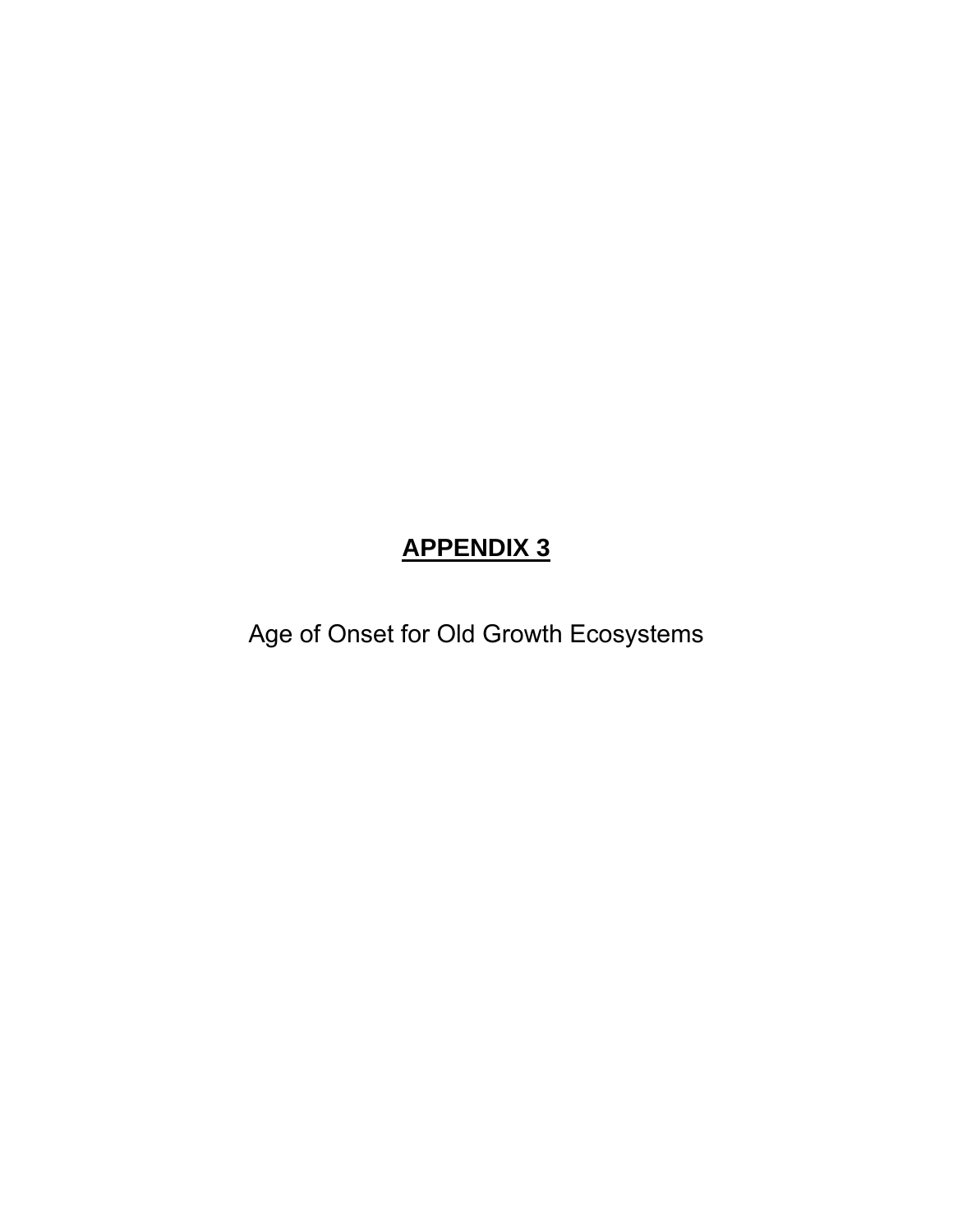### **APPENDIX 3**

Age of Onset for Old Growth Ecosystems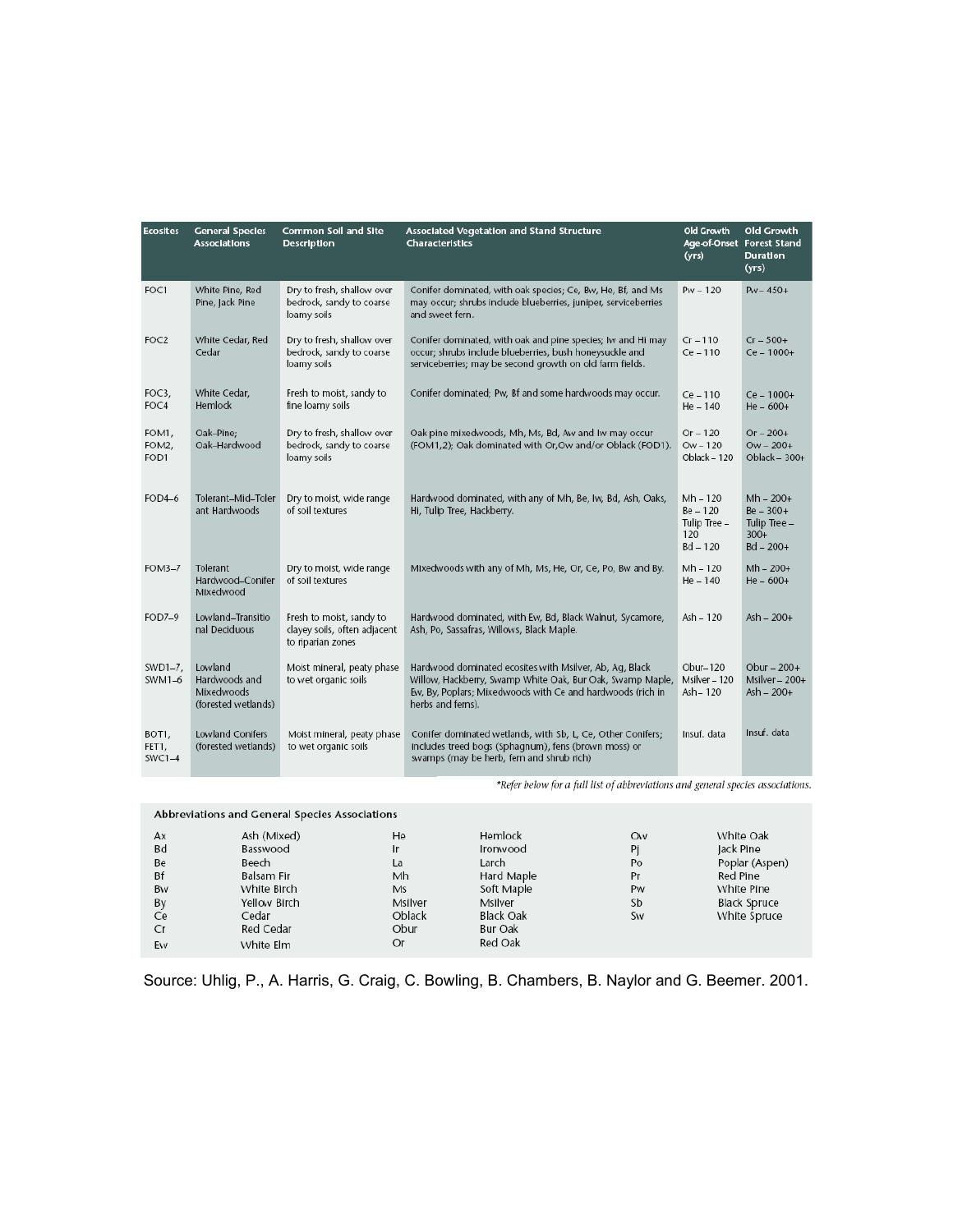| <b>Ecosites</b>            | <b>General Species</b><br><b>Associations</b>                 | <b>Common Soil and Site</b><br><b>Description</b>                             | Associated Vegetation and Stand Structure<br><b>Characteristics</b>                                                                                                                                     | <b>Old Growth</b><br>(yrs)                                    | Old Growth<br>Age-of-Onset Forest Stand<br><b>Duration</b><br>(yrs)  |
|----------------------------|---------------------------------------------------------------|-------------------------------------------------------------------------------|---------------------------------------------------------------------------------------------------------------------------------------------------------------------------------------------------------|---------------------------------------------------------------|----------------------------------------------------------------------|
| FOC1                       | White Pine, Red<br>Pine, Jack Pine                            | Dry to fresh, shallow over<br>bedrock, sandy to coarse<br>loamy soils         | Conifer dominated, with oak species; Ce, Bw, He, Bf, and Ms<br>may occur; shrubs include blueberries, juniper, serviceberries<br>and sweet fern.                                                        | $Pw - 120$                                                    | $P_{W} = 450+$                                                       |
| FOC <sub>2</sub>           | White Cedar, Red<br>Cedar                                     | Dry to fresh, shallow over<br>bedrock, sandy to coarse<br>loamy soils         | Conifer dominated, with oak and pine species; Iw and Hi may<br>occur; shrubs include blueberries, bush honeysuckle and<br>serviceberries; may be second growth on old farm fields.                      | $Cr = 110$<br>$Ce - 110$                                      | $Cr = 500+$<br>Ce - 1000+                                            |
| FOC3,<br>FOC4              | White Cedar,<br>Hemlock                                       | Fresh to moist, sandy to<br>fine loamy soils                                  | Conifer dominated; Pw, Bf and some hardwoods may occur.                                                                                                                                                 | $Ce-110$<br>$He - 140$                                        | $Ce - 1000 +$<br>$He - 600+$                                         |
| FOM1,<br>FOM2,<br>FOD1     | Oak-Pine;<br>Oak-Hardwood                                     | Dry to fresh, shallow over<br>bedrock, sandy to coarse<br>loamy soils         | Oak pine mixedwoods, Mh, Ms, Bd, Aw and Iw may occur<br>(FOM1,2); Oak dominated with Or, Ow and/or Oblack (FOD1).                                                                                       | $Or - 120$<br>$OW - 120$<br>Oblack - 120                      | $Or - 200+$<br>$OW - 200 +$<br>Oblack $-300+$                        |
| $FOD4-6$                   | Tolerant-Mid-Toler<br>ant Hardwoods                           | Dry to moist, wide range<br>of soil textures                                  | Hardwood dominated, with any of Mh, Be, Iw, Bd, Ash, Oaks,<br>Hi, Tulip Tree, Hackberry.                                                                                                                | $Mh - 120$<br>$Be - 120$<br>Tulip Tree -<br>120<br>$Bd - 120$ | $Mh - 200+$<br>$Be - 300 +$<br>Tulip Tree -<br>$300+$<br>$Bd - 200+$ |
| FOM3-7                     | Tolerant<br>Hardwood-Conifer<br>Mixedwood                     | Dry to moist, wide range<br>of soil textures                                  | Mixedwoods with any of Mh, Ms, He, Or, Ce, Po, Bw and By.                                                                                                                                               | $Mh - 120$<br>$He - 140$                                      | $Mh - 200+$<br>$He - 600+$                                           |
| FOD7-9                     | Lowland-Transitio<br>nal Deciduous                            | Fresh to moist, sandy to<br>clayey soils, often adjacent<br>to riparian zones | Hardwood dominated, with Ew, Bd, Black Walnut, Sycamore,<br>Ash, Po, Sassafras, Willows, Black Maple.                                                                                                   | Ash - 120                                                     | Ash - 200+                                                           |
| SWD1-7,<br>SWM1-6          | Lowland<br>Hardwoods and<br>Mixedwoods<br>(forested wetlands) | Moist mineral, peaty phase<br>to wet organic soils                            | Hardwood dominated ecosites with Msilver, Ab, Aq, Black<br>Willow, Hackberry, Swamp White Oak, Bur Oak, Swamp Maple,<br>Ew, By, Poplars; Mixedwoods with Ce and hardwoods (rich in<br>herbs and ferns). | $Obur-120$<br>Msilver - 120<br>Ash-120                        | Obur $-200+$<br>Msilver $-200+$<br>Ash - 200+                        |
| BOT1,<br>FET1,<br>$SWC1-4$ | <b>Lowland Conifers</b><br>(forested wetlands)                | Moist mineral, peaty phase<br>to wet organic soils                            | Conifer dominated wetlands, with Sb, L, Ce, Other Conifers;<br>includes treed bogs (Sphagnum), fens (brown moss) or<br>swamps (may be herb, fern and shrub rich)                                        | Insuf. data                                                   | Insuf. data                                                          |

\*Refer below for a full list of abbreviations and general species associations.

|    | Abbreviations and General Species Associations |         |                  |           |                     |
|----|------------------------------------------------|---------|------------------|-----------|---------------------|
| Ax | Ash (Mixed)                                    | He      | Hemlock          | <b>Ow</b> | White Oak           |
| Bd | Basswood                                       | Ir      | Ironwood         | Pi        | Jack Pine           |
| Be | Beech                                          | La      | Larch            | Po        | Poplar (Aspen)      |
| Bf | Balsam Fir                                     | Mh      | Hard Maple       | Pr        | Red Pine            |
| Bw | White Birch                                    | Ms      | Soft Maple       | Pw        | White Pine          |
| By | Yellow Birch                                   | Msilver | Msilver          | Sb        | <b>Black Spruce</b> |
| Ce | Cedar                                          | Oblack  | <b>Black Oak</b> | Sw        | White Spruce        |
| Cr | Red Cedar                                      | Obur    | Bur Oak          |           |                     |
| Ew | White Elm                                      | Or      | Red Oak          |           |                     |

Source: Uhlig, P., A. Harris, G. Craig, C. Bowling, B. Chambers, B. Naylor and G. Beemer. 2001.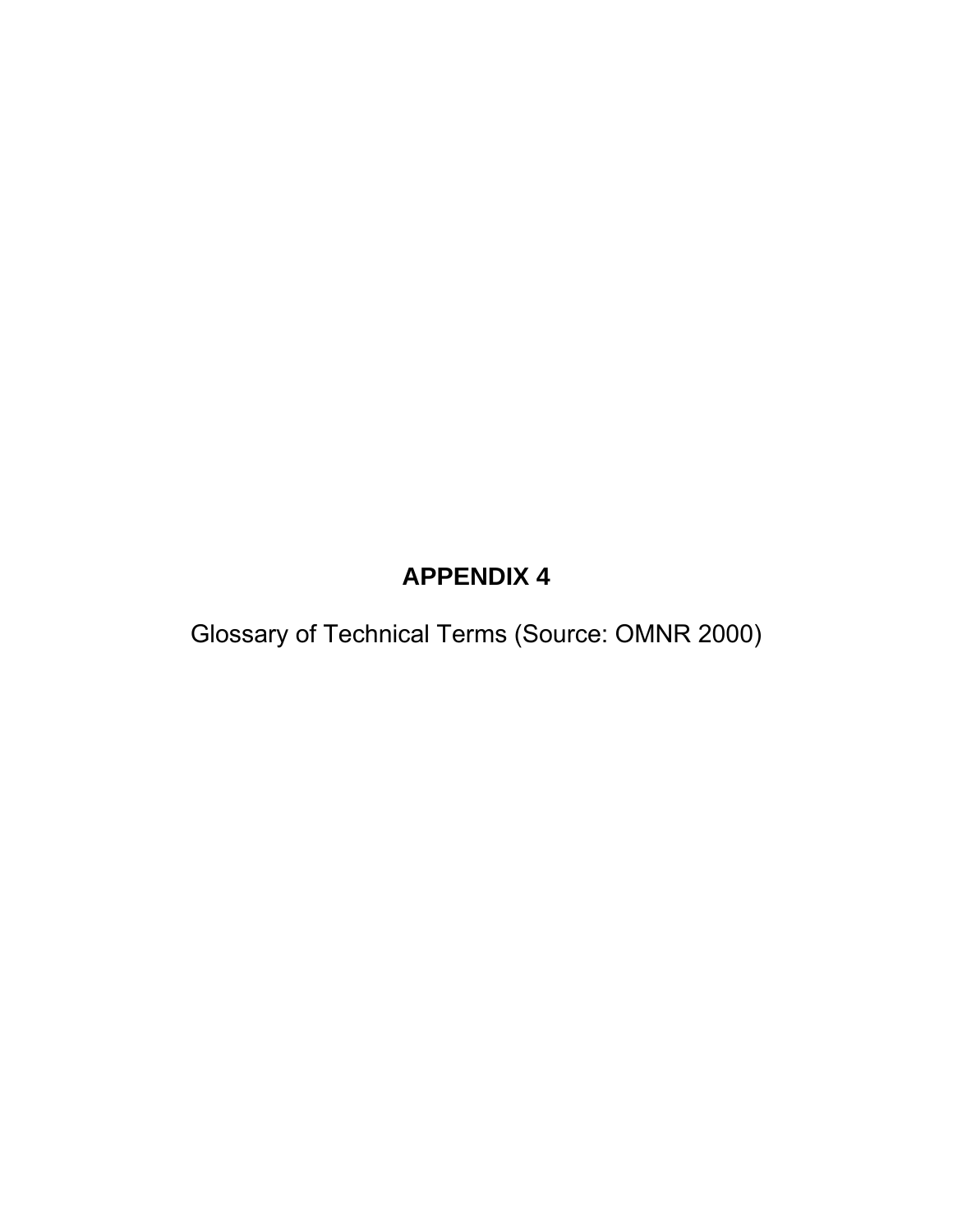### **APPENDIX 4**

Glossary of Technical Terms (Source: OMNR 2000)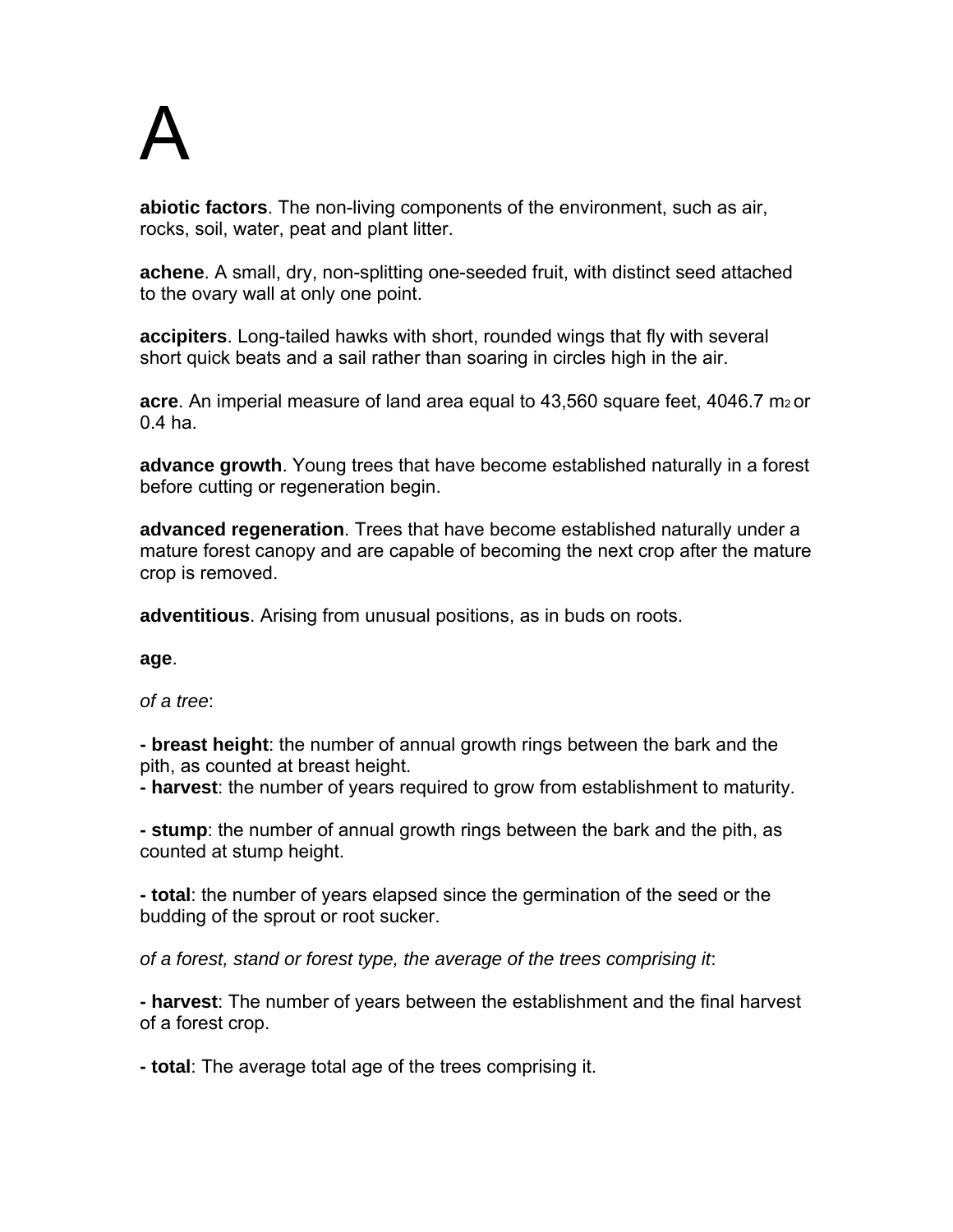# A

**abiotic factors**. The non-living components of the environment, such as air, rocks, soil, water, peat and plant litter.

**achene**. A small, dry, non-splitting one-seeded fruit, with distinct seed attached to the ovary wall at only one point.

**accipiters**. Long-tailed hawks with short, rounded wings that fly with several short quick beats and a sail rather than soaring in circles high in the air.

**acre**. An imperial measure of land area equal to 43,560 square feet, 4046.7 m<sub>2</sub> or 0.4 ha.

**advance growth**. Young trees that have become established naturally in a forest before cutting or regeneration begin.

**advanced regeneration**. Trees that have become established naturally under a mature forest canopy and are capable of becoming the next crop after the mature crop is removed.

**adventitious**. Arising from unusual positions, as in buds on roots.

**age**.

*of a tree*:

**- breast height**: the number of annual growth rings between the bark and the pith, as counted at breast height.

**- harvest**: the number of years required to grow from establishment to maturity.

**- stump**: the number of annual growth rings between the bark and the pith, as counted at stump height.

**- total**: the number of years elapsed since the germination of the seed or the budding of the sprout or root sucker.

*of a forest, stand or forest type, the average of the trees comprising it*:

**- harvest**: The number of years between the establishment and the final harvest of a forest crop.

**- total**: The average total age of the trees comprising it.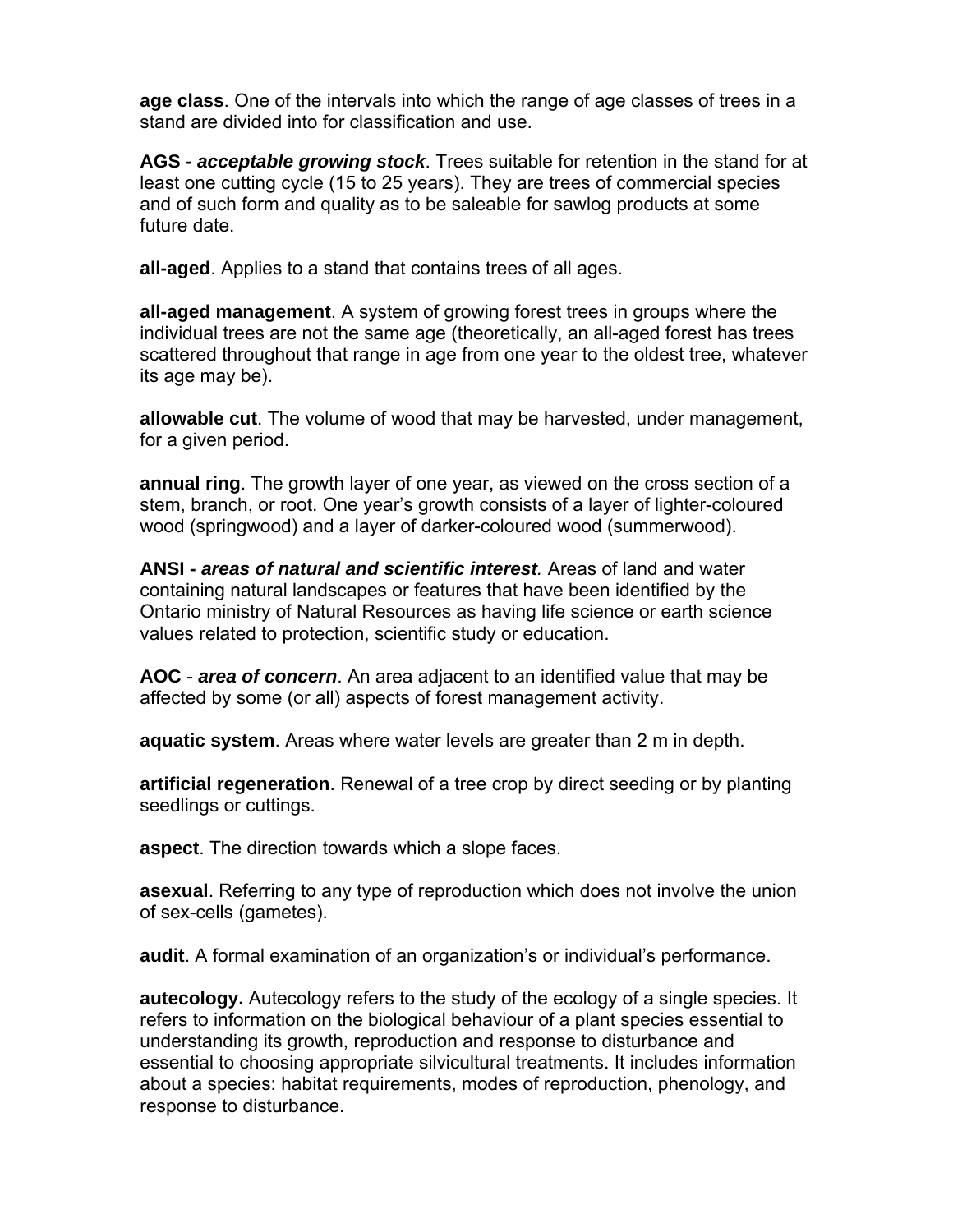**age class**. One of the intervals into which the range of age classes of trees in a stand are divided into for classification and use.

**AGS -** *acceptable growing stock*. Trees suitable for retention in the stand for at least one cutting cycle (15 to 25 years). They are trees of commercial species and of such form and quality as to be saleable for sawlog products at some future date.

**all-aged**. Applies to a stand that contains trees of all ages.

**all-aged management**. A system of growing forest trees in groups where the individual trees are not the same age (theoretically, an all-aged forest has trees scattered throughout that range in age from one year to the oldest tree, whatever its age may be).

**allowable cut**. The volume of wood that may be harvested, under management, for a given period.

**annual ring**. The growth layer of one year, as viewed on the cross section of a stem, branch, or root. One year's growth consists of a layer of lighter-coloured wood (springwood) and a layer of darker-coloured wood (summerwood).

**ANSI -** *areas of natural and scientific interest.* Areas of land and water containing natural landscapes or features that have been identified by the Ontario ministry of Natural Resources as having life science or earth science values related to protection, scientific study or education.

**AOC** - *area of concern*. An area adjacent to an identified value that may be affected by some (or all) aspects of forest management activity.

**aquatic system**. Areas where water levels are greater than 2 m in depth.

**artificial regeneration**. Renewal of a tree crop by direct seeding or by planting seedlings or cuttings.

**aspect**. The direction towards which a slope faces.

**asexual**. Referring to any type of reproduction which does not involve the union of sex-cells (gametes).

**audit**. A formal examination of an organization's or individual's performance.

**autecology.** Autecology refers to the study of the ecology of a single species. It refers to information on the biological behaviour of a plant species essential to understanding its growth, reproduction and response to disturbance and essential to choosing appropriate silvicultural treatments. It includes information about a species: habitat requirements, modes of reproduction, phenology, and response to disturbance.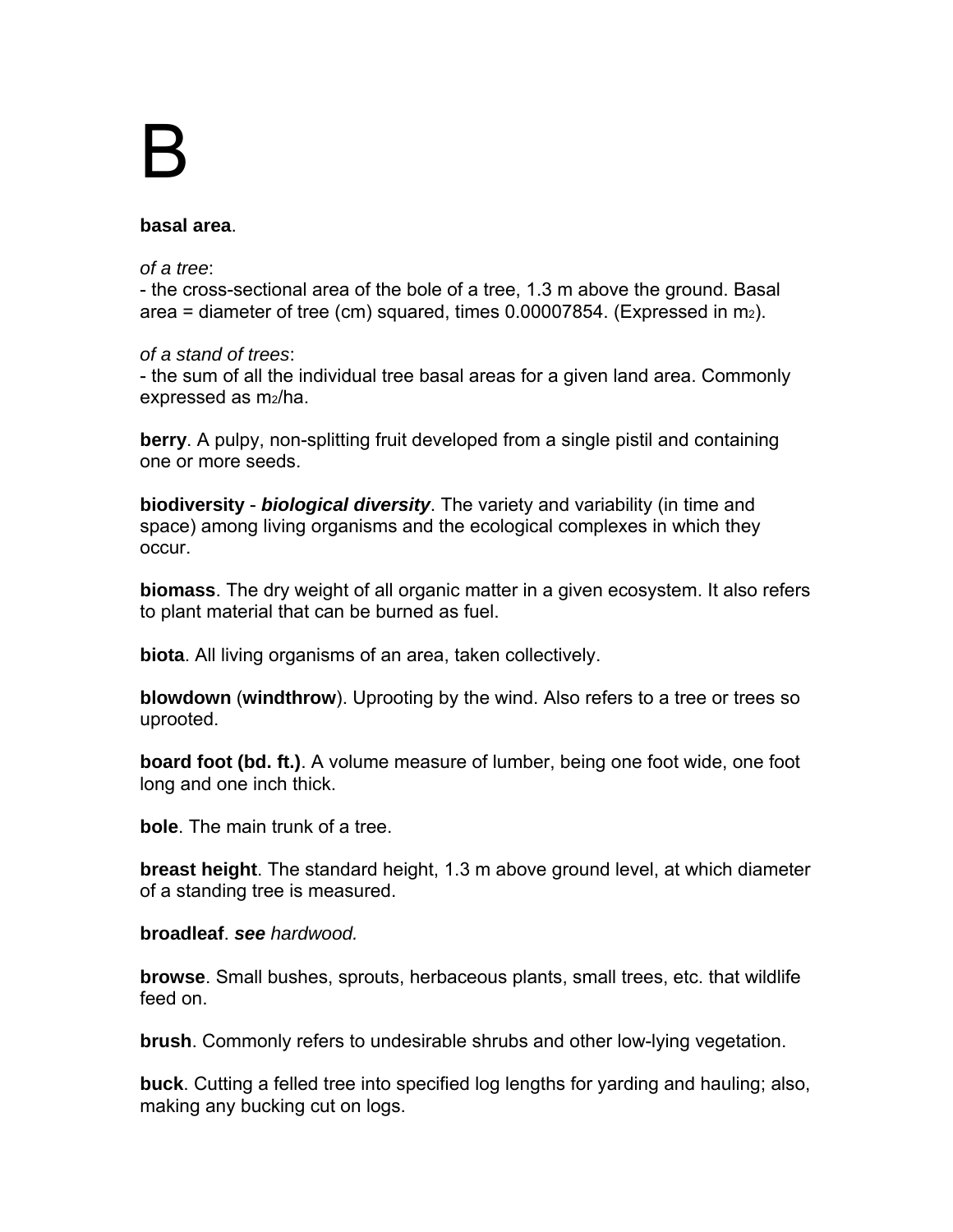# B

#### **basal area**.

#### *of a tree*:

- the cross-sectional area of the bole of a tree, 1.3 m above the ground. Basal area = diameter of tree (cm) squared, times  $0.00007854$ . (Expressed in m<sub>2</sub>).

#### *of a stand of trees*:

- the sum of all the individual tree basal areas for a given land area. Commonly expressed as m2/ha.

**berry**. A pulpy, non-splitting fruit developed from a single pistil and containing one or more seeds.

**biodiversity** - *biological diversity*. The variety and variability (in time and space) among living organisms and the ecological complexes in which they occur.

**biomass**. The dry weight of all organic matter in a given ecosystem. It also refers to plant material that can be burned as fuel.

**biota**. All living organisms of an area, taken collectively.

**blowdown** (**windthrow**). Uprooting by the wind. Also refers to a tree or trees so uprooted.

**board foot (bd. ft.)**. A volume measure of lumber, being one foot wide, one foot long and one inch thick.

**bole**. The main trunk of a tree.

**breast height**. The standard height, 1.3 m above ground level, at which diameter of a standing tree is measured.

#### **broadleaf**. *see hardwood.*

**browse**. Small bushes, sprouts, herbaceous plants, small trees, etc. that wildlife feed on.

**brush**. Commonly refers to undesirable shrubs and other low-lying vegetation.

**buck**. Cutting a felled tree into specified log lengths for yarding and hauling; also, making any bucking cut on logs.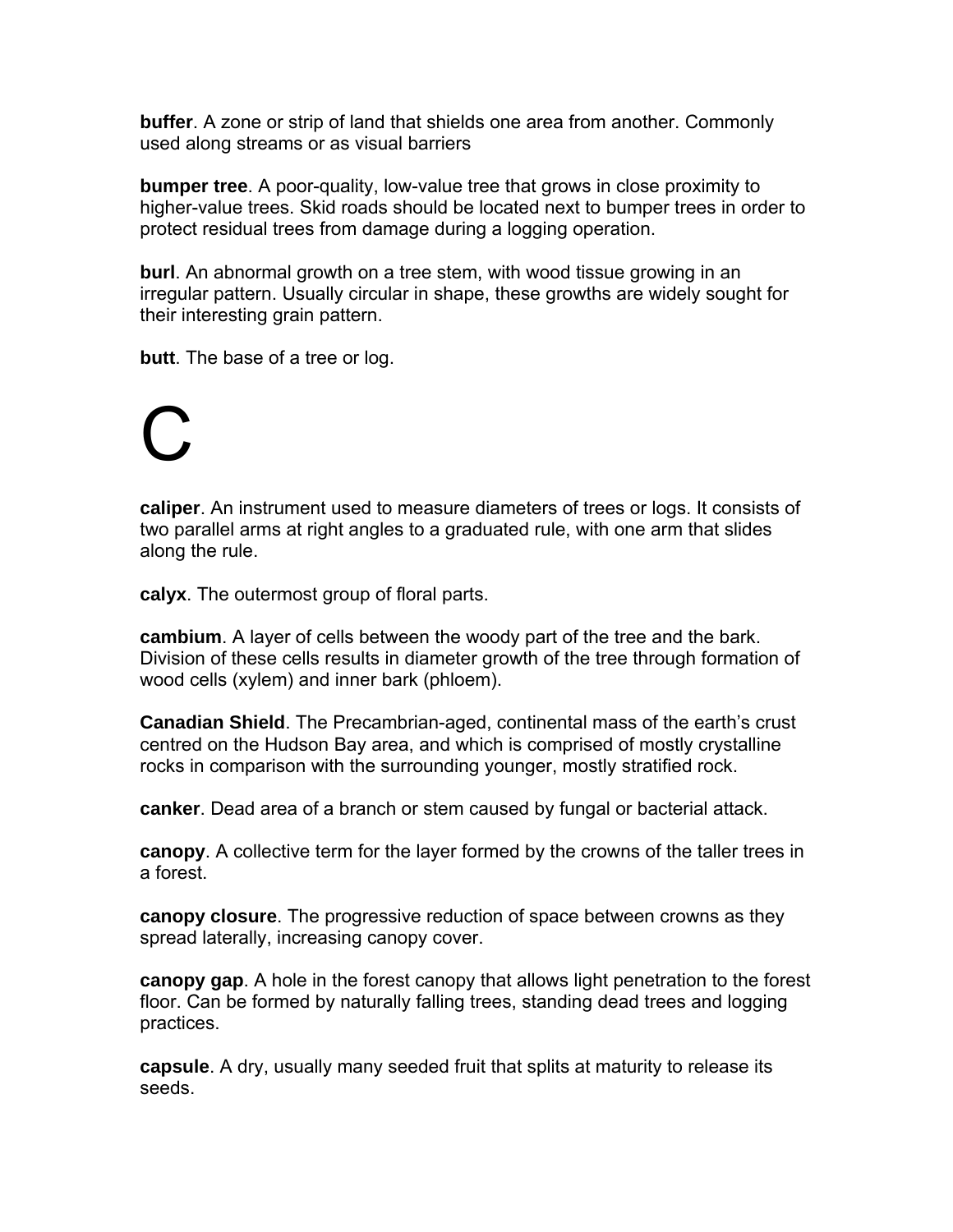**buffer**. A zone or strip of land that shields one area from another. Commonly used along streams or as visual barriers

**bumper tree**. A poor-quality, low-value tree that grows in close proximity to higher-value trees. Skid roads should be located next to bumper trees in order to protect residual trees from damage during a logging operation.

**burl**. An abnormal growth on a tree stem, with wood tissue growing in an irregular pattern. Usually circular in shape, these growths are widely sought for their interesting grain pattern.

**butt**. The base of a tree or log.

## C

**caliper**. An instrument used to measure diameters of trees or logs. It consists of two parallel arms at right angles to a graduated rule, with one arm that slides along the rule.

**calyx**. The outermost group of floral parts.

**cambium**. A layer of cells between the woody part of the tree and the bark. Division of these cells results in diameter growth of the tree through formation of wood cells (xylem) and inner bark (phloem).

**Canadian Shield**. The Precambrian-aged, continental mass of the earth's crust centred on the Hudson Bay area, and which is comprised of mostly crystalline rocks in comparison with the surrounding younger, mostly stratified rock.

**canker**. Dead area of a branch or stem caused by fungal or bacterial attack.

**canopy**. A collective term for the layer formed by the crowns of the taller trees in a forest.

**canopy closure**. The progressive reduction of space between crowns as they spread laterally, increasing canopy cover.

**canopy gap**. A hole in the forest canopy that allows light penetration to the forest floor. Can be formed by naturally falling trees, standing dead trees and logging practices.

**capsule**. A dry, usually many seeded fruit that splits at maturity to release its seeds.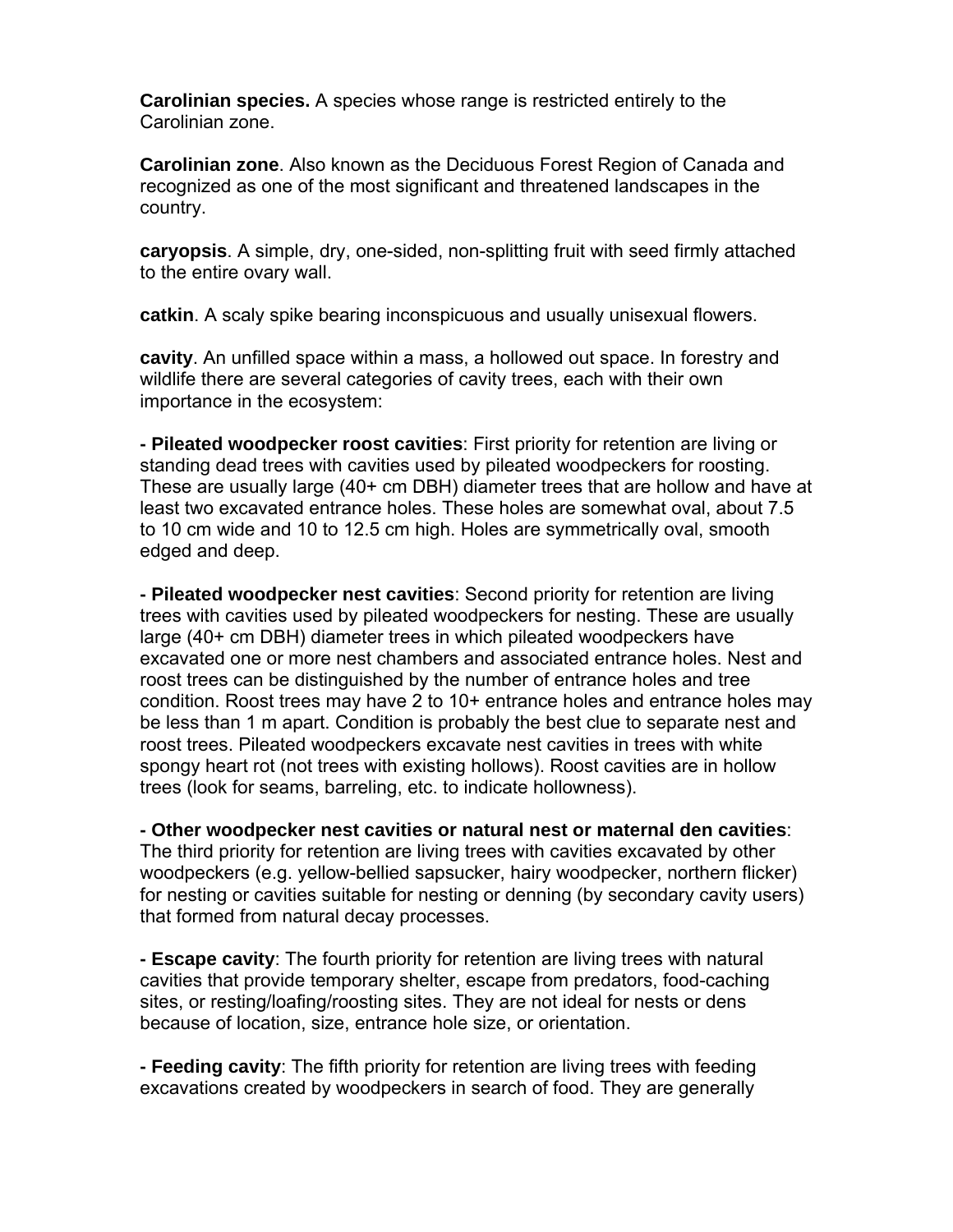**Carolinian species.** A species whose range is restricted entirely to the Carolinian zone.

**Carolinian zone**. Also known as the Deciduous Forest Region of Canada and recognized as one of the most significant and threatened landscapes in the country.

**caryopsis**. A simple, dry, one-sided, non-splitting fruit with seed firmly attached to the entire ovary wall.

**catkin**. A scaly spike bearing inconspicuous and usually unisexual flowers.

**cavity**. An unfilled space within a mass, a hollowed out space. In forestry and wildlife there are several categories of cavity trees, each with their own importance in the ecosystem:

**- Pileated woodpecker roost cavities**: First priority for retention are living or standing dead trees with cavities used by pileated woodpeckers for roosting. These are usually large (40+ cm DBH) diameter trees that are hollow and have at least two excavated entrance holes. These holes are somewhat oval, about 7.5 to 10 cm wide and 10 to 12.5 cm high. Holes are symmetrically oval, smooth edged and deep.

**- Pileated woodpecker nest cavities**: Second priority for retention are living trees with cavities used by pileated woodpeckers for nesting. These are usually large (40+ cm DBH) diameter trees in which pileated woodpeckers have excavated one or more nest chambers and associated entrance holes. Nest and roost trees can be distinguished by the number of entrance holes and tree condition. Roost trees may have 2 to 10+ entrance holes and entrance holes may be less than 1 m apart. Condition is probably the best clue to separate nest and roost trees. Pileated woodpeckers excavate nest cavities in trees with white spongy heart rot (not trees with existing hollows). Roost cavities are in hollow trees (look for seams, barreling, etc. to indicate hollowness).

**- Other woodpecker nest cavities or natural nest or maternal den cavities**: The third priority for retention are living trees with cavities excavated by other woodpeckers (e.g. yellow-bellied sapsucker, hairy woodpecker, northern flicker) for nesting or cavities suitable for nesting or denning (by secondary cavity users) that formed from natural decay processes.

**- Escape cavity**: The fourth priority for retention are living trees with natural cavities that provide temporary shelter, escape from predators, food-caching sites, or resting/loafing/roosting sites. They are not ideal for nests or dens because of location, size, entrance hole size, or orientation.

**- Feeding cavity**: The fifth priority for retention are living trees with feeding excavations created by woodpeckers in search of food. They are generally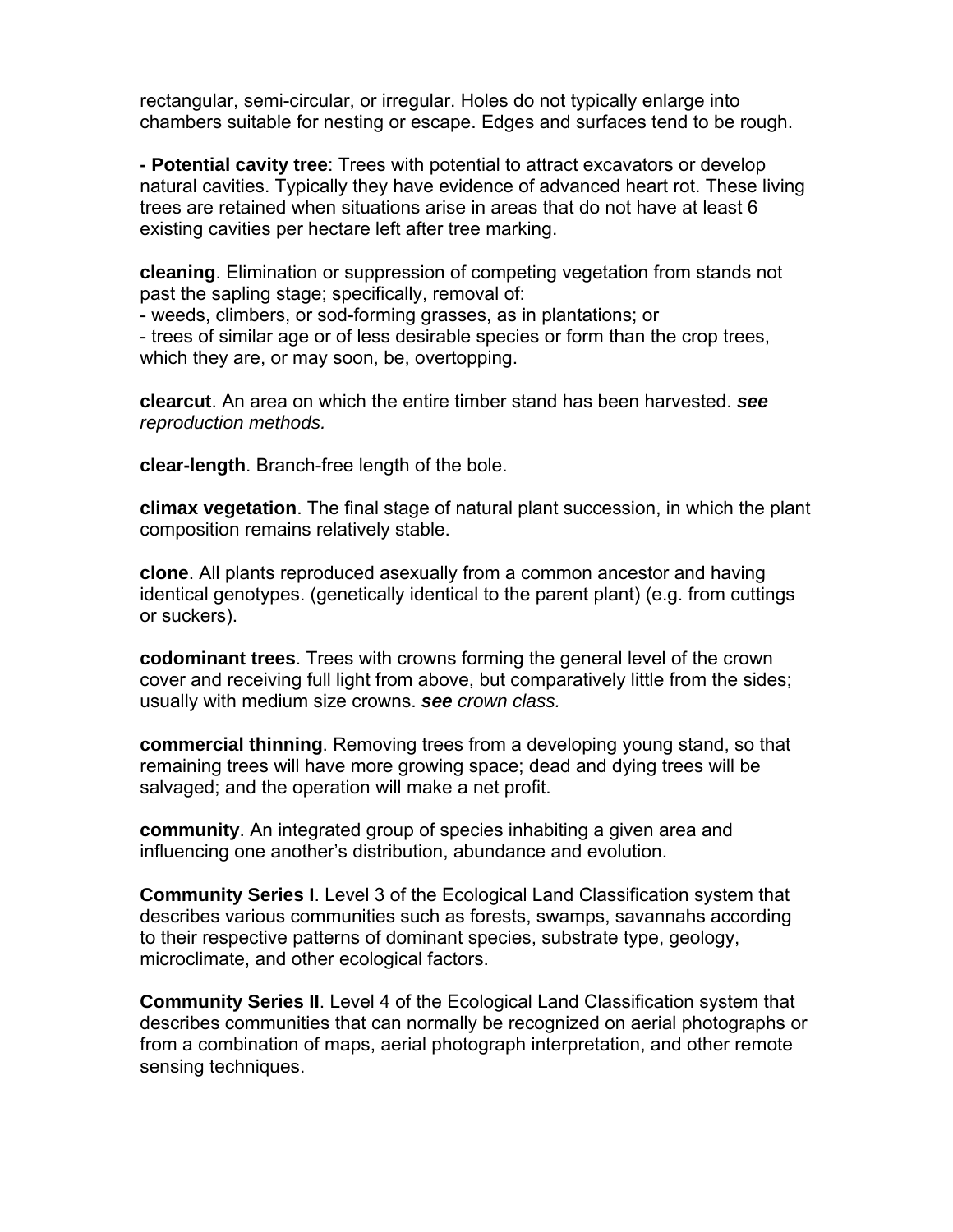rectangular, semi-circular, or irregular. Holes do not typically enlarge into chambers suitable for nesting or escape. Edges and surfaces tend to be rough.

**- Potential cavity tree**: Trees with potential to attract excavators or develop natural cavities. Typically they have evidence of advanced heart rot. These living trees are retained when situations arise in areas that do not have at least 6 existing cavities per hectare left after tree marking.

**cleaning**. Elimination or suppression of competing vegetation from stands not past the sapling stage; specifically, removal of:

- weeds, climbers, or sod-forming grasses, as in plantations; or - trees of similar age or of less desirable species or form than the crop trees, which they are, or may soon, be, overtopping.

**clearcut**. An area on which the entire timber stand has been harvested. *see reproduction methods.* 

**clear-length**. Branch-free length of the bole.

**climax vegetation**. The final stage of natural plant succession, in which the plant composition remains relatively stable.

**clone**. All plants reproduced asexually from a common ancestor and having identical genotypes. (genetically identical to the parent plant) (e.g. from cuttings or suckers).

**codominant trees**. Trees with crowns forming the general level of the crown cover and receiving full light from above, but comparatively little from the sides; usually with medium size crowns. *see crown class.* 

**commercial thinning**. Removing trees from a developing young stand, so that remaining trees will have more growing space; dead and dying trees will be salvaged; and the operation will make a net profit.

**community**. An integrated group of species inhabiting a given area and influencing one another's distribution, abundance and evolution.

**Community Series I**. Level 3 of the Ecological Land Classification system that describes various communities such as forests, swamps, savannahs according to their respective patterns of dominant species, substrate type, geology, microclimate, and other ecological factors.

**Community Series II**. Level 4 of the Ecological Land Classification system that describes communities that can normally be recognized on aerial photographs or from a combination of maps, aerial photograph interpretation, and other remote sensing techniques.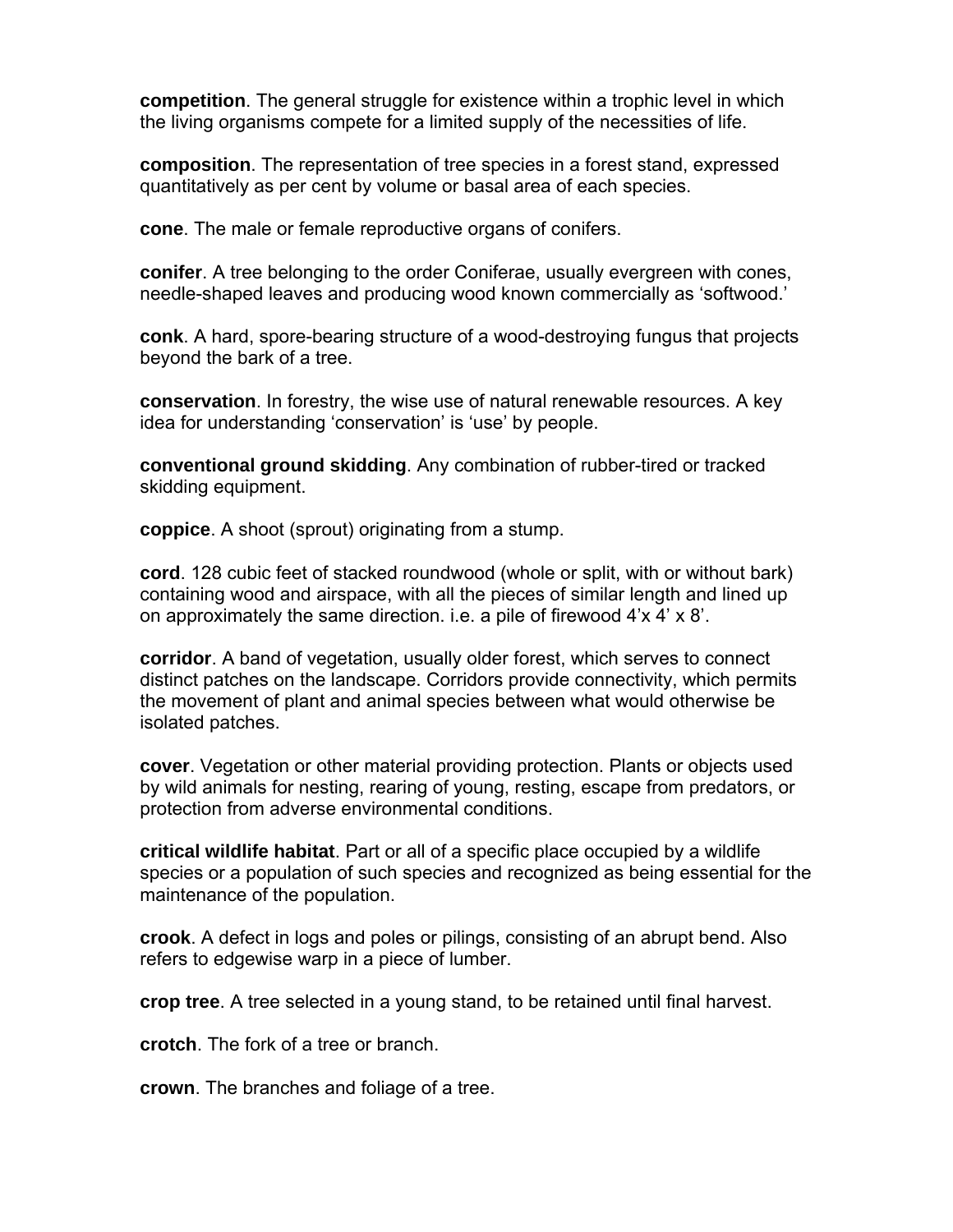**competition**. The general struggle for existence within a trophic level in which the living organisms compete for a limited supply of the necessities of life.

**composition**. The representation of tree species in a forest stand, expressed quantitatively as per cent by volume or basal area of each species.

**cone**. The male or female reproductive organs of conifers.

**conifer**. A tree belonging to the order Coniferae, usually evergreen with cones, needle-shaped leaves and producing wood known commercially as 'softwood.'

**conk**. A hard, spore-bearing structure of a wood-destroying fungus that projects beyond the bark of a tree.

**conservation**. In forestry, the wise use of natural renewable resources. A key idea for understanding 'conservation' is 'use' by people.

**conventional ground skidding**. Any combination of rubber-tired or tracked skidding equipment.

**coppice**. A shoot (sprout) originating from a stump.

**cord**. 128 cubic feet of stacked roundwood (whole or split, with or without bark) containing wood and airspace, with all the pieces of similar length and lined up on approximately the same direction. i.e. a pile of firewood 4'x 4' x 8'.

**corridor**. A band of vegetation, usually older forest, which serves to connect distinct patches on the landscape. Corridors provide connectivity, which permits the movement of plant and animal species between what would otherwise be isolated patches.

**cover**. Vegetation or other material providing protection. Plants or objects used by wild animals for nesting, rearing of young, resting, escape from predators, or protection from adverse environmental conditions.

**critical wildlife habitat**. Part or all of a specific place occupied by a wildlife species or a population of such species and recognized as being essential for the maintenance of the population.

**crook**. A defect in logs and poles or pilings, consisting of an abrupt bend. Also refers to edgewise warp in a piece of lumber.

**crop tree**. A tree selected in a young stand, to be retained until final harvest.

**crotch**. The fork of a tree or branch.

**crown**. The branches and foliage of a tree.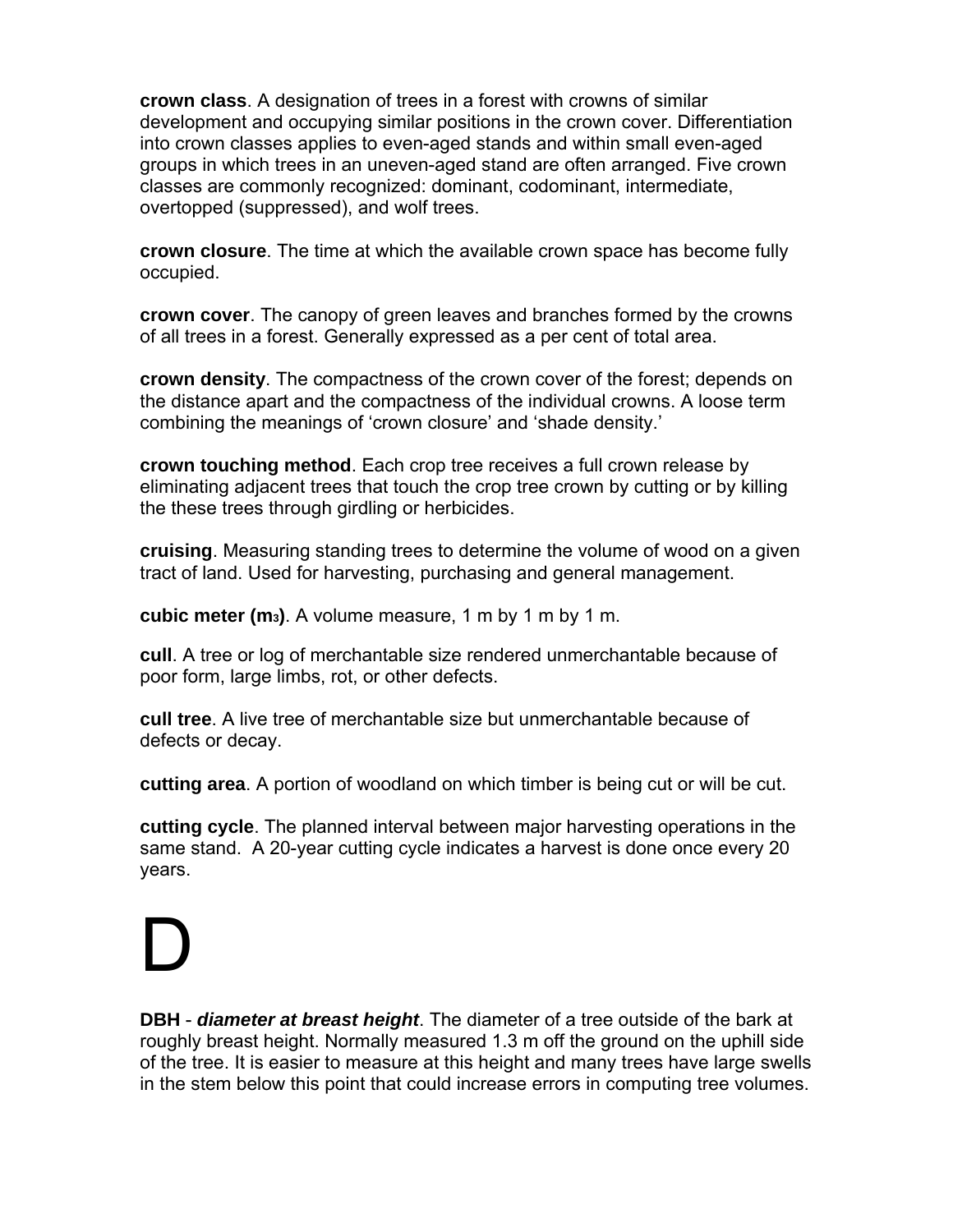**crown class**. A designation of trees in a forest with crowns of similar development and occupying similar positions in the crown cover. Differentiation into crown classes applies to even-aged stands and within small even-aged groups in which trees in an uneven-aged stand are often arranged. Five crown classes are commonly recognized: dominant, codominant, intermediate, overtopped (suppressed), and wolf trees.

**crown closure**. The time at which the available crown space has become fully occupied.

**crown cover**. The canopy of green leaves and branches formed by the crowns of all trees in a forest. Generally expressed as a per cent of total area.

**crown density**. The compactness of the crown cover of the forest; depends on the distance apart and the compactness of the individual crowns. A loose term combining the meanings of 'crown closure' and 'shade density.'

**crown touching method**. Each crop tree receives a full crown release by eliminating adjacent trees that touch the crop tree crown by cutting or by killing the these trees through girdling or herbicides.

**cruising**. Measuring standing trees to determine the volume of wood on a given tract of land. Used for harvesting, purchasing and general management.

**cubic meter (m3)**. A volume measure, 1 m by 1 m by 1 m.

**cull**. A tree or log of merchantable size rendered unmerchantable because of poor form, large limbs, rot, or other defects.

**cull tree**. A live tree of merchantable size but unmerchantable because of defects or decay.

**cutting area**. A portion of woodland on which timber is being cut or will be cut.

**cutting cycle**. The planned interval between major harvesting operations in the same stand. A 20-year cutting cycle indicates a harvest is done once every 20 years.

### D

**DBH** - *diameter at breast height*. The diameter of a tree outside of the bark at roughly breast height. Normally measured 1.3 m off the ground on the uphill side of the tree. It is easier to measure at this height and many trees have large swells in the stem below this point that could increase errors in computing tree volumes.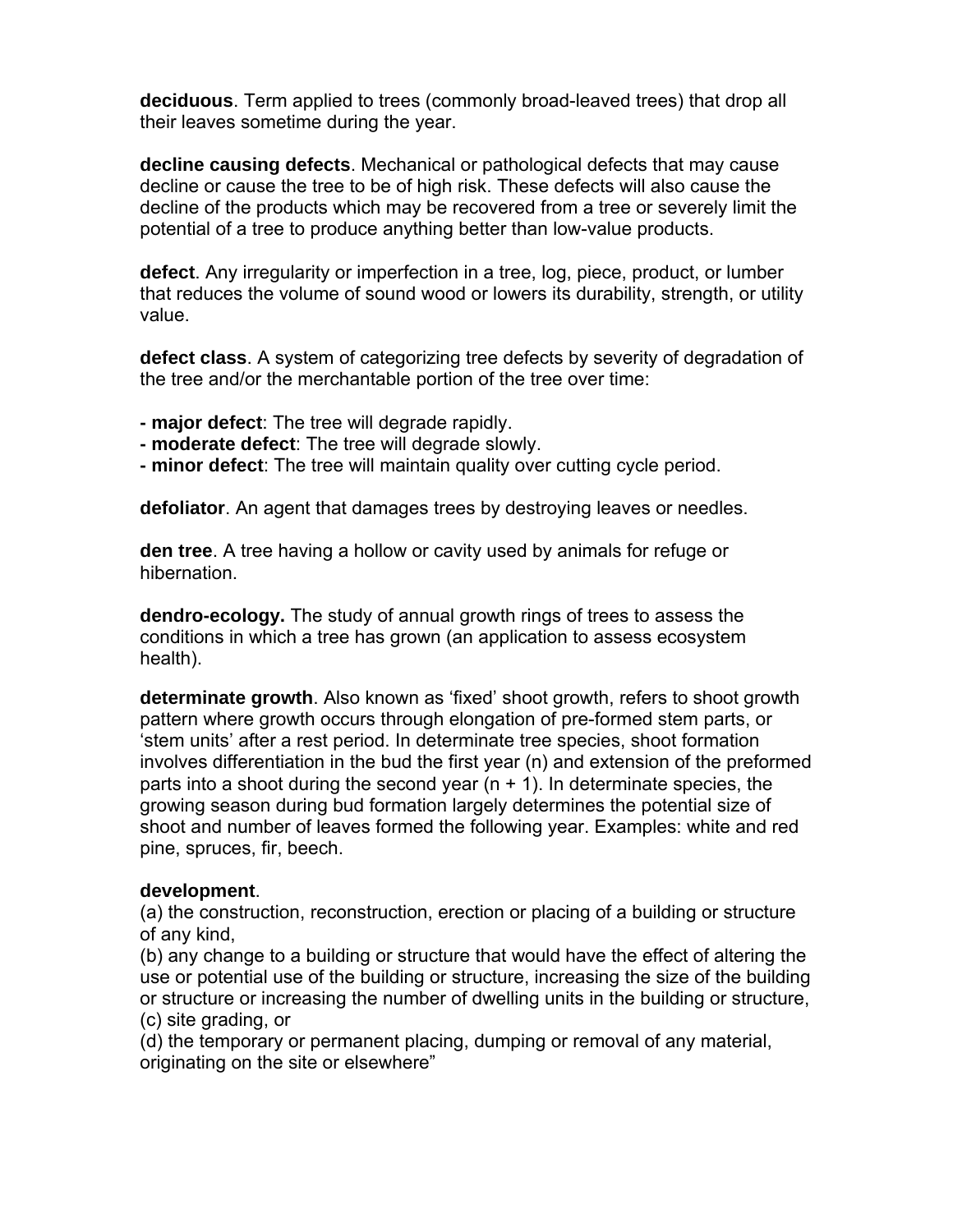**deciduous**. Term applied to trees (commonly broad-leaved trees) that drop all their leaves sometime during the year.

**decline causing defects**. Mechanical or pathological defects that may cause decline or cause the tree to be of high risk. These defects will also cause the decline of the products which may be recovered from a tree or severely limit the potential of a tree to produce anything better than low-value products.

**defect**. Any irregularity or imperfection in a tree, log, piece, product, or lumber that reduces the volume of sound wood or lowers its durability, strength, or utility value.

**defect class**. A system of categorizing tree defects by severity of degradation of the tree and/or the merchantable portion of the tree over time:

- **major defect**: The tree will degrade rapidly.
- **moderate defect**: The tree will degrade slowly.
- **minor defect**: The tree will maintain quality over cutting cycle period.

**defoliator**. An agent that damages trees by destroying leaves or needles.

**den tree**. A tree having a hollow or cavity used by animals for refuge or hibernation.

**dendro-ecology.** The study of annual growth rings of trees to assess the conditions in which a tree has grown (an application to assess ecosystem health).

**determinate growth**. Also known as 'fixed' shoot growth, refers to shoot growth pattern where growth occurs through elongation of pre-formed stem parts, or 'stem units' after a rest period. In determinate tree species, shoot formation involves differentiation in the bud the first year (n) and extension of the preformed parts into a shoot during the second year  $(n + 1)$ . In determinate species, the growing season during bud formation largely determines the potential size of shoot and number of leaves formed the following year. Examples: white and red pine, spruces, fir, beech.

#### **development**.

(a) the construction, reconstruction, erection or placing of a building or structure of any kind,

(b) any change to a building or structure that would have the effect of altering the use or potential use of the building or structure, increasing the size of the building or structure or increasing the number of dwelling units in the building or structure, (c) site grading, or

(d) the temporary or permanent placing, dumping or removal of any material, originating on the site or elsewhere"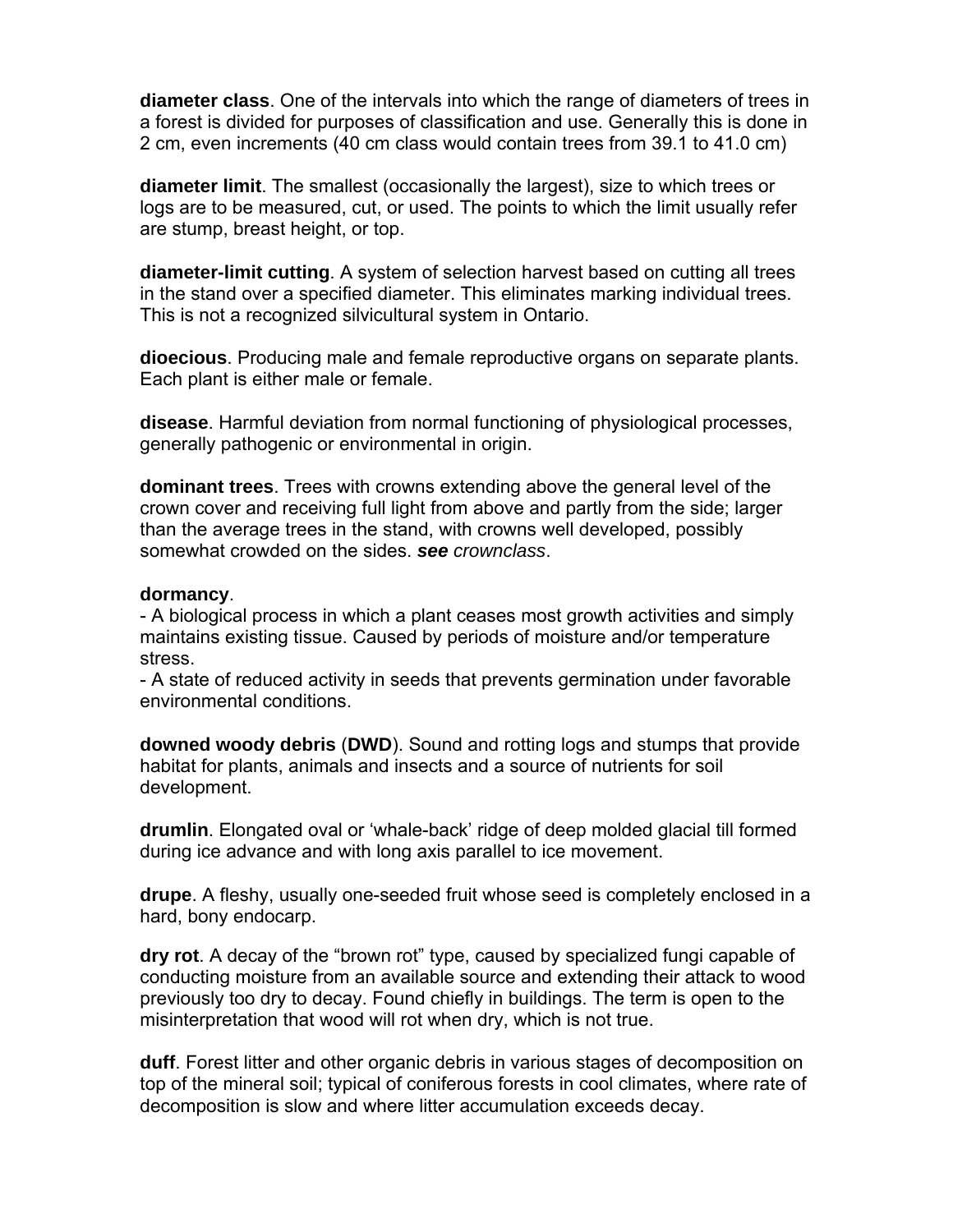**diameter class**. One of the intervals into which the range of diameters of trees in a forest is divided for purposes of classification and use. Generally this is done in 2 cm, even increments (40 cm class would contain trees from 39.1 to 41.0 cm)

**diameter limit**. The smallest (occasionally the largest), size to which trees or logs are to be measured, cut, or used. The points to which the limit usually refer are stump, breast height, or top.

**diameter-limit cutting**. A system of selection harvest based on cutting all trees in the stand over a specified diameter. This eliminates marking individual trees. This is not a recognized silvicultural system in Ontario.

**dioecious**. Producing male and female reproductive organs on separate plants. Each plant is either male or female.

**disease**. Harmful deviation from normal functioning of physiological processes, generally pathogenic or environmental in origin.

**dominant trees**. Trees with crowns extending above the general level of the crown cover and receiving full light from above and partly from the side; larger than the average trees in the stand, with crowns well developed, possibly somewhat crowded on the sides. *see crownclass*.

#### **dormancy**.

- A biological process in which a plant ceases most growth activities and simply maintains existing tissue. Caused by periods of moisture and/or temperature stress.

- A state of reduced activity in seeds that prevents germination under favorable environmental conditions.

**downed woody debris** (**DWD**). Sound and rotting logs and stumps that provide habitat for plants, animals and insects and a source of nutrients for soil development.

**drumlin**. Elongated oval or 'whale-back' ridge of deep molded glacial till formed during ice advance and with long axis parallel to ice movement.

**drupe**. A fleshy, usually one-seeded fruit whose seed is completely enclosed in a hard, bony endocarp.

**dry rot**. A decay of the "brown rot" type, caused by specialized fungi capable of conducting moisture from an available source and extending their attack to wood previously too dry to decay. Found chiefly in buildings. The term is open to the misinterpretation that wood will rot when dry, which is not true.

**duff**. Forest litter and other organic debris in various stages of decomposition on top of the mineral soil; typical of coniferous forests in cool climates, where rate of decomposition is slow and where litter accumulation exceeds decay.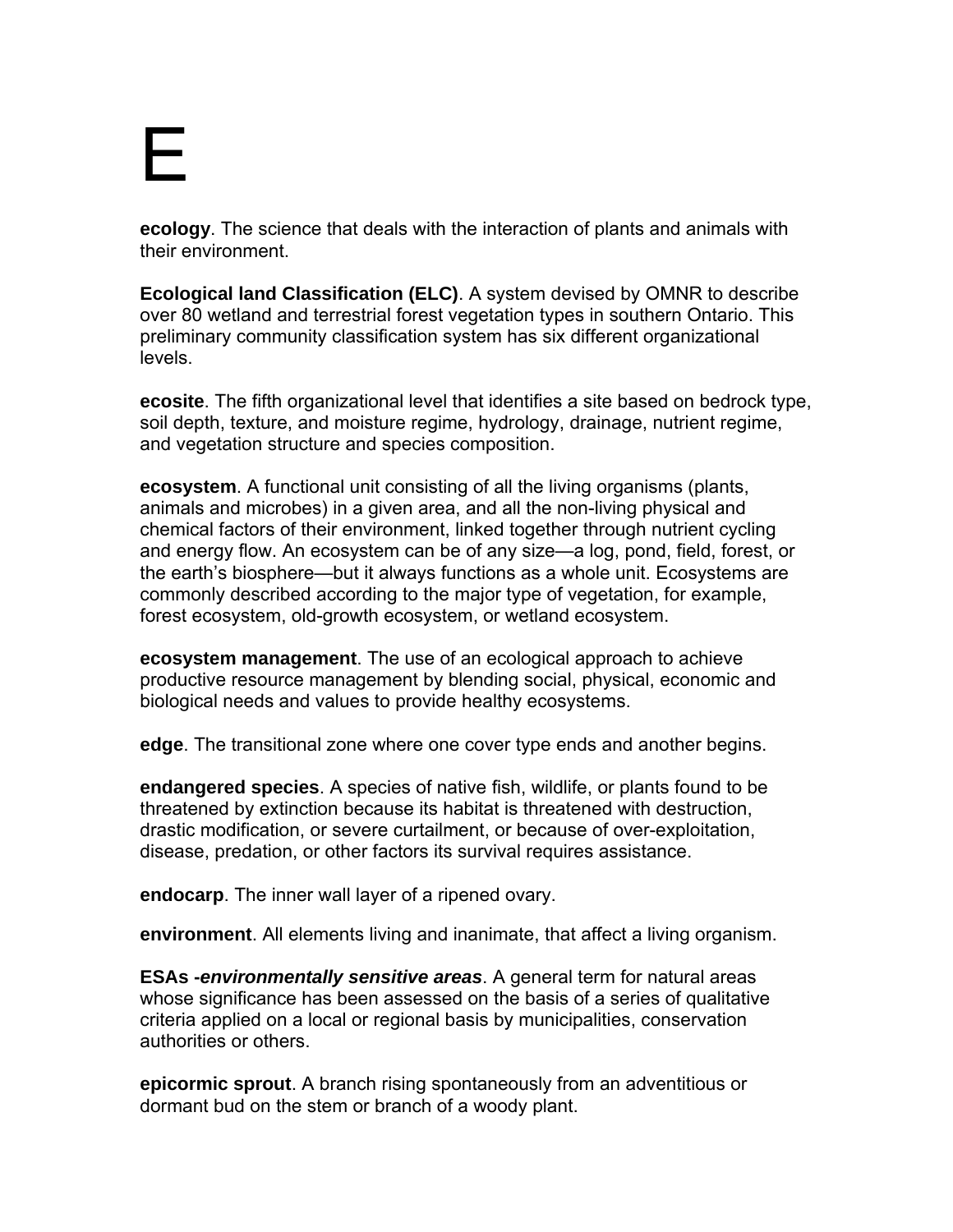### E

**ecology**. The science that deals with the interaction of plants and animals with their environment.

**Ecological land Classification (ELC)**. A system devised by OMNR to describe over 80 wetland and terrestrial forest vegetation types in southern Ontario. This preliminary community classification system has six different organizational levels.

**ecosite**. The fifth organizational level that identifies a site based on bedrock type, soil depth, texture, and moisture regime, hydrology, drainage, nutrient regime, and vegetation structure and species composition.

**ecosystem**. A functional unit consisting of all the living organisms (plants, animals and microbes) in a given area, and all the non-living physical and chemical factors of their environment, linked together through nutrient cycling and energy flow. An ecosystem can be of any size—a log, pond, field, forest, or the earth's biosphere—but it always functions as a whole unit. Ecosystems are commonly described according to the major type of vegetation, for example, forest ecosystem, old-growth ecosystem, or wetland ecosystem.

**ecosystem management**. The use of an ecological approach to achieve productive resource management by blending social, physical, economic and biological needs and values to provide healthy ecosystems.

**edge**. The transitional zone where one cover type ends and another begins.

**endangered species**. A species of native fish, wildlife, or plants found to be threatened by extinction because its habitat is threatened with destruction, drastic modification, or severe curtailment, or because of over-exploitation, disease, predation, or other factors its survival requires assistance.

**endocarp**. The inner wall layer of a ripened ovary.

**environment**. All elements living and inanimate, that affect a living organism.

**ESAs -***environmentally sensitive areas*. A general term for natural areas whose significance has been assessed on the basis of a series of qualitative criteria applied on a local or regional basis by municipalities, conservation authorities or others.

**epicormic sprout**. A branch rising spontaneously from an adventitious or dormant bud on the stem or branch of a woody plant.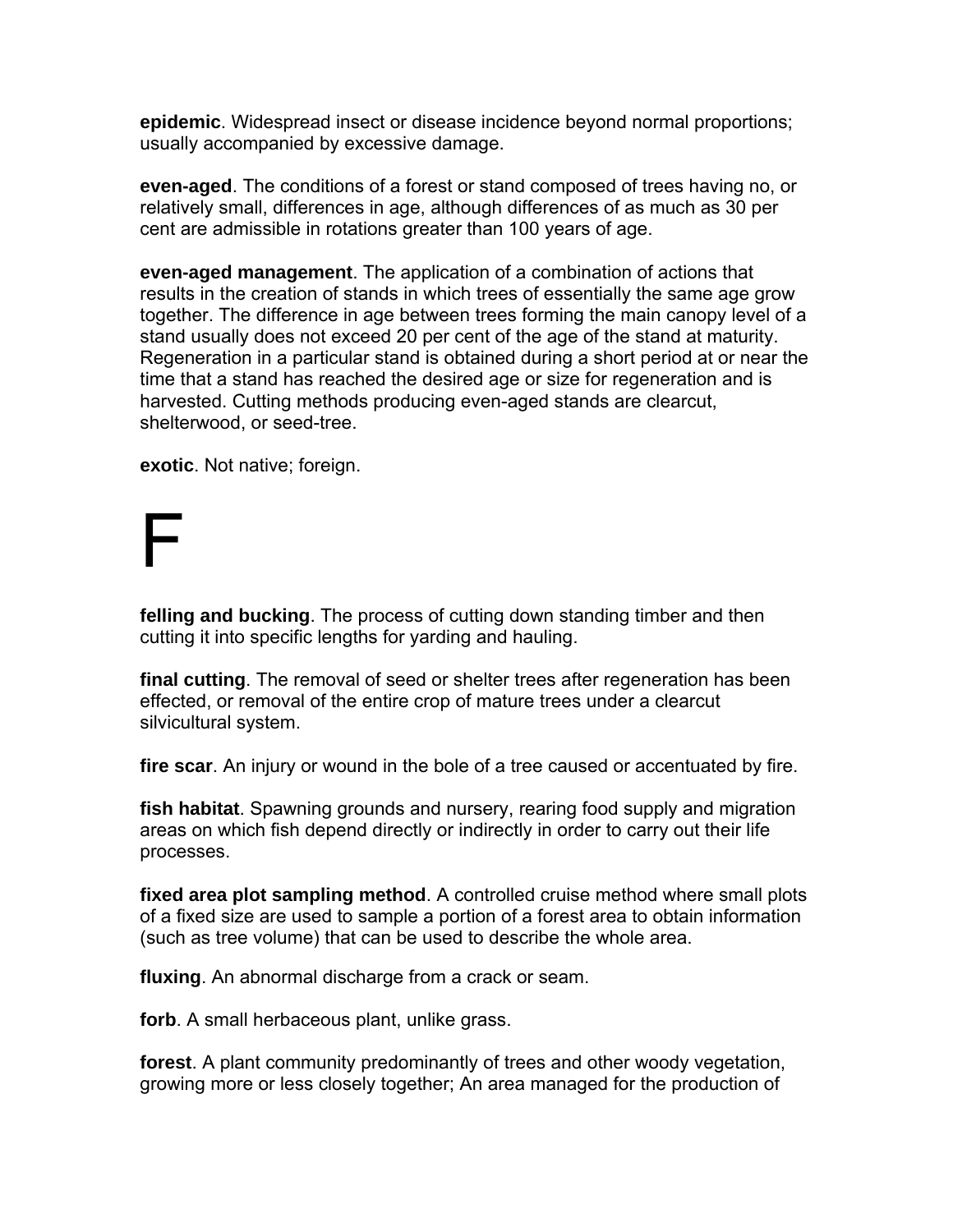**epidemic**. Widespread insect or disease incidence beyond normal proportions; usually accompanied by excessive damage.

**even-aged**. The conditions of a forest or stand composed of trees having no, or relatively small, differences in age, although differences of as much as 30 per cent are admissible in rotations greater than 100 years of age.

**even-aged management**. The application of a combination of actions that results in the creation of stands in which trees of essentially the same age grow together. The difference in age between trees forming the main canopy level of a stand usually does not exceed 20 per cent of the age of the stand at maturity. Regeneration in a particular stand is obtained during a short period at or near the time that a stand has reached the desired age or size for regeneration and is harvested. Cutting methods producing even-aged stands are clearcut, shelterwood, or seed-tree.

**exotic**. Not native; foreign.

### $\vdash$

**felling and bucking**. The process of cutting down standing timber and then cutting it into specific lengths for yarding and hauling.

**final cutting**. The removal of seed or shelter trees after regeneration has been effected, or removal of the entire crop of mature trees under a clearcut silvicultural system.

**fire scar**. An injury or wound in the bole of a tree caused or accentuated by fire.

**fish habitat**. Spawning grounds and nursery, rearing food supply and migration areas on which fish depend directly or indirectly in order to carry out their life processes.

**fixed area plot sampling method**. A controlled cruise method where small plots of a fixed size are used to sample a portion of a forest area to obtain information (such as tree volume) that can be used to describe the whole area.

**fluxing**. An abnormal discharge from a crack or seam.

**forb**. A small herbaceous plant, unlike grass.

**forest**. A plant community predominantly of trees and other woody vegetation, growing more or less closely together; An area managed for the production of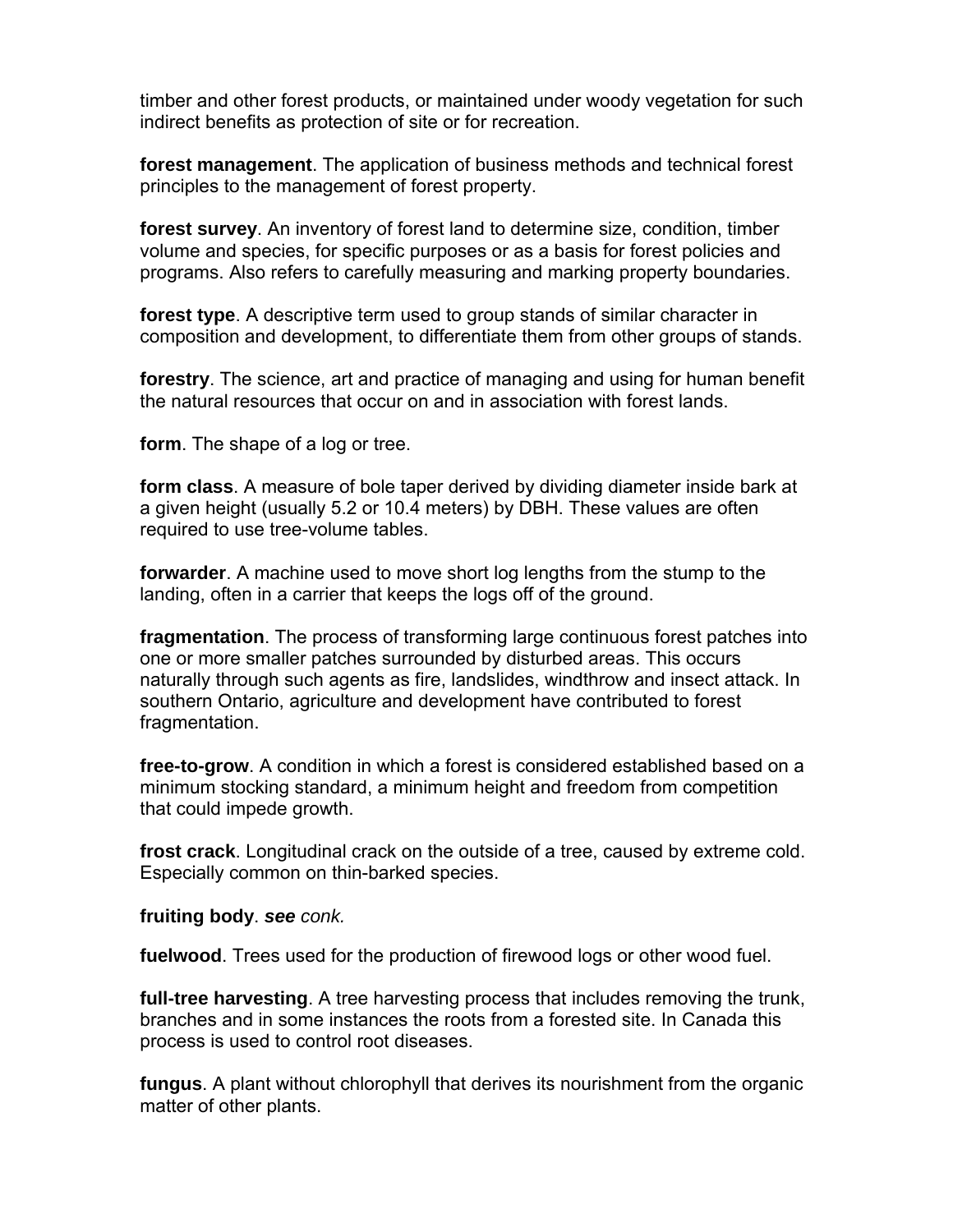timber and other forest products, or maintained under woody vegetation for such indirect benefits as protection of site or for recreation.

**forest management**. The application of business methods and technical forest principles to the management of forest property.

**forest survey**. An inventory of forest land to determine size, condition, timber volume and species, for specific purposes or as a basis for forest policies and programs. Also refers to carefully measuring and marking property boundaries.

**forest type**. A descriptive term used to group stands of similar character in composition and development, to differentiate them from other groups of stands.

**forestry**. The science, art and practice of managing and using for human benefit the natural resources that occur on and in association with forest lands.

**form**. The shape of a log or tree.

**form class**. A measure of bole taper derived by dividing diameter inside bark at a given height (usually 5.2 or 10.4 meters) by DBH. These values are often required to use tree-volume tables.

**forwarder**. A machine used to move short log lengths from the stump to the landing, often in a carrier that keeps the logs off of the ground.

**fragmentation**. The process of transforming large continuous forest patches into one or more smaller patches surrounded by disturbed areas. This occurs naturally through such agents as fire, landslides, windthrow and insect attack. In southern Ontario, agriculture and development have contributed to forest fragmentation.

**free-to-grow**. A condition in which a forest is considered established based on a minimum stocking standard, a minimum height and freedom from competition that could impede growth.

**frost crack**. Longitudinal crack on the outside of a tree, caused by extreme cold. Especially common on thin-barked species.

**fruiting body**. *see conk.* 

**fuelwood**. Trees used for the production of firewood logs or other wood fuel.

**full-tree harvesting**. A tree harvesting process that includes removing the trunk, branches and in some instances the roots from a forested site. In Canada this process is used to control root diseases.

**fungus**. A plant without chlorophyll that derives its nourishment from the organic matter of other plants.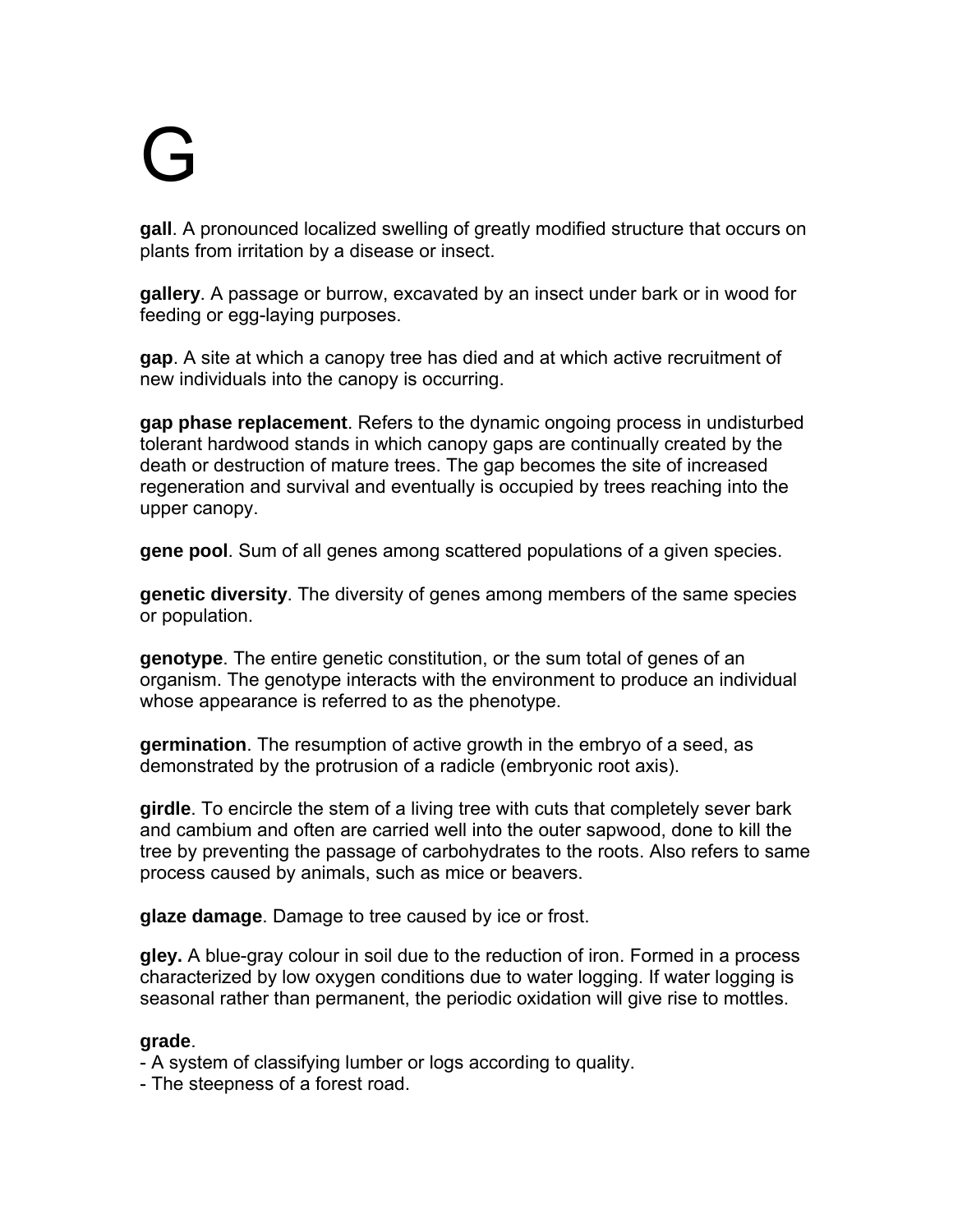# G

**gall**. A pronounced localized swelling of greatly modified structure that occurs on plants from irritation by a disease or insect.

**gallery**. A passage or burrow, excavated by an insect under bark or in wood for feeding or egg-laying purposes.

**gap**. A site at which a canopy tree has died and at which active recruitment of new individuals into the canopy is occurring.

**gap phase replacement**. Refers to the dynamic ongoing process in undisturbed tolerant hardwood stands in which canopy gaps are continually created by the death or destruction of mature trees. The gap becomes the site of increased regeneration and survival and eventually is occupied by trees reaching into the upper canopy.

**gene pool**. Sum of all genes among scattered populations of a given species.

**genetic diversity**. The diversity of genes among members of the same species or population.

**genotype**. The entire genetic constitution, or the sum total of genes of an organism. The genotype interacts with the environment to produce an individual whose appearance is referred to as the phenotype.

**germination**. The resumption of active growth in the embryo of a seed, as demonstrated by the protrusion of a radicle (embryonic root axis).

**girdle**. To encircle the stem of a living tree with cuts that completely sever bark and cambium and often are carried well into the outer sapwood, done to kill the tree by preventing the passage of carbohydrates to the roots. Also refers to same process caused by animals, such as mice or beavers.

**glaze damage**. Damage to tree caused by ice or frost.

**gley.** A blue-gray colour in soil due to the reduction of iron. Formed in a process characterized by low oxygen conditions due to water logging. If water logging is seasonal rather than permanent, the periodic oxidation will give rise to mottles.

#### **grade**.

- A system of classifying lumber or logs according to quality.

- The steepness of a forest road.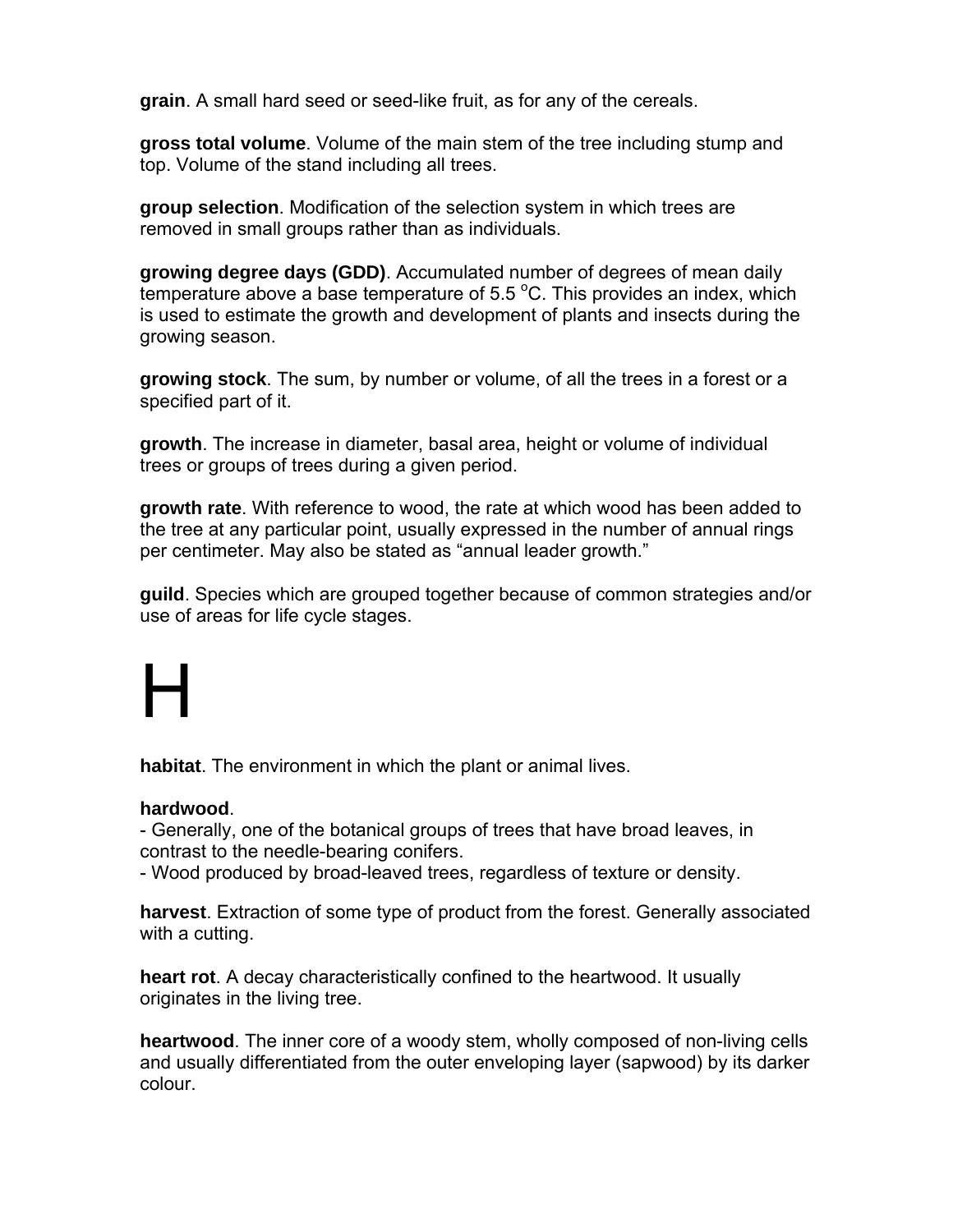**grain**. A small hard seed or seed-like fruit, as for any of the cereals.

**gross total volume**. Volume of the main stem of the tree including stump and top. Volume of the stand including all trees.

**group selection**. Modification of the selection system in which trees are removed in small groups rather than as individuals.

**growing degree days (GDD)**. Accumulated number of degrees of mean daily  $t$ emperature above a base temperature of 5.5  $\mathrm{^{\circ}C}$ . This provides an index, which is used to estimate the growth and development of plants and insects during the growing season.

**growing stock**. The sum, by number or volume, of all the trees in a forest or a specified part of it.

**growth**. The increase in diameter, basal area, height or volume of individual trees or groups of trees during a given period.

**growth rate**. With reference to wood, the rate at which wood has been added to the tree at any particular point, usually expressed in the number of annual rings per centimeter. May also be stated as "annual leader growth."

**guild**. Species which are grouped together because of common strategies and/or use of areas for life cycle stages.

### H

**habitat**. The environment in which the plant or animal lives.

#### **hardwood**.

- Generally, one of the botanical groups of trees that have broad leaves, in contrast to the needle-bearing conifers.

- Wood produced by broad-leaved trees, regardless of texture or density.

**harvest**. Extraction of some type of product from the forest. Generally associated with a cutting.

**heart rot**. A decay characteristically confined to the heartwood. It usually originates in the living tree.

**heartwood**. The inner core of a woody stem, wholly composed of non-living cells and usually differentiated from the outer enveloping layer (sapwood) by its darker colour.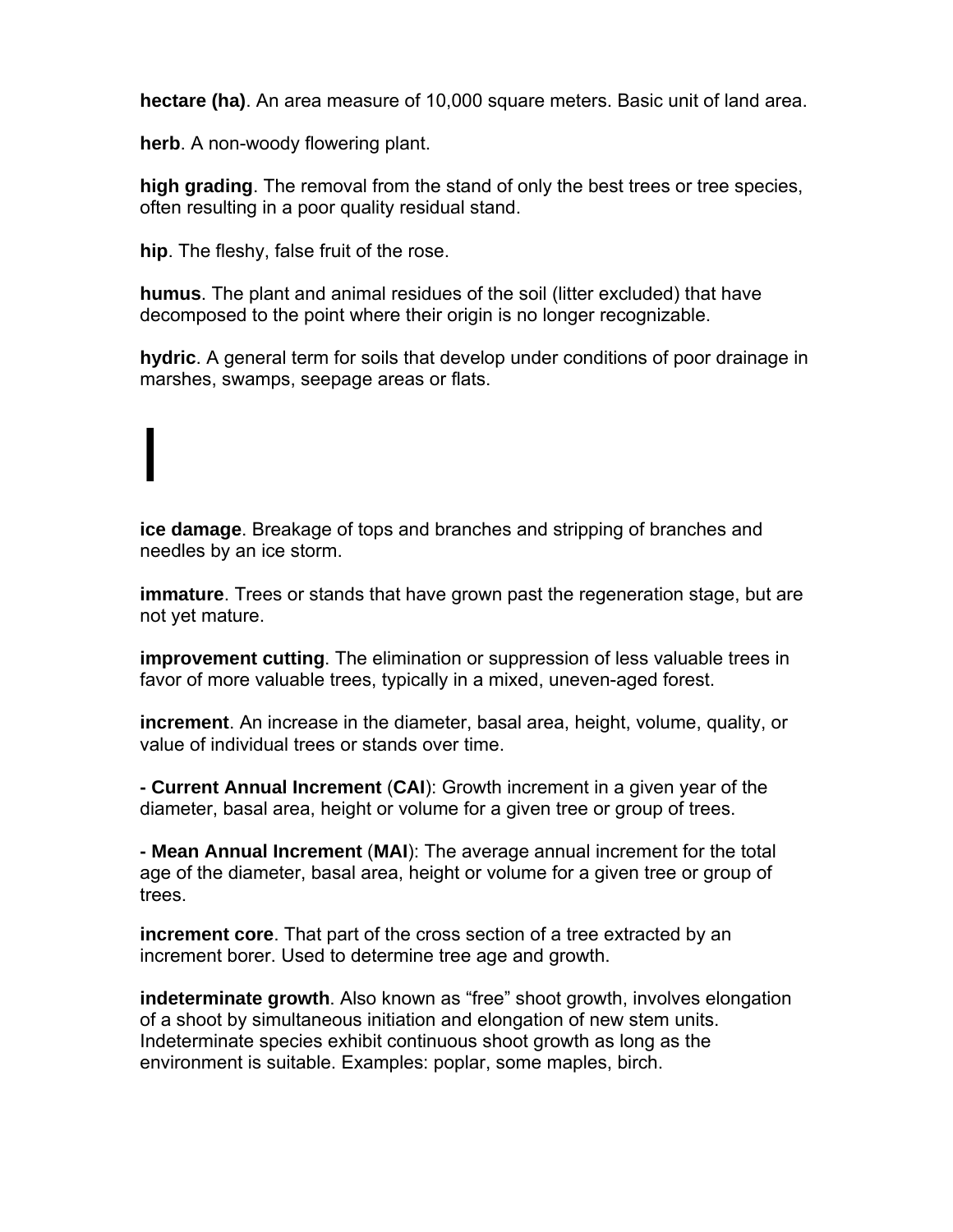**hectare (ha)**. An area measure of 10,000 square meters. Basic unit of land area.

**herb**. A non-woody flowering plant.

**high grading**. The removal from the stand of only the best trees or tree species, often resulting in a poor quality residual stand.

**hip**. The fleshy, false fruit of the rose.

**humus**. The plant and animal residues of the soil (litter excluded) that have decomposed to the point where their origin is no longer recognizable.

**hydric**. A general term for soils that develop under conditions of poor drainage in marshes, swamps, seepage areas or flats.

## I

**ice damage**. Breakage of tops and branches and stripping of branches and needles by an ice storm.

**immature**. Trees or stands that have grown past the regeneration stage, but are not yet mature.

**improvement cutting**. The elimination or suppression of less valuable trees in favor of more valuable trees, typically in a mixed, uneven-aged forest.

**increment**. An increase in the diameter, basal area, height, volume, quality, or value of individual trees or stands over time.

**- Current Annual Increment** (**CAI**): Growth increment in a given year of the diameter, basal area, height or volume for a given tree or group of trees.

**- Mean Annual Increment** (**MAI**): The average annual increment for the total age of the diameter, basal area, height or volume for a given tree or group of trees.

**increment core**. That part of the cross section of a tree extracted by an increment borer. Used to determine tree age and growth.

**indeterminate growth**. Also known as "free" shoot growth, involves elongation of a shoot by simultaneous initiation and elongation of new stem units. Indeterminate species exhibit continuous shoot growth as long as the environment is suitable. Examples: poplar, some maples, birch.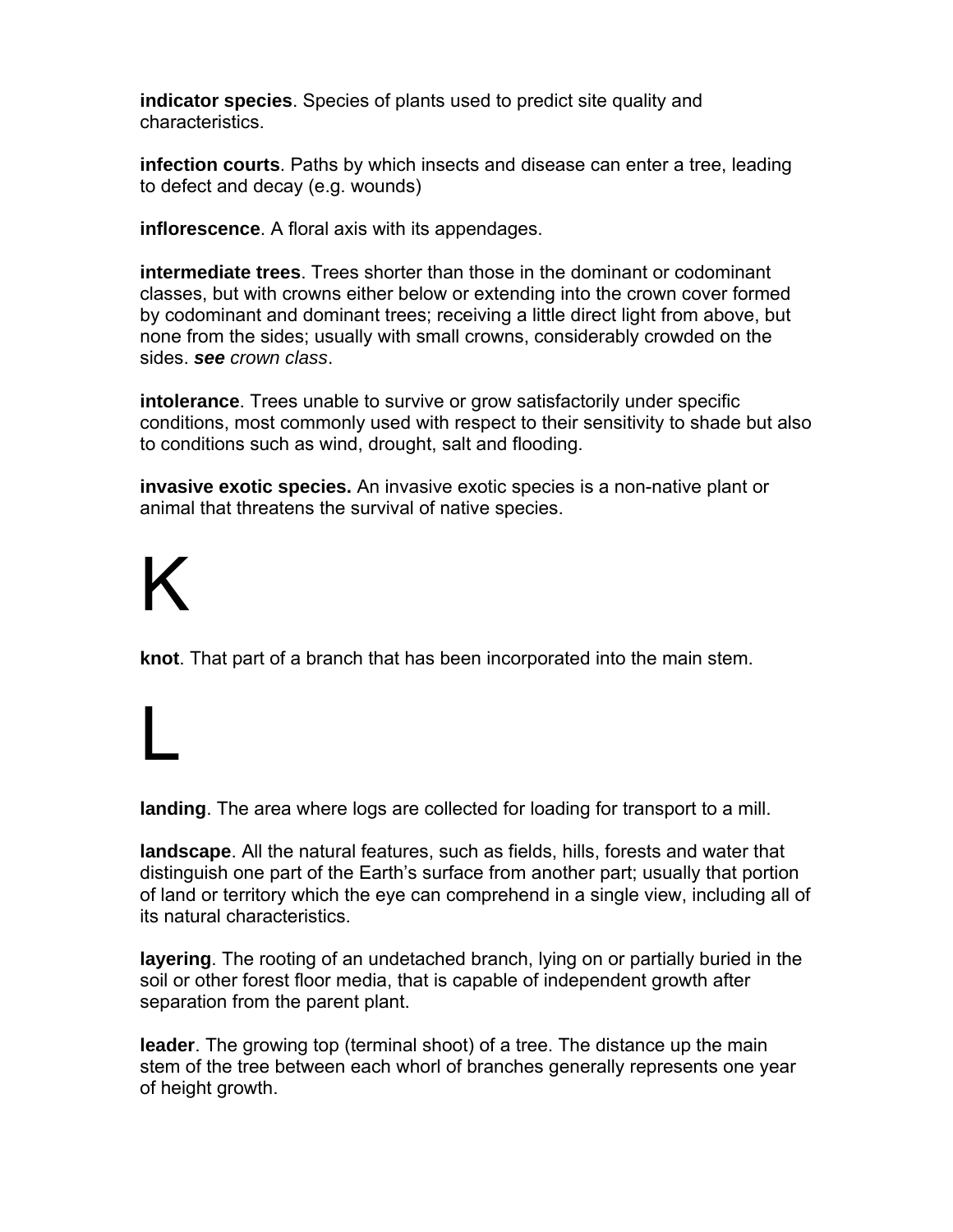**indicator species**. Species of plants used to predict site quality and characteristics.

**infection courts**. Paths by which insects and disease can enter a tree, leading to defect and decay (e.g. wounds)

**inflorescence**. A floral axis with its appendages.

**intermediate trees**. Trees shorter than those in the dominant or codominant classes, but with crowns either below or extending into the crown cover formed by codominant and dominant trees; receiving a little direct light from above, but none from the sides; usually with small crowns, considerably crowded on the sides. *see crown class*.

**intolerance**. Trees unable to survive or grow satisfactorily under specific conditions, most commonly used with respect to their sensitivity to shade but also to conditions such as wind, drought, salt and flooding.

**invasive exotic species.** An invasive exotic species is a non-native plant or animal that threatens the survival of native species.

# K

L

**knot**. That part of a branch that has been incorporated into the main stem.

**landing**. The area where logs are collected for loading for transport to a mill.

**landscape**. All the natural features, such as fields, hills, forests and water that distinguish one part of the Earth's surface from another part; usually that portion of land or territory which the eye can comprehend in a single view, including all of its natural characteristics.

**layering**. The rooting of an undetached branch, lying on or partially buried in the soil or other forest floor media, that is capable of independent growth after separation from the parent plant.

**leader**. The growing top (terminal shoot) of a tree. The distance up the main stem of the tree between each whorl of branches generally represents one year of height growth.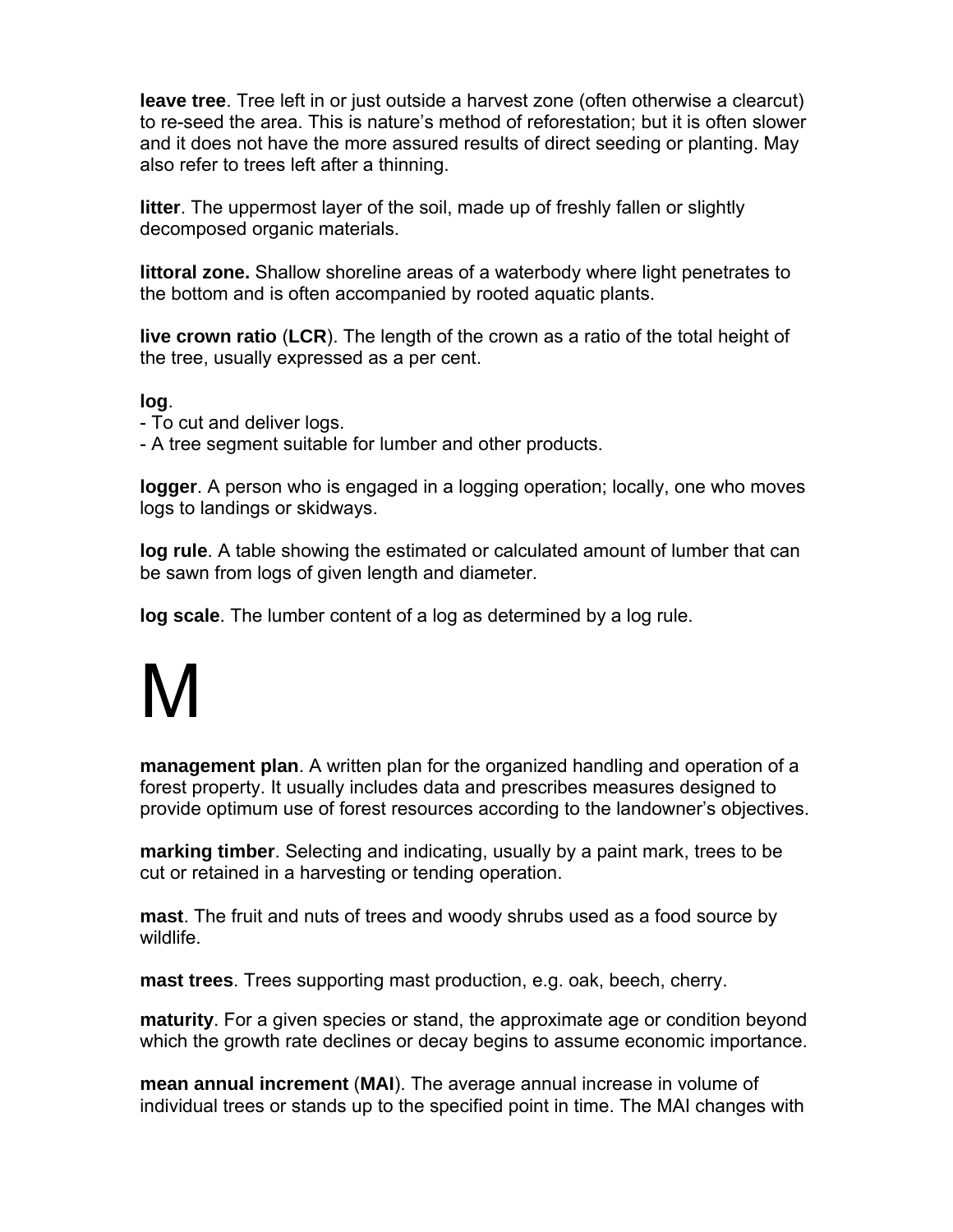**leave tree**. Tree left in or just outside a harvest zone (often otherwise a clearcut) to re-seed the area. This is nature's method of reforestation; but it is often slower and it does not have the more assured results of direct seeding or planting. May also refer to trees left after a thinning.

**litter**. The uppermost layer of the soil, made up of freshly fallen or slightly decomposed organic materials.

**littoral zone.** Shallow shoreline areas of a waterbody where light penetrates to the bottom and is often accompanied by rooted aquatic plants.

**live crown ratio** (**LCR**). The length of the crown as a ratio of the total height of the tree, usually expressed as a per cent.

#### **log**.

- To cut and deliver logs.

- A tree segment suitable for lumber and other products.

**logger**. A person who is engaged in a logging operation; locally, one who moves logs to landings or skidways.

**log rule**. A table showing the estimated or calculated amount of lumber that can be sawn from logs of given length and diameter.

**log scale**. The lumber content of a log as determined by a log rule.

# M

**management plan**. A written plan for the organized handling and operation of a forest property. It usually includes data and prescribes measures designed to provide optimum use of forest resources according to the landowner's objectives.

**marking timber**. Selecting and indicating, usually by a paint mark, trees to be cut or retained in a harvesting or tending operation.

**mast**. The fruit and nuts of trees and woody shrubs used as a food source by wildlife.

**mast trees**. Trees supporting mast production, e.g. oak, beech, cherry.

**maturity**. For a given species or stand, the approximate age or condition beyond which the growth rate declines or decay begins to assume economic importance.

**mean annual increment** (**MAI**). The average annual increase in volume of individual trees or stands up to the specified point in time. The MAI changes with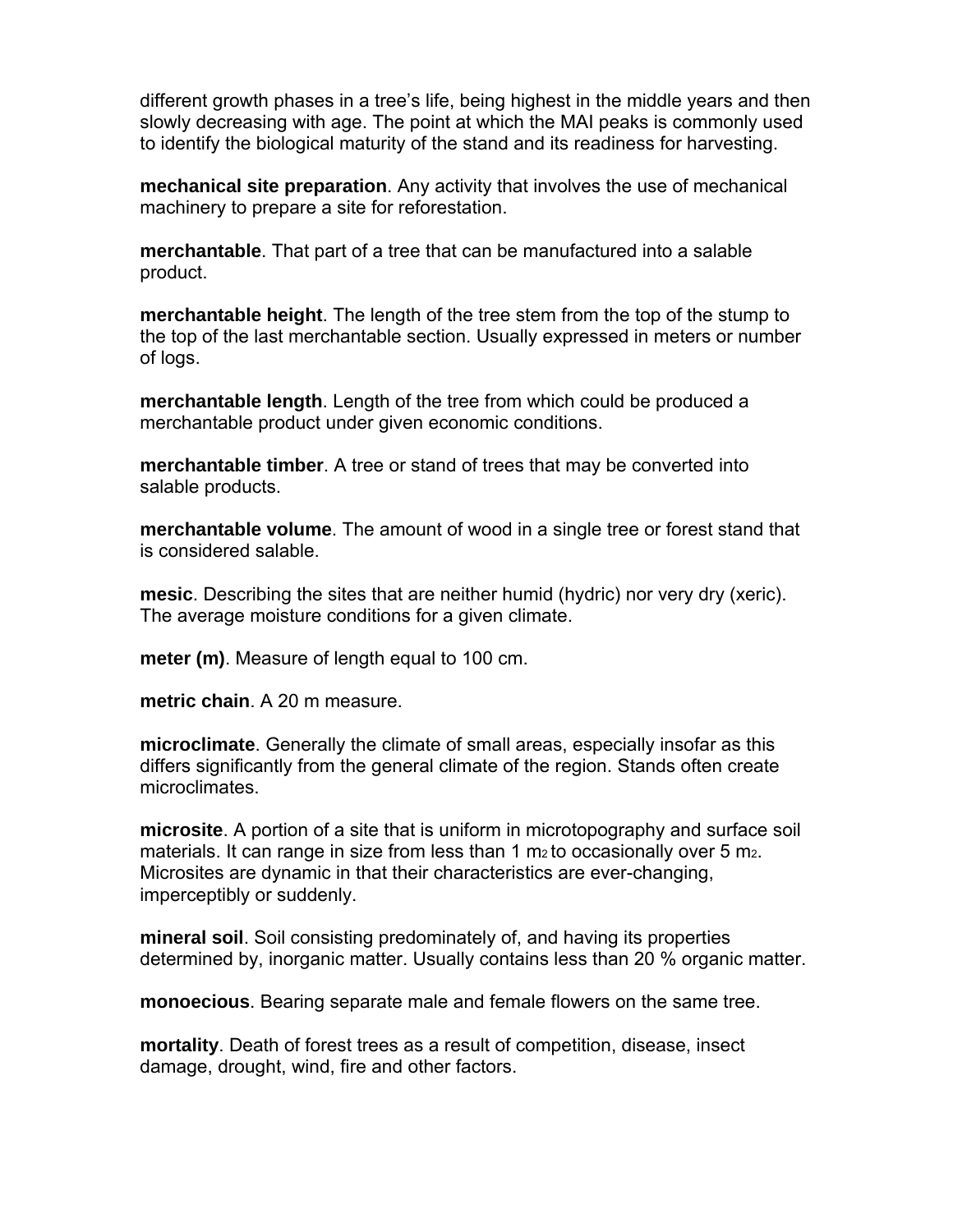different growth phases in a tree's life, being highest in the middle years and then slowly decreasing with age. The point at which the MAI peaks is commonly used to identify the biological maturity of the stand and its readiness for harvesting.

**mechanical site preparation**. Any activity that involves the use of mechanical machinery to prepare a site for reforestation.

**merchantable**. That part of a tree that can be manufactured into a salable product.

**merchantable height**. The length of the tree stem from the top of the stump to the top of the last merchantable section. Usually expressed in meters or number of logs.

**merchantable length**. Length of the tree from which could be produced a merchantable product under given economic conditions.

**merchantable timber**. A tree or stand of trees that may be converted into salable products.

**merchantable volume**. The amount of wood in a single tree or forest stand that is considered salable.

**mesic**. Describing the sites that are neither humid (hydric) nor very dry (xeric). The average moisture conditions for a given climate.

**meter (m)**. Measure of length equal to 100 cm.

**metric chain**. A 20 m measure.

**microclimate**. Generally the climate of small areas, especially insofar as this differs significantly from the general climate of the region. Stands often create microclimates.

**microsite**. A portion of a site that is uniform in microtopography and surface soil materials. It can range in size from less than 1  $m<sub>2</sub>$  to occasionally over 5  $m<sub>2</sub>$ . Microsites are dynamic in that their characteristics are ever-changing, imperceptibly or suddenly.

**mineral soil**. Soil consisting predominately of, and having its properties determined by, inorganic matter. Usually contains less than 20 % organic matter.

**monoecious**. Bearing separate male and female flowers on the same tree.

**mortality**. Death of forest trees as a result of competition, disease, insect damage, drought, wind, fire and other factors.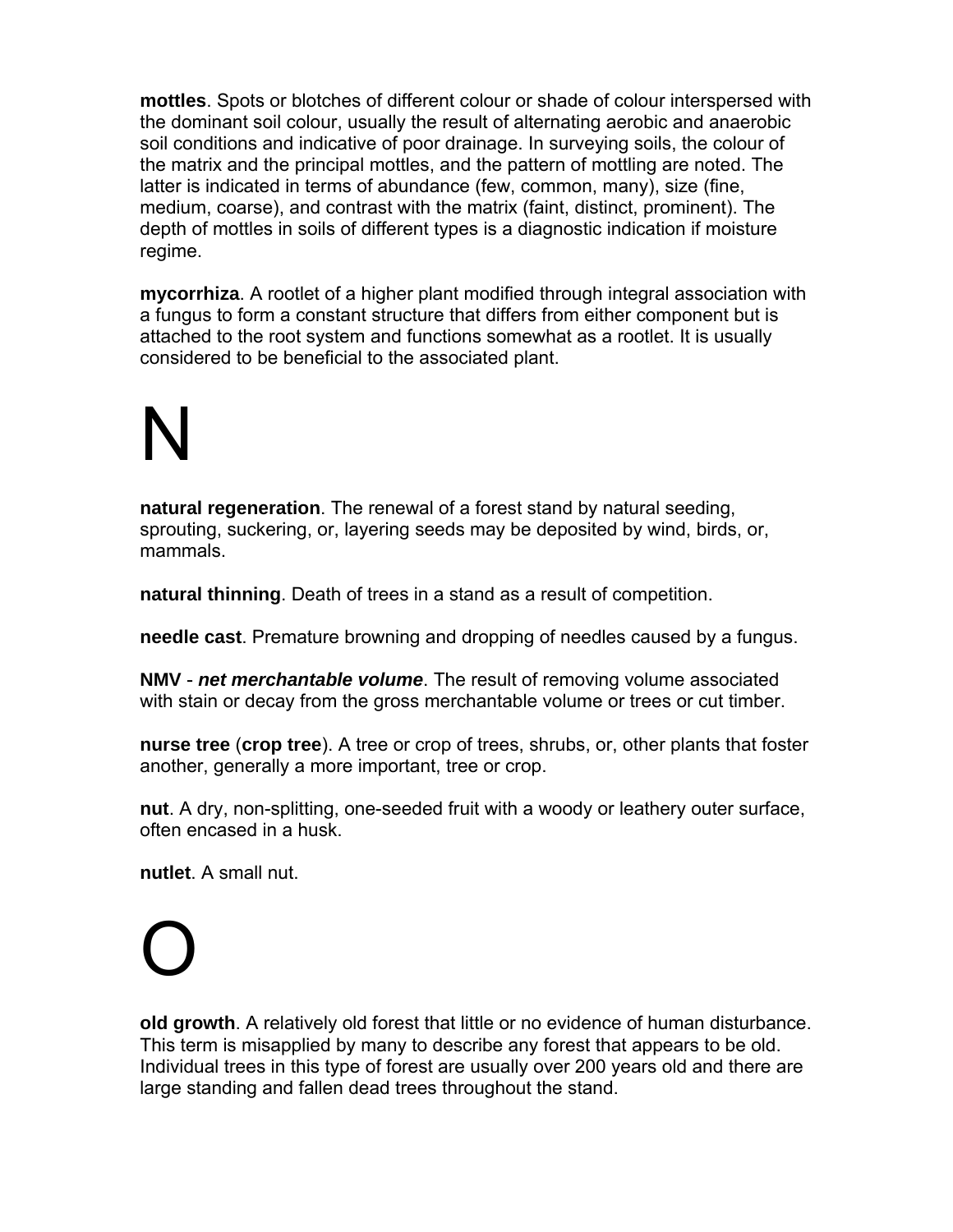**mottles**. Spots or blotches of different colour or shade of colour interspersed with the dominant soil colour, usually the result of alternating aerobic and anaerobic soil conditions and indicative of poor drainage. In surveying soils, the colour of the matrix and the principal mottles, and the pattern of mottling are noted. The latter is indicated in terms of abundance (few, common, many), size (fine, medium, coarse), and contrast with the matrix (faint, distinct, prominent). The depth of mottles in soils of different types is a diagnostic indication if moisture regime.

**mycorrhiza**. A rootlet of a higher plant modified through integral association with a fungus to form a constant structure that differs from either component but is attached to the root system and functions somewhat as a rootlet. It is usually considered to be beneficial to the associated plant.

# N

**natural regeneration**. The renewal of a forest stand by natural seeding, sprouting, suckering, or, layering seeds may be deposited by wind, birds, or, mammals.

**natural thinning**. Death of trees in a stand as a result of competition.

**needle cast**. Premature browning and dropping of needles caused by a fungus.

**NMV** - *net merchantable volume*. The result of removing volume associated with stain or decay from the gross merchantable volume or trees or cut timber.

**nurse tree** (**crop tree**). A tree or crop of trees, shrubs, or, other plants that foster another, generally a more important, tree or crop.

**nut**. A dry, non-splitting, one-seeded fruit with a woody or leathery outer surface, often encased in a husk.

**nutlet**. A small nut.

### O

**old growth**. A relatively old forest that little or no evidence of human disturbance. This term is misapplied by many to describe any forest that appears to be old. Individual trees in this type of forest are usually over 200 years old and there are large standing and fallen dead trees throughout the stand.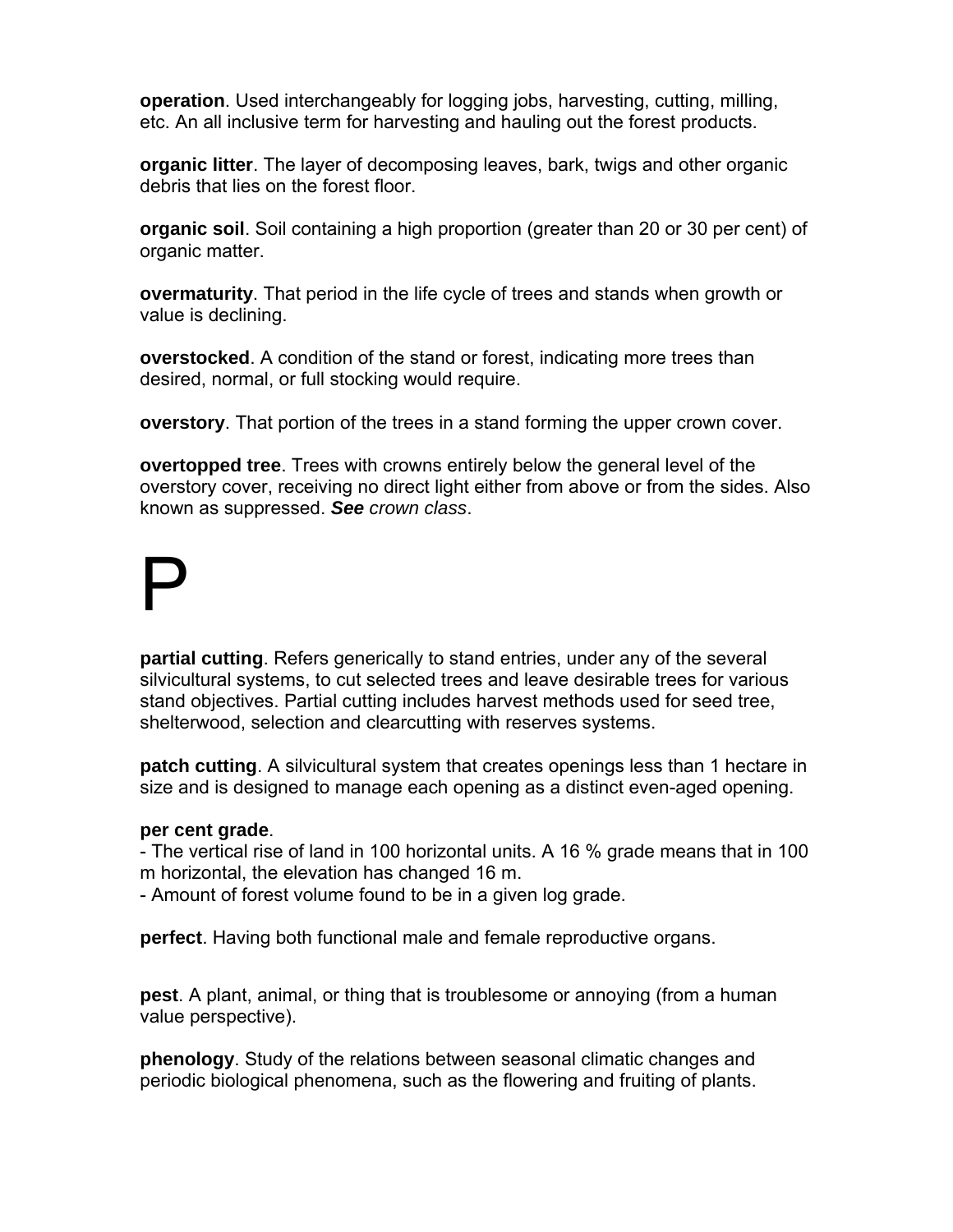**operation**. Used interchangeably for logging jobs, harvesting, cutting, milling, etc. An all inclusive term for harvesting and hauling out the forest products.

**organic litter**. The layer of decomposing leaves, bark, twigs and other organic debris that lies on the forest floor.

**organic soil**. Soil containing a high proportion (greater than 20 or 30 per cent) of organic matter.

**overmaturity**. That period in the life cycle of trees and stands when growth or value is declining.

**overstocked**. A condition of the stand or forest, indicating more trees than desired, normal, or full stocking would require.

**overstory**. That portion of the trees in a stand forming the upper crown cover.

**overtopped tree**. Trees with crowns entirely below the general level of the overstory cover, receiving no direct light either from above or from the sides. Also known as suppressed. *See crown class*.

## P

**partial cutting**. Refers generically to stand entries, under any of the several silvicultural systems, to cut selected trees and leave desirable trees for various stand objectives. Partial cutting includes harvest methods used for seed tree, shelterwood, selection and clearcutting with reserves systems.

**patch cutting**. A silvicultural system that creates openings less than 1 hectare in size and is designed to manage each opening as a distinct even-aged opening.

#### **per cent grade**.

- The vertical rise of land in 100 horizontal units. A 16 % grade means that in 100 m horizontal, the elevation has changed 16 m.

- Amount of forest volume found to be in a given log grade.

**perfect**. Having both functional male and female reproductive organs.

**pest**. A plant, animal, or thing that is troublesome or annoying (from a human value perspective).

**phenology**. Study of the relations between seasonal climatic changes and periodic biological phenomena, such as the flowering and fruiting of plants.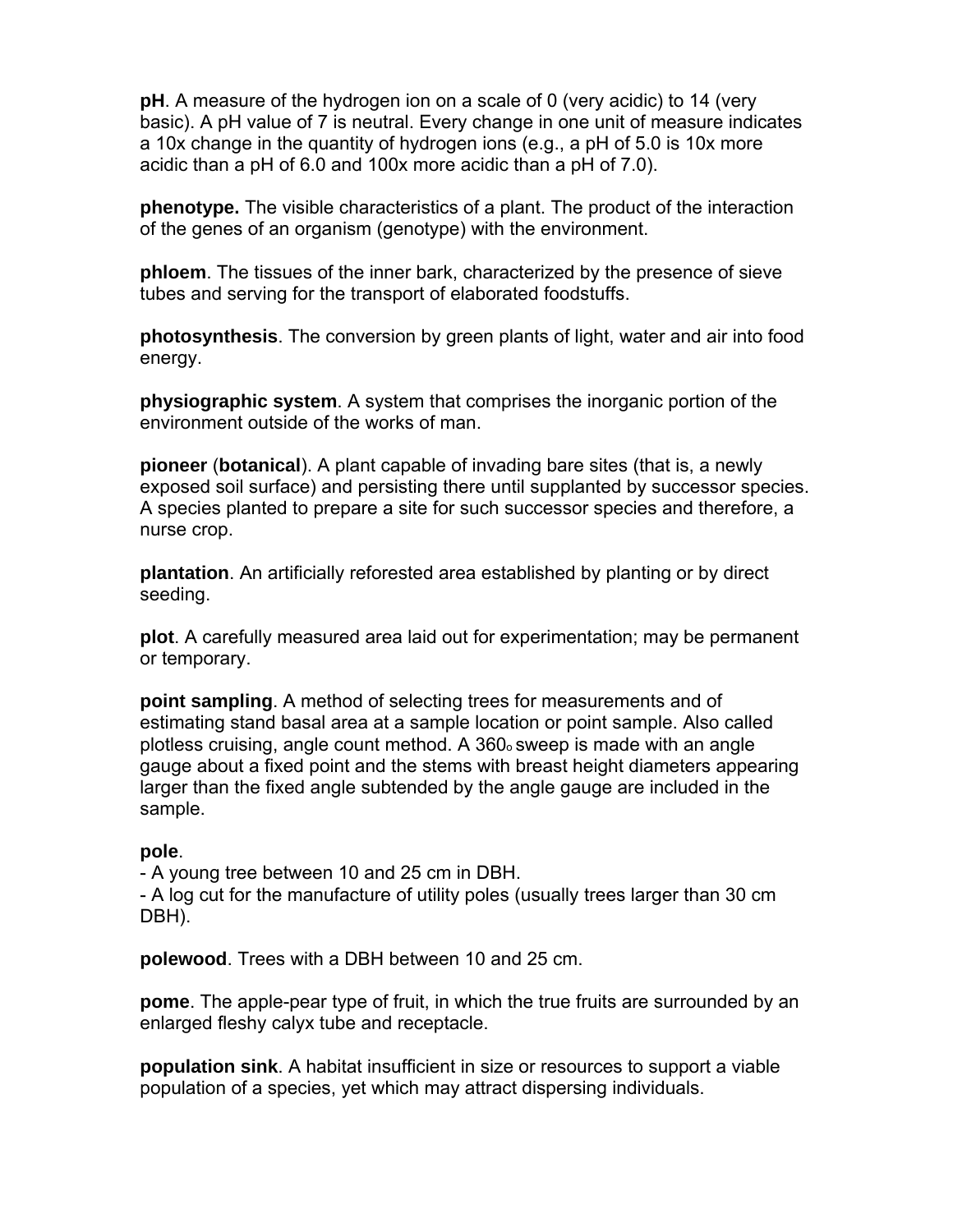**pH**. A measure of the hydrogen ion on a scale of 0 (very acidic) to 14 (very basic). A pH value of 7 is neutral. Every change in one unit of measure indicates a 10x change in the quantity of hydrogen ions (e.g., a pH of 5.0 is 10x more acidic than a pH of 6.0 and 100x more acidic than a pH of 7.0).

**phenotype.** The visible characteristics of a plant. The product of the interaction of the genes of an organism (genotype) with the environment.

**phloem**. The tissues of the inner bark, characterized by the presence of sieve tubes and serving for the transport of elaborated foodstuffs.

**photosynthesis**. The conversion by green plants of light, water and air into food energy.

**physiographic system**. A system that comprises the inorganic portion of the environment outside of the works of man.

**pioneer** (**botanical**). A plant capable of invading bare sites (that is, a newly exposed soil surface) and persisting there until supplanted by successor species. A species planted to prepare a site for such successor species and therefore, a nurse crop.

**plantation**. An artificially reforested area established by planting or by direct seeding.

**plot**. A carefully measured area laid out for experimentation; may be permanent or temporary.

**point sampling**. A method of selecting trees for measurements and of estimating stand basal area at a sample location or point sample. Also called plotless cruising, angle count method. A 360o sweep is made with an angle gauge about a fixed point and the stems with breast height diameters appearing larger than the fixed angle subtended by the angle gauge are included in the sample.

#### **pole**.

- A young tree between 10 and 25 cm in DBH.

- A log cut for the manufacture of utility poles (usually trees larger than 30 cm DBH).

**polewood**. Trees with a DBH between 10 and 25 cm.

**pome**. The apple-pear type of fruit, in which the true fruits are surrounded by an enlarged fleshy calyx tube and receptacle.

**population sink**. A habitat insufficient in size or resources to support a viable population of a species, yet which may attract dispersing individuals.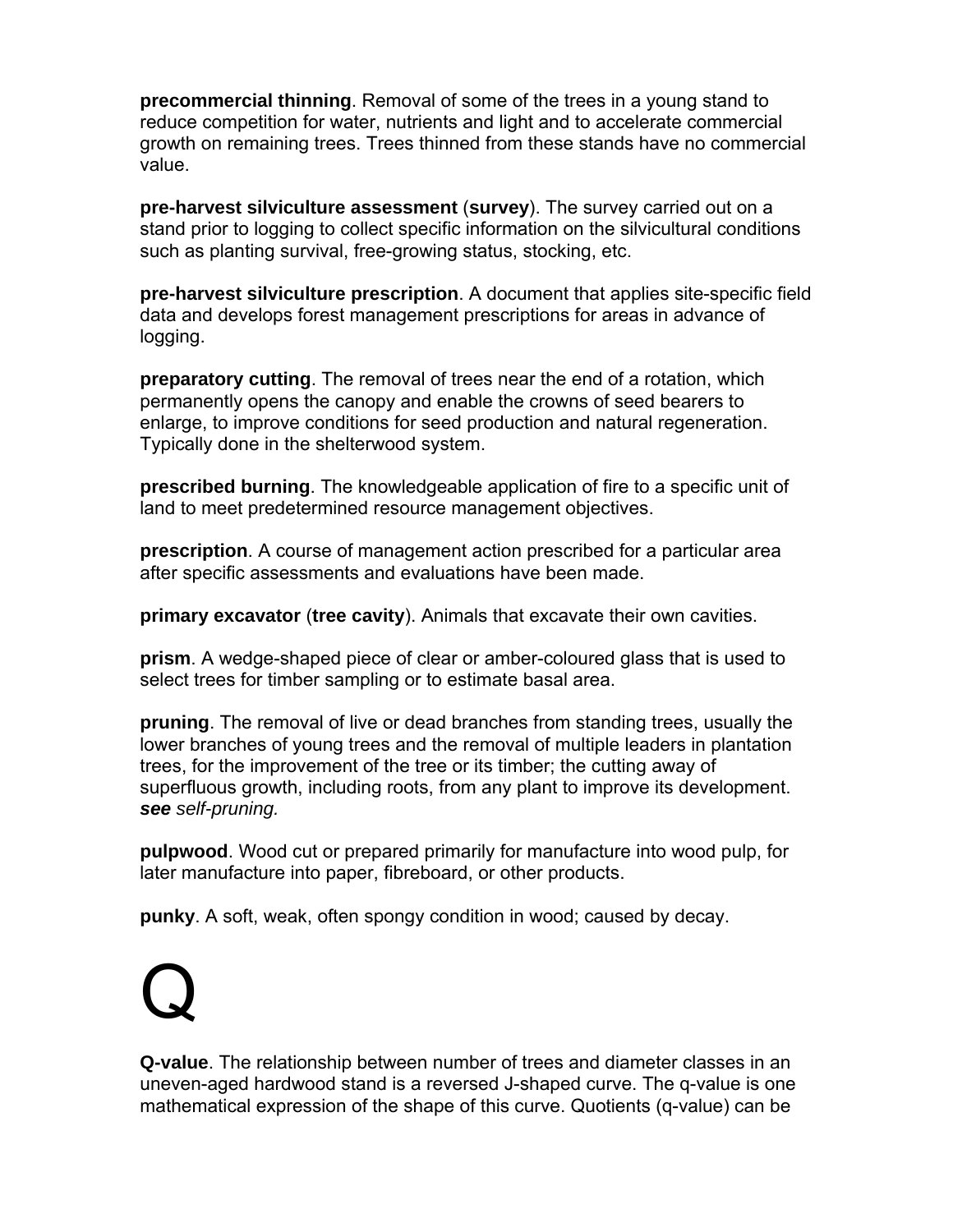**precommercial thinning**. Removal of some of the trees in a young stand to reduce competition for water, nutrients and light and to accelerate commercial growth on remaining trees. Trees thinned from these stands have no commercial value.

**pre-harvest silviculture assessment** (**survey**). The survey carried out on a stand prior to logging to collect specific information on the silvicultural conditions such as planting survival, free-growing status, stocking, etc.

**pre-harvest silviculture prescription**. A document that applies site-specific field data and develops forest management prescriptions for areas in advance of logging.

**preparatory cutting**. The removal of trees near the end of a rotation, which permanently opens the canopy and enable the crowns of seed bearers to enlarge, to improve conditions for seed production and natural regeneration. Typically done in the shelterwood system.

**prescribed burning**. The knowledgeable application of fire to a specific unit of land to meet predetermined resource management objectives.

**prescription**. A course of management action prescribed for a particular area after specific assessments and evaluations have been made.

**primary excavator** (**tree cavity**). Animals that excavate their own cavities.

**prism**. A wedge-shaped piece of clear or amber-coloured glass that is used to select trees for timber sampling or to estimate basal area.

**pruning**. The removal of live or dead branches from standing trees, usually the lower branches of young trees and the removal of multiple leaders in plantation trees, for the improvement of the tree or its timber; the cutting away of superfluous growth, including roots, from any plant to improve its development. *see self-pruning.* 

**pulpwood**. Wood cut or prepared primarily for manufacture into wood pulp, for later manufacture into paper, fibreboard, or other products.

**punky**. A soft, weak, often spongy condition in wood; caused by decay.

## Q

**Q-value**. The relationship between number of trees and diameter classes in an uneven-aged hardwood stand is a reversed J-shaped curve. The q-value is one mathematical expression of the shape of this curve. Quotients (q-value) can be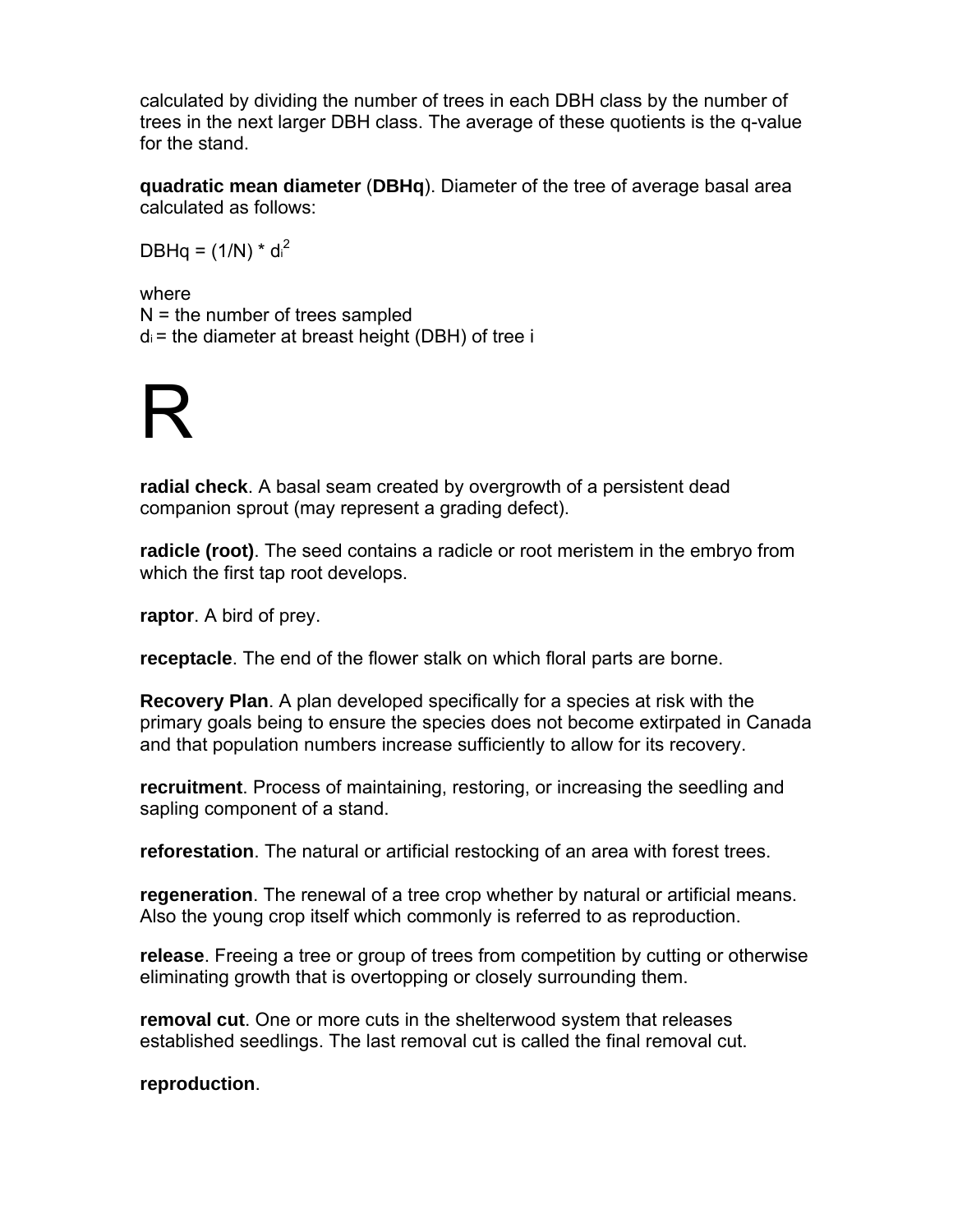calculated by dividing the number of trees in each DBH class by the number of trees in the next larger DBH class. The average of these quotients is the q-value for the stand.

**quadratic mean diameter** (**DBHq**). Diameter of the tree of average basal area calculated as follows:

DBHq =  $(1/N)^*$  d<sub>i</sub><sup>2</sup>

where N = the number of trees sampled  $d_i$  = the diameter at breast height (DBH) of tree i

### R

**radial check**. A basal seam created by overgrowth of a persistent dead companion sprout (may represent a grading defect).

**radicle (root)**. The seed contains a radicle or root meristem in the embryo from which the first tap root develops.

**raptor**. A bird of prey.

**receptacle**. The end of the flower stalk on which floral parts are borne.

**Recovery Plan**. A plan developed specifically for a species at risk with the primary goals being to ensure the species does not become extirpated in Canada and that population numbers increase sufficiently to allow for its recovery.

**recruitment**. Process of maintaining, restoring, or increasing the seedling and sapling component of a stand.

**reforestation**. The natural or artificial restocking of an area with forest trees.

**regeneration**. The renewal of a tree crop whether by natural or artificial means. Also the young crop itself which commonly is referred to as reproduction.

**release**. Freeing a tree or group of trees from competition by cutting or otherwise eliminating growth that is overtopping or closely surrounding them.

**removal cut**. One or more cuts in the shelterwood system that releases established seedlings. The last removal cut is called the final removal cut.

**reproduction**.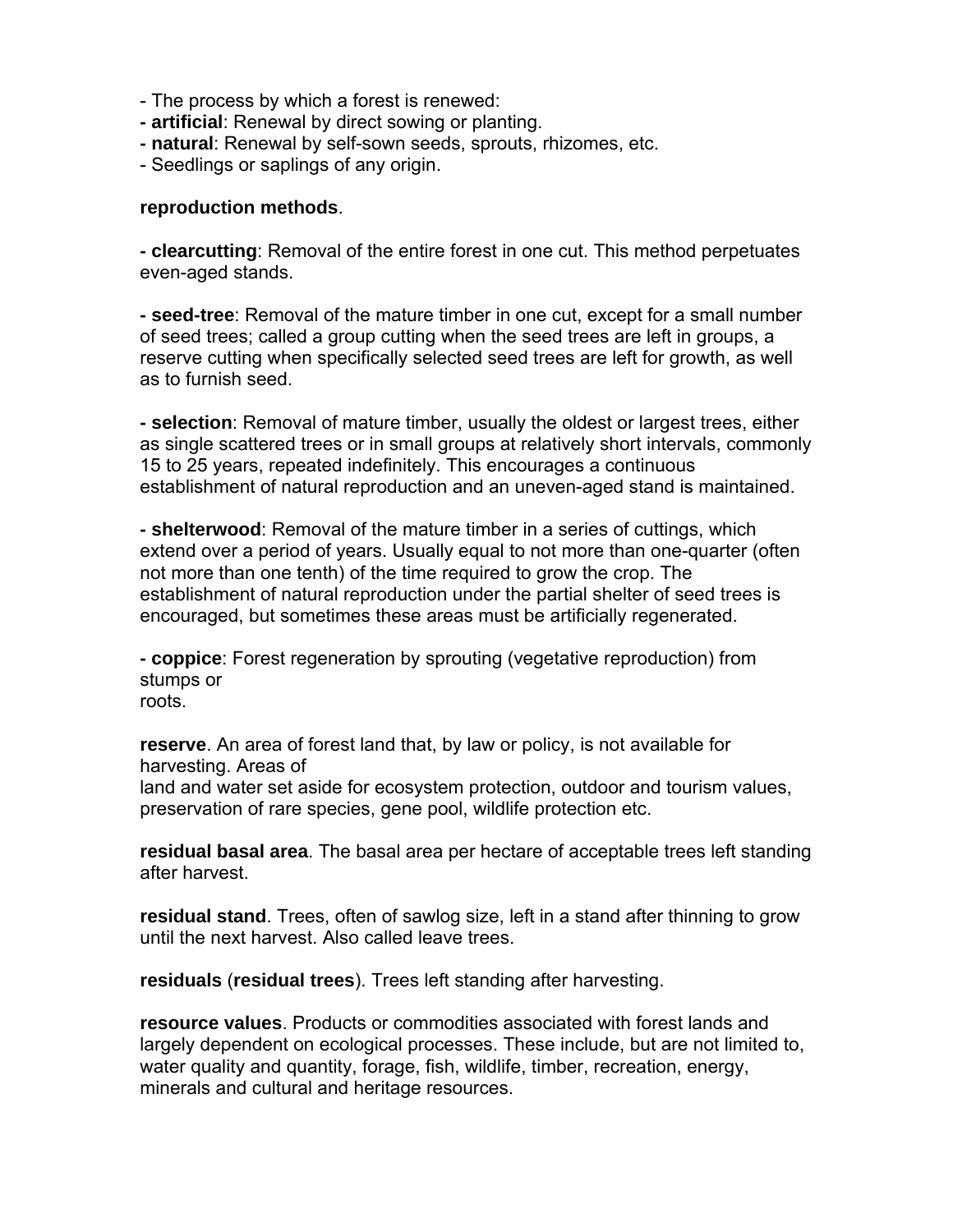- The process by which a forest is renewed:
- **artificial**: Renewal by direct sowing or planting.
- **natural**: Renewal by self-sown seeds, sprouts, rhizomes, etc.
- Seedlings or saplings of any origin.

#### **reproduction methods**.

**- clearcutting**: Removal of the entire forest in one cut. This method perpetuates even-aged stands.

**- seed-tree**: Removal of the mature timber in one cut, except for a small number of seed trees; called a group cutting when the seed trees are left in groups, a reserve cutting when specifically selected seed trees are left for growth, as well as to furnish seed.

**- selection**: Removal of mature timber, usually the oldest or largest trees, either as single scattered trees or in small groups at relatively short intervals, commonly 15 to 25 years, repeated indefinitely. This encourages a continuous establishment of natural reproduction and an uneven-aged stand is maintained.

**- shelterwood**: Removal of the mature timber in a series of cuttings, which extend over a period of years. Usually equal to not more than one-quarter (often not more than one tenth) of the time required to grow the crop. The establishment of natural reproduction under the partial shelter of seed trees is encouraged, but sometimes these areas must be artificially regenerated.

**- coppice**: Forest regeneration by sprouting (vegetative reproduction) from stumps or roots.

**reserve**. An area of forest land that, by law or policy, is not available for harvesting. Areas of

land and water set aside for ecosystem protection, outdoor and tourism values, preservation of rare species, gene pool, wildlife protection etc.

**residual basal area**. The basal area per hectare of acceptable trees left standing after harvest.

**residual stand**. Trees, often of sawlog size, left in a stand after thinning to grow until the next harvest. Also called leave trees.

**residuals** (**residual trees**). Trees left standing after harvesting.

**resource values**. Products or commodities associated with forest lands and largely dependent on ecological processes. These include, but are not limited to, water quality and quantity, forage, fish, wildlife, timber, recreation, energy, minerals and cultural and heritage resources.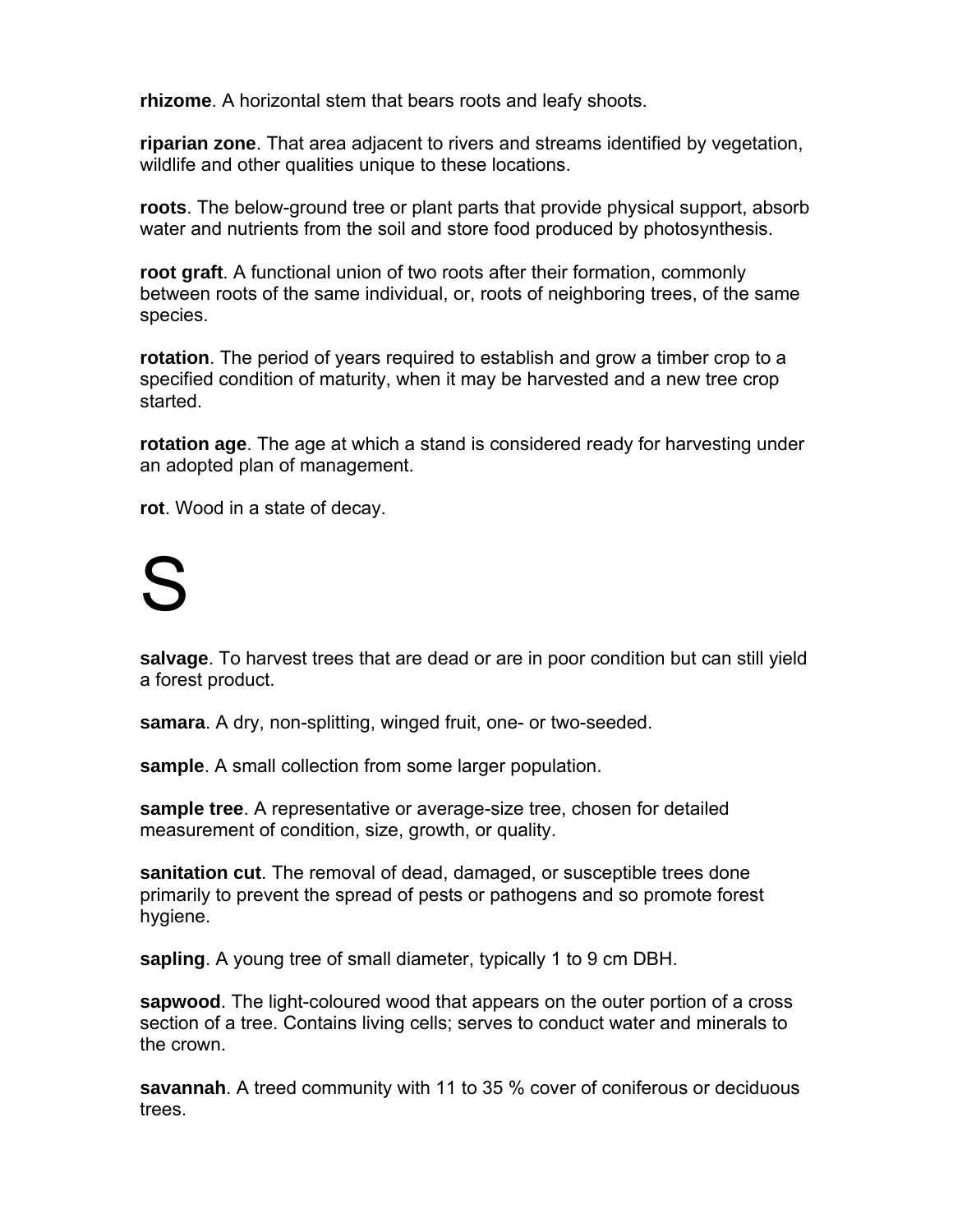**rhizome**. A horizontal stem that bears roots and leafy shoots.

**riparian zone**. That area adjacent to rivers and streams identified by vegetation, wildlife and other qualities unique to these locations.

**roots**. The below-ground tree or plant parts that provide physical support, absorb water and nutrients from the soil and store food produced by photosynthesis.

**root graft**. A functional union of two roots after their formation, commonly between roots of the same individual, or, roots of neighboring trees, of the same species.

**rotation**. The period of years required to establish and grow a timber crop to a specified condition of maturity, when it may be harvested and a new tree crop started.

**rotation age**. The age at which a stand is considered ready for harvesting under an adopted plan of management.

**rot**. Wood in a state of decay.

# S

**salvage**. To harvest trees that are dead or are in poor condition but can still yield a forest product.

**samara**. A dry, non-splitting, winged fruit, one- or two-seeded.

**sample**. A small collection from some larger population.

**sample tree**. A representative or average-size tree, chosen for detailed measurement of condition, size, growth, or quality.

**sanitation cut**. The removal of dead, damaged, or susceptible trees done primarily to prevent the spread of pests or pathogens and so promote forest hygiene.

**sapling**. A young tree of small diameter, typically 1 to 9 cm DBH.

**sapwood**. The light-coloured wood that appears on the outer portion of a cross section of a tree. Contains living cells; serves to conduct water and minerals to the crown.

**savannah**. A treed community with 11 to 35 % cover of coniferous or deciduous trees.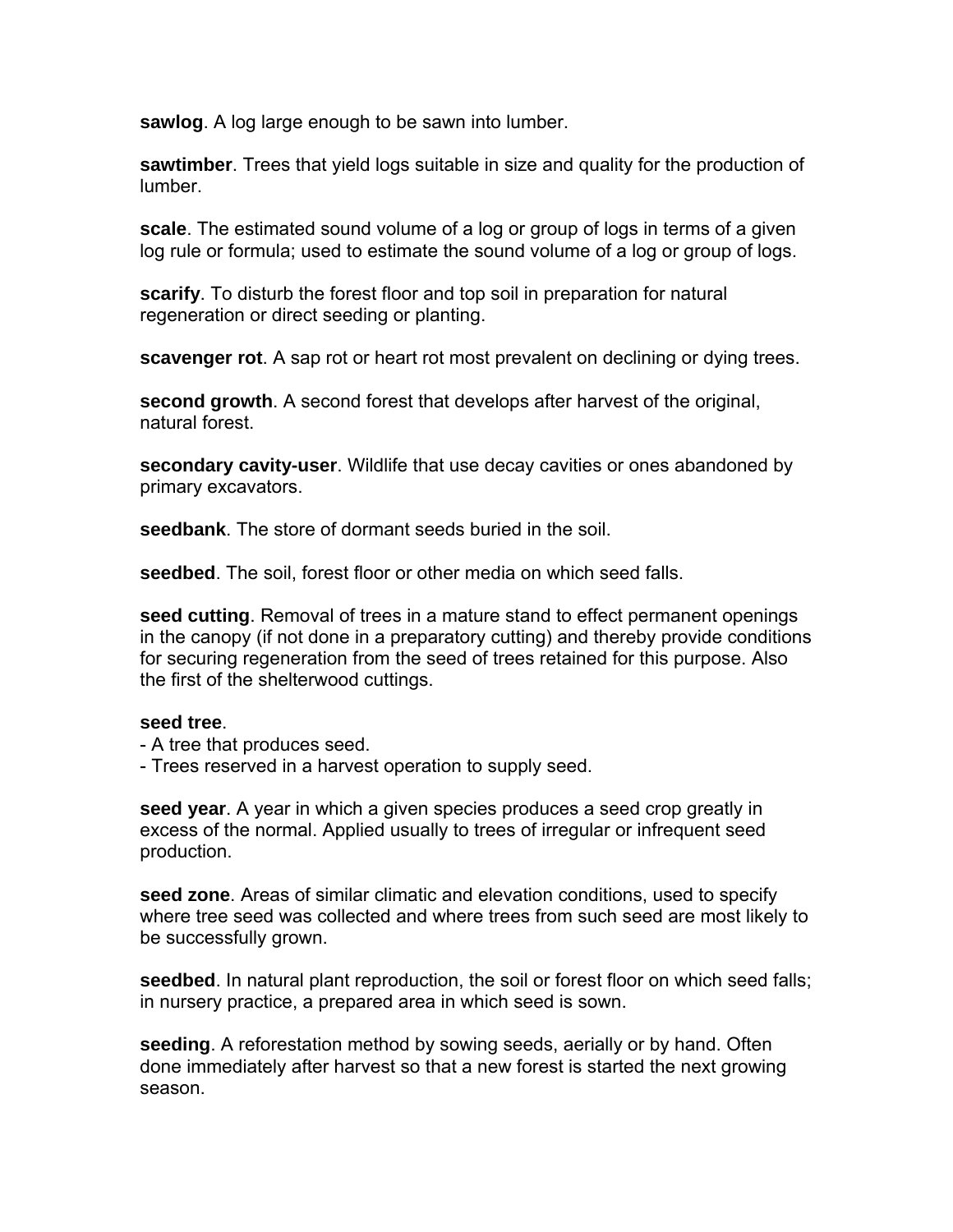**sawlog**. A log large enough to be sawn into lumber.

**sawtimber**. Trees that yield logs suitable in size and quality for the production of lumber.

**scale**. The estimated sound volume of a log or group of logs in terms of a given log rule or formula; used to estimate the sound volume of a log or group of logs.

**scarify**. To disturb the forest floor and top soil in preparation for natural regeneration or direct seeding or planting.

**scavenger rot**. A sap rot or heart rot most prevalent on declining or dying trees.

**second growth**. A second forest that develops after harvest of the original, natural forest.

**secondary cavity-user**. Wildlife that use decay cavities or ones abandoned by primary excavators.

**seedbank**. The store of dormant seeds buried in the soil.

**seedbed**. The soil, forest floor or other media on which seed falls.

**seed cutting**. Removal of trees in a mature stand to effect permanent openings in the canopy (if not done in a preparatory cutting) and thereby provide conditions for securing regeneration from the seed of trees retained for this purpose. Also the first of the shelterwood cuttings.

#### **seed tree**.

- A tree that produces seed.
- Trees reserved in a harvest operation to supply seed.

**seed year**. A year in which a given species produces a seed crop greatly in excess of the normal. Applied usually to trees of irregular or infrequent seed production.

**seed zone**. Areas of similar climatic and elevation conditions, used to specify where tree seed was collected and where trees from such seed are most likely to be successfully grown.

**seedbed**. In natural plant reproduction, the soil or forest floor on which seed falls; in nursery practice, a prepared area in which seed is sown.

**seeding**. A reforestation method by sowing seeds, aerially or by hand. Often done immediately after harvest so that a new forest is started the next growing season.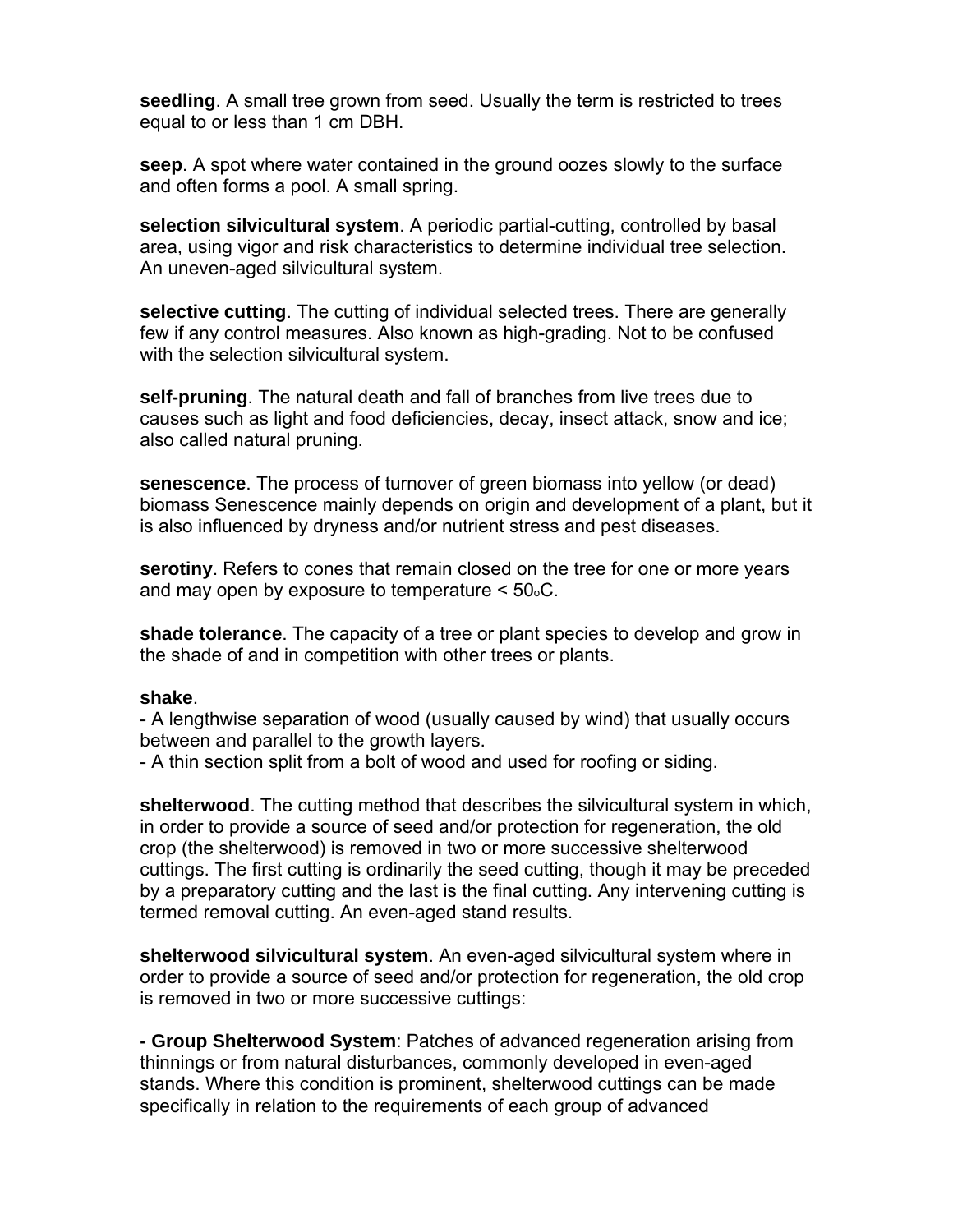**seedling**. A small tree grown from seed. Usually the term is restricted to trees equal to or less than 1 cm DBH.

**seep**. A spot where water contained in the ground oozes slowly to the surface and often forms a pool. A small spring.

**selection silvicultural system**. A periodic partial-cutting, controlled by basal area, using vigor and risk characteristics to determine individual tree selection. An uneven-aged silvicultural system.

**selective cutting**. The cutting of individual selected trees. There are generally few if any control measures. Also known as high-grading. Not to be confused with the selection silvicultural system.

**self-pruning**. The natural death and fall of branches from live trees due to causes such as light and food deficiencies, decay, insect attack, snow and ice; also called natural pruning.

**senescence**. The process of turnover of green biomass into yellow (or dead) biomass Senescence mainly depends on origin and development of a plant, but it is also influenced by dryness and/or nutrient stress and pest diseases.

**serotiny**. Refers to cones that remain closed on the tree for one or more years and may open by exposure to temperature  $\leq 50\degree$ C.

**shade tolerance**. The capacity of a tree or plant species to develop and grow in the shade of and in competition with other trees or plants.

#### **shake**.

- A lengthwise separation of wood (usually caused by wind) that usually occurs between and parallel to the growth layers.

- A thin section split from a bolt of wood and used for roofing or siding.

**shelterwood**. The cutting method that describes the silvicultural system in which, in order to provide a source of seed and/or protection for regeneration, the old crop (the shelterwood) is removed in two or more successive shelterwood cuttings. The first cutting is ordinarily the seed cutting, though it may be preceded by a preparatory cutting and the last is the final cutting. Any intervening cutting is termed removal cutting. An even-aged stand results.

**shelterwood silvicultural system**. An even-aged silvicultural system where in order to provide a source of seed and/or protection for regeneration, the old crop is removed in two or more successive cuttings:

**- Group Shelterwood System**: Patches of advanced regeneration arising from thinnings or from natural disturbances, commonly developed in even-aged stands. Where this condition is prominent, shelterwood cuttings can be made specifically in relation to the requirements of each group of advanced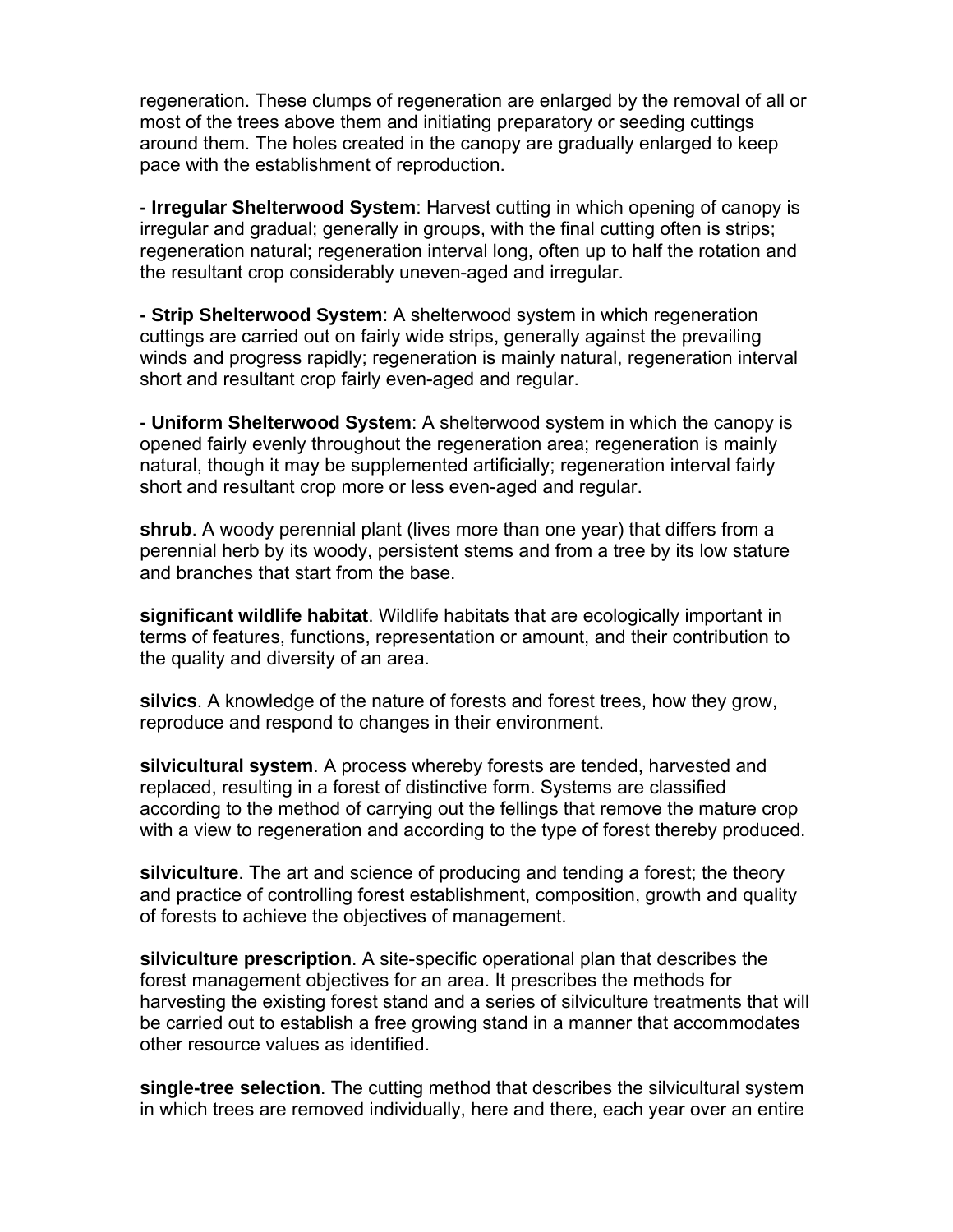regeneration. These clumps of regeneration are enlarged by the removal of all or most of the trees above them and initiating preparatory or seeding cuttings around them. The holes created in the canopy are gradually enlarged to keep pace with the establishment of reproduction.

**- Irregular Shelterwood System**: Harvest cutting in which opening of canopy is irregular and gradual; generally in groups, with the final cutting often is strips; regeneration natural; regeneration interval long, often up to half the rotation and the resultant crop considerably uneven-aged and irregular.

**- Strip Shelterwood System**: A shelterwood system in which regeneration cuttings are carried out on fairly wide strips, generally against the prevailing winds and progress rapidly; regeneration is mainly natural, regeneration interval short and resultant crop fairly even-aged and regular.

**- Uniform Shelterwood System**: A shelterwood system in which the canopy is opened fairly evenly throughout the regeneration area; regeneration is mainly natural, though it may be supplemented artificially; regeneration interval fairly short and resultant crop more or less even-aged and regular.

**shrub**. A woody perennial plant (lives more than one year) that differs from a perennial herb by its woody, persistent stems and from a tree by its low stature and branches that start from the base.

**significant wildlife habitat**. Wildlife habitats that are ecologically important in terms of features, functions, representation or amount, and their contribution to the quality and diversity of an area.

**silvics**. A knowledge of the nature of forests and forest trees, how they grow, reproduce and respond to changes in their environment.

**silvicultural system**. A process whereby forests are tended, harvested and replaced, resulting in a forest of distinctive form. Systems are classified according to the method of carrying out the fellings that remove the mature crop with a view to regeneration and according to the type of forest thereby produced.

**silviculture**. The art and science of producing and tending a forest; the theory and practice of controlling forest establishment, composition, growth and quality of forests to achieve the objectives of management.

**silviculture prescription**. A site-specific operational plan that describes the forest management objectives for an area. It prescribes the methods for harvesting the existing forest stand and a series of silviculture treatments that will be carried out to establish a free growing stand in a manner that accommodates other resource values as identified.

**single-tree selection**. The cutting method that describes the silvicultural system in which trees are removed individually, here and there, each year over an entire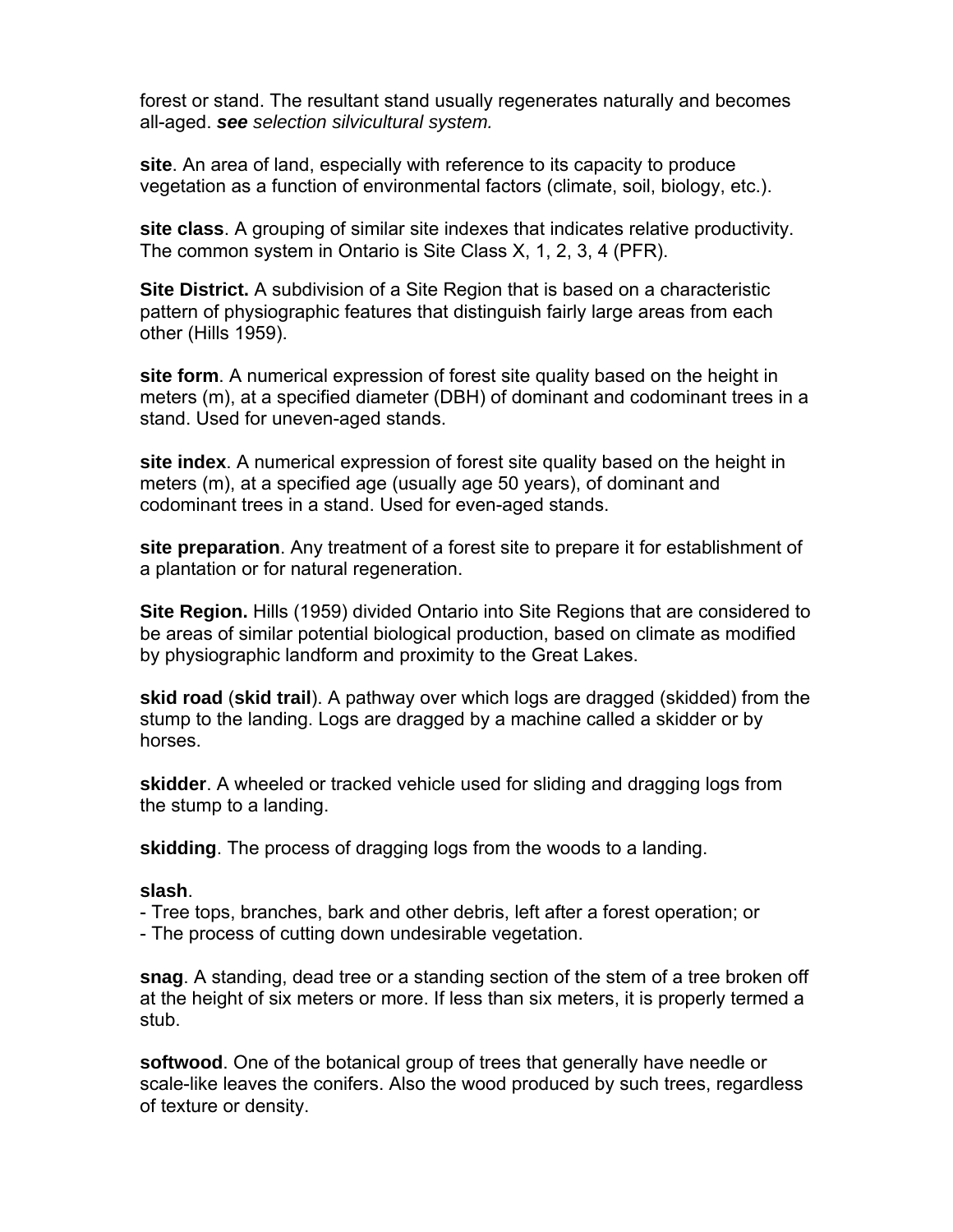forest or stand. The resultant stand usually regenerates naturally and becomes all-aged. *see selection silvicultural system.* 

**site**. An area of land, especially with reference to its capacity to produce vegetation as a function of environmental factors (climate, soil, biology, etc.).

**site class**. A grouping of similar site indexes that indicates relative productivity. The common system in Ontario is Site Class X, 1, 2, 3, 4 (PFR).

**Site District.** A subdivision of a Site Region that is based on a characteristic pattern of physiographic features that distinguish fairly large areas from each other (Hills 1959).

**site form**. A numerical expression of forest site quality based on the height in meters (m), at a specified diameter (DBH) of dominant and codominant trees in a stand. Used for uneven-aged stands.

**site index**. A numerical expression of forest site quality based on the height in meters (m), at a specified age (usually age 50 years), of dominant and codominant trees in a stand. Used for even-aged stands.

**site preparation**. Any treatment of a forest site to prepare it for establishment of a plantation or for natural regeneration.

**Site Region.** Hills (1959) divided Ontario into Site Regions that are considered to be areas of similar potential biological production, based on climate as modified by physiographic landform and proximity to the Great Lakes.

**skid road** (**skid trail**). A pathway over which logs are dragged (skidded) from the stump to the landing. Logs are dragged by a machine called a skidder or by horses.

**skidder**. A wheeled or tracked vehicle used for sliding and dragging logs from the stump to a landing.

**skidding**. The process of dragging logs from the woods to a landing.

#### **slash**.

- Tree tops, branches, bark and other debris, left after a forest operation; or

- The process of cutting down undesirable vegetation.

**snag**. A standing, dead tree or a standing section of the stem of a tree broken off at the height of six meters or more. If less than six meters, it is properly termed a stub.

**softwood**. One of the botanical group of trees that generally have needle or scale-like leaves the conifers. Also the wood produced by such trees, regardless of texture or density.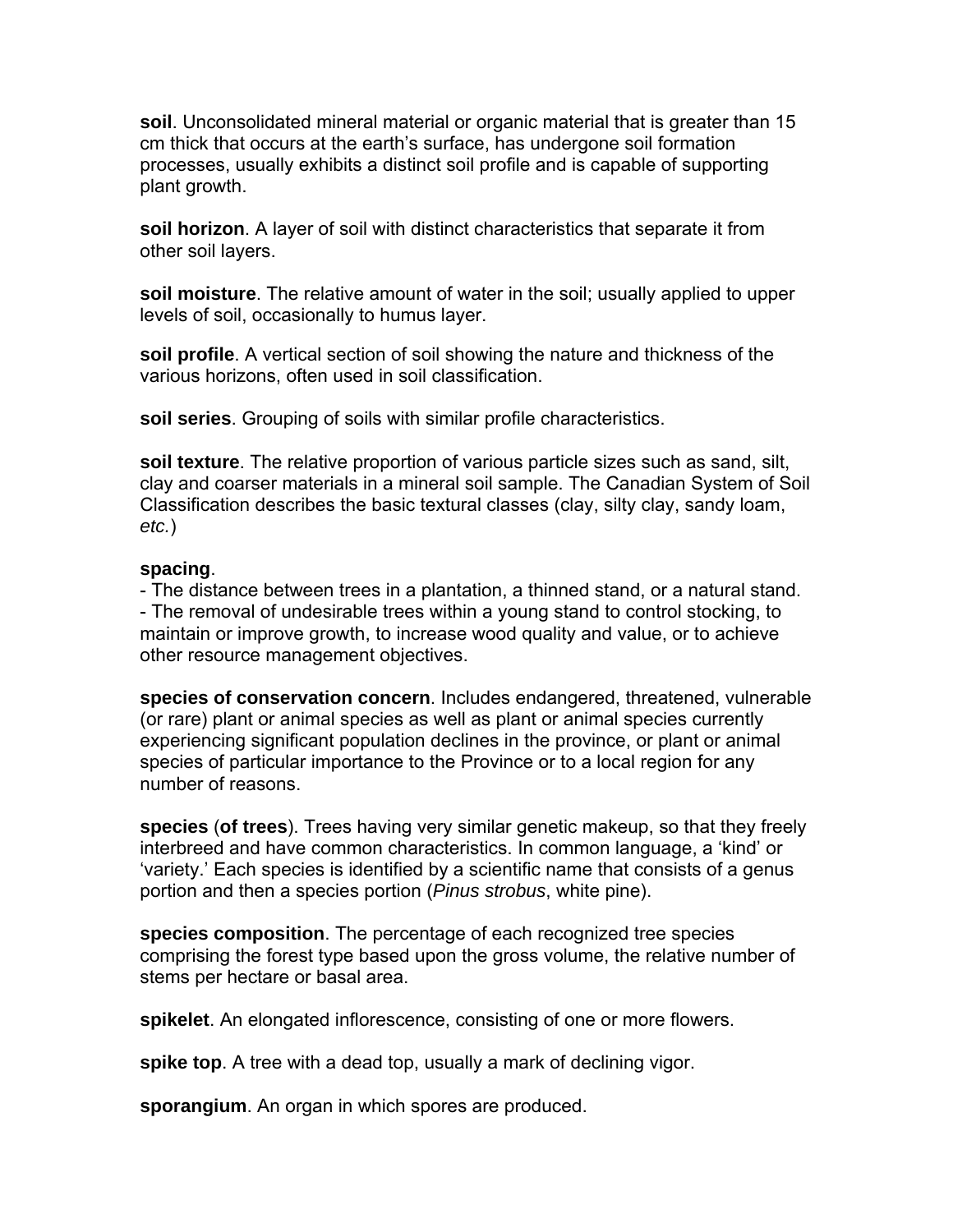**soil**. Unconsolidated mineral material or organic material that is greater than 15 cm thick that occurs at the earth's surface, has undergone soil formation processes, usually exhibits a distinct soil profile and is capable of supporting plant growth.

**soil horizon**. A layer of soil with distinct characteristics that separate it from other soil layers.

**soil moisture**. The relative amount of water in the soil; usually applied to upper levels of soil, occasionally to humus layer.

**soil profile**. A vertical section of soil showing the nature and thickness of the various horizons, often used in soil classification.

**soil series**. Grouping of soils with similar profile characteristics.

**soil texture**. The relative proportion of various particle sizes such as sand, silt, clay and coarser materials in a mineral soil sample. The Canadian System of Soil Classification describes the basic textural classes (clay, silty clay, sandy loam, *etc.*)

#### **spacing**.

- The distance between trees in a plantation, a thinned stand, or a natural stand. - The removal of undesirable trees within a young stand to control stocking, to maintain or improve growth, to increase wood quality and value, or to achieve other resource management objectives.

**species of conservation concern**. Includes endangered, threatened, vulnerable (or rare) plant or animal species as well as plant or animal species currently experiencing significant population declines in the province, or plant or animal species of particular importance to the Province or to a local region for any number of reasons.

**species** (**of trees**). Trees having very similar genetic makeup, so that they freely interbreed and have common characteristics. In common language, a 'kind' or 'variety.' Each species is identified by a scientific name that consists of a genus portion and then a species portion (*Pinus strobus*, white pine).

**species composition**. The percentage of each recognized tree species comprising the forest type based upon the gross volume, the relative number of stems per hectare or basal area.

**spikelet**. An elongated inflorescence, consisting of one or more flowers.

**spike top**. A tree with a dead top, usually a mark of declining vigor.

**sporangium**. An organ in which spores are produced.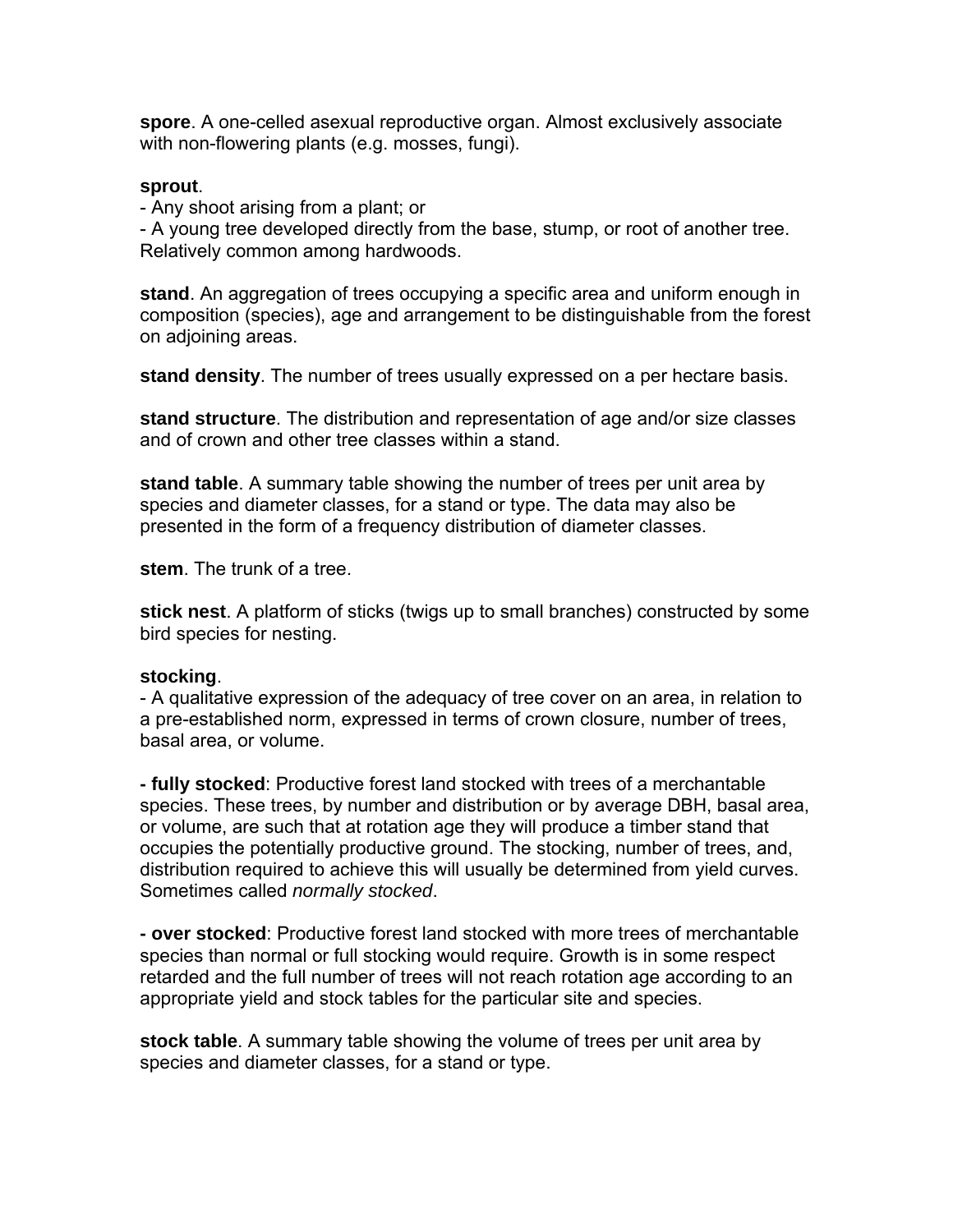**spore**. A one-celled asexual reproductive organ. Almost exclusively associate with non-flowering plants (e.g. mosses, fungi).

#### **sprout**.

- Any shoot arising from a plant; or

- A young tree developed directly from the base, stump, or root of another tree. Relatively common among hardwoods.

**stand**. An aggregation of trees occupying a specific area and uniform enough in composition (species), age and arrangement to be distinguishable from the forest on adjoining areas.

**stand density**. The number of trees usually expressed on a per hectare basis.

**stand structure**. The distribution and representation of age and/or size classes and of crown and other tree classes within a stand.

**stand table**. A summary table showing the number of trees per unit area by species and diameter classes, for a stand or type. The data may also be presented in the form of a frequency distribution of diameter classes.

**stem**. The trunk of a tree.

**stick nest**. A platform of sticks (twigs up to small branches) constructed by some bird species for nesting.

#### **stocking**.

- A qualitative expression of the adequacy of tree cover on an area, in relation to a pre-established norm, expressed in terms of crown closure, number of trees, basal area, or volume.

**- fully stocked**: Productive forest land stocked with trees of a merchantable species. These trees, by number and distribution or by average DBH, basal area, or volume, are such that at rotation age they will produce a timber stand that occupies the potentially productive ground. The stocking, number of trees, and, distribution required to achieve this will usually be determined from yield curves. Sometimes called *normally stocked*.

**- over stocked**: Productive forest land stocked with more trees of merchantable species than normal or full stocking would require. Growth is in some respect retarded and the full number of trees will not reach rotation age according to an appropriate yield and stock tables for the particular site and species.

**stock table**. A summary table showing the volume of trees per unit area by species and diameter classes, for a stand or type.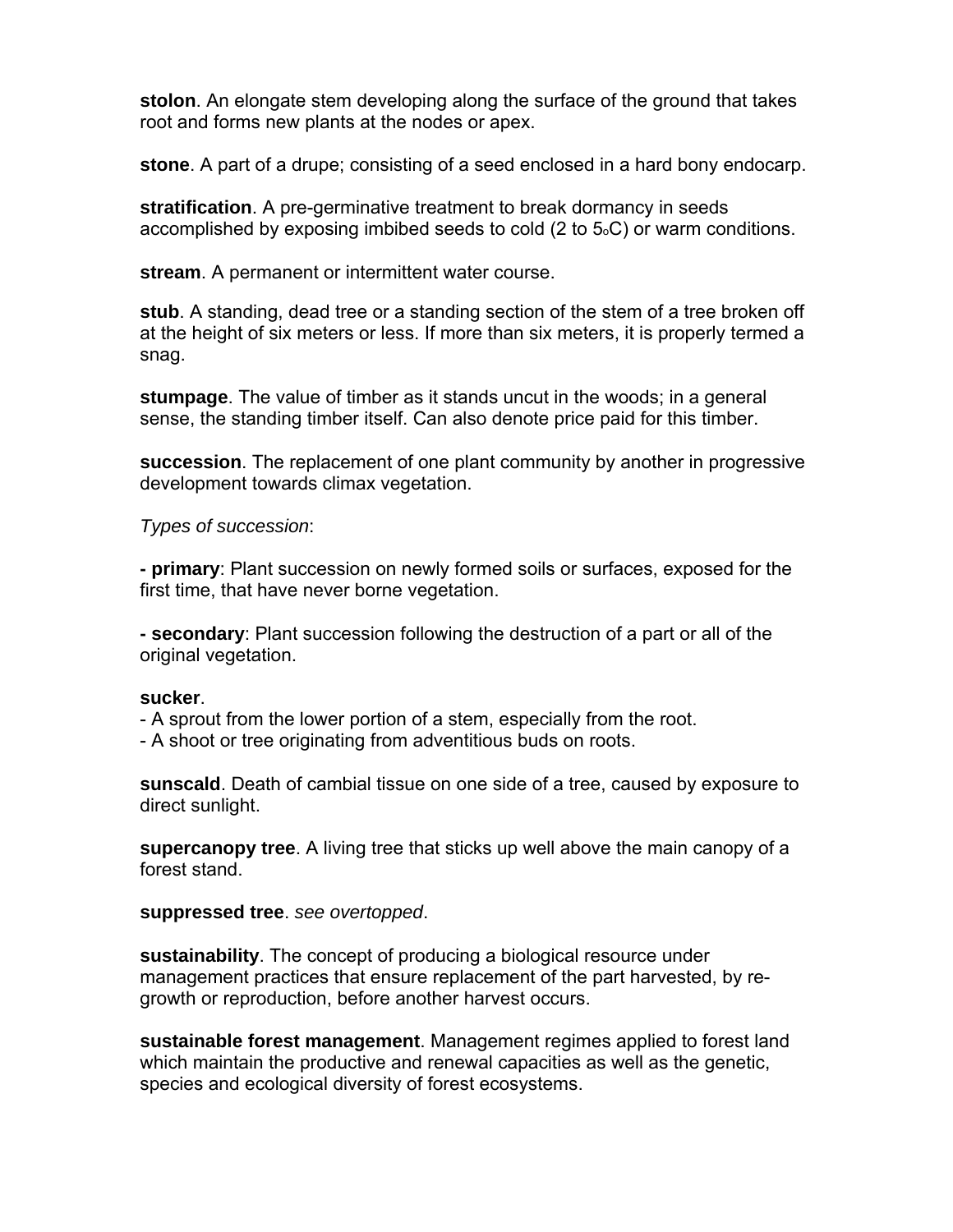**stolon**. An elongate stem developing along the surface of the ground that takes root and forms new plants at the nodes or apex.

**stone**. A part of a drupe; consisting of a seed enclosed in a hard bony endocarp.

**stratification**. A pre-germinative treatment to break dormancy in seeds accomplished by exposing imbibed seeds to cold  $(2 \text{ to } 5 \text{).})$  or warm conditions.

**stream**. A permanent or intermittent water course.

**stub**. A standing, dead tree or a standing section of the stem of a tree broken off at the height of six meters or less. If more than six meters, it is properly termed a snag.

**stumpage**. The value of timber as it stands uncut in the woods; in a general sense, the standing timber itself. Can also denote price paid for this timber.

**succession**. The replacement of one plant community by another in progressive development towards climax vegetation.

*Types of succession*:

**- primary**: Plant succession on newly formed soils or surfaces, exposed for the first time, that have never borne vegetation.

**- secondary**: Plant succession following the destruction of a part or all of the original vegetation.

#### **sucker**.

- A sprout from the lower portion of a stem, especially from the root.

- A shoot or tree originating from adventitious buds on roots.

**sunscald**. Death of cambial tissue on one side of a tree, caused by exposure to direct sunlight.

**supercanopy tree**. A living tree that sticks up well above the main canopy of a forest stand.

#### **suppressed tree**. *see overtopped*.

**sustainability**. The concept of producing a biological resource under management practices that ensure replacement of the part harvested, by regrowth or reproduction, before another harvest occurs.

**sustainable forest management**. Management regimes applied to forest land which maintain the productive and renewal capacities as well as the genetic, species and ecological diversity of forest ecosystems.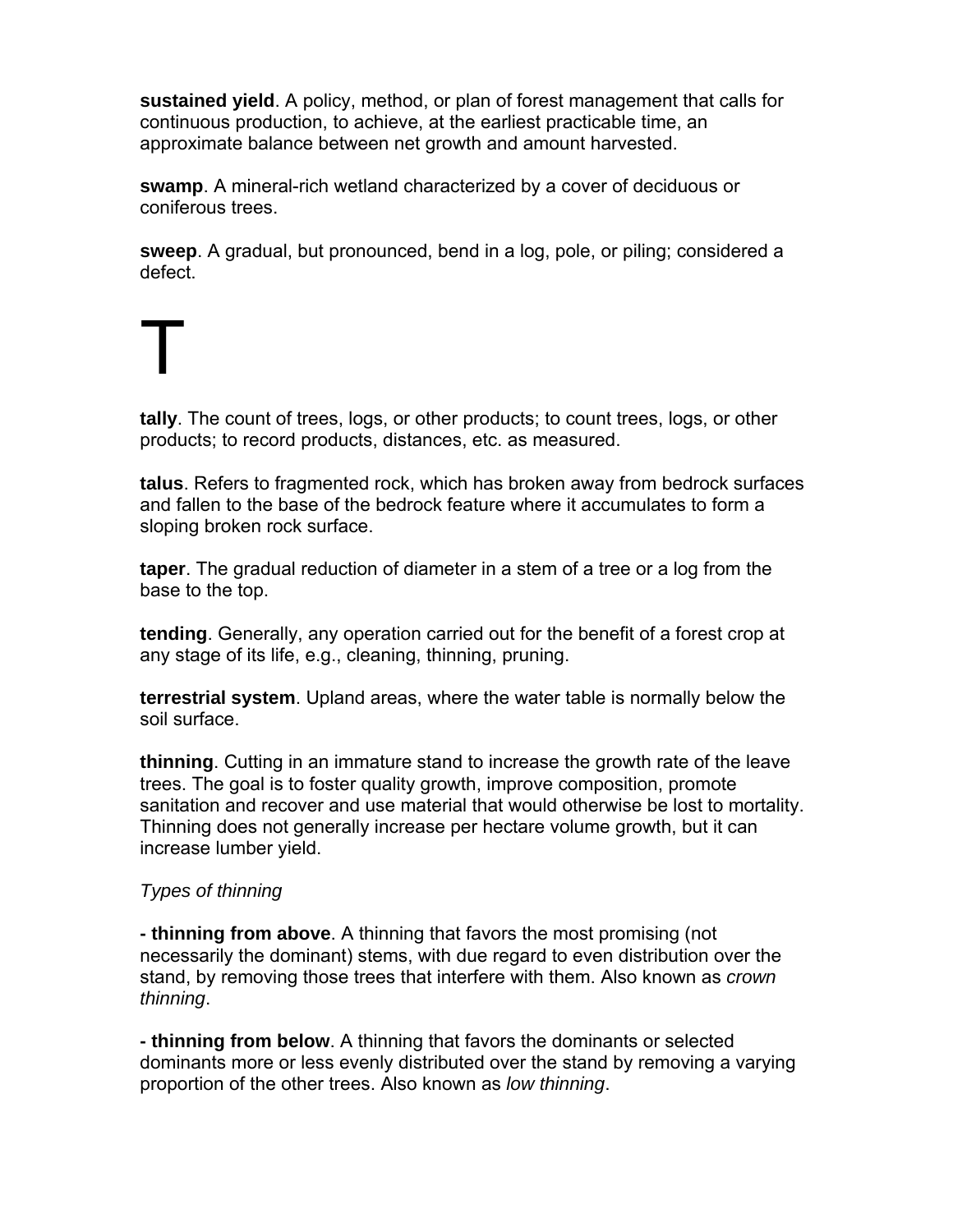**sustained yield**. A policy, method, or plan of forest management that calls for continuous production, to achieve, at the earliest practicable time, an approximate balance between net growth and amount harvested.

**swamp**. A mineral-rich wetland characterized by a cover of deciduous or coniferous trees.

**sweep**. A gradual, but pronounced, bend in a log, pole, or piling; considered a defect.

**tally**. The count of trees, logs, or other products; to count trees, logs, or other products; to record products, distances, etc. as measured.

**talus**. Refers to fragmented rock, which has broken away from bedrock surfaces and fallen to the base of the bedrock feature where it accumulates to form a sloping broken rock surface.

**taper**. The gradual reduction of diameter in a stem of a tree or a log from the base to the top.

**tending**. Generally, any operation carried out for the benefit of a forest crop at any stage of its life, e.g., cleaning, thinning, pruning.

**terrestrial system**. Upland areas, where the water table is normally below the soil surface.

**thinning**. Cutting in an immature stand to increase the growth rate of the leave trees. The goal is to foster quality growth, improve composition, promote sanitation and recover and use material that would otherwise be lost to mortality. Thinning does not generally increase per hectare volume growth, but it can increase lumber yield.

### *Types of thinning*

T

**- thinning from above**. A thinning that favors the most promising (not necessarily the dominant) stems, with due regard to even distribution over the stand, by removing those trees that interfere with them. Also known as *crown thinning*.

**- thinning from below**. A thinning that favors the dominants or selected dominants more or less evenly distributed over the stand by removing a varying proportion of the other trees. Also known as *low thinning*.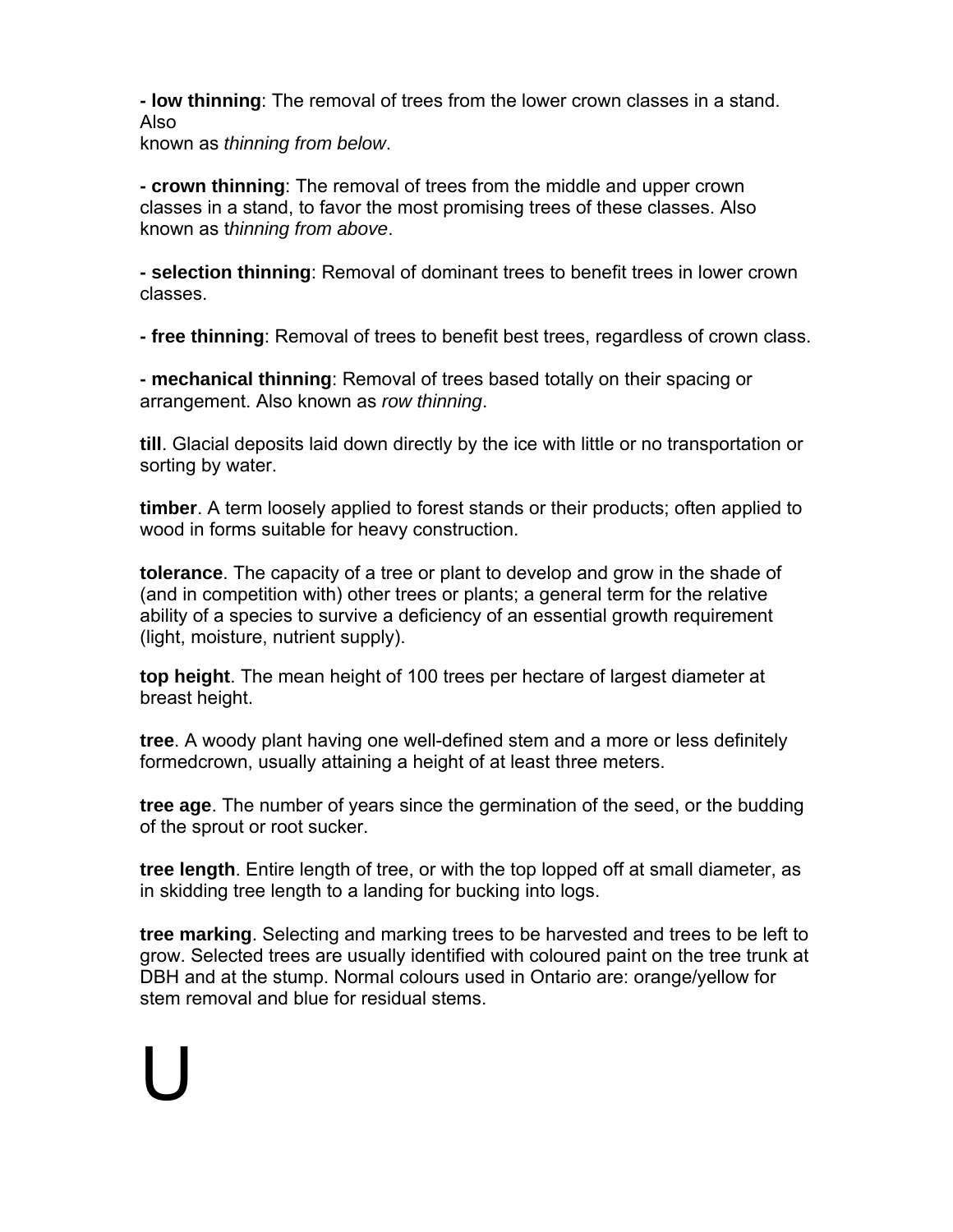**- low thinning**: The removal of trees from the lower crown classes in a stand. Also

known as *thinning from below*.

U

**- crown thinning**: The removal of trees from the middle and upper crown classes in a stand, to favor the most promising trees of these classes. Also known as t*hinning from above*.

**- selection thinning**: Removal of dominant trees to benefit trees in lower crown classes.

**- free thinning**: Removal of trees to benefit best trees, regardless of crown class.

**- mechanical thinning**: Removal of trees based totally on their spacing or arrangement. Also known as *row thinning*.

**till**. Glacial deposits laid down directly by the ice with little or no transportation or sorting by water.

**timber**. A term loosely applied to forest stands or their products; often applied to wood in forms suitable for heavy construction.

**tolerance**. The capacity of a tree or plant to develop and grow in the shade of (and in competition with) other trees or plants; a general term for the relative ability of a species to survive a deficiency of an essential growth requirement (light, moisture, nutrient supply).

**top height**. The mean height of 100 trees per hectare of largest diameter at breast height.

**tree**. A woody plant having one well-defined stem and a more or less definitely formedcrown, usually attaining a height of at least three meters.

**tree age**. The number of years since the germination of the seed, or the budding of the sprout or root sucker.

**tree length**. Entire length of tree, or with the top lopped off at small diameter, as in skidding tree length to a landing for bucking into logs.

**tree marking**. Selecting and marking trees to be harvested and trees to be left to grow. Selected trees are usually identified with coloured paint on the tree trunk at DBH and at the stump. Normal colours used in Ontario are: orange/yellow for stem removal and blue for residual stems.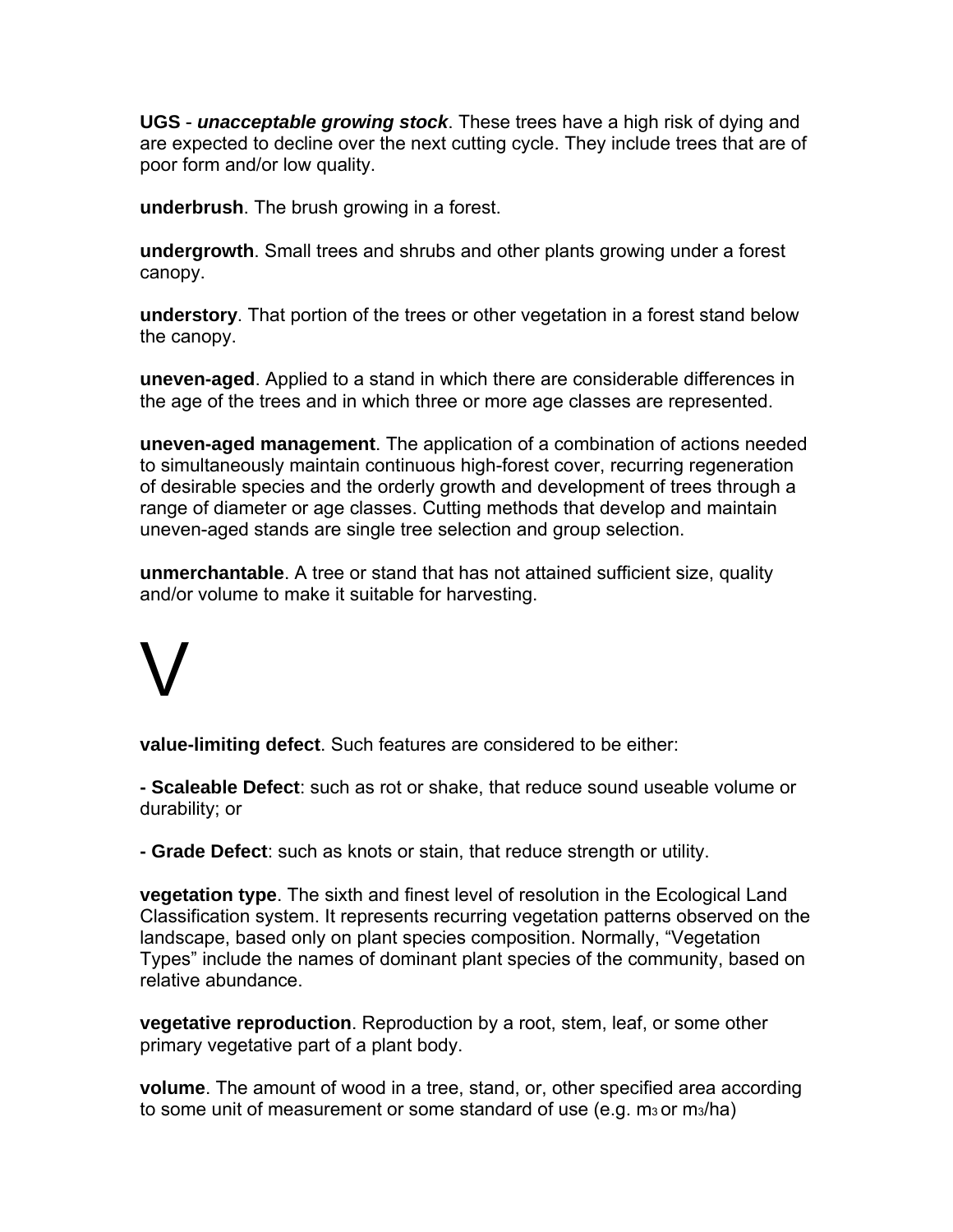**UGS** - *unacceptable growing stock*. These trees have a high risk of dying and are expected to decline over the next cutting cycle. They include trees that are of poor form and/or low quality.

**underbrush**. The brush growing in a forest.

**undergrowth**. Small trees and shrubs and other plants growing under a forest canopy.

**understory**. That portion of the trees or other vegetation in a forest stand below the canopy.

**uneven-aged**. Applied to a stand in which there are considerable differences in the age of the trees and in which three or more age classes are represented.

**uneven-aged management**. The application of a combination of actions needed to simultaneously maintain continuous high-forest cover, recurring regeneration of desirable species and the orderly growth and development of trees through a range of diameter or age classes. Cutting methods that develop and maintain uneven-aged stands are single tree selection and group selection.

**unmerchantable**. A tree or stand that has not attained sufficient size, quality and/or volume to make it suitable for harvesting.

# V

**value-limiting defect**. Such features are considered to be either:

**- Scaleable Defect**: such as rot or shake, that reduce sound useable volume or durability; or

**- Grade Defect**: such as knots or stain, that reduce strength or utility.

**vegetation type**. The sixth and finest level of resolution in the Ecological Land Classification system. It represents recurring vegetation patterns observed on the landscape, based only on plant species composition. Normally, "Vegetation Types" include the names of dominant plant species of the community, based on relative abundance.

**vegetative reproduction**. Reproduction by a root, stem, leaf, or some other primary vegetative part of a plant body.

**volume**. The amount of wood in a tree, stand, or, other specified area according to some unit of measurement or some standard of use  $(e.g., m<sub>3</sub> or m<sub>3</sub>/ha)$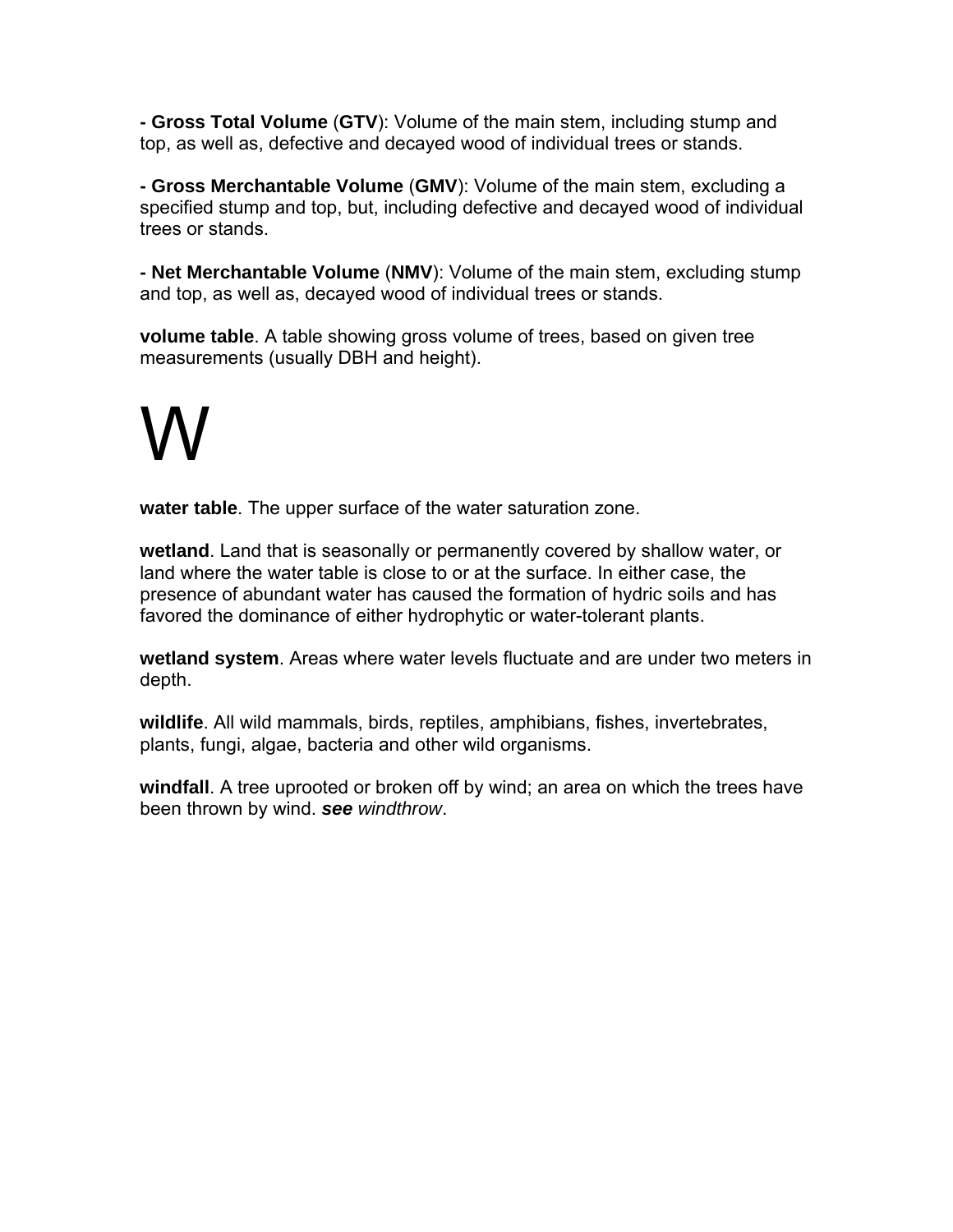**- Gross Total Volume** (**GTV**): Volume of the main stem, including stump and top, as well as, defective and decayed wood of individual trees or stands.

**- Gross Merchantable Volume** (**GMV**): Volume of the main stem, excluding a specified stump and top, but, including defective and decayed wood of individual trees or stands.

**- Net Merchantable Volume** (**NMV**): Volume of the main stem, excluding stump and top, as well as, decayed wood of individual trees or stands.

**volume table**. A table showing gross volume of trees, based on given tree measurements (usually DBH and height).

# W

**water table**. The upper surface of the water saturation zone.

**wetland**. Land that is seasonally or permanently covered by shallow water, or land where the water table is close to or at the surface. In either case, the presence of abundant water has caused the formation of hydric soils and has favored the dominance of either hydrophytic or water-tolerant plants.

**wetland system**. Areas where water levels fluctuate and are under two meters in depth.

**wildlife**. All wild mammals, birds, reptiles, amphibians, fishes, invertebrates, plants, fungi, algae, bacteria and other wild organisms.

**windfall**. A tree uprooted or broken off by wind; an area on which the trees have been thrown by wind. *see windthrow*.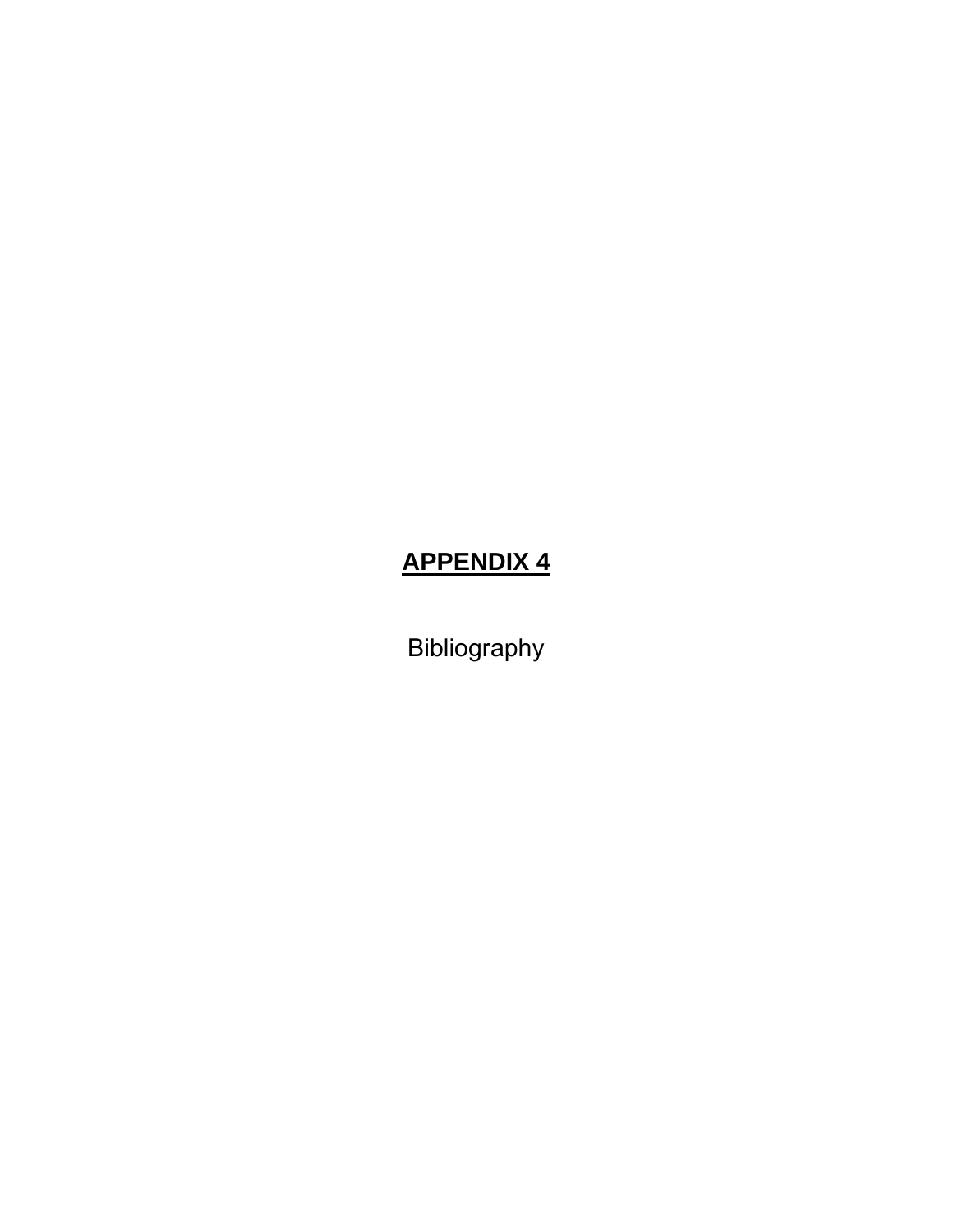## **APPENDIX 4**

Bibliography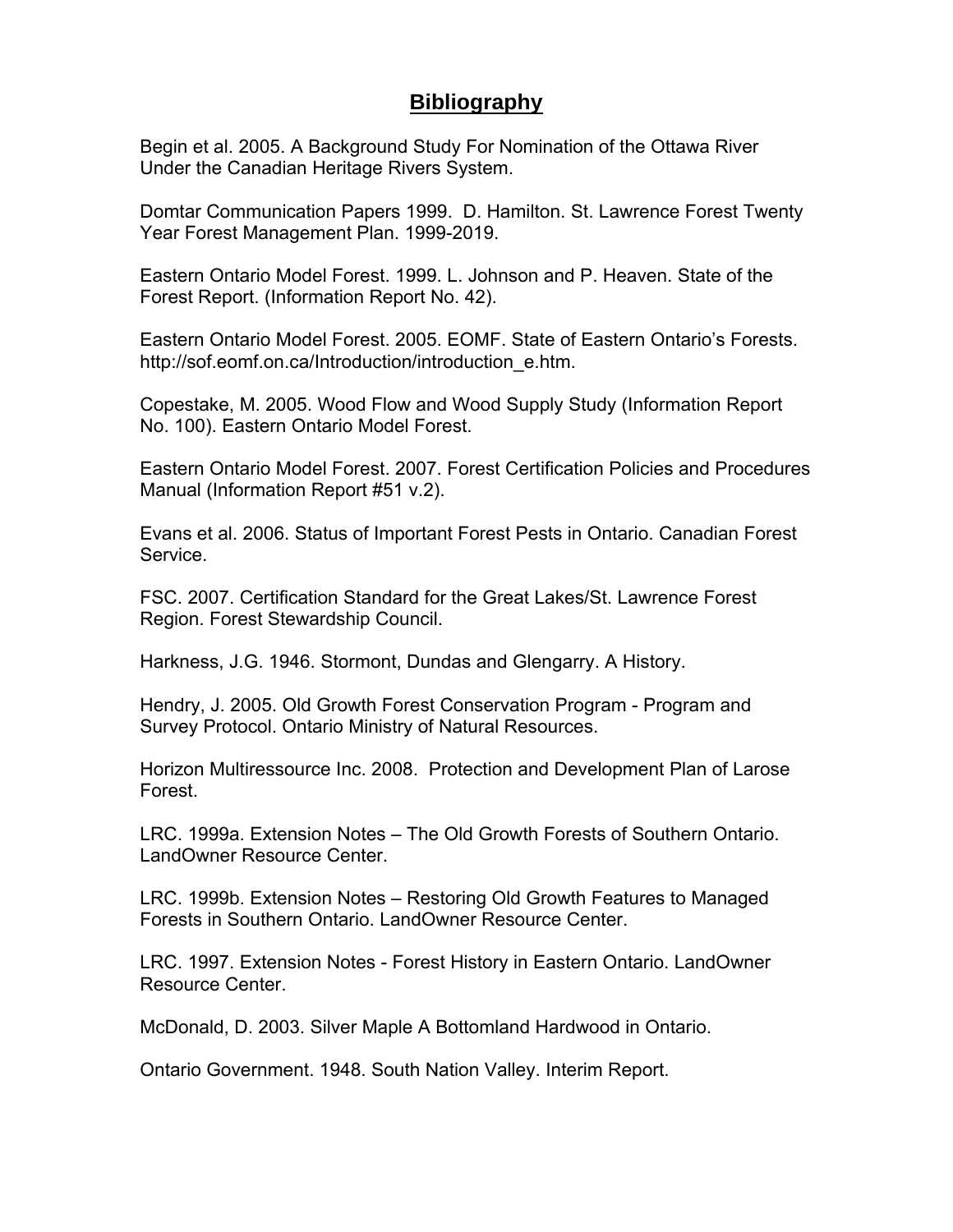### **Bibliography**

Begin et al. 2005. A Background Study For Nomination of the Ottawa River Under the Canadian Heritage Rivers System.

Domtar Communication Papers 1999. D. Hamilton. St. Lawrence Forest Twenty Year Forest Management Plan. 1999-2019.

Eastern Ontario Model Forest. 1999. L. Johnson and P. Heaven. State of the Forest Report. (Information Report No. 42).

Eastern Ontario Model Forest. 2005. EOMF. State of Eastern Ontario's Forests. http://sof.eomf.on.ca/Introduction/introduction\_e.htm.

Copestake, M. 2005. Wood Flow and Wood Supply Study (Information Report No. 100). Eastern Ontario Model Forest.

Eastern Ontario Model Forest. 2007. Forest Certification Policies and Procedures Manual (Information Report #51 v.2).

Evans et al. 2006. Status of Important Forest Pests in Ontario. Canadian Forest Service.

FSC. 2007. Certification Standard for the Great Lakes/St. Lawrence Forest Region. Forest Stewardship Council.

Harkness, J.G. 1946. Stormont, Dundas and Glengarry. A History.

Hendry, J. 2005. Old Growth Forest Conservation Program - Program and Survey Protocol. Ontario Ministry of Natural Resources.

Horizon Multiressource Inc. 2008. Protection and Development Plan of Larose Forest.

LRC. 1999a. Extension Notes – The Old Growth Forests of Southern Ontario. LandOwner Resource Center.

LRC. 1999b. Extension Notes – Restoring Old Growth Features to Managed Forests in Southern Ontario. LandOwner Resource Center.

LRC. 1997. Extension Notes - Forest History in Eastern Ontario. LandOwner Resource Center.

McDonald, D. 2003. Silver Maple A Bottomland Hardwood in Ontario.

Ontario Government. 1948. South Nation Valley. Interim Report.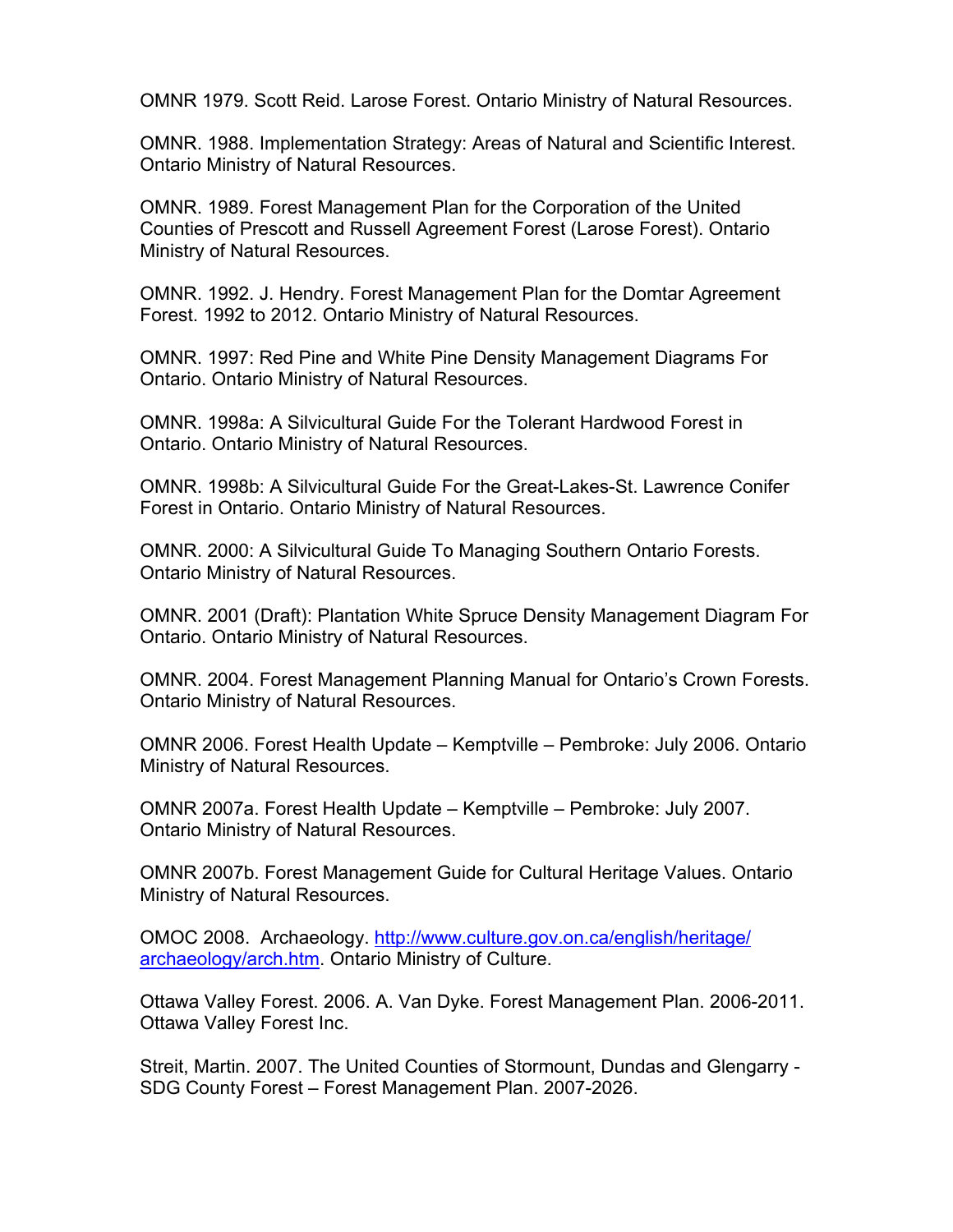OMNR 1979. Scott Reid. Larose Forest. Ontario Ministry of Natural Resources.

OMNR. 1988. Implementation Strategy: Areas of Natural and Scientific Interest. Ontario Ministry of Natural Resources.

OMNR. 1989. Forest Management Plan for the Corporation of the United Counties of Prescott and Russell Agreement Forest (Larose Forest). Ontario Ministry of Natural Resources.

OMNR. 1992. J. Hendry. Forest Management Plan for the Domtar Agreement Forest. 1992 to 2012. Ontario Ministry of Natural Resources.

OMNR. 1997: Red Pine and White Pine Density Management Diagrams For Ontario. Ontario Ministry of Natural Resources.

OMNR. 1998a: A Silvicultural Guide For the Tolerant Hardwood Forest in Ontario. Ontario Ministry of Natural Resources.

OMNR. 1998b: A Silvicultural Guide For the Great-Lakes-St. Lawrence Conifer Forest in Ontario. Ontario Ministry of Natural Resources.

OMNR. 2000: A Silvicultural Guide To Managing Southern Ontario Forests. Ontario Ministry of Natural Resources.

OMNR. 2001 (Draft): Plantation White Spruce Density Management Diagram For Ontario. Ontario Ministry of Natural Resources.

OMNR. 2004. Forest Management Planning Manual for Ontario's Crown Forests. Ontario Ministry of Natural Resources.

OMNR 2006. Forest Health Update – Kemptville – Pembroke: July 2006. Ontario Ministry of Natural Resources.

OMNR 2007a. Forest Health Update – Kemptville – Pembroke: July 2007. Ontario Ministry of Natural Resources.

OMNR 2007b. Forest Management Guide for Cultural Heritage Values. Ontario Ministry of Natural Resources.

OMOC 2008. Archaeology. http://www.culture.gov.on.ca/english/heritage/ archaeology/arch.htm. Ontario Ministry of Culture.

Ottawa Valley Forest. 2006. A. Van Dyke. Forest Management Plan. 2006-2011. Ottawa Valley Forest Inc.

Streit, Martin. 2007. The United Counties of Stormount, Dundas and Glengarry - SDG County Forest – Forest Management Plan. 2007-2026.